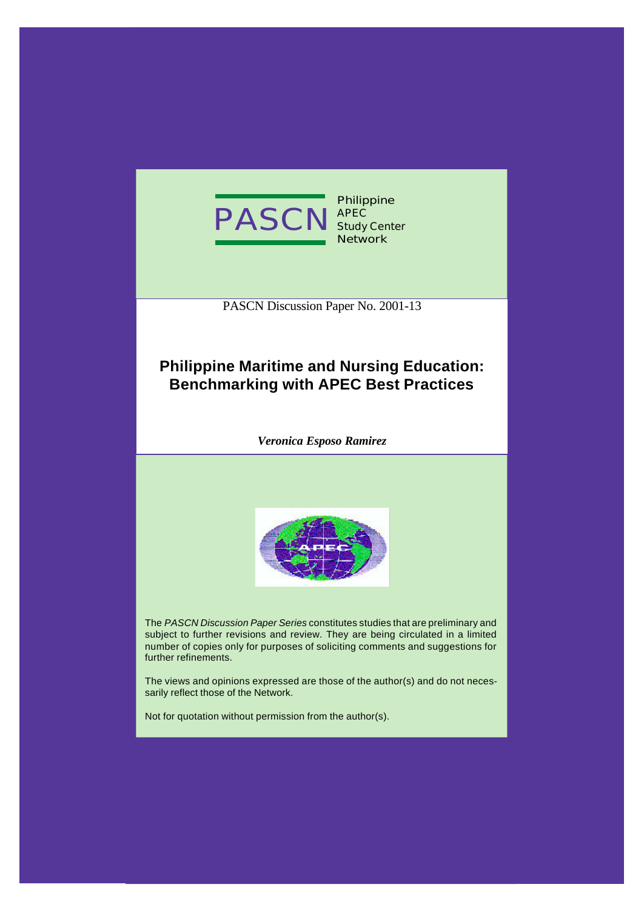

PASCN Discussion Paper No. 2001-13

# **Philippine Maritime and Nursing Education: Benchmarking with APEC Best Practices**

*Veronica Esposo Ramirez*



The *PASCN Discussion Paper Series* constitutes studies that are preliminary and subject to further revisions and review. They are being circulated in a limited number of copies only for purposes of soliciting comments and suggestions for further refinements.

The views and opinions expressed are those of the author(s) and do not necessarily reflect those of the Network.

Not for quotation without permission from the author(s).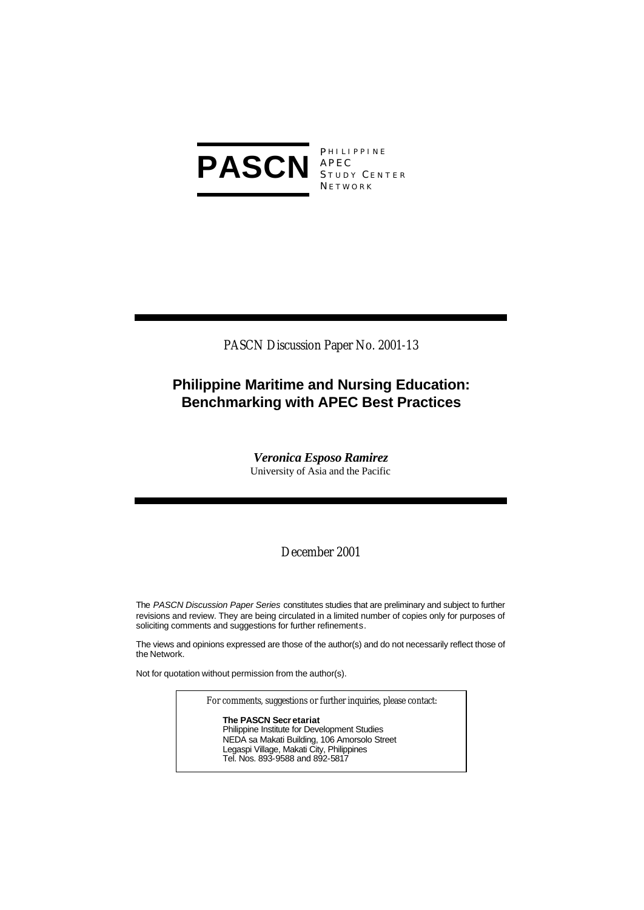

APEC S TUDY C ENTER **NETWORK** 

PASCN Discussion Paper No. 2001-13

# **Philippine Maritime and Nursing Education: Benchmarking with APEC Best Practices**

*Veronica Esposo Ramirez* University of Asia and the Pacific

December 2001

The *PASCN Discussion Paper Series* constitutes studies that are preliminary and subject to further revisions and review. They are being circulated in a limited number of copies only for purposes of soliciting comments and suggestions for further refinements.

The views and opinions expressed are those of the author(s) and do not necessarily reflect those of the Network.

Not for quotation without permission from the author(s).

For comments, suggestions or further inquiries, please contact:

**The PASCN Secr etariat** Philippine Institute for Development Studies NEDA sa Makati Building, 106 Amorsolo Street Legaspi Village, Makati City, Philippines Tel. Nos. 893-9588 and 892-5817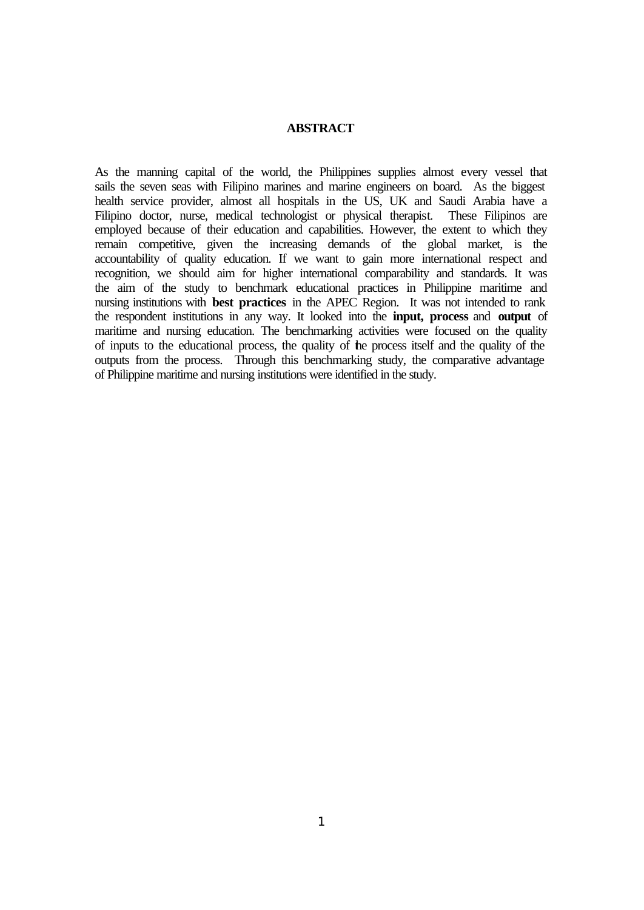# **ABSTRACT**

As the manning capital of the world, the Philippines supplies almost every vessel that sails the seven seas with Filipino marines and marine engineers on board. As the biggest health service provider, almost all hospitals in the US, UK and Saudi Arabia have a Filipino doctor, nurse, medical technologist or physical therapist. These Filipinos are employed because of their education and capabilities. However, the extent to which they remain competitive, given the increasing demands of the global market, is the accountability of quality education. If we want to gain more international respect and recognition, we should aim for higher international comparability and standards. It was the aim of the study to benchmark educational practices in Philippine maritime and nursing institutions with **best practices** in the APEC Region. It was not intended to rank the respondent institutions in any way. It looked into the **input, process** and **output** of maritime and nursing education. The benchmarking activities were focused on the quality of inputs to the educational process, the quality of the process itself and the quality of the outputs from the process. Through this benchmarking study, the comparative advantage of Philippine maritime and nursing institutions were identified in the study.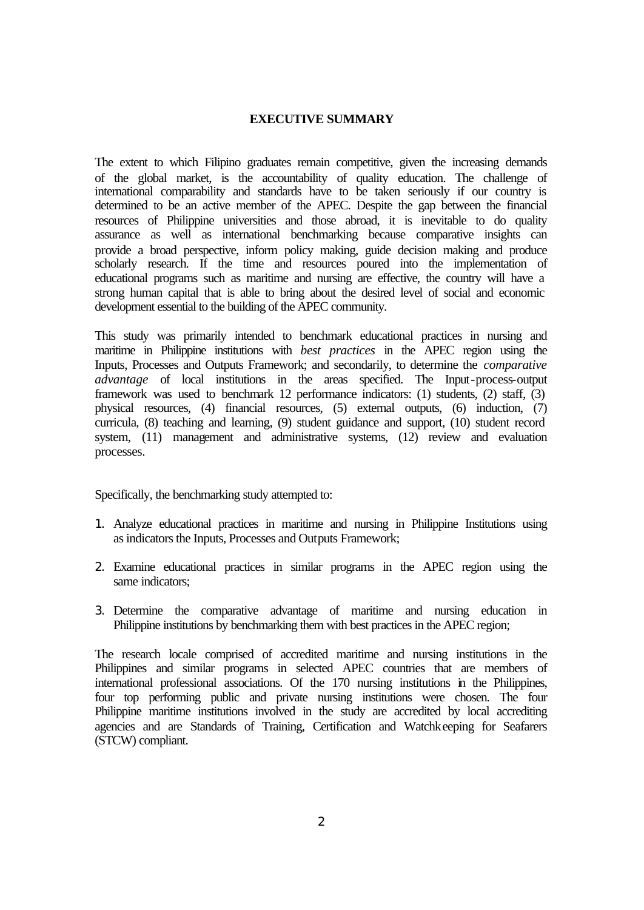# **EXECUTIVE SUMMARY**

The extent to which Filipino graduates remain competitive, given the increasing demands of the global market, is the accountability of quality education. The challenge of international comparability and standards have to be taken seriously if our country is determined to be an active member of the APEC. Despite the gap between the financial resources of Philippine universities and those abroad, it is inevitable to do quality assurance as well as international benchmarking because comparative insights can provide a broad perspective, inform policy making, guide decision making and produce scholarly research. If the time and resources poured into the implementation of educational programs such as maritime and nursing are effective, the country will have a strong human capital that is able to bring about the desired level of social and economic development essential to the building of the APEC community.

This study was primarily intended to benchmark educational practices in nursing and maritime in Philippine institutions with *best practices* in the APEC region using the Inputs, Processes and Outputs Framework; and secondarily, to determine the *comparative advantage* of local institutions in the areas specified. The Input-process-output framework was used to benchmark 12 performance indicators: (1) students, (2) staff, (3) physical resources, (4) financial resources, (5) external outputs, (6) induction, (7) curricula, (8) teaching and learning, (9) student guidance and support, (10) student record system, (11) management and administrative systems, (12) review and evaluation processes.

Specifically, the benchmarking study attempted to:

- 1. Analyze educational practices in maritime and nursing in Philippine Institutions using as indicators the Inputs, Processes and Outputs Framework;
- 2. Examine educational practices in similar programs in the APEC region using the same indicators;
- 3. Determine the comparative advantage of maritime and nursing education in Philippine institutions by benchmarking them with best practices in the APEC region;

The research locale comprised of accredited maritime and nursing institutions in the Philippines and similar programs in selected APEC countries that are members of international professional associations. Of the 170 nursing institutions in the Philippines, four top performing public and private nursing institutions were chosen. The four Philippine maritime institutions involved in the study are accredited by local accrediting agencies and are Standards of Training, Certification and Watchkeeping for Seafarers (STCW) compliant.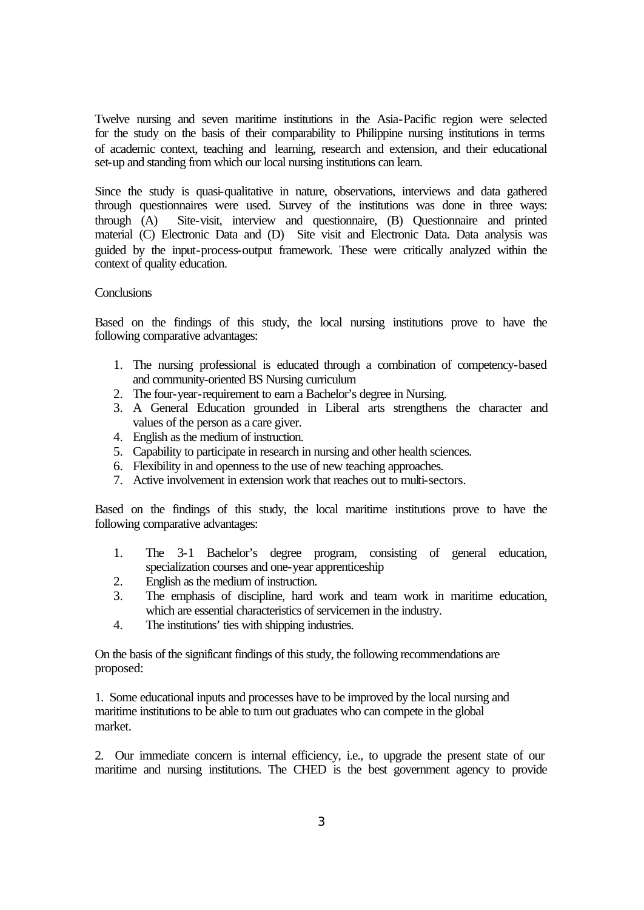Twelve nursing and seven maritime institutions in the Asia-Pacific region were selected for the study on the basis of their comparability to Philippine nursing institutions in terms of academic context, teaching and learning, research and extension, and their educational set-up and standing from which our local nursing institutions can learn.

Since the study is quasi-qualitative in nature, observations, interviews and data gathered through questionnaires were used. Survey of the institutions was done in three ways: through (A) Site-visit, interview and questionnaire, (B) Questionnaire and printed material (C) Electronic Data and (D) Site visit and Electronic Data. Data analysis was guided by the input-process-output framework. These were critically analyzed within the context of quality education.

### **Conclusions**

Based on the findings of this study, the local nursing institutions prove to have the following comparative advantages:

- 1. The nursing professional is educated through a combination of competency-based and community-oriented BS Nursing curriculum
- 2. The four-year-requirement to earn a Bachelor's degree in Nursing.
- 3. A General Education grounded in Liberal arts strengthens the character and values of the person as a care giver.
- 4. English as the medium of instruction.
- 5. Capability to participate in research in nursing and other health sciences.
- 6. Flexibility in and openness to the use of new teaching approaches.
- 7. Active involvement in extension work that reaches out to multi-sectors.

Based on the findings of this study, the local maritime institutions prove to have the following comparative advantages:

- 1. The 3-1 Bachelor's degree program, consisting of general education, specialization courses and one-year apprenticeship
- 2. English as the medium of instruction.
- 3. The emphasis of discipline, hard work and team work in maritime education, which are essential characteristics of servicemen in the industry.
- 4. The institutions' ties with shipping industries.

On the basis of the significant findings of this study, the following recommendations are proposed:

1. Some educational inputs and processes have to be improved by the local nursing and maritime institutions to be able to turn out graduates who can compete in the global market.

2. Our immediate concern is internal efficiency, i.e., to upgrade the present state of our maritime and nursing institutions. The CHED is the best government agency to provide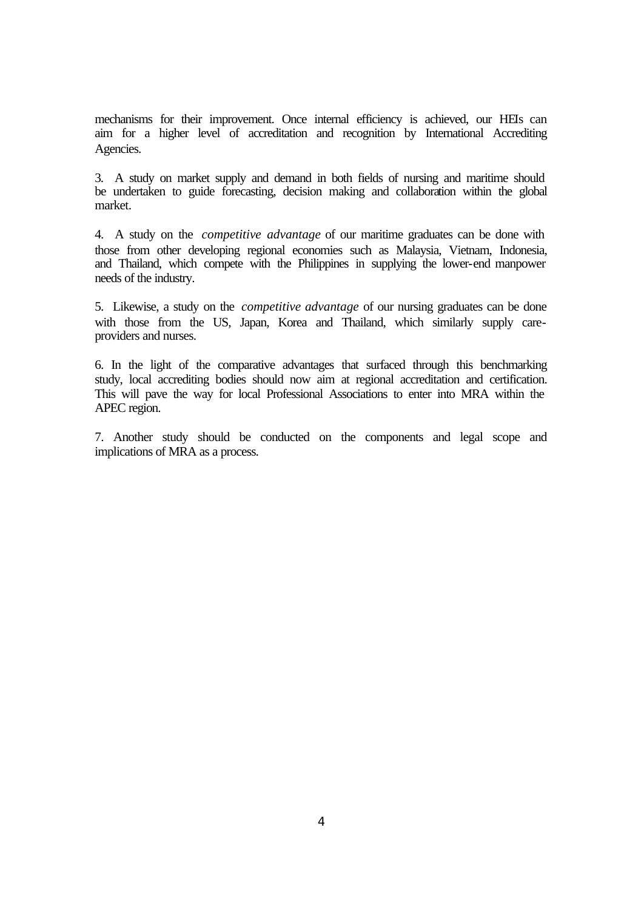mechanisms for their improvement. Once internal efficiency is achieved, our HEIs can aim for a higher level of accreditation and recognition by International Accrediting Agencies.

3. A study on market supply and demand in both fields of nursing and maritime should be undertaken to guide forecasting, decision making and collaboration within the global market.

4. A study on the *competitive advantage* of our maritime graduates can be done with those from other developing regional economies such as Malaysia, Vietnam, Indonesia, and Thailand, which compete with the Philippines in supplying the lower-end manpower needs of the industry.

5. Likewise, a study on the *competitive advantage* of our nursing graduates can be done with those from the US, Japan, Korea and Thailand, which similarly supply careproviders and nurses.

6. In the light of the comparative advantages that surfaced through this benchmarking study, local accrediting bodies should now aim at regional accreditation and certification. This will pave the way for local Professional Associations to enter into MRA within the APEC region.

7. Another study should be conducted on the components and legal scope and implications of MRA as a process.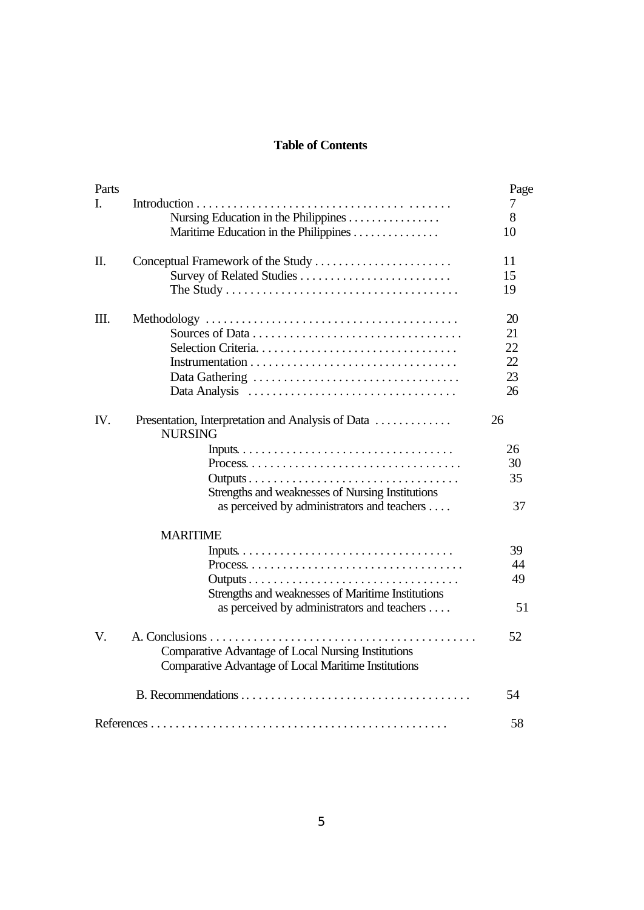# **Table of Contents**

| Parts |                                                                                                  | Page         |
|-------|--------------------------------------------------------------------------------------------------|--------------|
| L.    | Nursing Education in the Philippines<br>Maritime Education in the Philippines                    | 7<br>8<br>10 |
| Π.    | Conceptual Framework of the Study                                                                | 11           |
|       |                                                                                                  | 15<br>19     |
| III.  |                                                                                                  | 20           |
|       |                                                                                                  | 21           |
|       |                                                                                                  | 22           |
|       |                                                                                                  | 22           |
|       |                                                                                                  | 23<br>26     |
| IV.   | Presentation, Interpretation and Analysis of Data<br><b>NURSING</b>                              | 26           |
|       |                                                                                                  | 26           |
|       |                                                                                                  | 30           |
|       | Strengths and weaknesses of Nursing Institutions                                                 | 35           |
|       | as perceived by administrators and teachers                                                      | 37           |
|       | <b>MARITIME</b>                                                                                  |              |
|       |                                                                                                  | 39           |
|       |                                                                                                  | 44           |
|       |                                                                                                  | 49           |
|       | Strengths and weaknesses of Maritime Institutions<br>as perceived by administrators and teachers | 51           |
| V.    | Comparative Advantage of Local Nursing Institutions                                              | 52           |
|       | Comparative Advantage of Local Maritime Institutions                                             |              |
|       |                                                                                                  | 54           |
|       |                                                                                                  | 58           |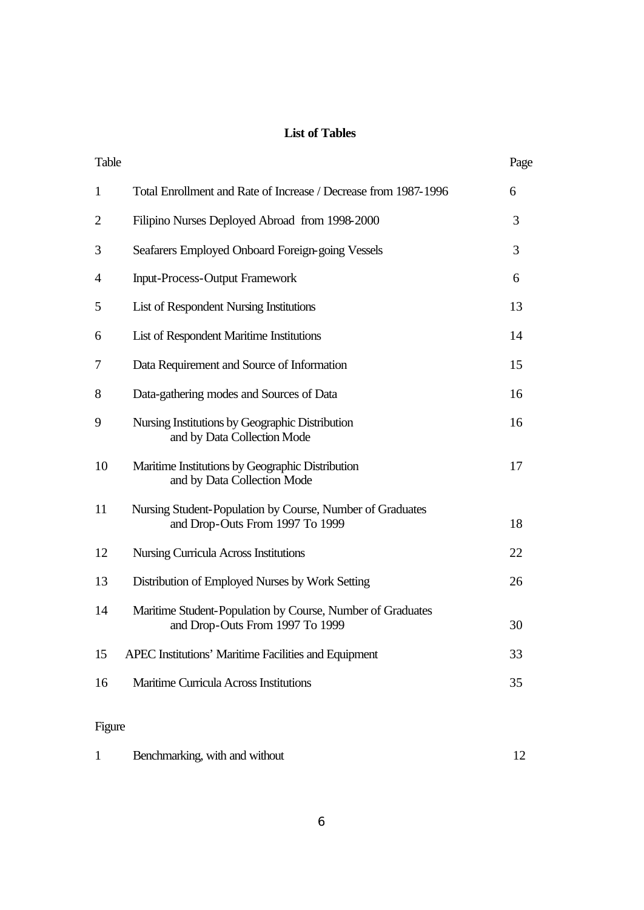# **List of Tables**

| Table          |                                                                                               | Page |
|----------------|-----------------------------------------------------------------------------------------------|------|
| $\mathbf{1}$   | Total Enrollment and Rate of Increase / Decrease from 1987-1996                               | 6    |
| $\overline{2}$ | Filipino Nurses Deployed Abroad from 1998-2000                                                | 3    |
| 3              | Seafarers Employed Onboard Foreign-going Vessels                                              | 3    |
| 4              | <b>Input-Process-Output Framework</b>                                                         | 6    |
| 5              | List of Respondent Nursing Institutions                                                       | 13   |
| 6              | List of Respondent Maritime Institutions                                                      | 14   |
| 7              | Data Requirement and Source of Information                                                    | 15   |
| 8              | Data-gathering modes and Sources of Data                                                      | 16   |
| 9              | Nursing Institutions by Geographic Distribution<br>and by Data Collection Mode                | 16   |
| 10             | Maritime Institutions by Geographic Distribution<br>and by Data Collection Mode               | 17   |
| 11             | Nursing Student-Population by Course, Number of Graduates<br>and Drop-Outs From 1997 To 1999  | 18   |
| 12             | <b>Nursing Curricula Across Institutions</b>                                                  | 22   |
| 13             | Distribution of Employed Nurses by Work Setting                                               | 26   |
| 14             | Maritime Student-Population by Course, Number of Graduates<br>and Drop-Outs From 1997 To 1999 | 30   |
| 15             | APEC Institutions' Maritime Facilities and Equipment                                          | 33   |
| 16             | <b>Maritime Curricula Across Institutions</b>                                                 | 35   |
|                |                                                                                               |      |

# Figure

|  | Benchmarking, with and without |  |
|--|--------------------------------|--|
|--|--------------------------------|--|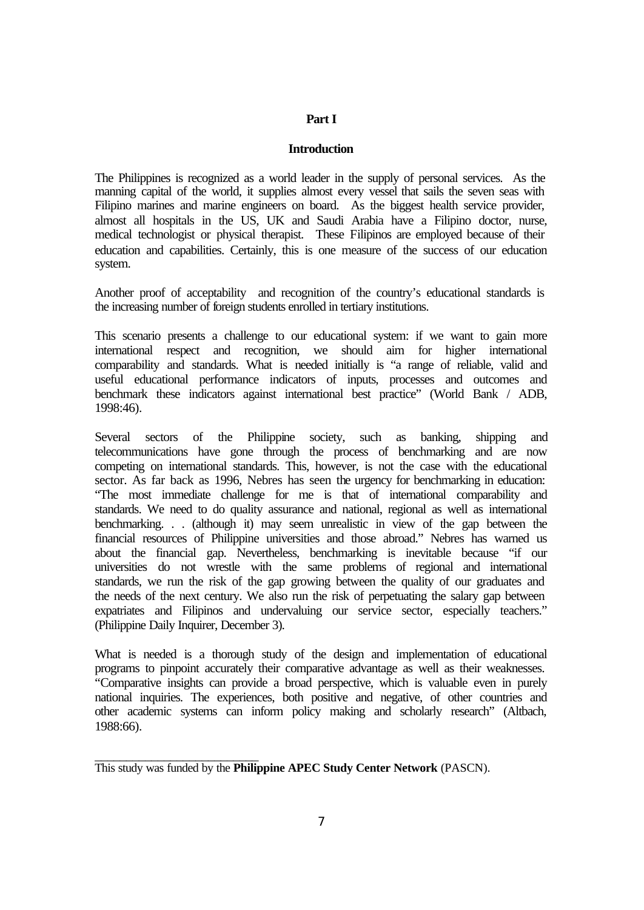# **Part I**

#### **Introduction**

The Philippines is recognized as a world leader in the supply of personal services. As the manning capital of the world, it supplies almost every vessel that sails the seven seas with Filipino marines and marine engineers on board. As the biggest health service provider, almost all hospitals in the US, UK and Saudi Arabia have a Filipino doctor, nurse, medical technologist or physical therapist. These Filipinos are employed because of their education and capabilities. Certainly, this is one measure of the success of our education system.

Another proof of acceptability and recognition of the country's educational standards is the increasing number of foreign students enrolled in tertiary institutions.

This scenario presents a challenge to our educational system: if we want to gain more international respect and recognition, we should aim for higher international comparability and standards. What is needed initially is "a range of reliable, valid and useful educational performance indicators of inputs, processes and outcomes and benchmark these indicators against international best practice" (World Bank / ADB, 1998:46).

Several sectors of the Philippine society, such as banking, shipping and telecommunications have gone through the process of benchmarking and are now competing on international standards. This, however, is not the case with the educational sector. As far back as 1996, Nebres has seen the urgency for benchmarking in education: "The most immediate challenge for me is that of international comparability and standards. We need to do quality assurance and national, regional as well as international benchmarking. . . (although it) may seem unrealistic in view of the gap between the financial resources of Philippine universities and those abroad." Nebres has warned us about the financial gap. Nevertheless, benchmarking is inevitable because "if our universities do not wrestle with the same problems of regional and international standards, we run the risk of the gap growing between the quality of our graduates and the needs of the next century. We also run the risk of perpetuating the salary gap between expatriates and Filipinos and undervaluing our service sector, especially teachers." (Philippine Daily Inquirer, December 3).

What is needed is a thorough study of the design and implementation of educational programs to pinpoint accurately their comparative advantage as well as their weaknesses. "Comparative insights can provide a broad perspective, which is valuable even in purely national inquiries. The experiences, both positive and negative, of other countries and other academic systems can inform policy making and scholarly research" (Altbach, 1988:66).

\_\_\_\_\_\_\_\_\_\_\_\_\_\_\_\_\_\_\_\_\_\_\_\_\_\_ This study was funded by the **Philippine APEC Study Center Network** (PASCN).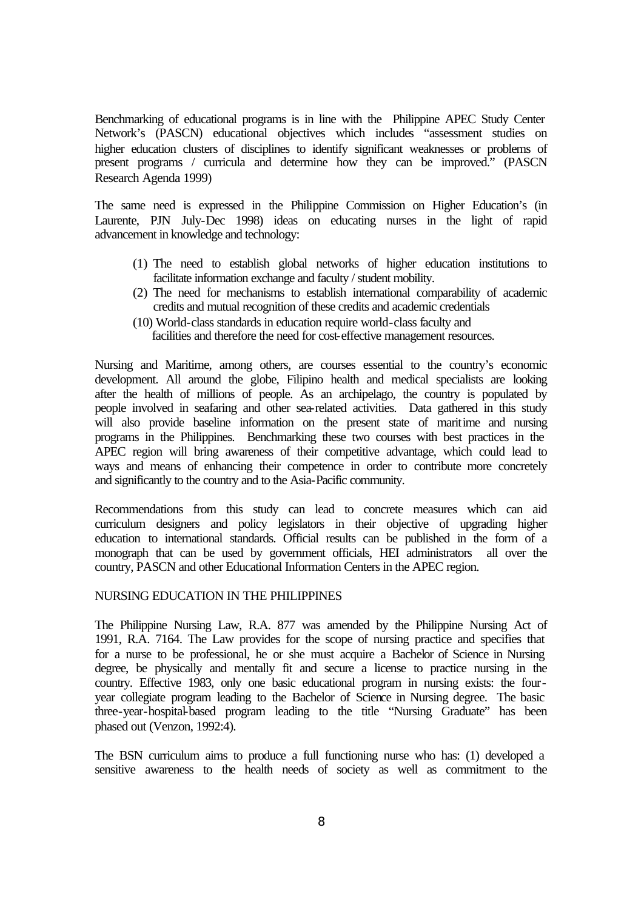Benchmarking of educational programs is in line with the Philippine APEC Study Center Network's (PASCN) educational objectives which includes "assessment studies on higher education clusters of disciplines to identify significant weaknesses or problems of present programs / curricula and determine how they can be improved." (PASCN Research Agenda 1999)

The same need is expressed in the Philippine Commission on Higher Education's (in Laurente, PJN July-Dec 1998) ideas on educating nurses in the light of rapid advancement in knowledge and technology:

- (1) The need to establish global networks of higher education institutions to facilitate information exchange and faculty / student mobility.
- (2) The need for mechanisms to establish international comparability of academic credits and mutual recognition of these credits and academic credentials
- (10) World-class standards in education require world-class faculty and facilities and therefore the need for cost-effective management resources.

Nursing and Maritime, among others, are courses essential to the country's economic development. All around the globe, Filipino health and medical specialists are looking after the health of millions of people. As an archipelago, the country is populated by people involved in seafaring and other sea-related activities. Data gathered in this study will also provide baseline information on the present state of maritime and nursing programs in the Philippines. Benchmarking these two courses with best practices in the APEC region will bring awareness of their competitive advantage, which could lead to ways and means of enhancing their competence in order to contribute more concretely and significantly to the country and to the Asia-Pacific community.

Recommendations from this study can lead to concrete measures which can aid curriculum designers and policy legislators in their objective of upgrading higher education to international standards. Official results can be published in the form of a monograph that can be used by government officials, HEI administrators all over the country, PASCN and other Educational Information Centers in the APEC region.

#### NURSING EDUCATION IN THE PHILIPPINES

The Philippine Nursing Law, R.A. 877 was amended by the Philippine Nursing Act of 1991, R.A. 7164. The Law provides for the scope of nursing practice and specifies that for a nurse to be professional, he or she must acquire a Bachelor of Science in Nursing degree, be physically and mentally fit and secure a license to practice nursing in the country. Effective 1983, only one basic educational program in nursing exists: the fouryear collegiate program leading to the Bachelor of Science in Nursing degree. The basic three-year-hospital-based program leading to the title "Nursing Graduate" has been phased out (Venzon, 1992:4).

The BSN curriculum aims to produce a full functioning nurse who has: (1) developed a sensitive awareness to the health needs of society as well as commitment to the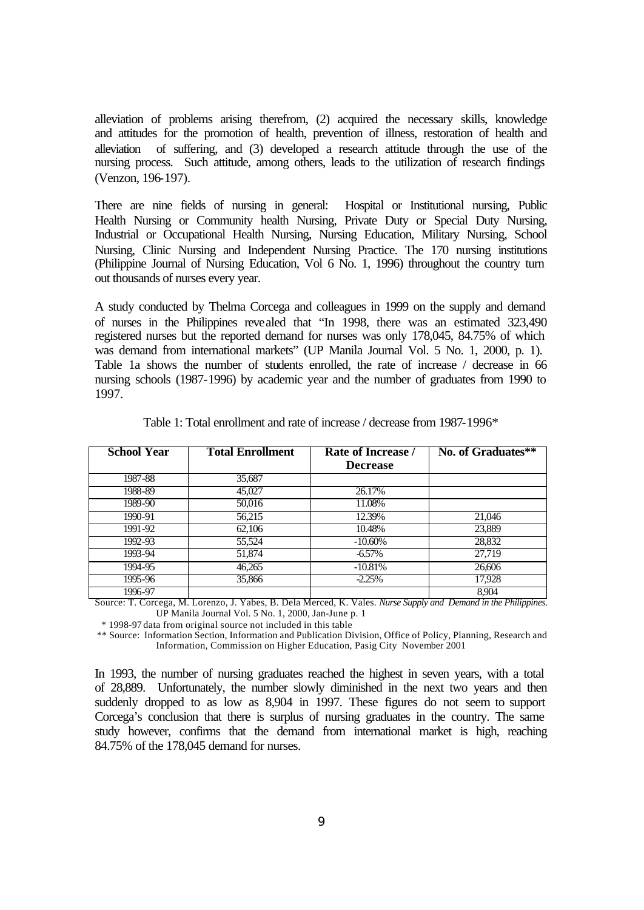alleviation of problems arising therefrom, (2) acquired the necessary skills, knowledge and attitudes for the promotion of health, prevention of illness, restoration of health and alleviation of suffering, and (3) developed a research attitude through the use of the nursing process. Such attitude, among others, leads to the utilization of research findings (Venzon, 196-197).

There are nine fields of nursing in general: Hospital or Institutional nursing, Public Health Nursing or Community health Nursing, Private Duty or Special Duty Nursing, Industrial or Occupational Health Nursing, Nursing Education, Military Nursing, School Nursing, Clinic Nursing and Independent Nursing Practice. The 170 nursing institutions (Philippine Journal of Nursing Education, Vol 6 No. 1, 1996) throughout the country turn out thousands of nurses every year.

A study conducted by Thelma Corcega and colleagues in 1999 on the supply and demand of nurses in the Philippines revealed that "In 1998, there was an estimated 323,490 registered nurses but the reported demand for nurses was only 178,045, 84.75% of which was demand from international markets" (UP Manila Journal Vol. 5 No. 1, 2000, p. 1). Table 1a shows the number of students enrolled, the rate of increase / decrease in 66 nursing schools (1987-1996) by academic year and the number of graduates from 1990 to 1997.

| <b>School Year</b> | <b>Total Enrollment</b> | <b>Rate of Increase</b> / | No. of Graduates** |
|--------------------|-------------------------|---------------------------|--------------------|
|                    |                         | <b>Decrease</b>           |                    |
| 1987-88            | 35,687                  |                           |                    |
| 1988-89            | 45,027                  | 26.17%                    |                    |
| 1989-90            | 50,016                  | 11.08%                    |                    |
| 1990-91            | 56,215                  | 12.39%                    | 21,046             |
| 1991-92            | 62,106                  | 10.48%                    | 23,889             |
| 1992-93            | 55,524                  | $-10.60\%$                | 28,832             |
| 1993-94            | 51,874                  | $-6.57\%$                 | 27.719             |
| 1994-95            | 46,265                  | $-10.81%$                 | 26,606             |
| 1995-96            | 35,866                  | $-2.25%$                  | 17,928             |
| 1996-97            |                         |                           | 8,904              |

Table 1: Total enrollment and rate of increase / decrease from 1987-1996\*

Source: T. Corcega, M. Lorenzo, J. Yabes, B. Dela Merced, K. Vales. *Nurse Supply and Demand in the Philippines*. UP Manila Journal Vol. 5 No. 1, 2000, Jan-June p. 1

\* 1998-97 data from original source not included in this table

 \*\* Source: Information Section, Information and Publication Division, Office of Policy, Planning, Research and Information, Commission on Higher Education, Pasig City November 2001

In 1993, the number of nursing graduates reached the highest in seven years, with a total of 28,889. Unfortunately, the number slowly diminished in the next two years and then suddenly dropped to as low as 8,904 in 1997. These figures do not seem to support Corcega's conclusion that there is surplus of nursing graduates in the country. The same study however, confirms that the demand from international market is high, reaching 84.75% of the 178,045 demand for nurses.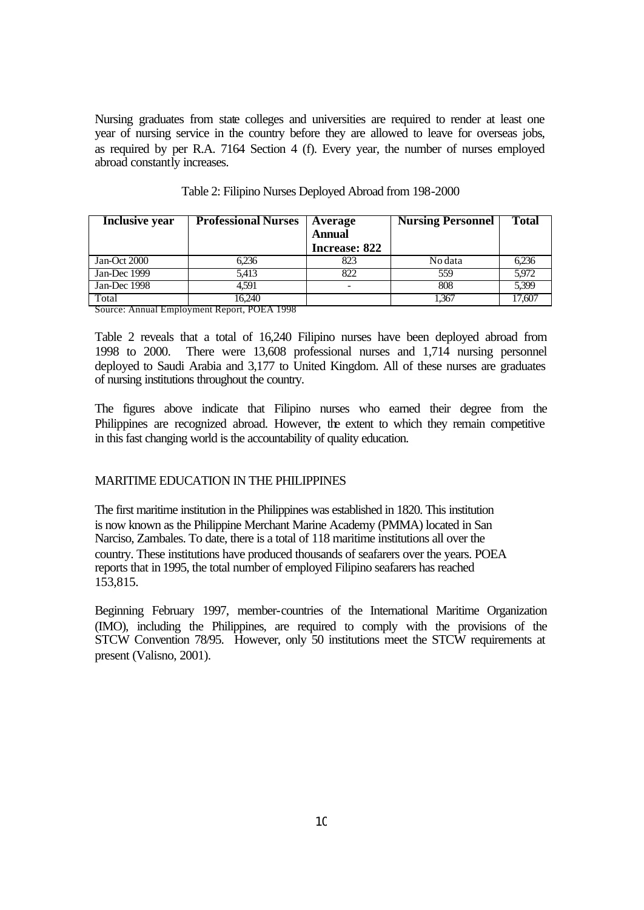Nursing graduates from state colleges and universities are required to render at least one year of nursing service in the country before they are allowed to leave for overseas jobs, as required by per R.A. 7164 Section 4 (f). Every year, the number of nurses employed abroad constantly increases.

| Inclusive year | <b>Professional Nurses</b> | Average<br><b>Annual</b><br>Increase: 822 | <b>Nursing Personnel</b> | <b>Total</b> |
|----------------|----------------------------|-------------------------------------------|--------------------------|--------------|
| Jan-Oct 2000   | 6.236                      | 823                                       | No data                  | 6.236        |
| Jan-Dec 1999   | 5.413                      | 822                                       | 559                      | 5.972        |
| Jan-Dec $1998$ | 4.591                      |                                           | 808                      | 5.399        |
| Total<br>--    | 16.240<br>--------         |                                           | 1.367                    | 17.607       |

Table 2: Filipino Nurses Deployed Abroad from 198-2000

Source: Annual Employment Report, POEA 1998

Table 2 reveals that a total of 16,240 Filipino nurses have been deployed abroad from 1998 to 2000. There were 13,608 professional nurses and 1,714 nursing personnel deployed to Saudi Arabia and 3,177 to United Kingdom. All of these nurses are graduates of nursing institutions throughout the country.

The figures above indicate that Filipino nurses who earned their degree from the Philippines are recognized abroad. However, the extent to which they remain competitive in this fast changing world is the accountability of quality education.

### MARITIME EDUCATION IN THE PHILIPPINES

The first maritime institution in the Philippines was established in 1820. This institution is now known as the Philippine Merchant Marine Academy (PMMA) located in San Narciso, Zambales. To date, there is a total of 118 maritime institutions all over the country. These institutions have produced thousands of seafarers over the years. POEA reports that in 1995, the total number of employed Filipino seafarers has reached 153,815.

Beginning February 1997, member-countries of the International Maritime Organization (IMO), including the Philippines, are required to comply with the provisions of the STCW Convention 78/95. However, only 50 institutions meet the STCW requirements at present (Valisno, 2001).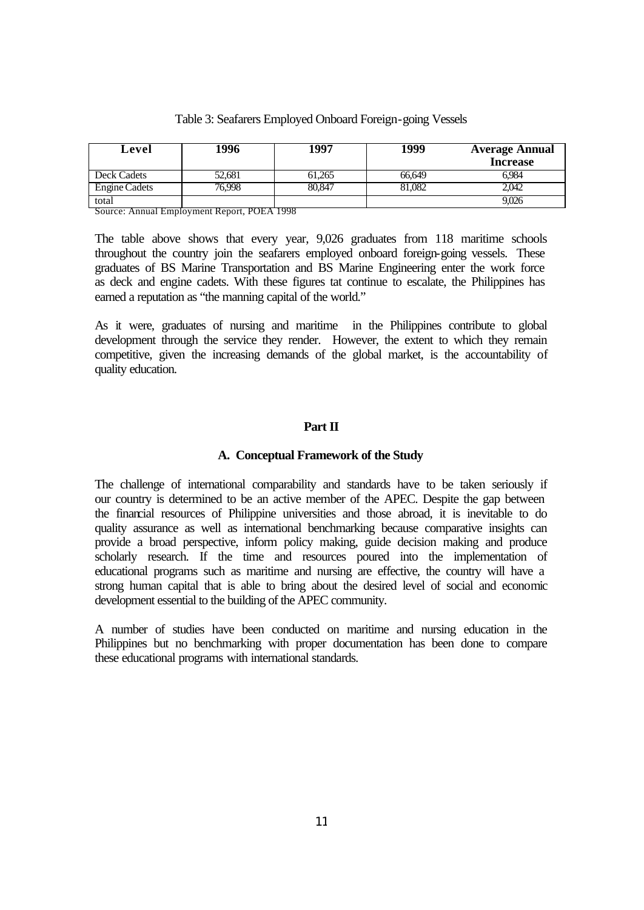| Level         | 996    | .997   | 1999   | <b>Average Annual</b> |
|---------------|--------|--------|--------|-----------------------|
|               |        |        |        | <b>Increase</b>       |
| Deck Cadets   | 52,681 | 61.265 | 66.649 | 6.984                 |
| Engine Cadets | 76.998 | 80.847 | 81,082 | 2.042                 |
| total         |        |        |        | 9,026                 |

Source: Annual Employment Report, POEA 1998

The table above shows that every year, 9,026 graduates from 118 maritime schools throughout the country join the seafarers employed onboard foreign-going vessels. These graduates of BS Marine Transportation and BS Marine Engineering enter the work force as deck and engine cadets. With these figures tat continue to escalate, the Philippines has earned a reputation as "the manning capital of the world."

As it were, graduates of nursing and maritime in the Philippines contribute to global development through the service they render. However, the extent to which they remain competitive, given the increasing demands of the global market, is the accountability of quality education.

# **Part II**

#### **A. Conceptual Framework of the Study**

The challenge of international comparability and standards have to be taken seriously if our country is determined to be an active member of the APEC. Despite the gap between the financial resources of Philippine universities and those abroad, it is inevitable to do quality assurance as well as international benchmarking because comparative insights can provide a broad perspective, inform policy making, guide decision making and produce scholarly research. If the time and resources poured into the implementation of educational programs such as maritime and nursing are effective, the country will have a strong human capital that is able to bring about the desired level of social and economic development essential to the building of the APEC community.

A number of studies have been conducted on maritime and nursing education in the Philippines but no benchmarking with proper documentation has been done to compare these educational programs with international standards.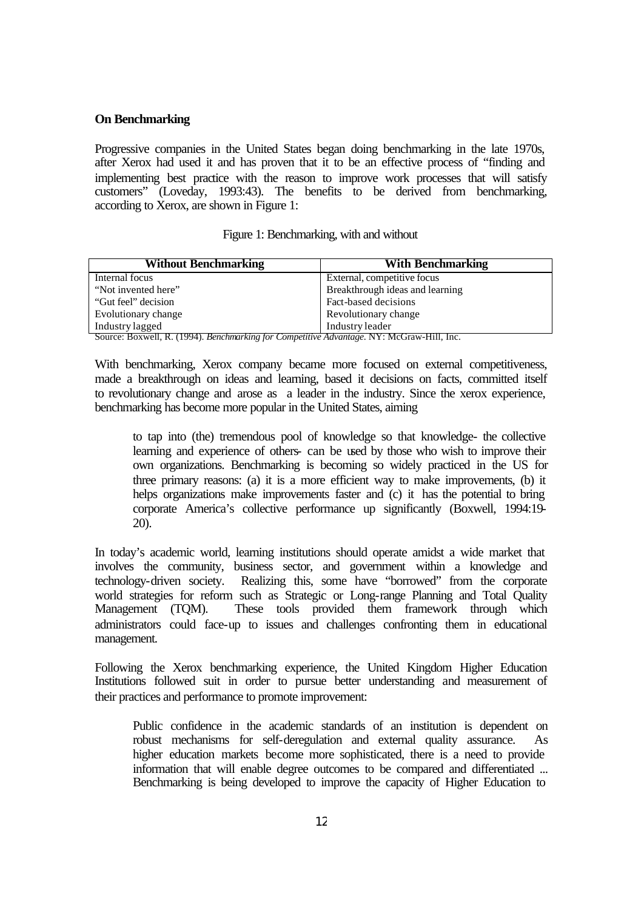#### **On Benchmarking**

Progressive companies in the United States began doing benchmarking in the late 1970s, after Xerox had used it and has proven that it to be an effective process of "finding and implementing best practice with the reason to improve work processes that will satisfy customers" (Loveday, 1993:43). The benefits to be derived from benchmarking, according to Xerox, are shown in Figure 1:

|  | Figure 1: Benchmarking, with and without |  |  |  |
|--|------------------------------------------|--|--|--|
|--|------------------------------------------|--|--|--|

| <b>Without Benchmarking</b>                                                                                | <b>With Benchmarking</b>        |
|------------------------------------------------------------------------------------------------------------|---------------------------------|
| Internal focus                                                                                             | External, competitive focus     |
| "Not invented here"                                                                                        | Breakthrough ideas and learning |
| "Gut feel" decision                                                                                        | Fact-based decisions            |
| Evolutionary change                                                                                        | Revolutionary change            |
| Industry lagged<br>Correor Downell D. (1004) Developmenting for Competitive Advantage NV, McCrow Hill Inc. | Industry leader                 |

Source: Boxwell, R. (1994). *Benchmarking for Competitive Advantage*. NY: McGraw-Hill, Inc.

With benchmarking, Xerox company became more focused on external competitiveness, made a breakthrough on ideas and learning, based it decisions on facts, committed itself to revolutionary change and arose as a leader in the industry. Since the xerox experience, benchmarking has become more popular in the United States, aiming

to tap into (the) tremendous pool of knowledge so that knowledge- the collective learning and experience of others- can be used by those who wish to improve their own organizations. Benchmarking is becoming so widely practiced in the US for three primary reasons: (a) it is a more efficient way to make improvements, (b) it helps organizations make improvements faster and (c) it has the potential to bring corporate America's collective performance up significantly (Boxwell, 1994:19- 20).

In today's academic world, learning institutions should operate amidst a wide market that involves the community, business sector, and government within a knowledge and technology-driven society. Realizing this, some have "borrowed" from the corporate world strategies for reform such as Strategic or Long-range Planning and Total Quality Management (TQM). These tools provided them framework through which These tools provided them framework through which administrators could face-up to issues and challenges confronting them in educational management.

Following the Xerox benchmarking experience, the United Kingdom Higher Education Institutions followed suit in order to pursue better understanding and measurement of their practices and performance to promote improvement:

Public confidence in the academic standards of an institution is dependent on robust mechanisms for self-deregulation and external quality assurance. As higher education markets become more sophisticated, there is a need to provide information that will enable degree outcomes to be compared and differentiated ... Benchmarking is being developed to improve the capacity of Higher Education to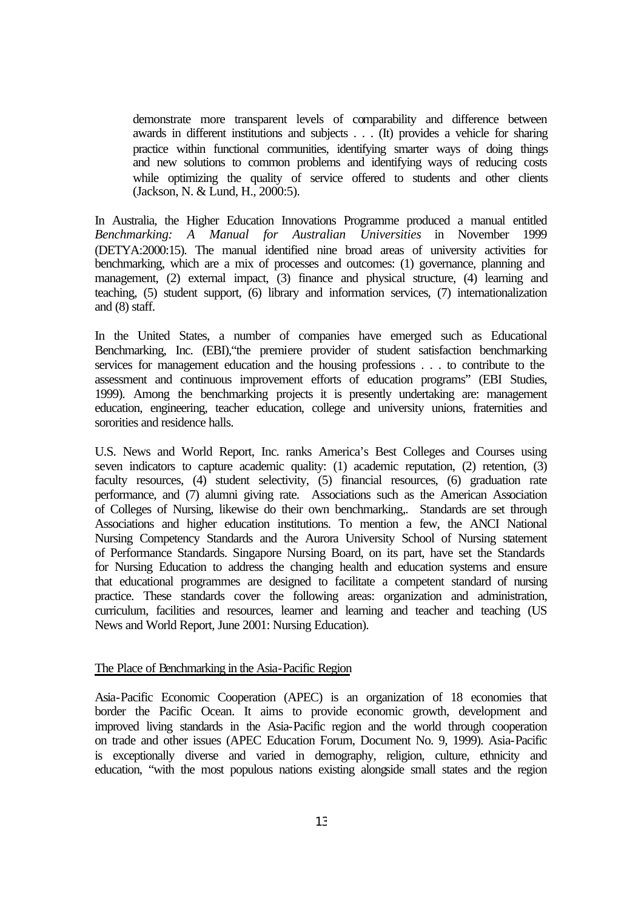demonstrate more transparent levels of comparability and difference between awards in different institutions and subjects . . . (It) provides a vehicle for sharing practice within functional communities, identifying smarter ways of doing things and new solutions to common problems and identifying ways of reducing costs while optimizing the quality of service offered to students and other clients (Jackson, N. & Lund, H., 2000:5).

In Australia, the Higher Education Innovations Programme produced a manual entitled *Benchmarking: A Manual for Australian Universities* in November 1999 (DETYA:2000:15). The manual identified nine broad areas of university activities for benchmarking, which are a mix of processes and outcomes: (1) governance, planning and management, (2) external impact, (3) finance and physical structure, (4) learning and teaching, (5) student support, (6) library and information services, (7) internationalization and (8) staff.

In the United States, a number of companies have emerged such as Educational Benchmarking, Inc. (EBI),"the premiere provider of student satisfaction benchmarking services for management education and the housing professions . . . to contribute to the assessment and continuous improvement efforts of education programs" (EBI Studies, 1999). Among the benchmarking projects it is presently undertaking are: management education, engineering, teacher education, college and university unions, fraternities and sororities and residence halls.

U.S. News and World Report, Inc. ranks America's Best Colleges and Courses using seven indicators to capture academic quality: (1) academic reputation, (2) retention, (3) faculty resources, (4) student selectivity, (5) financial resources, (6) graduation rate performance, and (7) alumni giving rate. Associations such as the American Association of Colleges of Nursing, likewise do their own benchmarking,. Standards are set through Associations and higher education institutions. To mention a few, the ANCI National Nursing Competency Standards and the Aurora University School of Nursing statement of Performance Standards. Singapore Nursing Board, on its part, have set the Standards for Nursing Education to address the changing health and education systems and ensure that educational programmes are designed to facilitate a competent standard of nursing practice. These standards cover the following areas: organization and administration, curriculum, facilities and resources, learner and learning and teacher and teaching (US News and World Report, June 2001: Nursing Education).

# The Place of Benchmarking in the Asia-Pacific Region

Asia-Pacific Economic Cooperation (APEC) is an organization of 18 economies that border the Pacific Ocean. It aims to provide economic growth, development and improved living standards in the Asia-Pacific region and the world through cooperation on trade and other issues (APEC Education Forum, Document No. 9, 1999). Asia-Pacific is exceptionally diverse and varied in demography, religion, culture, ethnicity and education, "with the most populous nations existing alongside small states and the region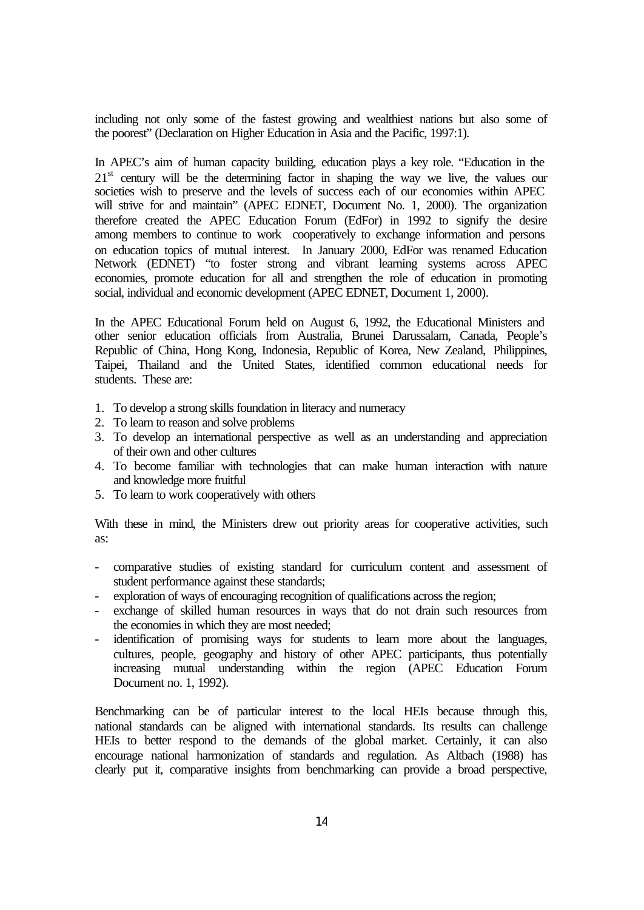including not only some of the fastest growing and wealthiest nations but also some of the poorest" (Declaration on Higher Education in Asia and the Pacific, 1997:1).

In APEC's aim of human capacity building, education plays a key role. "Education in the  $21<sup>st</sup>$  century will be the determining factor in shaping the way we live, the values our societies wish to preserve and the levels of success each of our economies within APEC will strive for and maintain" (APEC EDNET, Document No. 1, 2000). The organization therefore created the APEC Education Forum (EdFor) in 1992 to signify the desire among members to continue to work cooperatively to exchange information and persons on education topics of mutual interest. In January 2000, EdFor was renamed Education Network (EDNET) "to foster strong and vibrant learning systems across APEC economies, promote education for all and strengthen the role of education in promoting social, individual and economic development (APEC EDNET, Document 1, 2000).

In the APEC Educational Forum held on August 6, 1992, the Educational Ministers and other senior education officials from Australia, Brunei Darussalam, Canada, People's Republic of China, Hong Kong, Indonesia, Republic of Korea, New Zealand, Philippines, Taipei, Thailand and the United States, identified common educational needs for students. These are:

- 1. To develop a strong skills foundation in literacy and numeracy
- 2. To learn to reason and solve problems
- 3. To develop an international perspective as well as an understanding and appreciation of their own and other cultures
- 4. To become familiar with technologies that can make human interaction with nature and knowledge more fruitful
- 5. To learn to work cooperatively with others

With these in mind, the Ministers drew out priority areas for cooperative activities, such as:

- comparative studies of existing standard for curriculum content and assessment of student performance against these standards;
- exploration of ways of encouraging recognition of qualifications across the region;
- exchange of skilled human resources in ways that do not drain such resources from the economies in which they are most needed;
- identification of promising ways for students to learn more about the languages, cultures, people, geography and history of other APEC participants, thus potentially increasing mutual understanding within the region (APEC Education Forum Document no. 1, 1992).

Benchmarking can be of particular interest to the local HEIs because through this, national standards can be aligned with international standards. Its results can challenge HEIs to better respond to the demands of the global market. Certainly, it can also encourage national harmonization of standards and regulation. As Altbach (1988) has clearly put it, comparative insights from benchmarking can provide a broad perspective,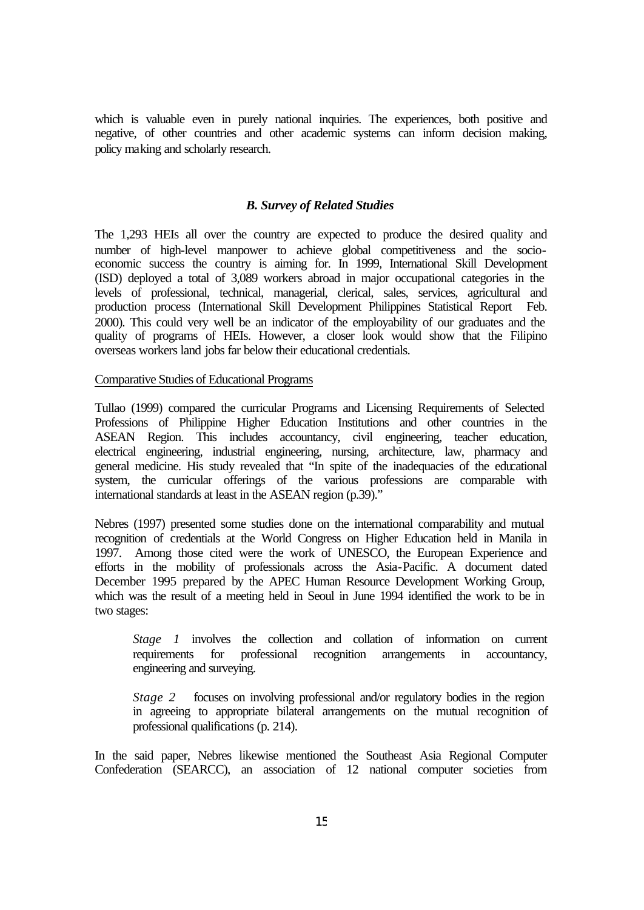which is valuable even in purely national inquiries. The experiences, both positive and negative, of other countries and other academic systems can inform decision making, policy making and scholarly research.

#### *B. Survey of Related Studies*

The 1,293 HEIs all over the country are expected to produce the desired quality and number of high-level manpower to achieve global competitiveness and the socioeconomic success the country is aiming for. In 1999, International Skill Development (ISD) deployed a total of 3,089 workers abroad in major occupational categories in the levels of professional, technical, managerial, clerical, sales, services, agricultural and production process (International Skill Development Philippines Statistical Report Feb. 2000). This could very well be an indicator of the employability of our graduates and the quality of programs of HEIs. However, a closer look would show that the Filipino overseas workers land jobs far below their educational credentials.

#### Comparative Studies of Educational Programs

Tullao (1999) compared the curricular Programs and Licensing Requirements of Selected Professions of Philippine Higher Education Institutions and other countries in the ASEAN Region. This includes accountancy, civil engineering, teacher education, electrical engineering, industrial engineering, nursing, architecture, law, pharmacy and general medicine. His study revealed that "In spite of the inadequacies of the educational system, the curricular offerings of the various professions are comparable with international standards at least in the ASEAN region (p.39)."

Nebres (1997) presented some studies done on the international comparability and mutual recognition of credentials at the World Congress on Higher Education held in Manila in 1997. Among those cited were the work of UNESCO, the European Experience and efforts in the mobility of professionals across the Asia-Pacific. A document dated December 1995 prepared by the APEC Human Resource Development Working Group, which was the result of a meeting held in Seoul in June 1994 identified the work to be in two stages:

*Stage 1* involves the collection and collation of information on current requirements for professional recognition arrangements in accountancy, engineering and surveying.

*Stage 2* focuses on involving professional and/or regulatory bodies in the region in agreeing to appropriate bilateral arrangements on the mutual recognition of professional qualifications (p. 214).

In the said paper, Nebres likewise mentioned the Southeast Asia Regional Computer Confederation (SEARCC), an association of 12 national computer societies from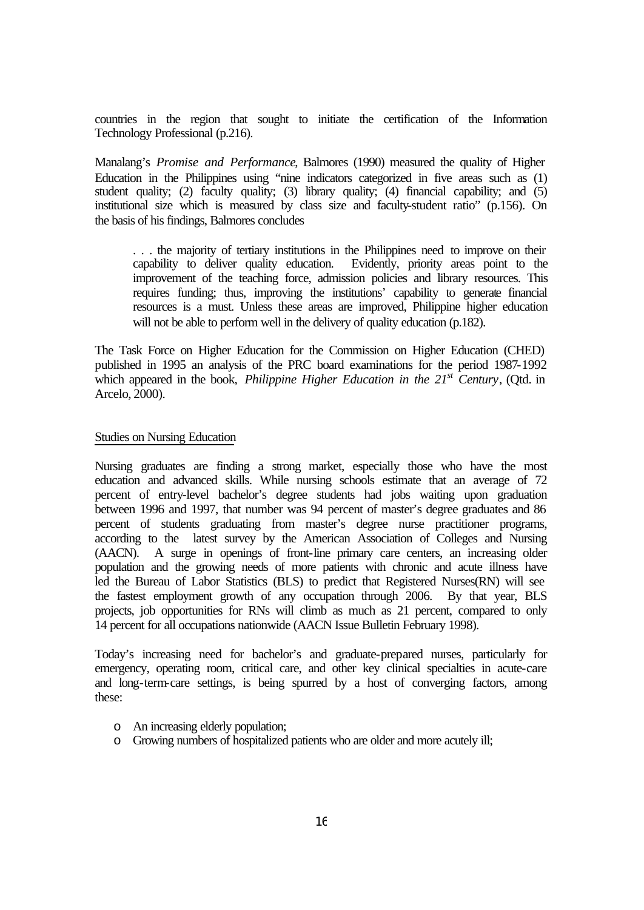countries in the region that sought to initiate the certification of the Information Technology Professional (p.216).

Manalang's *Promise and Performance*, Balmores (1990) measured the quality of Higher Education in the Philippines using "nine indicators categorized in five areas such as (1) student quality; (2) faculty quality; (3) library quality; (4) financial capability; and (5) institutional size which is measured by class size and faculty-student ratio" (p.156). On the basis of his findings, Balmores concludes

. . . the majority of tertiary institutions in the Philippines need to improve on their capability to deliver quality education. Evidently, priority areas point to the improvement of the teaching force, admission policies and library resources. This requires funding; thus, improving the institutions' capability to generate financial resources is a must. Unless these areas are improved, Philippine higher education will not be able to perform well in the delivery of quality education (p.182).

The Task Force on Higher Education for the Commission on Higher Education (CHED) published in 1995 an analysis of the PRC board examinations for the period 1987-1992 which appeared in the book, *Philippine Higher Education in the 21<sup>st</sup> Century*, (Otd. in Arcelo, 2000).

#### Studies on Nursing Education

Nursing graduates are finding a strong market, especially those who have the most education and advanced skills. While nursing schools estimate that an average of 72 percent of entry-level bachelor's degree students had jobs waiting upon graduation between 1996 and 1997, that number was 94 percent of master's degree graduates and 86 percent of students graduating from master's degree nurse practitioner programs, according to the latest survey by the American Association of Colleges and Nursing (AACN). A surge in openings of front-line primary care centers, an increasing older population and the growing needs of more patients with chronic and acute illness have led the Bureau of Labor Statistics (BLS) to predict that Registered Nurses(RN) will see the fastest employment growth of any occupation through 2006. By that year, BLS projects, job opportunities for RNs will climb as much as 21 percent, compared to only 14 percent for all occupations nationwide (AACN Issue Bulletin February 1998).

Today's increasing need for bachelor's and graduate-prepared nurses, particularly for emergency, operating room, critical care, and other key clinical specialties in acute-care and long-term-care settings, is being spurred by a host of converging factors, among these:

- o An increasing elderly population;
- o Growing numbers of hospitalized patients who are older and more acutely ill;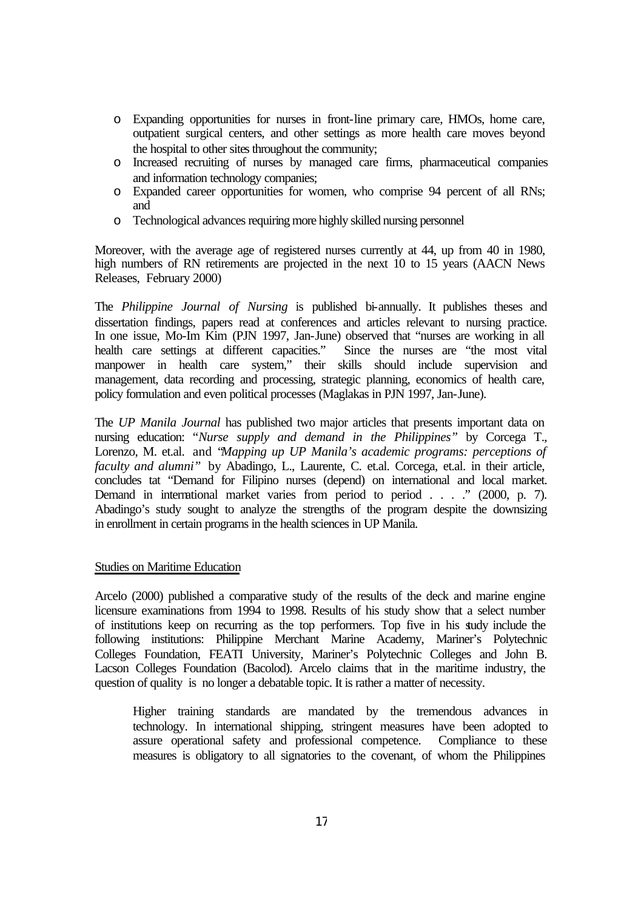- o Expanding opportunities for nurses in front-line primary care, HMOs, home care, outpatient surgical centers, and other settings as more health care moves beyond the hospital to other sites throughout the community;
- o Increased recruiting of nurses by managed care firms, pharmaceutical companies and information technology companies;
- o Expanded career opportunities for women, who comprise 94 percent of all RNs; and
- o Technological advances requiring more highly skilled nursing personnel

Moreover, with the average age of registered nurses currently at 44, up from 40 in 1980, high numbers of RN retirements are projected in the next 10 to 15 years (AACN News Releases, February 2000)

The *Philippine Journal of Nursing* is published bi-annually. It publishes theses and dissertation findings, papers read at conferences and articles relevant to nursing practice. In one issue, Mo-Im Kim (PJN 1997, Jan-June) observed that "nurses are working in all health care settings at different capacities." Since the nurses are "the most vital manpower in health care system," their skills should include supervision and management, data recording and processing, strategic planning, economics of health care, policy formulation and even political processes (Maglakas in PJN 1997, Jan-June).

The *UP Manila Journal* has published two major articles that presents important data on nursing education: "*Nurse supply and demand in the Philippines"* by Corcega T., Lorenzo, M. et.al. and "*Mapping up UP Manila's academic programs: perceptions of faculty and alumni"* by Abadingo, L., Laurente, C. et.al. Corcega, et.al. in their article, concludes tat "Demand for Filipino nurses (depend) on international and local market. Demand in international market varies from period to period . . . ." (2000, p. 7). Abadingo's study sought to analyze the strengths of the program despite the downsizing in enrollment in certain programs in the health sciences in UP Manila.

# Studies on Maritime Education

Arcelo (2000) published a comparative study of the results of the deck and marine engine licensure examinations from 1994 to 1998. Results of his study show that a select number of institutions keep on recurring as the top performers. Top five in his study include the following institutions: Philippine Merchant Marine Academy, Mariner's Polytechnic Colleges Foundation, FEATI University, Mariner's Polytechnic Colleges and John B. Lacson Colleges Foundation (Bacolod). Arcelo claims that in the maritime industry, the question of quality is no longer a debatable topic. It is rather a matter of necessity.

Higher training standards are mandated by the tremendous advances in technology. In international shipping, stringent measures have been adopted to assure operational safety and professional competence. Compliance to these measures is obligatory to all signatories to the covenant, of whom the Philippines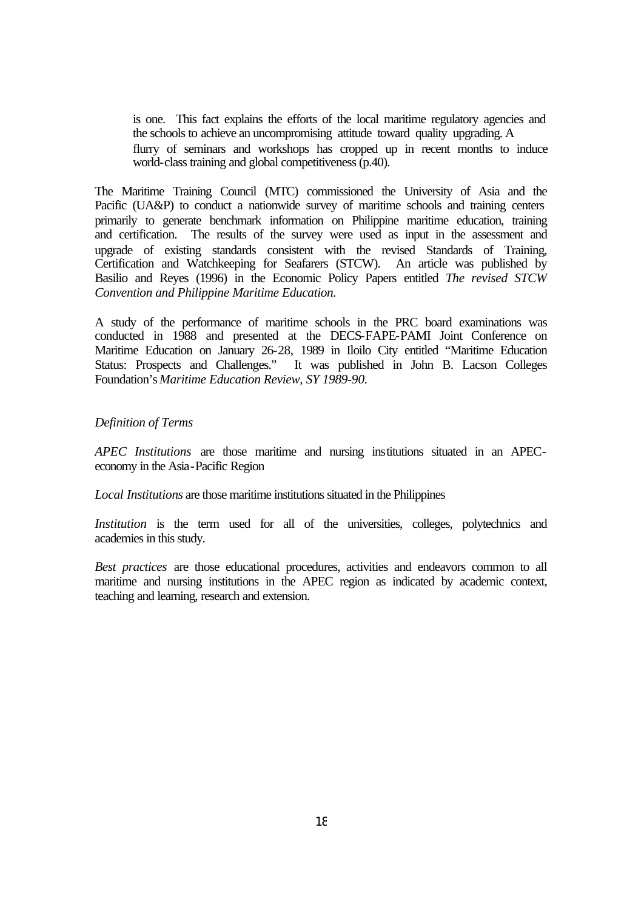is one. This fact explains the efforts of the local maritime regulatory agencies and the schools to achieve an uncompromising attitude toward quality upgrading. A flurry of seminars and workshops has cropped up in recent months to induce world-class training and global competitiveness (p.40).

The Maritime Training Council (MTC) commissioned the University of Asia and the Pacific (UA&P) to conduct a nationwide survey of maritime schools and training centers primarily to generate benchmark information on Philippine maritime education, training and certification. The results of the survey were used as input in the assessment and upgrade of existing standards consistent with the revised Standards of Training, Certification and Watchkeeping for Seafarers (STCW). An article was published by Basilio and Reyes (1996) in the Economic Policy Papers entitled *The revised STCW Convention and Philippine Maritime Education.*

A study of the performance of maritime schools in the PRC board examinations was conducted in 1988 and presented at the DECS-FAPE-PAMI Joint Conference on Maritime Education on January 26-28, 1989 in Iloilo City entitled "Maritime Education Status: Prospects and Challenges." It was published in John B. Lacson Colleges Foundation's *Maritime Education Review, SY 1989-90.*

#### *Definition of Terms*

*APEC Institutions* are those maritime and nursing institutions situated in an APECeconomy in the Asia-Pacific Region

*Local Institutions* are those maritime institutions situated in the Philippines

*Institution* is the term used for all of the universities, colleges, polytechnics and academies in this study.

*Best practices* are those educational procedures, activities and endeavors common to all maritime and nursing institutions in the APEC region as indicated by academic context, teaching and learning, research and extension.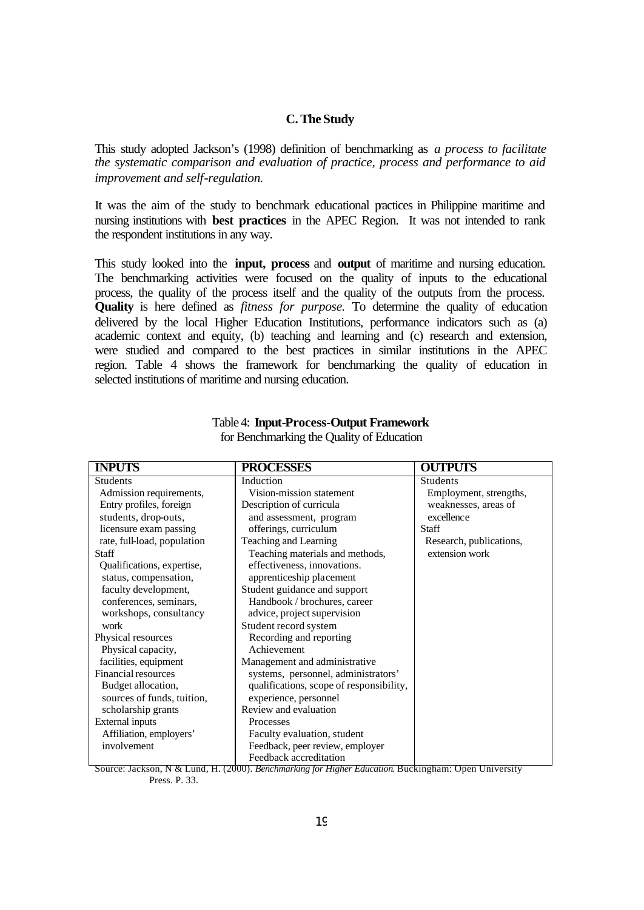## **C. The Study**

This study adopted Jackson's (1998) definition of benchmarking as *a process to facilitate the systematic comparison and evaluation of practice, process and performance to aid improvement and self-regulation.*

It was the aim of the study to benchmark educational practices in Philippine maritime and nursing institutions with **best practices** in the APEC Region. It was not intended to rank the respondent institutions in any way.

This study looked into the **input, process** and **output** of maritime and nursing education. The benchmarking activities were focused on the quality of inputs to the educational process, the quality of the process itself and the quality of the outputs from the process. **Quality** is here defined as *fitness for purpose.* To determine the quality of education delivered by the local Higher Education Institutions, performance indicators such as (a) academic context and equity, (b) teaching and learning and (c) research and extension, were studied and compared to the best practices in similar institutions in the APEC region. Table 4 shows the framework for benchmarking the quality of education in selected institutions of maritime and nursing education.

| <b>INPUTS</b>               | <b>PROCESSES</b>                         | <b>OUTPUTS</b>          |
|-----------------------------|------------------------------------------|-------------------------|
| <b>Students</b>             | Induction                                | Students                |
| Admission requirements,     | Vision-mission statement                 | Employment, strengths,  |
| Entry profiles, foreign     | Description of curricula                 | weaknesses, areas of    |
| students, drop-outs,        | and assessment, program                  | excellence              |
| licensure exam passing      | offerings, curriculum                    | <b>Staff</b>            |
| rate, full-load, population | Teaching and Learning                    | Research, publications, |
| <b>Staff</b>                | Teaching materials and methods,          | extension work          |
| Qualifications, expertise,  | effectiveness, innovations.              |                         |
| status, compensation,       | apprenticeship placement                 |                         |
| faculty development,        | Student guidance and support             |                         |
| conferences, seminars,      | Handbook / brochures, career             |                         |
| workshops, consultancy      | advice, project supervision              |                         |
| work                        | Student record system                    |                         |
| Physical resources          | Recording and reporting                  |                         |
| Physical capacity,          | Achievement                              |                         |
| facilities, equipment       | Management and administrative            |                         |
| Financial resources         | systems, personnel, administrators'      |                         |
| Budget allocation,          | qualifications, scope of responsibility, |                         |
| sources of funds, tuition,  | experience, personnel                    |                         |
| scholarship grants          | Review and evaluation                    |                         |
| <b>External inputs</b>      | <b>Processes</b>                         |                         |
| Affiliation, employers'     | Faculty evaluation, student              |                         |
| involvement                 | Feedback, peer review, employer          |                         |
|                             | Feedback accreditation                   |                         |

# Table 4: **Input-Process-Output Framework** for Benchmarking the Quality of Education

Source: Jackson, N & Lund, H. (2000). *Benchmarking for Higher Education*. Buckingham: Open University Press. P. 33.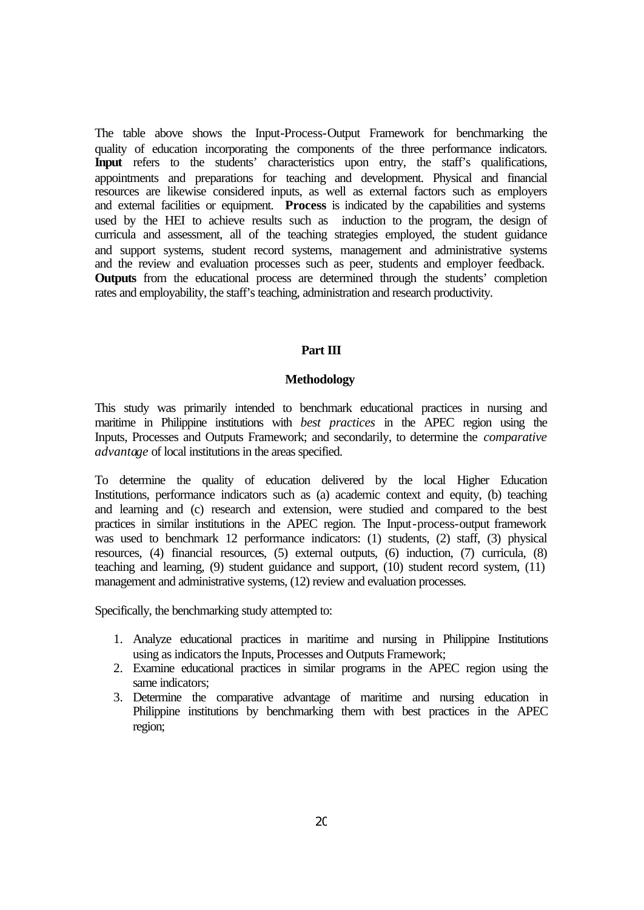The table above shows the Input-Process-Output Framework for benchmarking the quality of education incorporating the components of the three performance indicators. **Input** refers to the students' characteristics upon entry, the staff's qualifications, appointments and preparations for teaching and development. Physical and financial resources are likewise considered inputs, as well as external factors such as employers and external facilities or equipment. **Process** is indicated by the capabilities and systems used by the HEI to achieve results such as induction to the program, the design of curricula and assessment, all of the teaching strategies employed, the student guidance and support systems, student record systems, management and administrative systems and the review and evaluation processes such as peer, students and employer feedback. **Outputs** from the educational process are determined through the students' completion rates and employability, the staff's teaching, administration and research productivity.

# **Part III**

#### **Methodology**

This study was primarily intended to benchmark educational practices in nursing and maritime in Philippine institutions with *best practices* in the APEC region using the Inputs, Processes and Outputs Framework; and secondarily, to determine the *comparative advantage* of local institutions in the areas specified.

To determine the quality of education delivered by the local Higher Education Institutions, performance indicators such as (a) academic context and equity, (b) teaching and learning and (c) research and extension, were studied and compared to the best practices in similar institutions in the APEC region. The Input-process-output framework was used to benchmark 12 performance indicators: (1) students, (2) staff, (3) physical resources, (4) financial resources, (5) external outputs, (6) induction, (7) curricula, (8) teaching and learning, (9) student guidance and support, (10) student record system, (11) management and administrative systems, (12) review and evaluation processes.

Specifically, the benchmarking study attempted to:

- 1. Analyze educational practices in maritime and nursing in Philippine Institutions using as indicators the Inputs, Processes and Outputs Framework;
- 2. Examine educational practices in similar programs in the APEC region using the same indicators;
- 3. Determine the comparative advantage of maritime and nursing education in Philippine institutions by benchmarking them with best practices in the APEC region;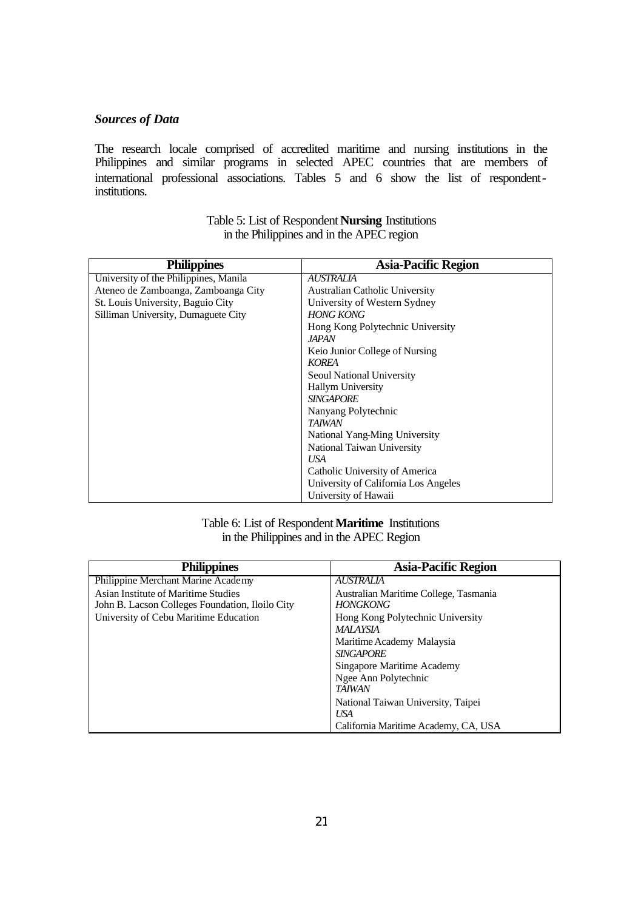# *Sources of Data*

The research locale comprised of accredited maritime and nursing institutions in the Philippines and similar programs in selected APEC countries that are members of international professional associations. Tables 5 and 6 show the list of respondentinstitutions.

| <b>Philippines</b>                    | <b>Asia-Pacific Region</b>           |
|---------------------------------------|--------------------------------------|
| University of the Philippines, Manila | AUSTRALIA                            |
| Ateneo de Zamboanga, Zamboanga City   | Australian Catholic University       |
| St. Louis University, Baguio City     | University of Western Sydney         |
| Silliman University, Dumaguete City   | <b>HONG KONG</b>                     |
|                                       | Hong Kong Polytechnic University     |
|                                       | <i>JAPAN</i>                         |
|                                       | Keio Junior College of Nursing       |
|                                       | KOREA                                |
|                                       | Seoul National University            |
|                                       | <b>Hallym University</b>             |
|                                       | <b>SINGAPORE</b>                     |
|                                       | Nanyang Polytechnic                  |
|                                       | <b>TAIWAN</b>                        |
|                                       | National Yang-Ming University        |
|                                       | National Taiwan University           |
|                                       | USA                                  |
|                                       | Catholic University of America       |
|                                       | University of California Los Angeles |
|                                       | University of Hawaii                 |

Table 5: List of Respondent **Nursing** Institutions in the Philippines and in the APEC region

# Table 6: List of Respondent **Maritime** Institutions in the Philippines and in the APEC Region

| <b>Philippines</b>                              | <b>Asia-Pacific Region</b>            |
|-------------------------------------------------|---------------------------------------|
| Philippine Merchant Marine Academy              | AUSTRALIA                             |
| Asian Institute of Maritime Studies             | Australian Maritime College, Tasmania |
| John B. Lacson Colleges Foundation, Iloilo City | HONGKONG                              |
| University of Cebu Maritime Education           | Hong Kong Polytechnic University      |
|                                                 | MALAYSIA                              |
|                                                 | Maritime Academy Malaysia             |
|                                                 | <b>SINGAPORE</b>                      |
|                                                 | Singapore Maritime Academy            |
|                                                 | Ngee Ann Polytechnic                  |
|                                                 | <b>TAIWAN</b>                         |
|                                                 | National Taiwan University, Taipei    |
|                                                 | USA                                   |
|                                                 | California Maritime Academy, CA, USA  |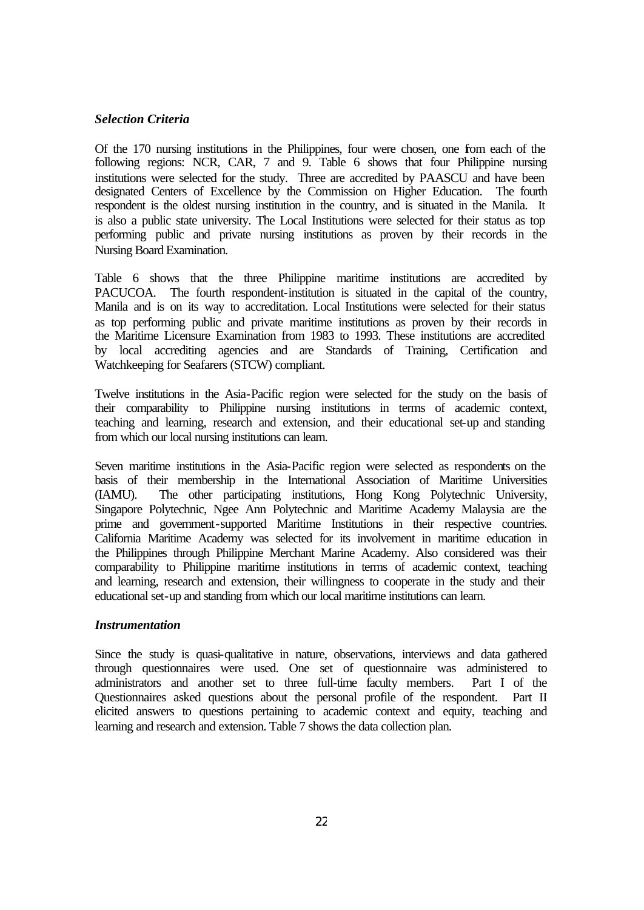# *Selection Criteria*

Of the 170 nursing institutions in the Philippines, four were chosen, one from each of the following regions: NCR, CAR, 7 and 9. Table 6 shows that four Philippine nursing institutions were selected for the study. Three are accredited by PAASCU and have been designated Centers of Excellence by the Commission on Higher Education. The fourth respondent is the oldest nursing institution in the country, and is situated in the Manila. It is also a public state university. The Local Institutions were selected for their status as top performing public and private nursing institutions as proven by their records in the Nursing Board Examination.

Table 6 shows that the three Philippine maritime institutions are accredited by PACUCOA. The fourth respondent-institution is situated in the capital of the country, Manila and is on its way to accreditation. Local Institutions were selected for their status as top performing public and private maritime institutions as proven by their records in the Maritime Licensure Examination from 1983 to 1993. These institutions are accredited by local accrediting agencies and are Standards of Training, Certification and Watchkeeping for Seafarers (STCW) compliant.

Twelve institutions in the Asia-Pacific region were selected for the study on the basis of their comparability to Philippine nursing institutions in terms of academic context, teaching and learning, research and extension, and their educational set-up and standing from which our local nursing institutions can learn.

Seven maritime institutions in the Asia-Pacific region were selected as respondents on the basis of their membership in the International Association of Maritime Universities (IAMU). The other participating institutions, Hong Kong Polytechnic University, Singapore Polytechnic, Ngee Ann Polytechnic and Maritime Academy Malaysia are the prime and government-supported Maritime Institutions in their respective countries. California Maritime Academy was selected for its involvement in maritime education in the Philippines through Philippine Merchant Marine Academy. Also considered was their comparability to Philippine maritime institutions in terms of academic context, teaching and learning, research and extension, their willingness to cooperate in the study and their educational set-up and standing from which our local maritime institutions can learn.

#### *Instrumentation*

Since the study is quasi-qualitative in nature, observations, interviews and data gathered through questionnaires were used. One set of questionnaire was administered to administrators and another set to three full-time faculty members. Part I of the Questionnaires asked questions about the personal profile of the respondent. Part II elicited answers to questions pertaining to academic context and equity, teaching and learning and research and extension. Table 7 shows the data collection plan.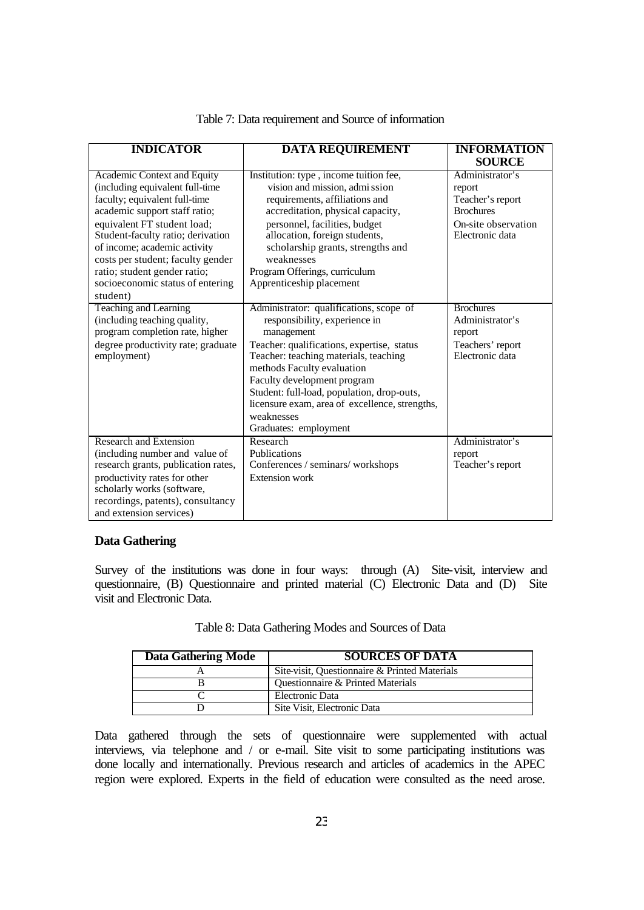| <b>INDICATOR</b>                    | <b>DATA REQUIREMENT</b>                        | <b>INFORMATION</b>  |  |
|-------------------------------------|------------------------------------------------|---------------------|--|
|                                     |                                                | <b>SOURCE</b>       |  |
| Academic Context and Equity         | Institution: type, income tuition fee,         | Administrator's     |  |
| (including equivalent full-time     | vision and mission, admi ssion                 | report              |  |
| faculty; equivalent full-time       | requirements, affiliations and                 | Teacher's report    |  |
| academic support staff ratio;       | accreditation, physical capacity,              | <b>Brochures</b>    |  |
| equivalent FT student load;         | personnel, facilities, budget                  | On-site observation |  |
| Student-faculty ratio; derivation   | allocation, foreign students,                  | Electronic data     |  |
| of income; academic activity        | scholarship grants, strengths and              |                     |  |
| costs per student; faculty gender   | weaknesses                                     |                     |  |
| ratio; student gender ratio;        | Program Offerings, curriculum                  |                     |  |
| socioeconomic status of entering    | Apprenticeship placement                       |                     |  |
| student)                            |                                                |                     |  |
| Teaching and Learning               | Administrator: qualifications, scope of        | <b>Brochures</b>    |  |
| (including teaching quality,        | responsibility, experience in                  | Administrator's     |  |
| program completion rate, higher     | management                                     | report              |  |
| degree productivity rate; graduate  | Teacher: qualifications, expertise, status     | Teachers' report    |  |
| employment)                         | Teacher: teaching materials, teaching          | Electronic data     |  |
|                                     | methods Faculty evaluation                     |                     |  |
|                                     | Faculty development program                    |                     |  |
|                                     | Student: full-load, population, drop-outs,     |                     |  |
|                                     | licensure exam, area of excellence, strengths, |                     |  |
|                                     | weaknesses                                     |                     |  |
|                                     | Graduates: employment                          |                     |  |
| <b>Research and Extension</b>       | Research                                       | Administrator's     |  |
| (including number and value of      | <b>Publications</b>                            | report              |  |
| research grants, publication rates, | Conferences / seminars/ workshops              | Teacher's report    |  |
| productivity rates for other        | <b>Extension work</b>                          |                     |  |
| scholarly works (software,          |                                                |                     |  |
| recordings, patents), consultancy   |                                                |                     |  |
| and extension services)             |                                                |                     |  |

# Table 7: Data requirement and Source of information

### **Data Gathering**

Survey of the institutions was done in four ways: through (A) Site-visit, interview and questionnaire, (B) Questionnaire and printed material (C) Electronic Data and (D) Site visit and Electronic Data.

|  |  | Table 8: Data Gathering Modes and Sources of Data |
|--|--|---------------------------------------------------|
|--|--|---------------------------------------------------|

| Data Gathering Mode | <b>SOURCES OF DATA</b>                        |  |  |  |  |
|---------------------|-----------------------------------------------|--|--|--|--|
|                     | Site-visit, Questionnaire & Printed Materials |  |  |  |  |
|                     | Questionnaire & Printed Materials             |  |  |  |  |
|                     | Electronic Data                               |  |  |  |  |
|                     | Site Visit, Electronic Data                   |  |  |  |  |

Data gathered through the sets of questionnaire were supplemented with actual interviews, via telephone and / or e-mail. Site visit to some participating institutions was done locally and internationally. Previous research and articles of academics in the APEC region were explored. Experts in the field of education were consulted as the need arose.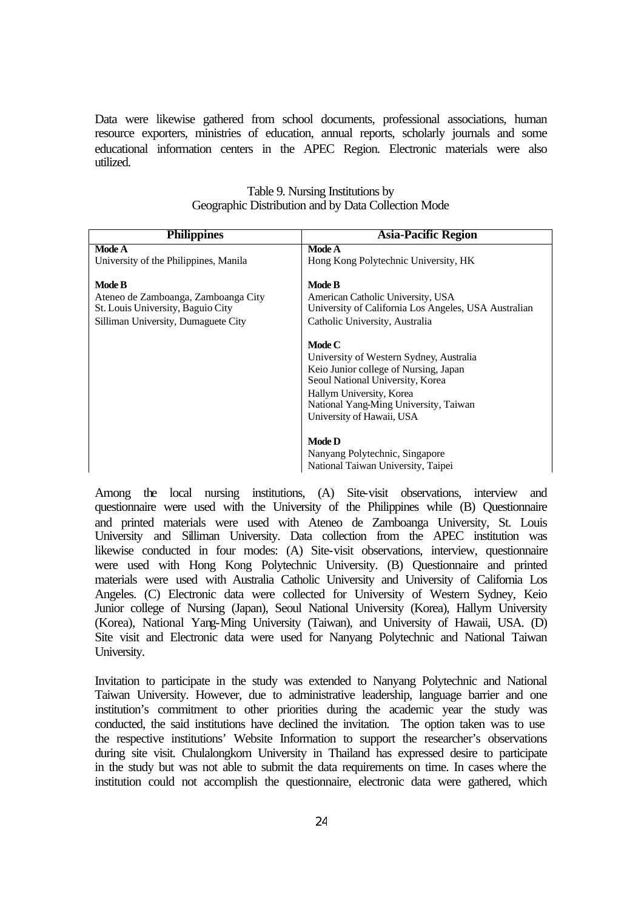Data were likewise gathered from school documents, professional associations, human resource exporters, ministries of education, annual reports, scholarly journals and some educational information centers in the APEC Region. Electronic materials were also utilized.

| <b>Philippines</b>                    | <b>Asia-Pacific Region</b>                                                                                                                                                                                                                                                                                                |  |  |  |
|---------------------------------------|---------------------------------------------------------------------------------------------------------------------------------------------------------------------------------------------------------------------------------------------------------------------------------------------------------------------------|--|--|--|
| Mode A                                | Mode A                                                                                                                                                                                                                                                                                                                    |  |  |  |
| University of the Philippines, Manila | Hong Kong Polytechnic University, HK                                                                                                                                                                                                                                                                                      |  |  |  |
| <b>Mode B</b>                         | Mode B                                                                                                                                                                                                                                                                                                                    |  |  |  |
| Ateneo de Zamboanga, Zamboanga City   | American Catholic University, USA                                                                                                                                                                                                                                                                                         |  |  |  |
| St. Louis University, Baguio City     | University of California Los Angeles, USA Australian                                                                                                                                                                                                                                                                      |  |  |  |
| Silliman University, Dumaguete City   | Catholic University, Australia                                                                                                                                                                                                                                                                                            |  |  |  |
|                                       | Mode C<br>University of Western Sydney, Australia<br>Keio Junior college of Nursing, Japan<br>Seoul National University, Korea<br>Hallym University, Korea<br>National Yang-Ming University, Taiwan<br>University of Hawaii, USA<br><b>Mode D</b><br>Nanyang Polytechnic, Singapore<br>National Taiwan University, Taipei |  |  |  |

| Table 9. Nursing Institutions by                    |  |
|-----------------------------------------------------|--|
| Geographic Distribution and by Data Collection Mode |  |

Among the local nursing institutions, (A) Site-visit observations, interview and questionnaire were used with the University of the Philippines while (B) Questionnaire and printed materials were used with Ateneo de Zamboanga University, St. Louis University and Silliman University. Data collection from the APEC institution was likewise conducted in four modes: (A) Site-visit observations, interview, questionnaire were used with Hong Kong Polytechnic University. (B) Questionnaire and printed materials were used with Australia Catholic University and University of California Los Angeles. (C) Electronic data were collected for University of Western Sydney, Keio Junior college of Nursing (Japan), Seoul National University (Korea), Hallym University (Korea), National Yang-Ming University (Taiwan), and University of Hawaii, USA. (D) Site visit and Electronic data were used for Nanyang Polytechnic and National Taiwan University.

Invitation to participate in the study was extended to Nanyang Polytechnic and National Taiwan University. However, due to administrative leadership, language barrier and one institution's commitment to other priorities during the academic year the study was conducted, the said institutions have declined the invitation. The option taken was to use the respective institutions' Website Information to support the researcher's observations during site visit. Chulalongkorn University in Thailand has expressed desire to participate in the study but was not able to submit the data requirements on time. In cases where the institution could not accomplish the questionnaire, electronic data were gathered, which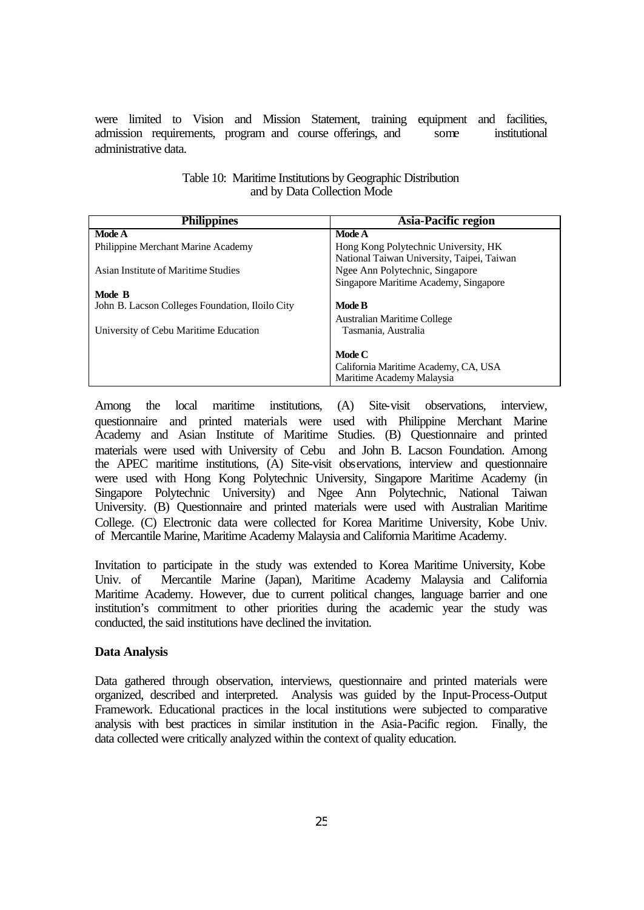were limited to Vision and Mission Statement, training equipment and facilities, admission requirements, program and course offerings, and some institutional administrative data.

| <b>Philippines</b>                              | Asia-Pacific region                                                                |
|-------------------------------------------------|------------------------------------------------------------------------------------|
| <b>Mode A</b>                                   | <b>Mode A</b>                                                                      |
| Philippine Merchant Marine Academy              | Hong Kong Polytechnic University, HK<br>National Taiwan University, Taipei, Taiwan |
| Asian Institute of Maritime Studies             | Ngee Ann Polytechnic, Singapore                                                    |
|                                                 | Singapore Maritime Academy, Singapore                                              |
| Mode B                                          |                                                                                    |
| John B. Lacson Colleges Foundation, Iloilo City | Mode B                                                                             |
|                                                 | <b>Australian Maritime College</b>                                                 |
| University of Cebu Maritime Education           | Tasmania, Australia                                                                |
|                                                 |                                                                                    |
|                                                 | Mode C                                                                             |
|                                                 | California Maritime Academy, CA, USA                                               |
|                                                 | Maritime Academy Malaysia                                                          |

| Table 10: Maritime Institutions by Geographic Distribution |
|------------------------------------------------------------|
| and by Data Collection Mode                                |

Among the local maritime institutions, (A) Site-visit observations, interview, questionnaire and printed materials were used with Philippine Merchant Marine Academy and Asian Institute of Maritime Studies. (B) Questionnaire and printed materials were used with University of Cebu and John B. Lacson Foundation. Among the APEC maritime institutions, (A) Site-visit observations, interview and questionnaire were used with Hong Kong Polytechnic University, Singapore Maritime Academy (in Singapore Polytechnic University) and Ngee Ann Polytechnic, National Taiwan University. (B) Questionnaire and printed materials were used with Australian Maritime College. (C) Electronic data were collected for Korea Maritime University, Kobe Univ. of Mercantile Marine, Maritime Academy Malaysia and California Maritime Academy.

Invitation to participate in the study was extended to Korea Maritime University, Kobe Univ. of Mercantile Marine (Japan), Maritime Academy Malaysia and California Maritime Academy. However, due to current political changes, language barrier and one institution's commitment to other priorities during the academic year the study was conducted, the said institutions have declined the invitation.

#### **Data Analysis**

Data gathered through observation, interviews, questionnaire and printed materials were organized, described and interpreted. Analysis was guided by the Input-Process-Output Framework. Educational practices in the local institutions were subjected to comparative analysis with best practices in similar institution in the Asia-Pacific region. Finally, the data collected were critically analyzed within the context of quality education.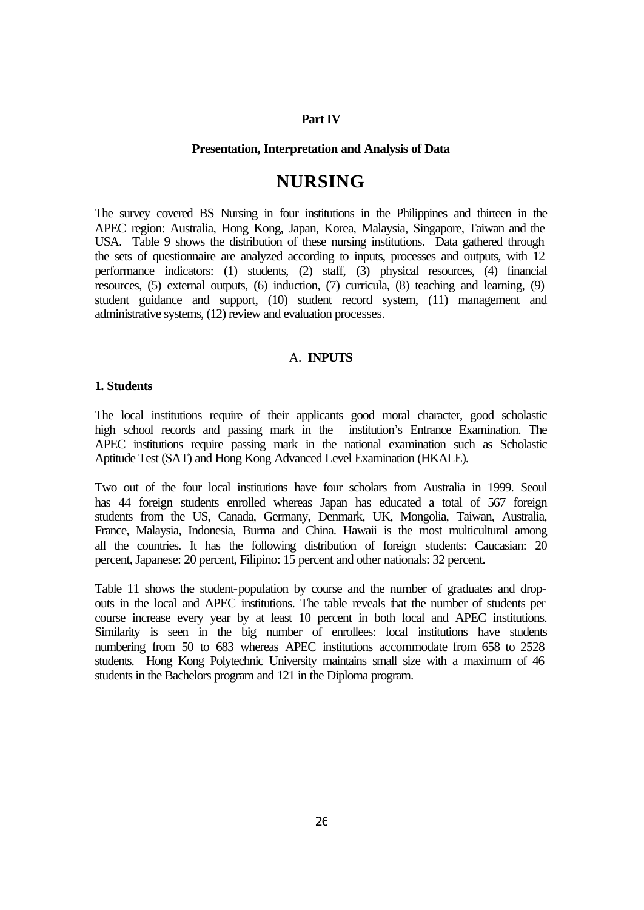#### **Part IV**

#### **Presentation, Interpretation and Analysis of Data**

# **NURSING**

The survey covered BS Nursing in four institutions in the Philippines and thirteen in the APEC region: Australia, Hong Kong, Japan, Korea, Malaysia, Singapore, Taiwan and the USA. Table 9 shows the distribution of these nursing institutions. Data gathered through the sets of questionnaire are analyzed according to inputs, processes and outputs, with 12 performance indicators: (1) students, (2) staff, (3) physical resources, (4) financial resources, (5) external outputs, (6) induction, (7) curricula, (8) teaching and learning, (9) student guidance and support, (10) student record system, (11) management and administrative systems, (12) review and evaluation processes.

## A. **INPUTS**

# **1. Students**

The local institutions require of their applicants good moral character, good scholastic high school records and passing mark in the institution's Entrance Examination. The APEC institutions require passing mark in the national examination such as Scholastic Aptitude Test (SAT) and Hong Kong Advanced Level Examination (HKALE).

Two out of the four local institutions have four scholars from Australia in 1999. Seoul has 44 foreign students enrolled whereas Japan has educated a total of 567 foreign students from the US, Canada, Germany, Denmark, UK, Mongolia, Taiwan, Australia, France, Malaysia, Indonesia, Burma and China. Hawaii is the most multicultural among all the countries. It has the following distribution of foreign students: Caucasian: 20 percent, Japanese: 20 percent, Filipino: 15 percent and other nationals: 32 percent.

Table 11 shows the student-population by course and the number of graduates and dropouts in the local and APEC institutions. The table reveals that the number of students per course increase every year by at least 10 percent in both local and APEC institutions. Similarity is seen in the big number of enrollees: local institutions have students numbering from 50 to 683 whereas APEC institutions accommodate from 658 to 2528 students. Hong Kong Polytechnic University maintains small size with a maximum of 46 students in the Bachelors program and 121 in the Diploma program.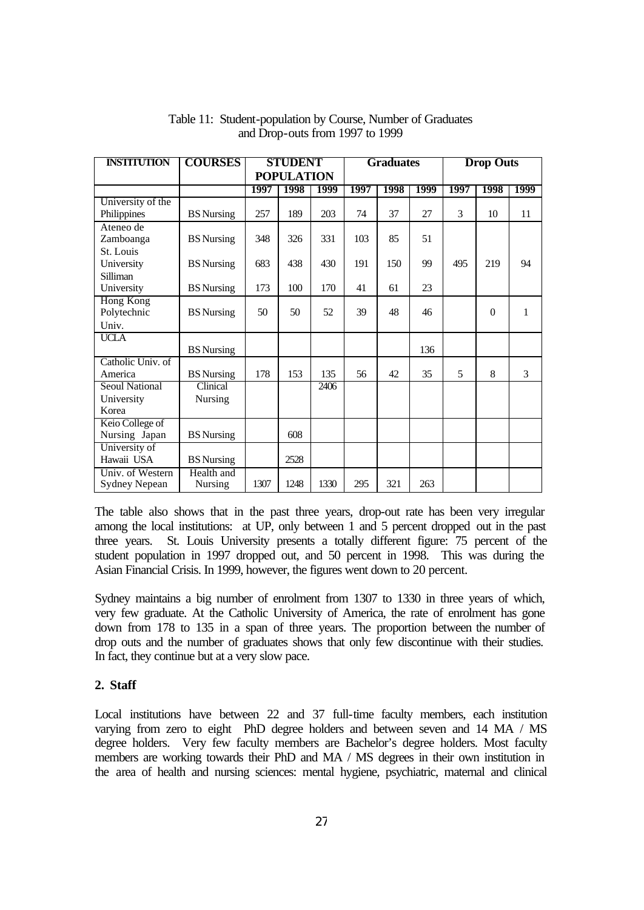| <b>INSTITUTION</b>    | <b>COURSES</b>    | <b>STUDENT</b>    |      | <b>Graduates</b> |      | <b>Drop Outs</b> |      |      |          |      |
|-----------------------|-------------------|-------------------|------|------------------|------|------------------|------|------|----------|------|
|                       |                   | <b>POPULATION</b> |      |                  |      |                  |      |      |          |      |
|                       |                   | 1997              | 1998 | 1999             | 1997 | 1998             | 1999 | 1997 | 1998     | 1999 |
| University of the     |                   |                   |      |                  |      |                  |      |      |          |      |
| Philippines           | <b>BS</b> Nursing | 257               | 189  | 203              | 74   | 37               | 27   | 3    | 10       | 11   |
| Ateneo de             |                   |                   |      |                  |      |                  |      |      |          |      |
| Zamboanga             | <b>BS</b> Nursing | 348               | 326  | 331              | 103  | 85               | 51   |      |          |      |
| St. Louis             |                   |                   |      |                  |      |                  |      |      |          |      |
| University            | <b>BS</b> Nursing | 683               | 438  | 430              | 191  | 150              | 99   | 495  | 219      | 94   |
| Silliman              |                   |                   |      |                  |      |                  |      |      |          |      |
| University            | <b>BS</b> Nursing | 173               | 100  | 170              | 41   | 61               | 23   |      |          |      |
| <b>Hong Kong</b>      |                   |                   |      | 52               |      | 48               |      |      |          |      |
| Polytechnic           | <b>BS</b> Nursing | 50                | 50   |                  | 39   |                  | 46   |      | $\theta$ | 1    |
| Univ.<br><b>UCLA</b>  |                   |                   |      |                  |      |                  |      |      |          |      |
|                       | <b>BS</b> Nursing |                   |      |                  |      |                  | 136  |      |          |      |
| Catholic Univ. of     |                   |                   |      |                  |      |                  |      |      |          |      |
| America               | <b>BS</b> Nursing | 178               | 153  | 135              | 56   | 42               | 35   | 5    | 8        | 3    |
| <b>Seoul National</b> | Clinical          |                   |      | 2406             |      |                  |      |      |          |      |
| University            | Nursing           |                   |      |                  |      |                  |      |      |          |      |
| Korea                 |                   |                   |      |                  |      |                  |      |      |          |      |
| Keio College of       |                   |                   |      |                  |      |                  |      |      |          |      |
| Nursing Japan         | <b>BS</b> Nursing |                   | 608  |                  |      |                  |      |      |          |      |
| University of         |                   |                   |      |                  |      |                  |      |      |          |      |
| Hawaii USA            | <b>BS</b> Nursing |                   | 2528 |                  |      |                  |      |      |          |      |
| Univ. of Western      | Health and        |                   |      |                  |      |                  |      |      |          |      |
| <b>Sydney Nepean</b>  | Nursing           | 1307              | 1248 | 1330             | 295  | 321              | 263  |      |          |      |

Table 11: Student-population by Course, Number of Graduates and Drop-outs from 1997 to 1999

The table also shows that in the past three years, drop-out rate has been very irregular among the local institutions: at UP, only between 1 and 5 percent dropped out in the past three years. St. Louis University presents a totally different figure: 75 percent of the student population in 1997 dropped out, and 50 percent in 1998. This was during the Asian Financial Crisis. In 1999, however, the figures went down to 20 percent.

Sydney maintains a big number of enrolment from 1307 to 1330 in three years of which, very few graduate. At the Catholic University of America, the rate of enrolment has gone down from 178 to 135 in a span of three years. The proportion between the number of drop outs and the number of graduates shows that only few discontinue with their studies. In fact, they continue but at a very slow pace.

## **2. Staff**

Local institutions have between 22 and 37 full-time faculty members, each institution varying from zero to eight PhD degree holders and between seven and 14 MA / MS degree holders. Very few faculty members are Bachelor's degree holders. Most faculty members are working towards their PhD and MA / MS degrees in their own institution in the area of health and nursing sciences: mental hygiene, psychiatric, maternal and clinical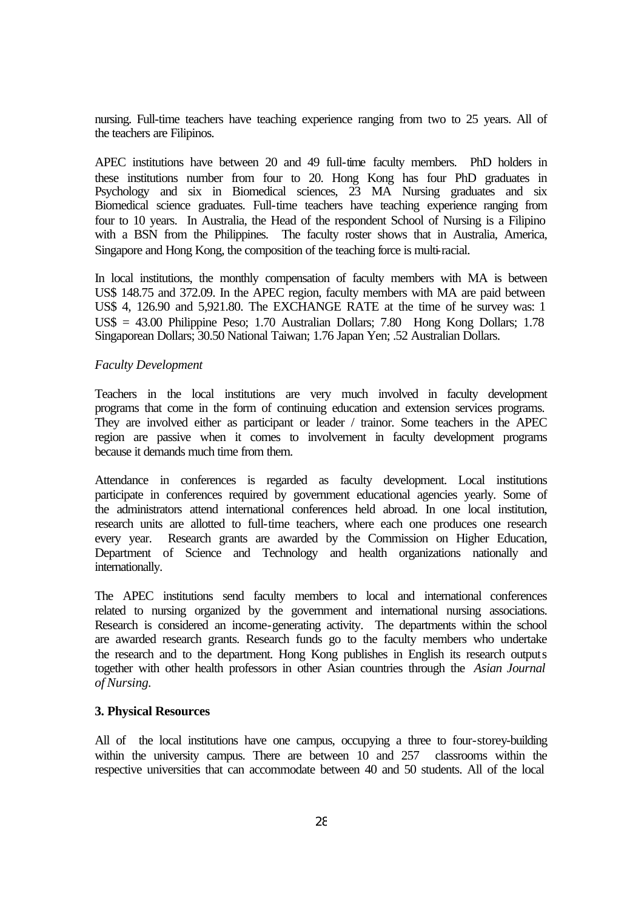nursing. Full-time teachers have teaching experience ranging from two to 25 years. All of the teachers are Filipinos.

APEC institutions have between 20 and 49 full-time faculty members. PhD holders in these institutions number from four to 20. Hong Kong has four PhD graduates in Psychology and six in Biomedical sciences, 23 MA Nursing graduates and six Biomedical science graduates. Full-time teachers have teaching experience ranging from four to 10 years. In Australia, the Head of the respondent School of Nursing is a Filipino with a BSN from the Philippines. The faculty roster shows that in Australia, America, Singapore and Hong Kong, the composition of the teaching force is multi-racial.

In local institutions, the monthly compensation of faculty members with MA is between US\$ 148.75 and 372.09. In the APEC region, faculty members with MA are paid between US\$ 4, 126.90 and 5,921.80. The EXCHANGE RATE at the time of the survey was: 1 US\$ = 43.00 Philippine Peso; 1.70 Australian Dollars; 7.80 Hong Kong Dollars; 1.78 Singaporean Dollars; 30.50 National Taiwan; 1.76 Japan Yen; .52 Australian Dollars.

#### *Faculty Development*

Teachers in the local institutions are very much involved in faculty development programs that come in the form of continuing education and extension services programs. They are involved either as participant or leader / trainor. Some teachers in the APEC region are passive when it comes to involvement in faculty development programs because it demands much time from them.

Attendance in conferences is regarded as faculty development. Local institutions participate in conferences required by government educational agencies yearly. Some of the administrators attend international conferences held abroad. In one local institution, research units are allotted to full-time teachers, where each one produces one research every year. Research grants are awarded by the Commission on Higher Education, Department of Science and Technology and health organizations nationally and internationally.

The APEC institutions send faculty members to local and international conferences related to nursing organized by the government and international nursing associations. Research is considered an income-generating activity. The departments within the school are awarded research grants. Research funds go to the faculty members who undertake the research and to the department. Hong Kong publishes in English its research outputs together with other health professors in other Asian countries through the *Asian Journal of Nursing.*

#### **3. Physical Resources**

All of the local institutions have one campus, occupying a three to four-storey-building within the university campus. There are between 10 and 257 classrooms within the respective universities that can accommodate between 40 and 50 students. All of the local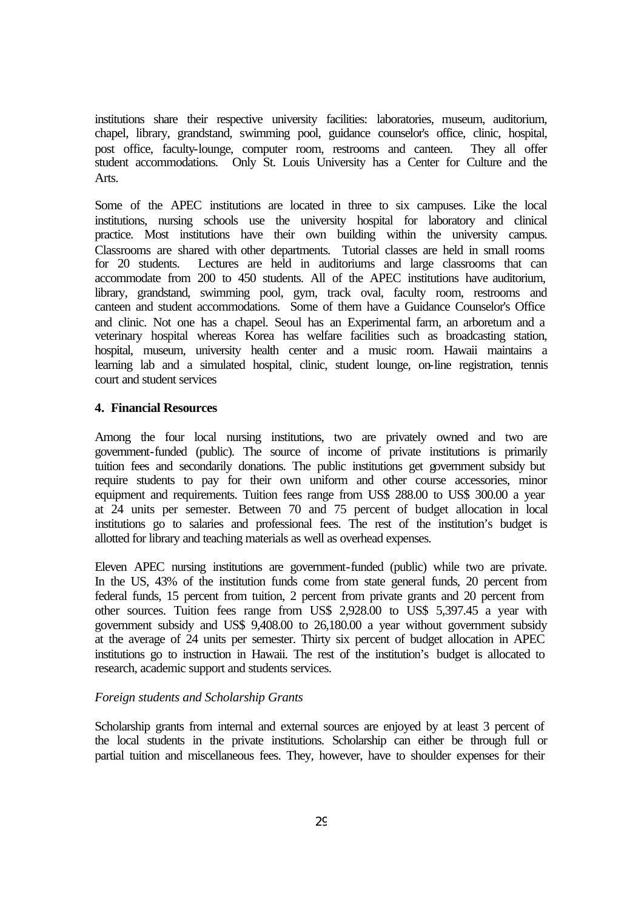institutions share their respective university facilities: laboratories, museum, auditorium, chapel, library, grandstand, swimming pool, guidance counselor's office, clinic, hospital, post office, faculty-lounge, computer room, restrooms and canteen. They all offer student accommodations. Only St. Louis University has a Center for Culture and the Arts.

Some of the APEC institutions are located in three to six campuses. Like the local institutions, nursing schools use the university hospital for laboratory and clinical practice. Most institutions have their own building within the university campus. Classrooms are shared with other departments. Tutorial classes are held in small rooms for 20 students. Lectures are held in auditoriums and large classrooms that can accommodate from 200 to 450 students. All of the APEC institutions have auditorium, library, grandstand, swimming pool, gym, track oval, faculty room, restrooms and canteen and student accommodations. Some of them have a Guidance Counselor's Office and clinic. Not one has a chapel. Seoul has an Experimental farm, an arboretum and a veterinary hospital whereas Korea has welfare facilities such as broadcasting station, hospital, museum, university health center and a music room. Hawaii maintains a learning lab and a simulated hospital, clinic, student lounge, on-line registration, tennis court and student services

#### **4. Financial Resources**

Among the four local nursing institutions, two are privately owned and two are government-funded (public). The source of income of private institutions is primarily tuition fees and secondarily donations. The public institutions get government subsidy but require students to pay for their own uniform and other course accessories, minor equipment and requirements. Tuition fees range from US\$ 288.00 to US\$ 300.00 a year at 24 units per semester. Between 70 and 75 percent of budget allocation in local institutions go to salaries and professional fees. The rest of the institution's budget is allotted for library and teaching materials as well as overhead expenses.

Eleven APEC nursing institutions are government-funded (public) while two are private. In the US, 43% of the institution funds come from state general funds, 20 percent from federal funds, 15 percent from tuition, 2 percent from private grants and 20 percent from other sources. Tuition fees range from US\$ 2,928.00 to US\$ 5,397.45 a year with government subsidy and US\$ 9,408.00 to 26,180.00 a year without government subsidy at the average of 24 units per semester. Thirty six percent of budget allocation in APEC institutions go to instruction in Hawaii. The rest of the institution's budget is allocated to research, academic support and students services.

#### *Foreign students and Scholarship Grants*

Scholarship grants from internal and external sources are enjoyed by at least 3 percent of the local students in the private institutions. Scholarship can either be through full or partial tuition and miscellaneous fees. They, however, have to shoulder expenses for their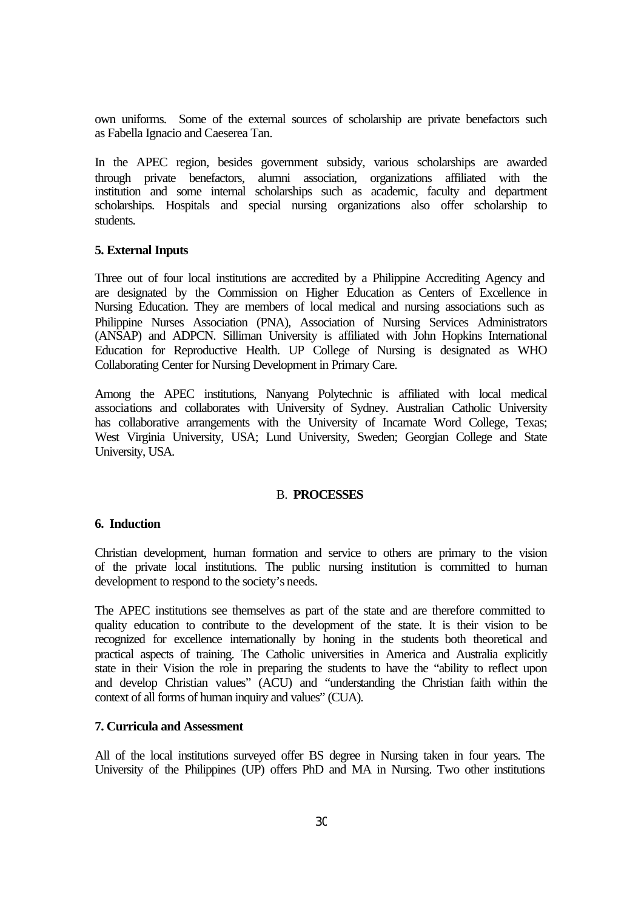own uniforms. Some of the external sources of scholarship are private benefactors such as Fabella Ignacio and Caeserea Tan.

In the APEC region, besides government subsidy, various scholarships are awarded through private benefactors, alumni association, organizations affiliated with the institution and some internal scholarships such as academic, faculty and department scholarships. Hospitals and special nursing organizations also offer scholarship to students.

#### **5. External Inputs**

Three out of four local institutions are accredited by a Philippine Accrediting Agency and are designated by the Commission on Higher Education as Centers of Excellence in Nursing Education. They are members of local medical and nursing associations such as Philippine Nurses Association (PNA), Association of Nursing Services Administrators (ANSAP) and ADPCN. Silliman University is affiliated with John Hopkins International Education for Reproductive Health. UP College of Nursing is designated as WHO Collaborating Center for Nursing Development in Primary Care.

Among the APEC institutions, Nanyang Polytechnic is affiliated with local medical associations and collaborates with University of Sydney. Australian Catholic University has collaborative arrangements with the University of Incarnate Word College, Texas; West Virginia University, USA; Lund University, Sweden; Georgian College and State University, USA.

#### B. **PROCESSES**

#### **6. Induction**

Christian development, human formation and service to others are primary to the vision of the private local institutions. The public nursing institution is committed to human development to respond to the society's needs.

The APEC institutions see themselves as part of the state and are therefore committed to quality education to contribute to the development of the state. It is their vision to be recognized for excellence internationally by honing in the students both theoretical and practical aspects of training. The Catholic universities in America and Australia explicitly state in their Vision the role in preparing the students to have the "ability to reflect upon and develop Christian values" (ACU) and "understanding the Christian faith within the context of all forms of human inquiry and values" (CUA).

# **7. Curricula and Assessment**

All of the local institutions surveyed offer BS degree in Nursing taken in four years. The University of the Philippines (UP) offers PhD and MA in Nursing. Two other institutions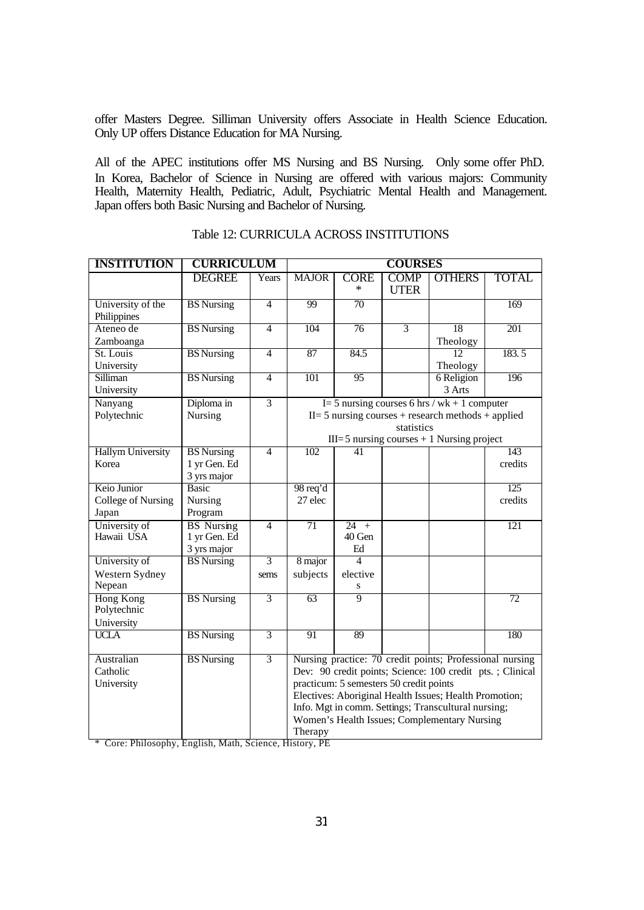offer Masters Degree. Silliman University offers Associate in Health Science Education. Only UP offers Distance Education for MA Nursing.

All of the APEC institutions offer MS Nursing and BS Nursing. Only some offer PhD. In Korea, Bachelor of Science in Nursing are offered with various majors: Community Health, Maternity Health, Pediatric, Adult, Psychiatric Mental Health and Management. Japan offers both Basic Nursing and Bachelor of Nursing.

| <b>INSTITUTION</b>               | <b>CURRICULUM</b> |                | <b>COURSES</b>                                             |                       |                            |                                                          |              |
|----------------------------------|-------------------|----------------|------------------------------------------------------------|-----------------------|----------------------------|----------------------------------------------------------|--------------|
|                                  | <b>DEGREE</b>     | Years          | <b>MAJOR</b>                                               | <b>CORE</b><br>$\ast$ | <b>COMP</b><br><b>UTER</b> | <b>OTHERS</b>                                            | <b>TOTAL</b> |
| University of the<br>Philippines | <b>BS</b> Nursing | $\overline{4}$ | 99                                                         | $\overline{70}$       |                            |                                                          | 169          |
| Ateneo de                        | <b>BS</b> Nursing | $\overline{4}$ | 104                                                        | 76                    | $\overline{3}$             | 18                                                       | 201          |
| Zamboanga                        |                   |                |                                                            |                       |                            | Theology                                                 |              |
| St. Louis                        | <b>BS</b> Nursing | $\overline{4}$ | 87                                                         | 84.5                  |                            | 12                                                       | 183.5        |
| University                       |                   |                |                                                            |                       |                            | Theology                                                 |              |
| Silliman                         | <b>BS</b> Nursing | $\overline{4}$ | 101                                                        | 95                    |                            | 6 Religion                                               | 196          |
| University                       |                   |                |                                                            |                       |                            | 3 Arts                                                   |              |
| Nanyang                          | Diploma in        | $\overline{3}$ |                                                            |                       |                            | I = 5 nursing courses 6 hrs / wk + 1 computer            |              |
| Polytechnic                      | Nursing           |                |                                                            |                       |                            | $II = 5$ nursing courses + research methods + applied    |              |
|                                  |                   |                |                                                            |                       | statistics                 |                                                          |              |
|                                  |                   |                |                                                            |                       |                            | $III = 5$ nursing courses $+1$ Nursing project           |              |
| <b>Hallym University</b>         | <b>BS</b> Nursing | $\overline{4}$ | 102                                                        | 41                    |                            |                                                          | 143          |
| Korea                            | 1 yr Gen. Ed      |                |                                                            |                       |                            |                                                          | credits      |
|                                  | 3 yrs major       |                |                                                            |                       |                            |                                                          |              |
| Keio Junior                      | <b>Basic</b>      |                | 98 req'd                                                   |                       |                            |                                                          | 125          |
| College of Nursing               | Nursing           |                | 27 elec                                                    |                       |                            |                                                          | credits      |
| Japan                            | Program           |                |                                                            |                       |                            |                                                          |              |
| University of                    | <b>BS</b> Nursing | $\overline{4}$ | $\overline{71}$                                            | $24 +$                |                            |                                                          | 121          |
| Hawaii USA                       | 1 yr Gen. Ed      |                |                                                            | 40 Gen                |                            |                                                          |              |
|                                  | 3 yrs major       |                |                                                            | Ed                    |                            |                                                          |              |
| University of                    | <b>BS</b> Nursing | $\overline{3}$ | 8 major                                                    | 4                     |                            |                                                          |              |
| Western Sydney                   |                   | sems           | subjects                                                   | elective              |                            |                                                          |              |
| Nepean                           |                   |                |                                                            | S<br>9                |                            |                                                          |              |
| <b>Hong Kong</b><br>Polytechnic  | <b>BS</b> Nursing | $\overline{3}$ | 63                                                         |                       |                            |                                                          | 72           |
|                                  |                   |                |                                                            |                       |                            |                                                          |              |
| University<br><b>UCLA</b>        | <b>BS</b> Nursing | $\overline{3}$ | 91                                                         | 89                    |                            |                                                          | 180          |
|                                  |                   |                |                                                            |                       |                            |                                                          |              |
| Australian                       | <b>BS</b> Nursing | $\overline{3}$ |                                                            |                       |                            | Nursing practice: 70 credit points; Professional nursing |              |
| Catholic                         |                   |                | Dev: 90 credit points; Science: 100 credit pts. ; Clinical |                       |                            |                                                          |              |
| University                       |                   |                | practicum: 5 semesters 50 credit points                    |                       |                            |                                                          |              |
|                                  |                   |                | Electives: Aboriginal Health Issues; Health Promotion;     |                       |                            |                                                          |              |
|                                  |                   |                | Info. Mgt in comm. Settings; Transcultural nursing;        |                       |                            |                                                          |              |
|                                  |                   |                | Women's Health Issues; Complementary Nursing               |                       |                            |                                                          |              |
|                                  |                   |                | Therapy                                                    |                       |                            |                                                          |              |

| Table 12: CURRICULA ACROSS INSTITUTIONS |  |  |
|-----------------------------------------|--|--|
|-----------------------------------------|--|--|

\* Core: Philosophy, English, Math, Science, History, PE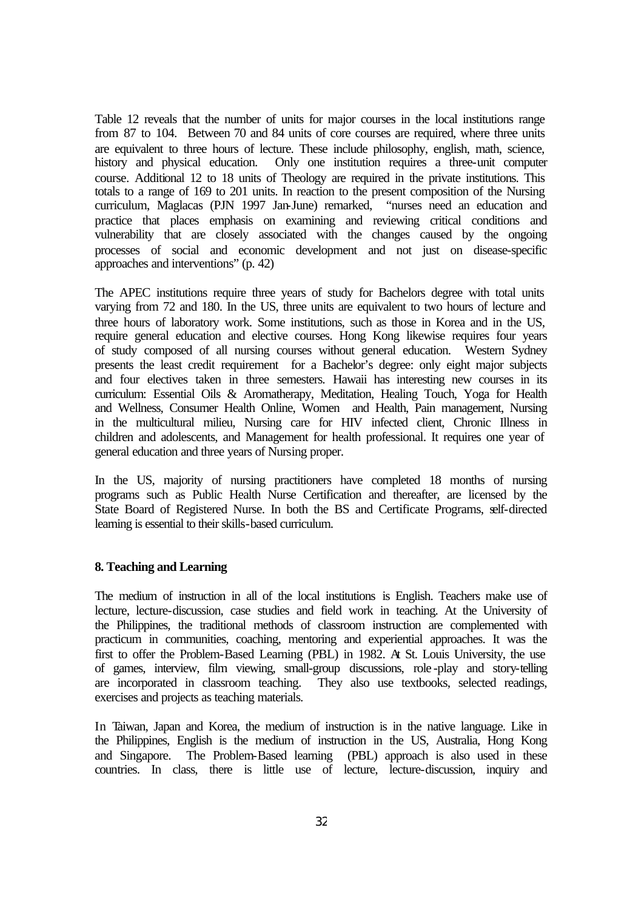Table 12 reveals that the number of units for major courses in the local institutions range from 87 to 104. Between 70 and 84 units of core courses are required, where three units are equivalent to three hours of lecture. These include philosophy, english, math, science, history and physical education. Only one institution requires a three-unit computer course. Additional 12 to 18 units of Theology are required in the private institutions. This totals to a range of 169 to 201 units. In reaction to the present composition of the Nursing curriculum, Maglacas (PJN 1997 Jan-June) remarked, "nurses need an education and practice that places emphasis on examining and reviewing critical conditions and vulnerability that are closely associated with the changes caused by the ongoing processes of social and economic development and not just on disease-specific approaches and interventions" (p. 42)

The APEC institutions require three years of study for Bachelors degree with total units varying from 72 and 180. In the US, three units are equivalent to two hours of lecture and three hours of laboratory work. Some institutions, such as those in Korea and in the US, require general education and elective courses. Hong Kong likewise requires four years of study composed of all nursing courses without general education. Western Sydney presents the least credit requirement for a Bachelor's degree: only eight major subjects and four electives taken in three semesters. Hawaii has interesting new courses in its curriculum: Essential Oils & Aromatherapy, Meditation, Healing Touch, Yoga for Health and Wellness, Consumer Health Online, Women and Health, Pain management, Nursing in the multicultural milieu, Nursing care for HIV infected client, Chronic Illness in children and adolescents, and Management for health professional. It requires one year of general education and three years of Nursing proper.

In the US, majority of nursing practitioners have completed 18 months of nursing programs such as Public Health Nurse Certification and thereafter, are licensed by the State Board of Registered Nurse. In both the BS and Certificate Programs, self-directed learning is essential to their skills-based curriculum.

#### **8. Teaching and Learning**

The medium of instruction in all of the local institutions is English. Teachers make use of lecture, lecture-discussion, case studies and field work in teaching. At the University of the Philippines, the traditional methods of classroom instruction are complemented with practicum in communities, coaching, mentoring and experiential approaches. It was the first to offer the Problem-Based Learning (PBL) in 1982. At St. Louis University, the use of games, interview, film viewing, small-group discussions, role -play and story-telling are incorporated in classroom teaching. They also use textbooks, selected readings, exercises and projects as teaching materials.

In Taiwan, Japan and Korea, the medium of instruction is in the native language. Like in the Philippines, English is the medium of instruction in the US, Australia, Hong Kong and Singapore. The Problem-Based learning (PBL) approach is also used in these countries. In class, there is little use of lecture, lecture-discussion, inquiry and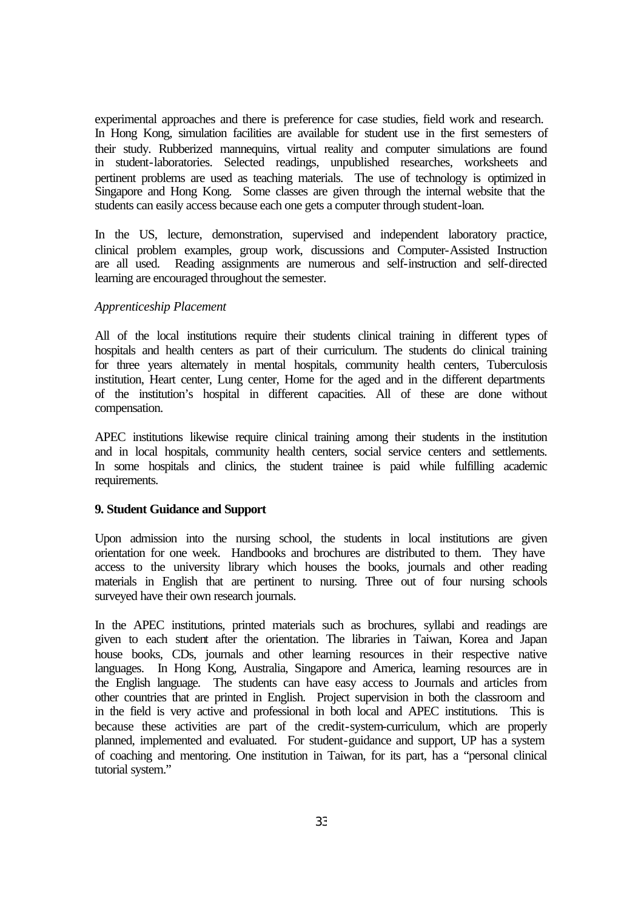experimental approaches and there is preference for case studies, field work and research. In Hong Kong, simulation facilities are available for student use in the first semesters of their study. Rubberized mannequins, virtual reality and computer simulations are found in student-laboratories. Selected readings, unpublished researches, worksheets and pertinent problems are used as teaching materials. The use of technology is optimized in Singapore and Hong Kong. Some classes are given through the internal website that the students can easily access because each one gets a computer through student-loan.

In the US, lecture, demonstration, supervised and independent laboratory practice, clinical problem examples, group work, discussions and Computer-Assisted Instruction are all used. Reading assignments are numerous and self-instruction and self-directed learning are encouraged throughout the semester.

#### *Apprenticeship Placement*

All of the local institutions require their students clinical training in different types of hospitals and health centers as part of their curriculum. The students do clinical training for three years alternately in mental hospitals, community health centers, Tuberculosis institution, Heart center, Lung center, Home for the aged and in the different departments of the institution's hospital in different capacities. All of these are done without compensation.

APEC institutions likewise require clinical training among their students in the institution and in local hospitals, community health centers, social service centers and settlements. In some hospitals and clinics, the student trainee is paid while fulfilling academic requirements.

#### **9. Student Guidance and Support**

Upon admission into the nursing school, the students in local institutions are given orientation for one week. Handbooks and brochures are distributed to them. They have access to the university library which houses the books, journals and other reading materials in English that are pertinent to nursing. Three out of four nursing schools surveyed have their own research journals.

In the APEC institutions, printed materials such as brochures, syllabi and readings are given to each student after the orientation. The libraries in Taiwan, Korea and Japan house books, CDs, journals and other learning resources in their respective native languages. In Hong Kong, Australia, Singapore and America, learning resources are in the English language. The students can have easy access to Journals and articles from other countries that are printed in English. Project supervision in both the classroom and in the field is very active and professional in both local and APEC institutions. This is because these activities are part of the credit-system-curriculum, which are properly planned, implemented and evaluated. For student-guidance and support, UP has a system of coaching and mentoring. One institution in Taiwan, for its part, has a "personal clinical tutorial system."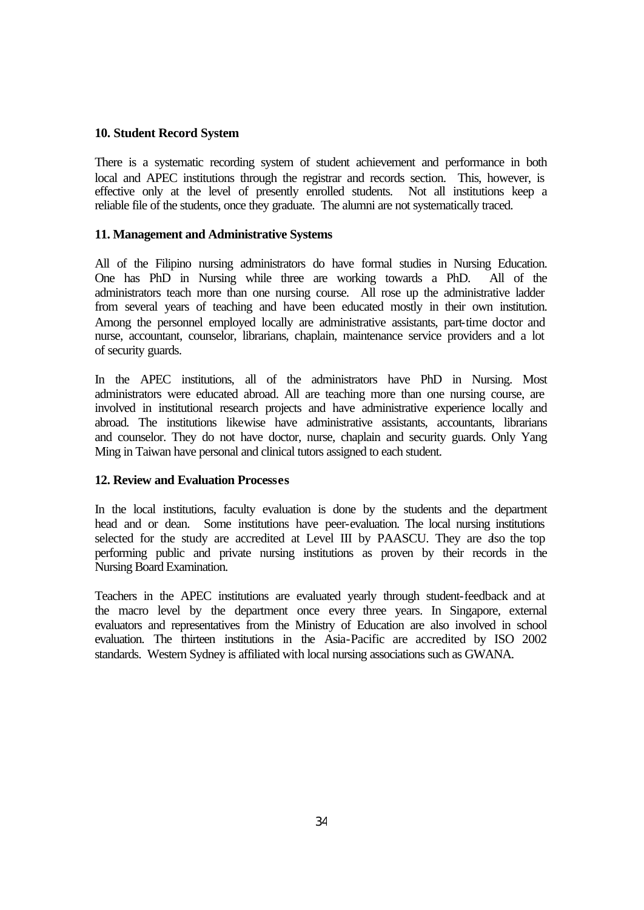## **10. Student Record System**

There is a systematic recording system of student achievement and performance in both local and APEC institutions through the registrar and records section. This, however, is effective only at the level of presently enrolled students. Not all institutions keep a reliable file of the students, once they graduate. The alumni are not systematically traced.

# **11. Management and Administrative Systems**

All of the Filipino nursing administrators do have formal studies in Nursing Education. One has PhD in Nursing while three are working towards a PhD. All of the administrators teach more than one nursing course. All rose up the administrative ladder from several years of teaching and have been educated mostly in their own institution. Among the personnel employed locally are administrative assistants, part-time doctor and nurse, accountant, counselor, librarians, chaplain, maintenance service providers and a lot of security guards.

In the APEC institutions, all of the administrators have PhD in Nursing. Most administrators were educated abroad. All are teaching more than one nursing course, are involved in institutional research projects and have administrative experience locally and abroad. The institutions likewise have administrative assistants, accountants, librarians and counselor. They do not have doctor, nurse, chaplain and security guards. Only Yang Ming in Taiwan have personal and clinical tutors assigned to each student.

# **12. Review and Evaluation Processes**

In the local institutions, faculty evaluation is done by the students and the department head and or dean. Some institutions have peer-evaluation. The local nursing institutions selected for the study are accredited at Level III by PAASCU. They are also the top performing public and private nursing institutions as proven by their records in the Nursing Board Examination.

Teachers in the APEC institutions are evaluated yearly through student-feedback and at the macro level by the department once every three years. In Singapore, external evaluators and representatives from the Ministry of Education are also involved in school evaluation. The thirteen institutions in the Asia-Pacific are accredited by ISO 2002 standards. Western Sydney is affiliated with local nursing associations such as GWANA.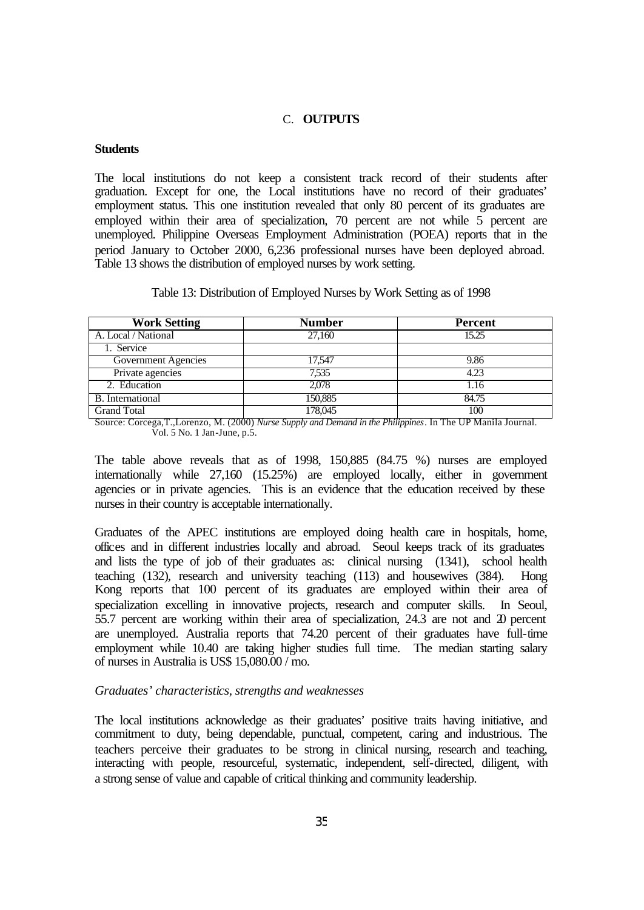#### C. **OUTPUTS**

#### **Students**

The local institutions do not keep a consistent track record of their students after graduation. Except for one, the Local institutions have no record of their graduates' employment status. This one institution revealed that only 80 percent of its graduates are employed within their area of specialization, 70 percent are not while 5 percent are unemployed. Philippine Overseas Employment Administration (POEA) reports that in the period January to October 2000, 6,236 professional nurses have been deployed abroad. Table 13 shows the distribution of employed nurses by work setting.

| Table 13: Distribution of Employed Nurses by Work Setting as of 1998 |  |  |
|----------------------------------------------------------------------|--|--|
|                                                                      |  |  |

| <b>Work Setting</b>     | <b>Number</b> | <b>Percent</b> |
|-------------------------|---------------|----------------|
| A. Local / National     | 27,160        | 15.25          |
| 1. Service              |               |                |
| Government Agencies     | 17,547        | 9.86           |
| Private agencies        | 7,535         | 4.23           |
| 2. Education            | 2,078         | 1.16           |
| <b>B.</b> International | 150,885       | 84.75          |
| <b>Grand Total</b>      | 178,045       | 100            |

Source: Corcega,T.,Lorenzo, M. (2000) *Nurse Supply and Demand in the Philippines*. In The UP Manila Journal. Vol. 5 No. 1 Jan-June, p.5.

The table above reveals that as of 1998, 150,885 (84.75 %) nurses are employed internationally while 27,160 (15.25%) are employed locally, either in government agencies or in private agencies. This is an evidence that the education received by these nurses in their country is acceptable internationally.

Graduates of the APEC institutions are employed doing health care in hospitals, home, offices and in different industries locally and abroad. Seoul keeps track of its graduates and lists the type of job of their graduates as: clinical nursing (1341), school health teaching (132), research and university teaching (113) and housewives (384). Hong Kong reports that 100 percent of its graduates are employed within their area of specialization excelling in innovative projects, research and computer skills. In Seoul, 55.7 percent are working within their area of specialization, 24.3 are not and 20 percent are unemployed. Australia reports that 74.20 percent of their graduates have full-time employment while 10.40 are taking higher studies full time. The median starting salary of nurses in Australia is US\$ 15,080.00 / mo.

#### *Graduates' characteristics, strengths and weaknesses*

The local institutions acknowledge as their graduates' positive traits having initiative, and commitment to duty, being dependable, punctual, competent, caring and industrious. The teachers perceive their graduates to be strong in clinical nursing, research and teaching, interacting with people, resourceful, systematic, independent, self-directed, diligent, with a strong sense of value and capable of critical thinking and community leadership.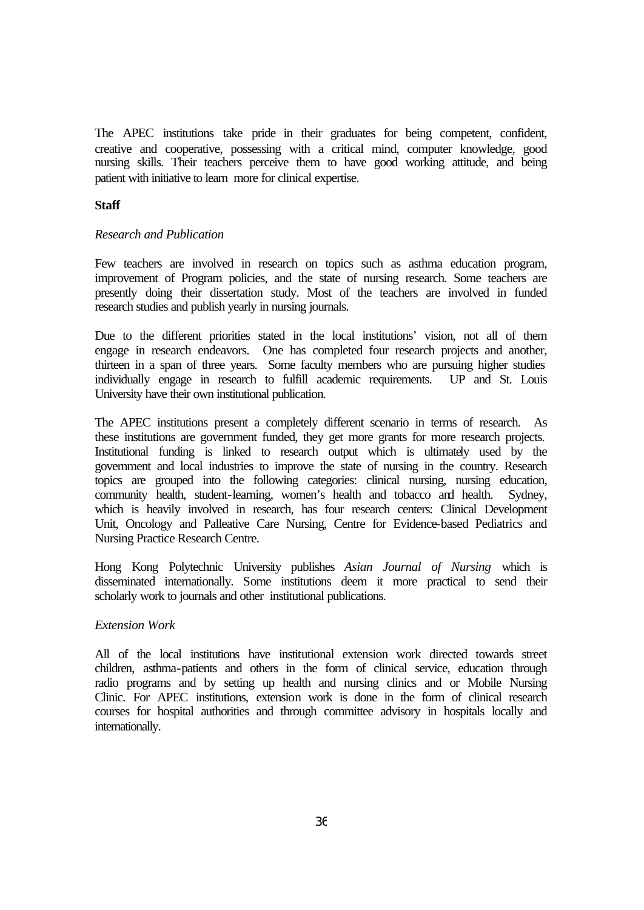The APEC institutions take pride in their graduates for being competent, confident, creative and cooperative, possessing with a critical mind, computer knowledge, good nursing skills. Their teachers perceive them to have good working attitude, and being patient with initiative to learn more for clinical expertise.

#### **Staff**

#### *Research and Publication*

Few teachers are involved in research on topics such as asthma education program, improvement of Program policies, and the state of nursing research. Some teachers are presently doing their dissertation study. Most of the teachers are involved in funded research studies and publish yearly in nursing journals.

Due to the different priorities stated in the local institutions' vision, not all of them engage in research endeavors. One has completed four research projects and another, thirteen in a span of three years. Some faculty members who are pursuing higher studies individually engage in research to fulfill academic requirements. UP and St. Louis University have their own institutional publication.

The APEC institutions present a completely different scenario in terms of research. As these institutions are government funded, they get more grants for more research projects. Institutional funding is linked to research output which is ultimately used by the government and local industries to improve the state of nursing in the country. Research topics are grouped into the following categories: clinical nursing, nursing education, community health, student-learning, women's health and tobacco and health. Sydney, which is heavily involved in research, has four research centers: Clinical Development Unit, Oncology and Palleative Care Nursing, Centre for Evidence-based Pediatrics and Nursing Practice Research Centre.

Hong Kong Polytechnic University publishes *Asian Journal of Nursing* which is disseminated internationally. Some institutions deem it more practical to send their scholarly work to journals and other institutional publications.

#### *Extension Work*

All of the local institutions have institutional extension work directed towards street children, asthma-patients and others in the form of clinical service, education through radio programs and by setting up health and nursing clinics and or Mobile Nursing Clinic. For APEC institutions, extension work is done in the form of clinical research courses for hospital authorities and through committee advisory in hospitals locally and internationally.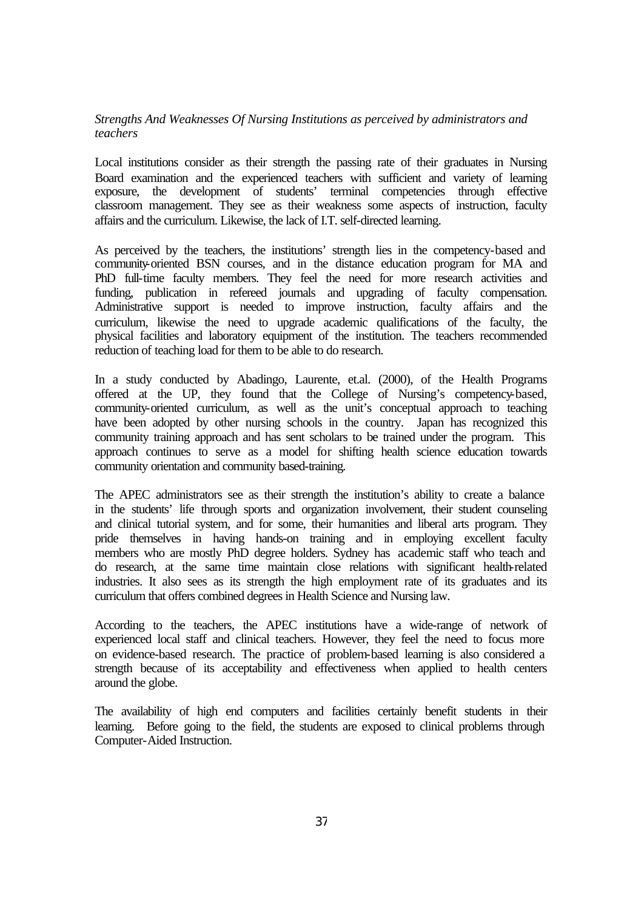#### *Strengths And Weaknesses Of Nursing Institutions as perceived by administrators and teachers*

Local institutions consider as their strength the passing rate of their graduates in Nursing Board examination and the experienced teachers with sufficient and variety of learning exposure, the development of students' terminal competencies through effective classroom management. They see as their weakness some aspects of instruction, faculty affairs and the curriculum. Likewise, the lack of I.T. self-directed learning.

As perceived by the teachers, the institutions' strength lies in the competency-based and community-oriented BSN courses, and in the distance education program for MA and PhD full-time faculty members. They feel the need for more research activities and funding, publication in refereed journals and upgrading of faculty compensation. Administrative support is needed to improve instruction, faculty affairs and the curriculum, likewise the need to upgrade academic qualifications of the faculty, the physical facilities and laboratory equipment of the institution. The teachers recommended reduction of teaching load for them to be able to do research.

In a study conducted by Abadingo, Laurente, et.al. (2000), of the Health Programs offered at the UP, they found that the College of Nursing's competency-based, community-oriented curriculum, as well as the unit's conceptual approach to teaching have been adopted by other nursing schools in the country. Japan has recognized this community training approach and has sent scholars to be trained under the program. This approach continues to serve as a model for shifting health science education towards community orientation and community based-training.

The APEC administrators see as their strength the institution's ability to create a balance in the students' life through sports and organization involvement, their student counseling and clinical tutorial system, and for some, their humanities and liberal arts program. They pride themselves in having hands-on training and in employing excellent faculty members who are mostly PhD degree holders. Sydney has academic staff who teach and do research, at the same time maintain close relations with significant health-related industries. It also sees as its strength the high employment rate of its graduates and its curriculum that offers combined degrees in Health Science and Nursing law.

According to the teachers, the APEC institutions have a wide-range of network of experienced local staff and clinical teachers. However, they feel the need to focus more on evidence-based research. The practice of problem-based learning is also considered a strength because of its acceptability and effectiveness when applied to health centers around the globe.

The availability of high end computers and facilities certainly benefit students in their learning. Before going to the field, the students are exposed to clinical problems through Computer-Aided Instruction.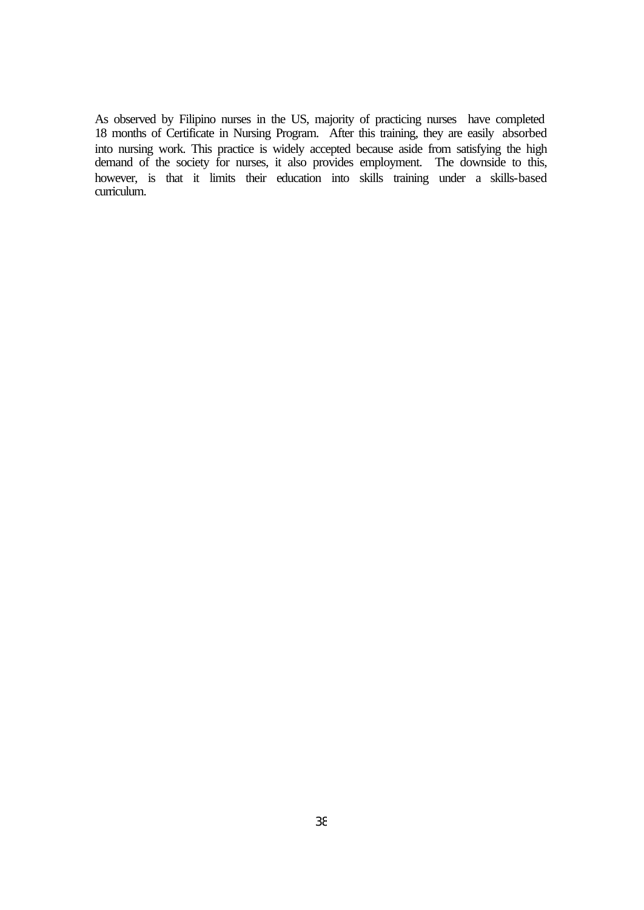As observed by Filipino nurses in the US, majority of practicing nurses have completed 18 months of Certificate in Nursing Program. After this training, they are easily absorbed into nursing work. This practice is widely accepted because aside from satisfying the high demand of the society for nurses, it also provides employment. The downside to this, however, is that it limits their education into skills training under a skills-based curriculum.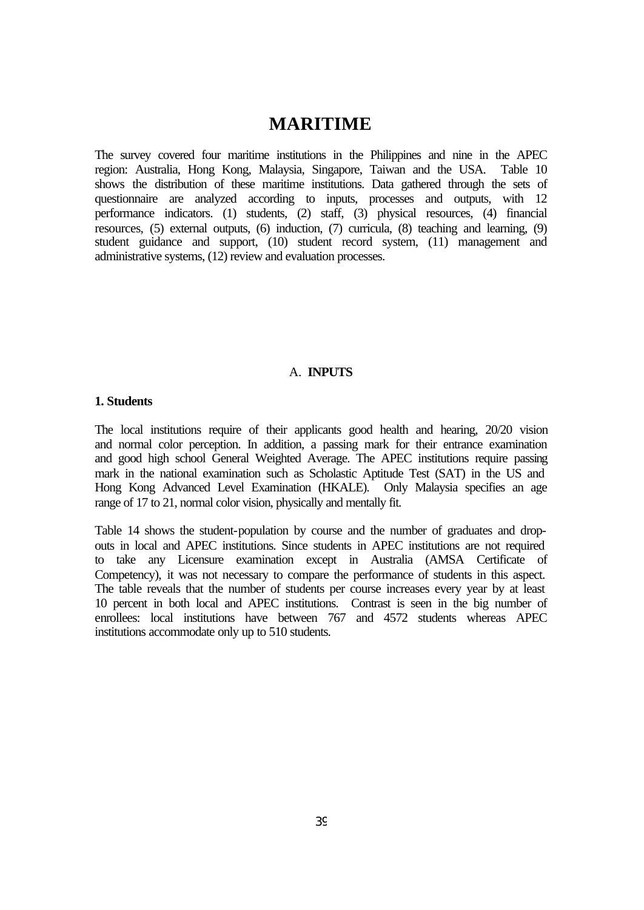## **MARITIME**

The survey covered four maritime institutions in the Philippines and nine in the APEC region: Australia, Hong Kong, Malaysia, Singapore, Taiwan and the USA. Table 10 shows the distribution of these maritime institutions. Data gathered through the sets of questionnaire are analyzed according to inputs, processes and outputs, with 12 performance indicators. (1) students, (2) staff, (3) physical resources, (4) financial resources, (5) external outputs, (6) induction, (7) curricula, (8) teaching and learning, (9) student guidance and support, (10) student record system, (11) management and administrative systems, (12) review and evaluation processes.

#### A. **INPUTS**

#### **1. Students**

The local institutions require of their applicants good health and hearing, 20/20 vision and normal color perception. In addition, a passing mark for their entrance examination and good high school General Weighted Average. The APEC institutions require passing mark in the national examination such as Scholastic Aptitude Test (SAT) in the US and Hong Kong Advanced Level Examination (HKALE). Only Malaysia specifies an age range of 17 to 21, normal color vision, physically and mentally fit.

Table 14 shows the student-population by course and the number of graduates and dropouts in local and APEC institutions. Since students in APEC institutions are not required to take any Licensure examination except in Australia (AMSA Certificate of Competency), it was not necessary to compare the performance of students in this aspect. The table reveals that the number of students per course increases every year by at least 10 percent in both local and APEC institutions. Contrast is seen in the big number of enrollees: local institutions have between 767 and 4572 students whereas APEC institutions accommodate only up to 510 students.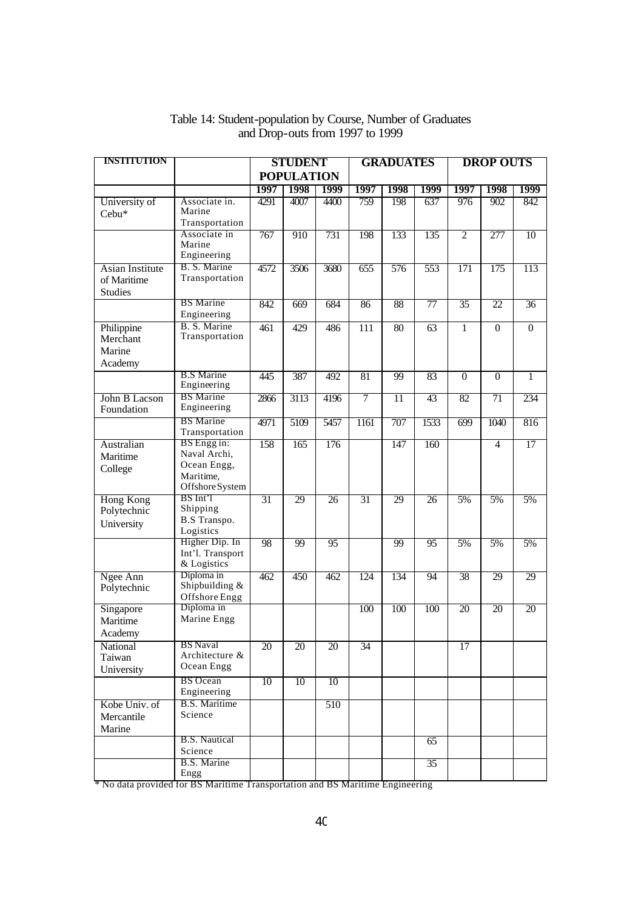| <b>INSTITUTION</b>                                      |                                                                            | <b>STUDENT</b>  |                   | <b>GRADUATES</b> |                  | <b>DROP OUTS</b> |                 |                 |                 |                 |
|---------------------------------------------------------|----------------------------------------------------------------------------|-----------------|-------------------|------------------|------------------|------------------|-----------------|-----------------|-----------------|-----------------|
|                                                         |                                                                            |                 | <b>POPULATION</b> |                  |                  |                  |                 |                 |                 |                 |
|                                                         |                                                                            | 1997            | 1998              | 1999             | 1997             | 1998             | 1999            | 1997            | 1998            | 1999            |
| University of<br>Cebu*                                  | Associate in.<br>Marine<br>Transportation                                  | 4291            | 4007              | 4400             | 759              | 198              | 637             | 976             | 902             | 842             |
|                                                         | Associate in<br>Marine<br>Engineering                                      | 767             | 910               | 731              | 198              | 133              | 135             | $\overline{2}$  | 277             | 10              |
| <b>Asian Institute</b><br>of Maritime<br><b>Studies</b> | B. S. Marine<br>Transportation                                             | 4572            | 3506              | 3680             | 655              | 576              | 553             | 171             | 175             | 113             |
|                                                         | <b>BS</b> Marine<br>Engineering                                            | 842             | 669               | 684              | 86               | 88               | $\overline{77}$ | $\overline{35}$ | 22              | $\overline{36}$ |
| Philippine<br>Merchant<br>Marine<br>Academy             | B. S. Marine<br>Transportation                                             | 461             | 429               | 486              | $\overline{111}$ | 80               | 63              | $\overline{1}$  | $\mathbf{0}$    | $\overline{0}$  |
|                                                         | <b>B.S</b> Marine<br>Engineering                                           | 445             | 387               | 492              | 81               | 99               | 83              | $\overline{0}$  | $\overline{0}$  | 1               |
| John B Lacson<br>Foundation                             | <b>BS</b> Marine<br>Engineering                                            | 2866            | 3113              | 4196             | $\overline{7}$   | $\overline{11}$  | 43              | 82              | 71              | 234             |
|                                                         | <b>BS</b> Marine<br>Transportation                                         | 4971            | 5109              | 5457             | 1161             | 707              | 1533            | 699             | 1040            | 816             |
| Australian<br>Maritime<br>College                       | BS Engg in:<br>Naval Archi,<br>Ocean Engg,<br>Maritime,<br>Offshore System | 158             | 165               | 176              |                  | 147              | 160             |                 | 4               | 17              |
| <b>Hong Kong</b><br>Polytechnic<br>University           | BS Int'l<br>Shipping<br><b>B.S</b> Transpo.<br>Logistics                   | $\overline{31}$ | 29                | $\overline{26}$  | 31               | 29               | $\overline{26}$ | 5%              | 5%              | 5%              |
|                                                         | Higher Dip. In<br>Int'l. Transport<br>& Logistics                          | 98              | 99                | 95               |                  | 99               | 95              | 5%              | 5%              | 5%              |
| Ngee Ann<br>Polytechnic                                 | Diploma in<br>Shipbuilding $&$<br>Offshore Engg                            | 462             | 450               | 462              | 124              | 134              | 94              | 38              | 29              | 29              |
| Singapore<br>Maritime<br>Academy                        | Diploma in<br>Marine Engg                                                  |                 |                   |                  | 100              | 100              | 100             | 20              | $\overline{20}$ | 20              |
| National<br>Taiwan<br>University                        | <b>BS</b> Naval<br>Architecture &<br>Ocean Engg                            | 20              | 20                | 20               | 34               |                  |                 | 17              |                 |                 |
|                                                         | <b>BS</b> Ocean<br>Engineering                                             | 10              | 10                | 10               |                  |                  |                 |                 |                 |                 |
| Kobe Univ. of<br>Mercantile<br>Marine                   | <b>B.S.</b> Maritime<br>Science                                            |                 |                   | 510              |                  |                  |                 |                 |                 |                 |
|                                                         | <b>B.S. Nautical</b><br>Science                                            |                 |                   |                  |                  |                  | 65              |                 |                 |                 |
|                                                         | B.S. Marine<br>Engg                                                        |                 |                   |                  |                  |                  | $\overline{35}$ |                 |                 |                 |

#### Table 14: Student-population by Course, Number of Graduates and Drop-outs from 1997 to 1999

\* No data provided for BS Maritime Transportation and BS Maritime Engineering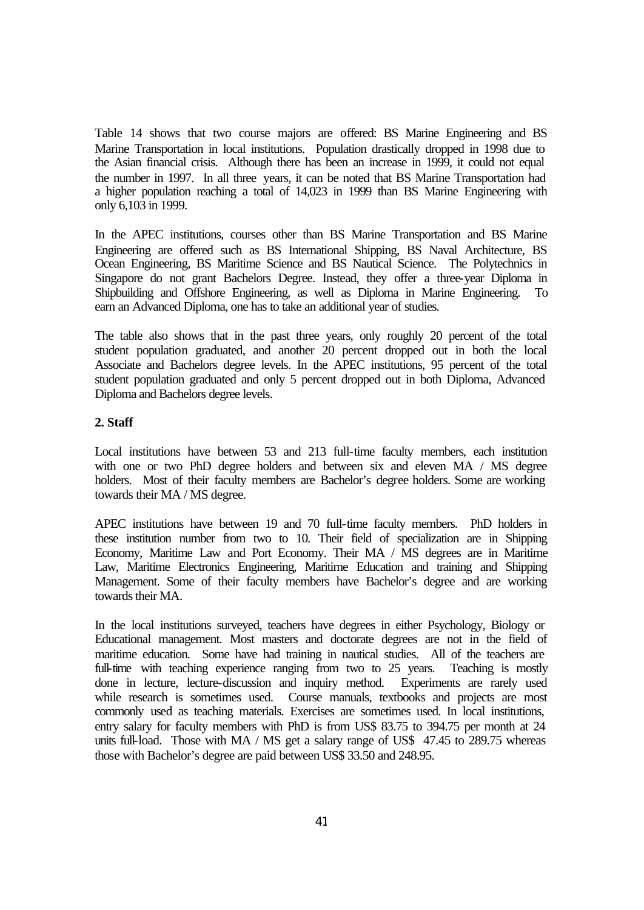Table 14 shows that two course majors are offered: BS Marine Engineering and BS Marine Transportation in local institutions. Population drastically dropped in 1998 due to the Asian financial crisis. Although there has been an increase in 1999, it could not equal the number in 1997. In all three years, it can be noted that BS Marine Transportation had a higher population reaching a total of 14,023 in 1999 than BS Marine Engineering with only 6,103 in 1999.

In the APEC institutions, courses other than BS Marine Transportation and BS Marine Engineering are offered such as BS International Shipping, BS Naval Architecture, BS Ocean Engineering, BS Maritime Science and BS Nautical Science. The Polytechnics in Singapore do not grant Bachelors Degree. Instead, they offer a three-year Diploma in Shipbuilding and Offshore Engineering, as well as Diploma in Marine Engineering. To earn an Advanced Diploma, one has to take an additional year of studies.

The table also shows that in the past three years, only roughly 20 percent of the total student population graduated, and another 20 percent dropped out in both the local Associate and Bachelors degree levels. In the APEC institutions, 95 percent of the total student population graduated and only 5 percent dropped out in both Diploma, Advanced Diploma and Bachelors degree levels.

#### **2. Staff**

Local institutions have between 53 and 213 full-time faculty members, each institution with one or two PhD degree holders and between six and eleven MA / MS degree holders. Most of their faculty members are Bachelor's degree holders. Some are working towards their MA / MS degree.

APEC institutions have between 19 and 70 full-time faculty members. PhD holders in these institution number from two to 10. Their field of specialization are in Shipping Economy, Maritime Law and Port Economy. Their MA / MS degrees are in Maritime Law, Maritime Electronics Engineering, Maritime Education and training and Shipping Management. Some of their faculty members have Bachelor's degree and are working towards their MA.

In the local institutions surveyed, teachers have degrees in either Psychology, Biology or Educational management. Most masters and doctorate degrees are not in the field of maritime education. Some have had training in nautical studies. All of the teachers are full-time with teaching experience ranging from two to 25 years. Teaching is mostly done in lecture, lecture-discussion and inquiry method. Experiments are rarely used while research is sometimes used. Course manuals, textbooks and projects are most commonly used as teaching materials. Exercises are sometimes used. In local institutions, entry salary for faculty members with PhD is from US\$ 83.75 to 394.75 per month at 24 units full-load. Those with MA / MS get a salary range of US\$ 47.45 to 289.75 whereas those with Bachelor's degree are paid between US\$ 33.50 and 248.95.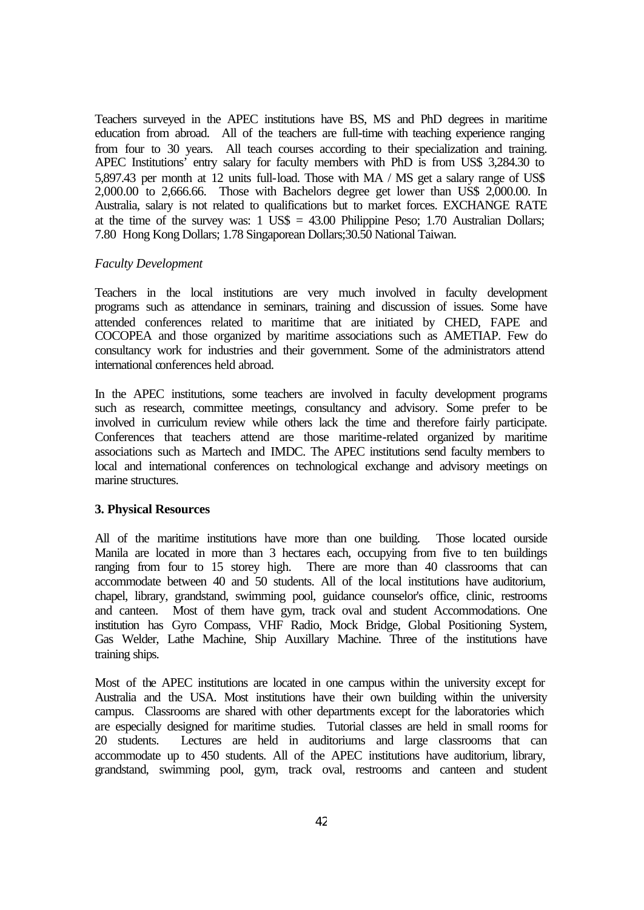Teachers surveyed in the APEC institutions have BS, MS and PhD degrees in maritime education from abroad. All of the teachers are full-time with teaching experience ranging from four to 30 years. All teach courses according to their specialization and training. APEC Institutions' entry salary for faculty members with PhD is from US\$ 3,284.30 to 5,897.43 per month at 12 units full-load. Those with MA / MS get a salary range of US\$ 2,000.00 to 2,666.66. Those with Bachelors degree get lower than US\$ 2,000.00. In Australia, salary is not related to qualifications but to market forces. EXCHANGE RATE at the time of the survey was:  $1 \text{ USS} = 43.00 \text{ Philipoine }$  Peso; 1.70 Australian Dollars; 7.80 Hong Kong Dollars; 1.78 Singaporean Dollars;30.50 National Taiwan.

#### *Faculty Development*

Teachers in the local institutions are very much involved in faculty development programs such as attendance in seminars, training and discussion of issues. Some have attended conferences related to maritime that are initiated by CHED, FAPE and COCOPEA and those organized by maritime associations such as AMETIAP. Few do consultancy work for industries and their government. Some of the administrators attend international conferences held abroad.

In the APEC institutions, some teachers are involved in faculty development programs such as research, committee meetings, consultancy and advisory. Some prefer to be involved in curriculum review while others lack the time and therefore fairly participate. Conferences that teachers attend are those maritime-related organized by maritime associations such as Martech and IMDC. The APEC institutions send faculty members to local and international conferences on technological exchange and advisory meetings on marine structures.

#### **3. Physical Resources**

All of the maritime institutions have more than one building. Those located ourside Manila are located in more than 3 hectares each, occupying from five to ten buildings ranging from four to 15 storey high. There are more than 40 classrooms that can accommodate between 40 and 50 students. All of the local institutions have auditorium, chapel, library, grandstand, swimming pool, guidance counselor's office, clinic, restrooms and canteen. Most of them have gym, track oval and student Accommodations. One institution has Gyro Compass, VHF Radio, Mock Bridge, Global Positioning System, Gas Welder, Lathe Machine, Ship Auxillary Machine. Three of the institutions have training ships.

Most of the APEC institutions are located in one campus within the university except for Australia and the USA. Most institutions have their own building within the university campus. Classrooms are shared with other departments except for the laboratories which are especially designed for maritime studies. Tutorial classes are held in small rooms for 20 students. Lectures are held in auditoriums and large classrooms that can accommodate up to 450 students. All of the APEC institutions have auditorium, library, grandstand, swimming pool, gym, track oval, restrooms and canteen and student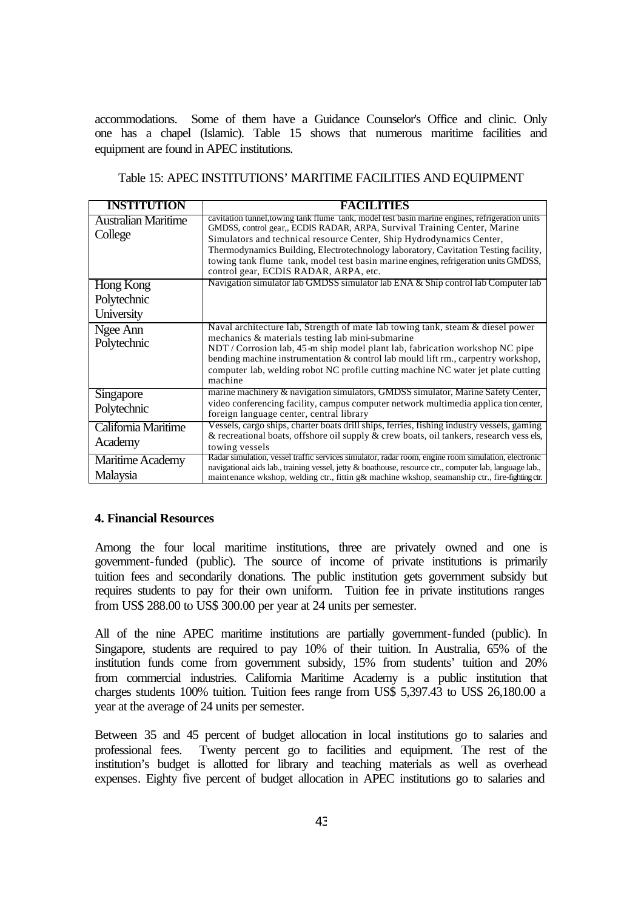accommodations. Some of them have a Guidance Counselor's Office and clinic. Only one has a chapel (Islamic). Table 15 shows that numerous maritime facilities and equipment are found in APEC institutions.

Table 15: APEC INSTITUTIONS' MARITIME FACILITIES AND EQUIPMENT

| <b>INSTITUTION</b>                     | <b>FACILITIES</b>                                                                                                                                                                                                                                                                                                                                                                                                                                                           |
|----------------------------------------|-----------------------------------------------------------------------------------------------------------------------------------------------------------------------------------------------------------------------------------------------------------------------------------------------------------------------------------------------------------------------------------------------------------------------------------------------------------------------------|
| <b>Australian Maritime</b><br>College  | cavitation tunnel, towing tank flume tank, model test basin marine engines, refrigeration units<br>GMDSS, control gear,, ECDIS RADAR, ARPA, Survival Training Center, Marine<br>Simulators and technical resource Center, Ship Hydrodynamics Center,<br>Thermodynamics Building, Electrotechnology laboratory, Cavitation Testing facility,<br>towing tank flume tank, model test basin marine engines, refrigeration units GMDSS,<br>control gear, ECDIS RADAR, ARPA, etc. |
| Hong Kong<br>Polytechnic<br>University | Navigation simulator lab GMDSS simulator lab ENA & Ship control lab Computer lab                                                                                                                                                                                                                                                                                                                                                                                            |
| Ngee Ann<br>Polytechnic                | Naval architecture lab, Strength of mate lab towing tank, steam & diesel power<br>mechanics & materials testing lab mini-submarine<br>NDT / Corrosion lab, 45-m ship model plant lab, fabrication workshop NC pipe<br>bending machine instrumentation & control lab mould lift rm., carpentry workshop,<br>computer lab, welding robot NC profile cutting machine NC water jet plate cutting<br>machine                                                                     |
| Singapore<br>Polytechnic               | marine machinery & navigation simulators, GMDSS simulator, Marine Safety Center,<br>video conferencing facility, campus computer network multimedia application center,<br>foreign language center, central library                                                                                                                                                                                                                                                         |
| California Maritime<br>Academy         | Vessels, cargo ships, charter boats drill ships, ferries, fishing industry vessels, gaming<br>& recreational boats, offshore oil supply & crew boats, oil tankers, research vess els,<br>towing vessels                                                                                                                                                                                                                                                                     |
| Maritime Academy<br>Malaysia           | Radar simulation, vessel traffic services simulator, radar room, engine room simulation, electronic<br>navigational aids lab., training vessel, jetty & boathouse, resource ctr., computer lab, language lab.,<br>maintenance wkshop, welding ctr., fittin g& machine wkshop, seamanship ctr., fire-fighting ctr.                                                                                                                                                           |

#### **4. Financial Resources**

Among the four local maritime institutions, three are privately owned and one is government-funded (public). The source of income of private institutions is primarily tuition fees and secondarily donations. The public institution gets government subsidy but requires students to pay for their own uniform. Tuition fee in private institutions ranges from US\$ 288.00 to US\$ 300.00 per year at 24 units per semester.

All of the nine APEC maritime institutions are partially government-funded (public). In Singapore, students are required to pay 10% of their tuition. In Australia, 65% of the institution funds come from government subsidy, 15% from students' tuition and 20% from commercial industries. California Maritime Academy is a public institution that charges students 100% tuition. Tuition fees range from US\$ 5,397.43 to US\$ 26,180.00 a year at the average of 24 units per semester.

Between 35 and 45 percent of budget allocation in local institutions go to salaries and professional fees. Twenty percent go to facilities and equipment. The rest of the institution's budget is allotted for library and teaching materials as well as overhead expenses. Eighty five percent of budget allocation in APEC institutions go to salaries and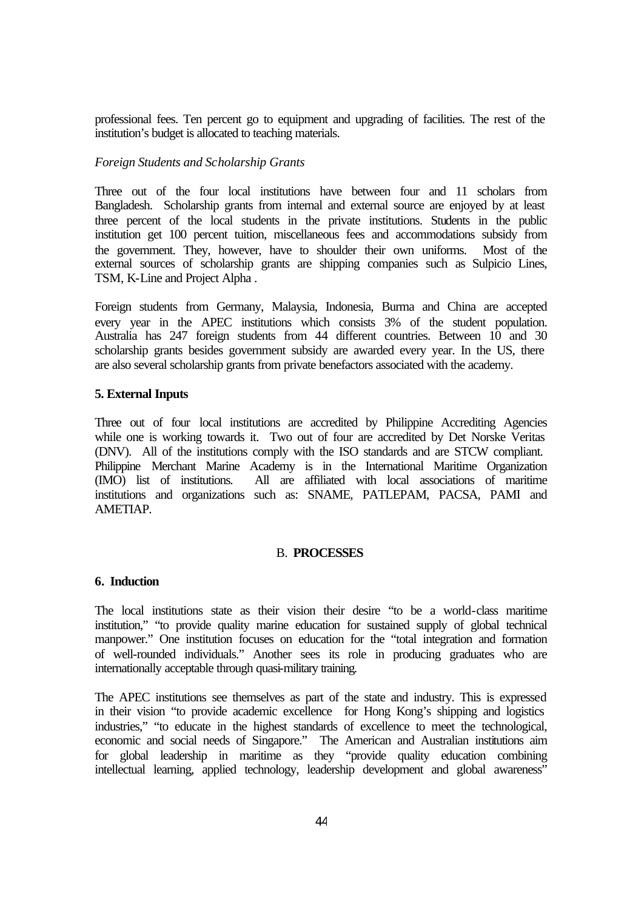professional fees. Ten percent go to equipment and upgrading of facilities. The rest of the institution's budget is allocated to teaching materials.

#### *Foreign Students and Scholarship Grants*

Three out of the four local institutions have between four and 11 scholars from Bangladesh. Scholarship grants from internal and external source are enjoyed by at least three percent of the local students in the private institutions. Students in the public institution get 100 percent tuition, miscellaneous fees and accommodations subsidy from the government. They, however, have to shoulder their own uniforms. Most of the external sources of scholarship grants are shipping companies such as Sulpicio Lines, TSM, K-Line and Project Alpha .

Foreign students from Germany, Malaysia, Indonesia, Burma and China are accepted every year in the APEC institutions which consists 3% of the student population. Australia has 247 foreign students from 44 different countries. Between 10 and 30 scholarship grants besides government subsidy are awarded every year. In the US, there are also several scholarship grants from private benefactors associated with the academy.

#### **5. External Inputs**

Three out of four local institutions are accredited by Philippine Accrediting Agencies while one is working towards it. Two out of four are accredited by Det Norske Veritas (DNV). All of the institutions comply with the ISO standards and are STCW compliant. Philippine Merchant Marine Academy is in the International Maritime Organization (IMO) list of institutions. All are affiliated with local associations of maritime All are affiliated with local associations of maritime institutions and organizations such as: SNAME, PATLEPAM, PACSA, PAMI and AMETIAP.

#### B. **PROCESSES**

#### **6. Induction**

The local institutions state as their vision their desire "to be a world-class maritime institution," "to provide quality marine education for sustained supply of global technical manpower." One institution focuses on education for the "total integration and formation of well-rounded individuals." Another sees its role in producing graduates who are internationally acceptable through quasi-military training.

The APEC institutions see themselves as part of the state and industry. This is expressed in their vision "to provide academic excellence for Hong Kong's shipping and logistics industries," "to educate in the highest standards of excellence to meet the technological, economic and social needs of Singapore." The American and Australian institutions aim for global leadership in maritime as they "provide quality education combining intellectual learning, applied technology, leadership development and global awareness"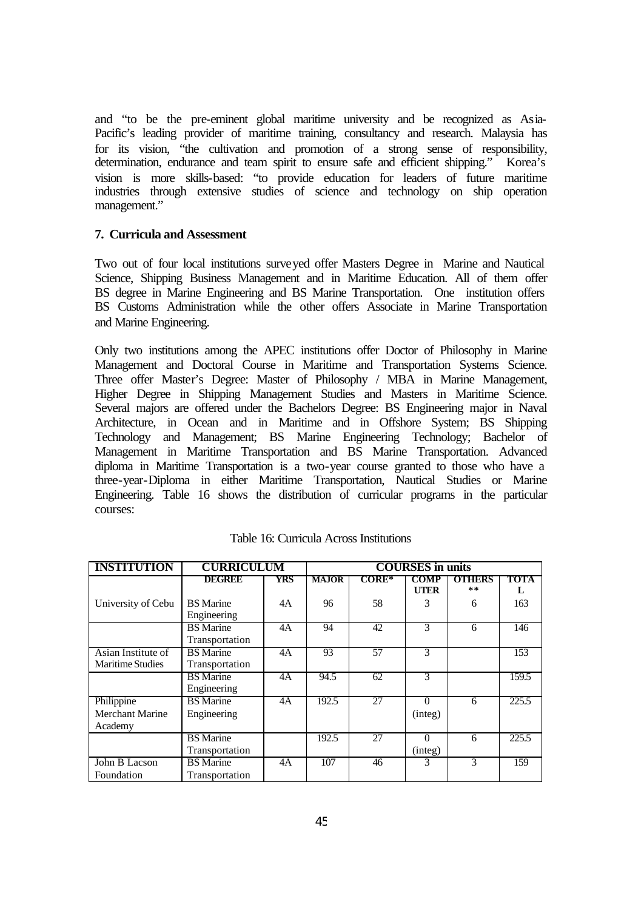and "to be the pre-eminent global maritime university and be recognized as Asia-Pacific's leading provider of maritime training, consultancy and research. Malaysia has for its vision, "the cultivation and promotion of a strong sense of responsibility, determination, endurance and team spirit to ensure safe and efficient shipping." Korea's vision is more skills-based: "to provide education for leaders of future maritime industries through extensive studies of science and technology on ship operation management."

#### **7. Curricula and Assessment**

Two out of four local institutions surveyed offer Masters Degree in Marine and Nautical Science, Shipping Business Management and in Maritime Education. All of them offer BS degree in Marine Engineering and BS Marine Transportation. One institution offers BS Customs Administration while the other offers Associate in Marine Transportation and Marine Engineering.

Only two institutions among the APEC institutions offer Doctor of Philosophy in Marine Management and Doctoral Course in Maritime and Transportation Systems Science. Three offer Master's Degree: Master of Philosophy / MBA in Marine Management, Higher Degree in Shipping Management Studies and Masters in Maritime Science. Several majors are offered under the Bachelors Degree: BS Engineering major in Naval Architecture, in Ocean and in Maritime and in Offshore System; BS Shipping Technology and Management; BS Marine Engineering Technology; Bachelor of Management in Maritime Transportation and BS Marine Transportation. Advanced diploma in Maritime Transportation is a two-year course granted to those who have a three-year-Diploma in either Maritime Transportation, Nautical Studies or Marine Engineering. Table 16 shows the distribution of curricular programs in the particular courses:

| <b>INSTITUTION</b>      | <b>CURRICULUM</b>             |     | <b>COURSES</b> in units |                 |             |                     |       |
|-------------------------|-------------------------------|-----|-------------------------|-----------------|-------------|---------------------|-------|
|                         | DECREE                        | YRS | <b>MAJOR</b>            | $CORE^*$        | COMP        | <b>OTHERS</b><br>** | TOTA  |
|                         |                               |     |                         |                 | <b>UTER</b> |                     | L     |
| University of Cebu      | <b>BS</b> Marine              | 4A  | 96                      | 58              |             | 6                   | 163   |
|                         | Engineering                   |     |                         |                 |             |                     |       |
|                         | <b>BS</b> Marine              | 4A  | 94                      | 42              | 3           | 6                   | 146   |
|                         | Transportation                |     |                         |                 |             |                     |       |
| Asian Institute of      | <b>BS</b> Marine              | 4A  | 93                      | 57              | 3           |                     | 153   |
| <b>Maritime Studies</b> | Transportation                |     |                         |                 |             |                     |       |
|                         | $\overline{\text{BS}}$ Marine | 4A  | 94.5                    | 62              | 3           |                     | 159.5 |
|                         | Engineering                   |     |                         |                 |             |                     |       |
| Philippine              | <b>BS</b> Marine              | 4A  | 192.5                   | 27              | $\Omega$    | 6                   | 225.5 |
| <b>Merchant Marine</b>  | Engineering                   |     |                         |                 | (integ)     |                     |       |
| Academy                 |                               |     |                         |                 |             |                     |       |
|                         | <b>BS</b> Marine              |     | 192.5                   | $\overline{27}$ | $\Omega$    | 6                   | 225.5 |
|                         | Transportation                |     |                         |                 | (integ)     |                     |       |
| John B Lacson           | <b>BS</b> Marine              | 4A  | 107                     | 46              | 3           | 3                   | 159   |
| Foundation              | Transportation                |     |                         |                 |             |                     |       |

| Table 16: Curricula Across Institutions |  |
|-----------------------------------------|--|
|-----------------------------------------|--|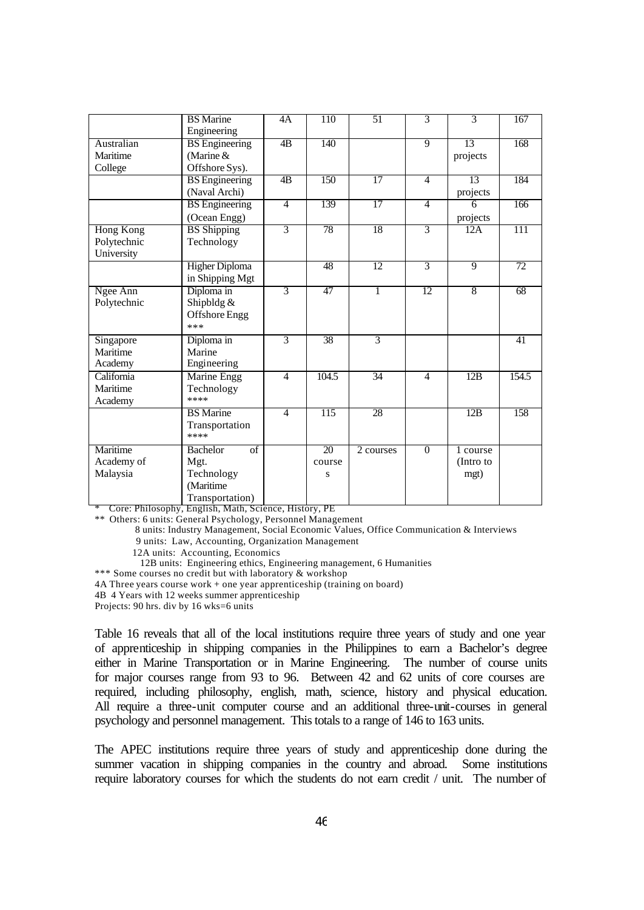|                                               | <b>BS</b> Marine<br>Engineering                                             | 4A             | 110                            | 51              | 3              | 3                             | 167             |
|-----------------------------------------------|-----------------------------------------------------------------------------|----------------|--------------------------------|-----------------|----------------|-------------------------------|-----------------|
| Australian<br>Maritime<br>College             | <b>BS</b> Engineering<br>(Marine &<br>Offshore Sys).                        | 4B             | 140                            |                 | $\overline{9}$ | 13<br>projects                | 168             |
|                                               | <b>BS</b> Engineering<br>(Naval Archi)                                      | 4B             | 150                            | 17              | $\overline{4}$ | 13<br>projects                | 184             |
|                                               | <b>BS</b> Engineering<br>(Ocean Engg)                                       | $\overline{4}$ | 139                            | 17              | $\overline{4}$ | 6<br>projects                 | 166             |
| <b>Hong Kong</b><br>Polytechnic<br>University | <b>BS</b> Shipping<br>Technology                                            | $\overline{3}$ | 78                             | 18              | $\overline{3}$ | 12A                           | 111             |
|                                               | Higher Diploma<br>in Shipping Mgt                                           |                | 48                             | $\overline{12}$ | $\overline{3}$ | $\overline{9}$                | $\overline{72}$ |
| Ngee Ann<br>Polytechnic                       | Diploma in<br>Shipbldg $&$<br>Offshore Engg<br>***                          | $\overline{3}$ | 47                             | $\overline{1}$  | 12             | $\sqrt{8}$                    | 68              |
| Singapore<br>Maritime<br>Academy              | Diploma in<br>Marine<br>Engineering                                         | 3              | 38                             | $\overline{3}$  |                |                               | 41              |
| California<br>Maritime<br>Academy             | Marine Engg<br>Technology<br>****                                           | $\overline{4}$ | 104.5                          | 34              | $\overline{4}$ | 12B                           | 154.5           |
|                                               | <b>BS</b> Marine<br>Transportation<br>****                                  | $\overline{4}$ | 115                            | 28              |                | 12B                           | 158             |
| Maritime<br>Academy of<br>Malaysia            | <b>Bachelor</b><br>of<br>Mgt.<br>Technology<br>(Maritime<br>Transportation) |                | $\overline{20}$<br>course<br>S | 2 courses       | $\Omega$       | 1 course<br>(Intro to<br>mgt) |                 |

\* Core: Philosophy, English, Math, Science, History, PE

\*\* Others: 6 units: General Psychology, Personnel Management

8 units: Industry Management, Social Economic Values, Office Communication & Interviews

9 units: Law, Accounting, Organization Management

12A units: Accounting, Economics

12B units: Engineering ethics, Engineering management, 6 Humanities

\*\*\* Some courses no credit but with laboratory & workshop

4A Three years course work + one year apprenticeship (training on board)

4B 4 Years with 12 weeks summer apprenticeship

Projects: 90 hrs. div by 16 wks=6 units

Table 16 reveals that all of the local institutions require three years of study and one year of apprenticeship in shipping companies in the Philippines to earn a Bachelor's degree either in Marine Transportation or in Marine Engineering. The number of course units for major courses range from 93 to 96. Between 42 and 62 units of core courses are required, including philosophy, english, math, science, history and physical education. All require a three-unit computer course and an additional three-unit-courses in general psychology and personnel management. This totals to a range of 146 to 163 units.

The APEC institutions require three years of study and apprenticeship done during the summer vacation in shipping companies in the country and abroad. Some institutions require laboratory courses for which the students do not earn credit / unit. The number of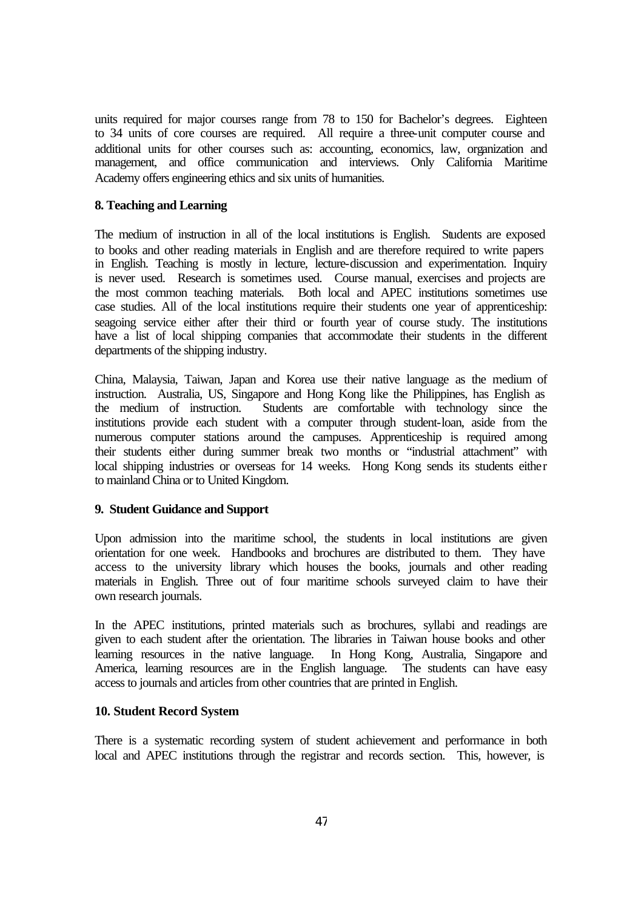units required for major courses range from 78 to 150 for Bachelor's degrees. Eighteen to 34 units of core courses are required. All require a three-unit computer course and additional units for other courses such as: accounting, economics, law, organization and management, and office communication and interviews. Only California Maritime Academy offers engineering ethics and six units of humanities.

#### **8. Teaching and Learning**

The medium of instruction in all of the local institutions is English. Students are exposed to books and other reading materials in English and are therefore required to write papers in English. Teaching is mostly in lecture, lecture-discussion and experimentation. Inquiry is never used. Research is sometimes used. Course manual, exercises and projects are the most common teaching materials. Both local and APEC institutions sometimes use case studies. All of the local institutions require their students one year of apprenticeship: seagoing service either after their third or fourth year of course study. The institutions have a list of local shipping companies that accommodate their students in the different departments of the shipping industry.

China, Malaysia, Taiwan, Japan and Korea use their native language as the medium of instruction. Australia, US, Singapore and Hong Kong like the Philippines, has English as Students are comfortable with technology since the institutions provide each student with a computer through student-loan, aside from the numerous computer stations around the campuses. Apprenticeship is required among their students either during summer break two months or "industrial attachment" with local shipping industries or overseas for 14 weeks. Hong Kong sends its students either to mainland China or to United Kingdom.

#### **9. Student Guidance and Support**

Upon admission into the maritime school, the students in local institutions are given orientation for one week. Handbooks and brochures are distributed to them. They have access to the university library which houses the books, journals and other reading materials in English. Three out of four maritime schools surveyed claim to have their own research journals.

In the APEC institutions, printed materials such as brochures, syllabi and readings are given to each student after the orientation. The libraries in Taiwan house books and other learning resources in the native language. In Hong Kong, Australia, Singapore and America, learning resources are in the English language. The students can have easy access to journals and articles from other countries that are printed in English.

#### **10. Student Record System**

There is a systematic recording system of student achievement and performance in both local and APEC institutions through the registrar and records section. This, however, is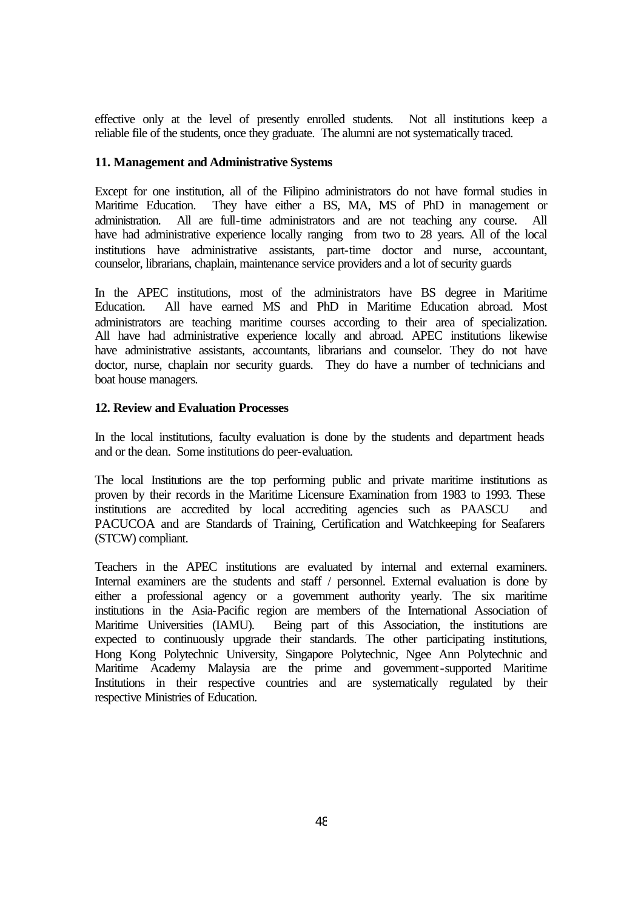effective only at the level of presently enrolled students. Not all institutions keep a reliable file of the students, once they graduate. The alumni are not systematically traced.

#### **11. Management and Administrative Systems**

Except for one institution, all of the Filipino administrators do not have formal studies in Maritime Education. They have either a BS, MA, MS of PhD in management or administration. All are full-time administrators and are not teaching any course. All have had administrative experience locally ranging from two to 28 years. All of the local institutions have administrative assistants, part-time doctor and nurse, accountant, counselor, librarians, chaplain, maintenance service providers and a lot of security guards

In the APEC institutions, most of the administrators have BS degree in Maritime Education. All have earned MS and PhD in Maritime Education abroad. Most administrators are teaching maritime courses according to their area of specialization. All have had administrative experience locally and abroad. APEC institutions likewise have administrative assistants, accountants, librarians and counselor. They do not have doctor, nurse, chaplain nor security guards. They do have a number of technicians and boat house managers.

#### **12. Review and Evaluation Processes**

In the local institutions, faculty evaluation is done by the students and department heads and or the dean. Some institutions do peer-evaluation.

The local Institutions are the top performing public and private maritime institutions as proven by their records in the Maritime Licensure Examination from 1983 to 1993. These institutions are accredited by local accrediting agencies such as PAASCU and PACUCOA and are Standards of Training, Certification and Watchkeeping for Seafarers (STCW) compliant.

Teachers in the APEC institutions are evaluated by internal and external examiners. Internal examiners are the students and staff / personnel. External evaluation is done by either a professional agency or a government authority yearly. The six maritime institutions in the Asia-Pacific region are members of the International Association of Being part of this Association, the institutions are expected to continuously upgrade their standards. The other participating institutions, Hong Kong Polytechnic University, Singapore Polytechnic, Ngee Ann Polytechnic and Maritime Academy Malaysia are the prime and government-supported Maritime Institutions in their respective countries and are systematically regulated by their respective Ministries of Education.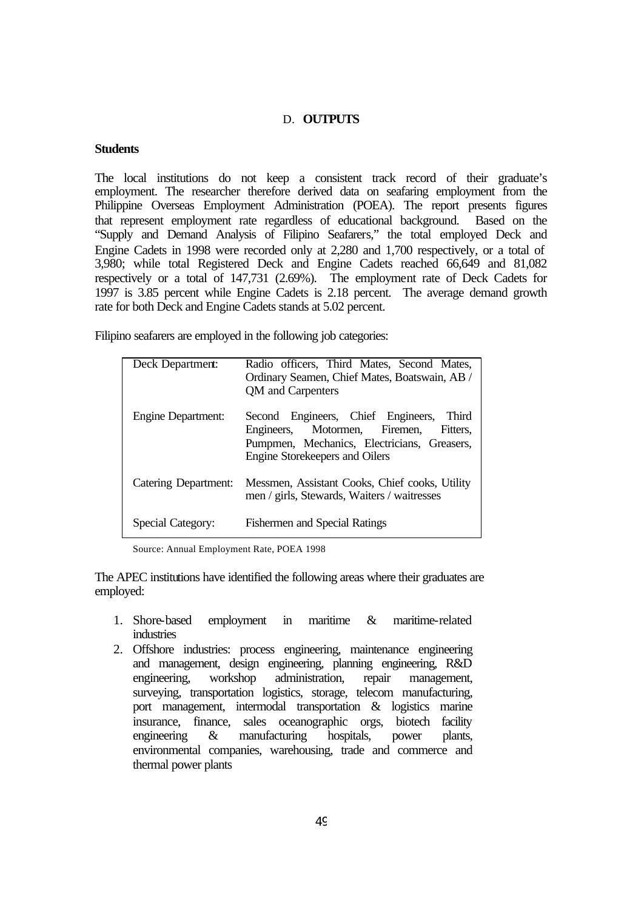#### D. **OUTPUTS**

#### **Students**

The local institutions do not keep a consistent track record of their graduate's employment. The researcher therefore derived data on seafaring employment from the Philippine Overseas Employment Administration (POEA). The report presents figures that represent employment rate regardless of educational background. Based on the "Supply and Demand Analysis of Filipino Seafarers," the total employed Deck and Engine Cadets in 1998 were recorded only at 2,280 and 1,700 respectively, or a total of 3,980; while total Registered Deck and Engine Cadets reached 66,649 and 81,082 respectively or a total of 147,731 (2.69%). The employment rate of Deck Cadets for 1997 is 3.85 percent while Engine Cadets is 2.18 percent. The average demand growth rate for both Deck and Engine Cadets stands at 5.02 percent.

Filipino seafarers are employed in the following job categories:

| Deck Department:          | Radio officers, Third Mates, Second Mates,<br>Ordinary Seamen, Chief Mates, Boatswain, AB /<br>QM and Carpenters                                                                 |
|---------------------------|----------------------------------------------------------------------------------------------------------------------------------------------------------------------------------|
| <b>Engine Department:</b> | Second Engineers, Chief Engineers,<br><b>Third</b><br>Engineers, Motormen, Firemen,<br>Fitters.<br>Pumpmen, Mechanics, Electricians, Greasers,<br>Engine Storekeepers and Oilers |
| Catering Department:      | Messmen, Assistant Cooks, Chief cooks, Utility<br>men / girls, Stewards, Waiters / waitresses                                                                                    |
| <b>Special Category:</b>  | <b>Fishermen and Special Ratings</b>                                                                                                                                             |

Source: Annual Employment Rate, POEA 1998

The APEC institutions have identified the following areas where their graduates are employed:

- 1. Shore-based employment in maritime & maritime-related industries
- 2. Offshore industries: process engineering, maintenance engineering and management, design engineering, planning engineering, R&D engineering, workshop administration, repair management, surveying, transportation logistics, storage, telecom manufacturing, port management, intermodal transportation & logistics marine insurance, finance, sales oceanographic orgs, biotech facility<br>engineering & manufacturing hospitals, power plants, engineering & manufacturing hospitals, power plants, environmental companies, warehousing, trade and commerce and thermal power plants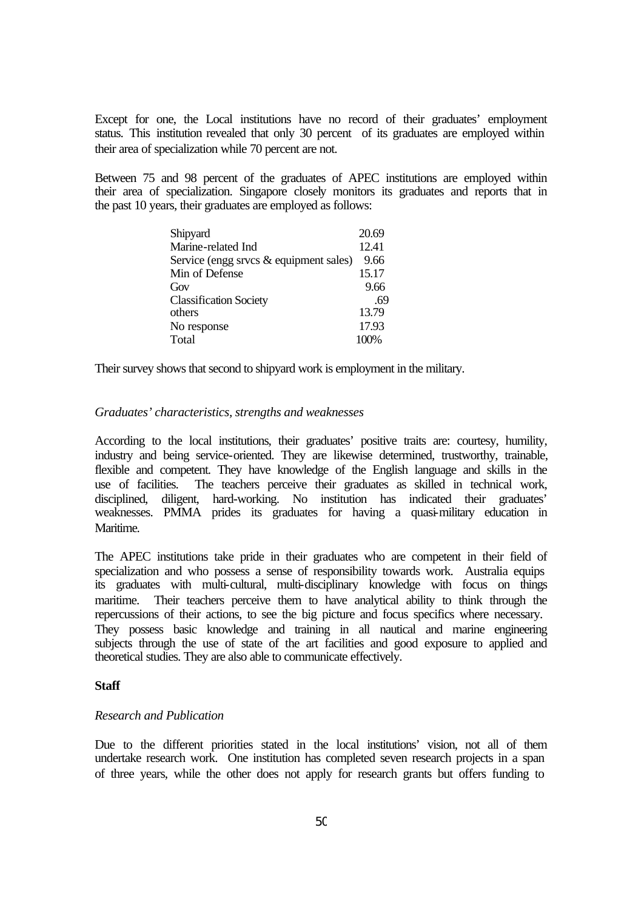Except for one, the Local institutions have no record of their graduates' employment status. This institution revealed that only 30 percent of its graduates are employed within their area of specialization while 70 percent are not.

Between 75 and 98 percent of the graduates of APEC institutions are employed within their area of specialization. Singapore closely monitors its graduates and reports that in the past 10 years, their graduates are employed as follows:

| Shipyard                                  | 20.69 |
|-------------------------------------------|-------|
| Marine-related Ind                        | 12.41 |
| Service (engg srvcs $\&$ equipment sales) | 9.66  |
| Min of Defense                            | 15.17 |
| Gov                                       | 9.66  |
| <b>Classification Society</b>             | .69   |
| others                                    | 13.79 |
| No response                               | 17.93 |
| Total                                     | 100%  |

Their survey shows that second to shipyard work is employment in the military.

#### *Graduates' characteristics, strengths and weaknesses*

According to the local institutions, their graduates' positive traits are: courtesy, humility, industry and being service-oriented. They are likewise determined, trustworthy, trainable, flexible and competent. They have knowledge of the English language and skills in the use of facilities. The teachers perceive their graduates as skilled in technical work, disciplined, diligent, hard-working. No institution has indicated their graduates' weaknesses. PMMA prides its graduates for having a quasi-military education in **Maritime** 

The APEC institutions take pride in their graduates who are competent in their field of specialization and who possess a sense of responsibility towards work. Australia equips its graduates with multi-cultural, multi-disciplinary knowledge with focus on things maritime. Their teachers perceive them to have analytical ability to think through the repercussions of their actions, to see the big picture and focus specifics where necessary. They possess basic knowledge and training in all nautical and marine engineering subjects through the use of state of the art facilities and good exposure to applied and theoretical studies. They are also able to communicate effectively.

#### **Staff**

#### *Research and Publication*

Due to the different priorities stated in the local institutions' vision, not all of them undertake research work. One institution has completed seven research projects in a span of three years, while the other does not apply for research grants but offers funding to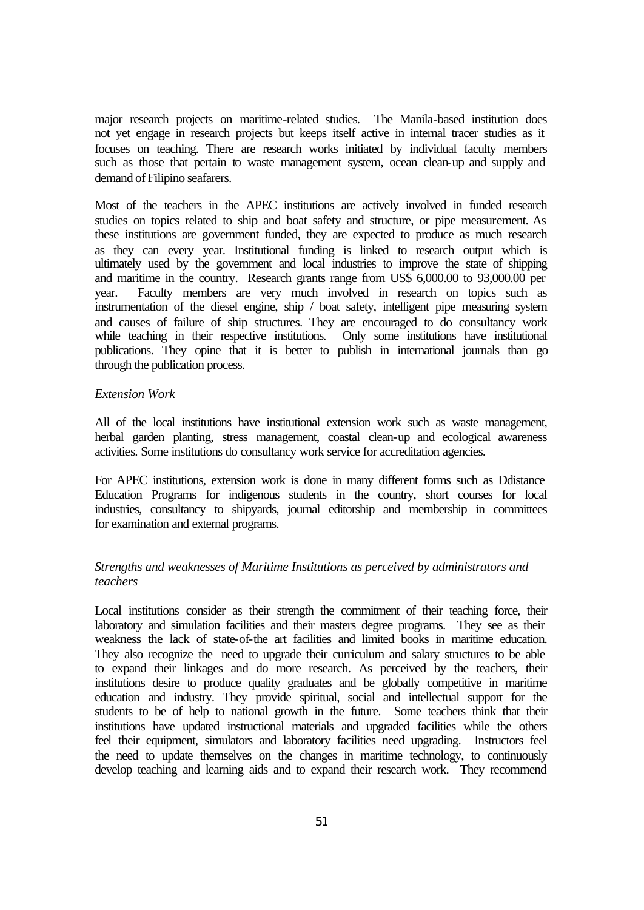major research projects on maritime-related studies. The Manila-based institution does not yet engage in research projects but keeps itself active in internal tracer studies as it focuses on teaching. There are research works initiated by individual faculty members such as those that pertain to waste management system, ocean clean-up and supply and demand of Filipino seafarers.

Most of the teachers in the APEC institutions are actively involved in funded research studies on topics related to ship and boat safety and structure, or pipe measurement. As these institutions are government funded, they are expected to produce as much research as they can every year. Institutional funding is linked to research output which is ultimately used by the government and local industries to improve the state of shipping and maritime in the country. Research grants range from US\$ 6,000.00 to 93,000.00 per year. Faculty members are very much involved in research on topics such as instrumentation of the diesel engine, ship / boat safety, intelligent pipe measuring system and causes of failure of ship structures. They are encouraged to do consultancy work while teaching in their respective institutions. Only some institutions have institutional publications. They opine that it is better to publish in international journals than go through the publication process.

#### *Extension Work*

All of the local institutions have institutional extension work such as waste management, herbal garden planting, stress management, coastal clean-up and ecological awareness activities. Some institutions do consultancy work service for accreditation agencies.

For APEC institutions, extension work is done in many different forms such as Ddistance Education Programs for indigenous students in the country, short courses for local industries, consultancy to shipyards, journal editorship and membership in committees for examination and external programs.

#### *Strengths and weaknesses of Maritime Institutions as perceived by administrators and teachers*

Local institutions consider as their strength the commitment of their teaching force, their laboratory and simulation facilities and their masters degree programs. They see as their weakness the lack of state-of-the art facilities and limited books in maritime education. They also recognize the need to upgrade their curriculum and salary structures to be able to expand their linkages and do more research. As perceived by the teachers, their institutions desire to produce quality graduates and be globally competitive in maritime education and industry. They provide spiritual, social and intellectual support for the students to be of help to national growth in the future. Some teachers think that their institutions have updated instructional materials and upgraded facilities while the others feel their equipment, simulators and laboratory facilities need upgrading. Instructors feel the need to update themselves on the changes in maritime technology, to continuously develop teaching and learning aids and to expand their research work. They recommend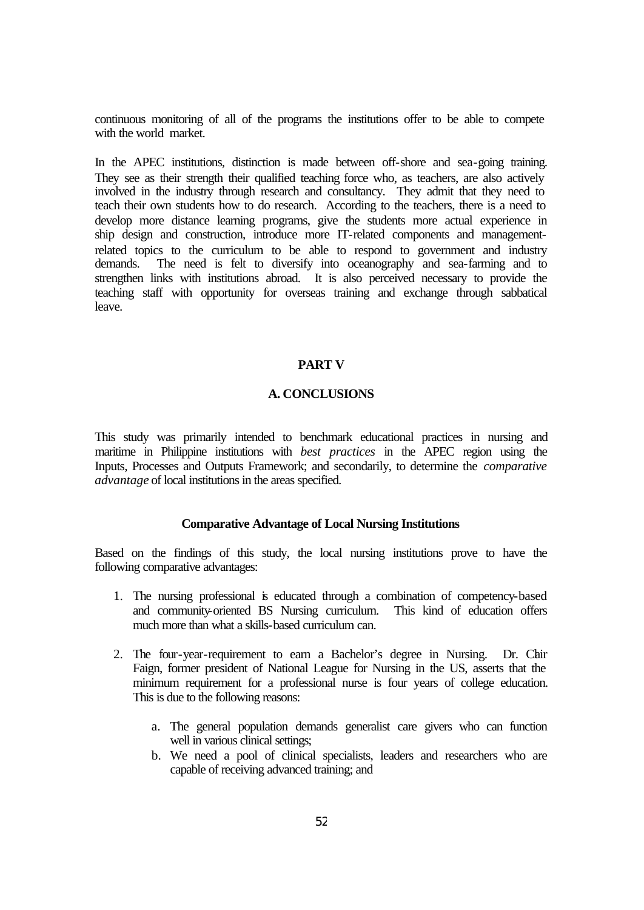continuous monitoring of all of the programs the institutions offer to be able to compete with the world market.

In the APEC institutions, distinction is made between off-shore and sea-going training. They see as their strength their qualified teaching force who, as teachers, are also actively involved in the industry through research and consultancy. They admit that they need to teach their own students how to do research. According to the teachers, there is a need to develop more distance learning programs, give the students more actual experience in ship design and construction, introduce more IT-related components and managementrelated topics to the curriculum to be able to respond to government and industry demands. The need is felt to diversify into oceanography and sea-farming and to strengthen links with institutions abroad. It is also perceived necessary to provide the teaching staff with opportunity for overseas training and exchange through sabbatical leave.

#### **PART V**

#### **A. CONCLUSIONS**

This study was primarily intended to benchmark educational practices in nursing and maritime in Philippine institutions with *best practices* in the APEC region using the Inputs, Processes and Outputs Framework; and secondarily, to determine the *comparative advantage* of local institutions in the areas specified.

#### **Comparative Advantage of Local Nursing Institutions**

Based on the findings of this study, the local nursing institutions prove to have the following comparative advantages:

- 1. The nursing professional is educated through a combination of competency-based and community-oriented BS Nursing curriculum. This kind of education offers much more than what a skills-based curriculum can.
- 2. The four-year-requirement to earn a Bachelor's degree in Nursing. Dr. Chir Faign, former president of National League for Nursing in the US, asserts that the minimum requirement for a professional nurse is four years of college education. This is due to the following reasons:
	- a. The general population demands generalist care givers who can function well in various clinical settings;
	- b. We need a pool of clinical specialists, leaders and researchers who are capable of receiving advanced training; and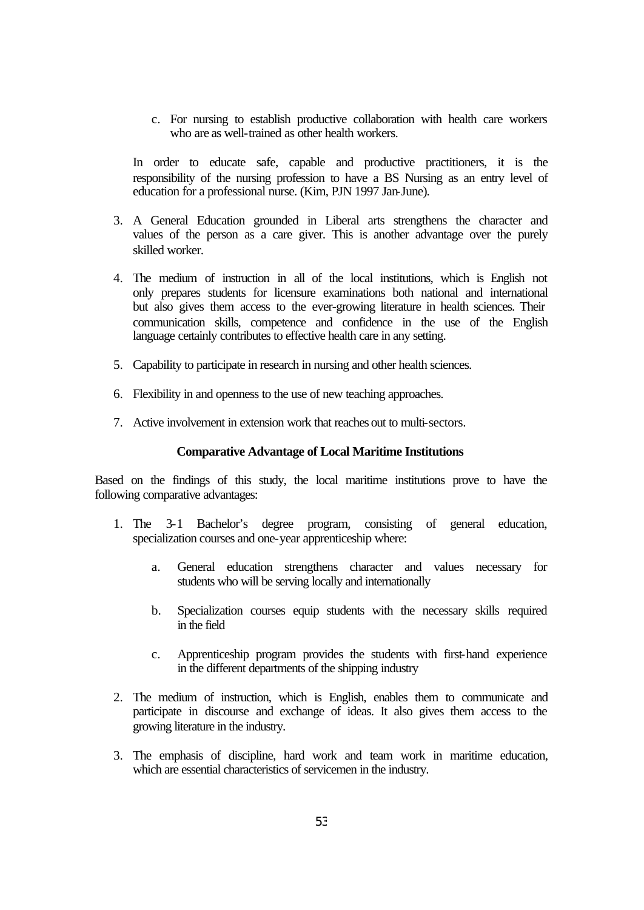c. For nursing to establish productive collaboration with health care workers who are as well-trained as other health workers.

In order to educate safe, capable and productive practitioners, it is the responsibility of the nursing profession to have a BS Nursing as an entry level of education for a professional nurse. (Kim, PJN 1997 Jan-June).

- 3. A General Education grounded in Liberal arts strengthens the character and values of the person as a care giver. This is another advantage over the purely skilled worker.
- 4. The medium of instruction in all of the local institutions, which is English not only prepares students for licensure examinations both national and international but also gives them access to the ever-growing literature in health sciences. Their communication skills, competence and confidence in the use of the English language certainly contributes to effective health care in any setting.
- 5. Capability to participate in research in nursing and other health sciences.
- 6. Flexibility in and openness to the use of new teaching approaches.
- 7. Active involvement in extension work that reaches out to multi-sectors.

#### **Comparative Advantage of Local Maritime Institutions**

Based on the findings of this study, the local maritime institutions prove to have the following comparative advantages:

- 1. The 3-1 Bachelor's degree program, consisting of general education, specialization courses and one-year apprenticeship where:
	- a. General education strengthens character and values necessary for students who will be serving locally and internationally
	- b. Specialization courses equip students with the necessary skills required in the field
	- c. Apprenticeship program provides the students with first-hand experience in the different departments of the shipping industry
- 2. The medium of instruction, which is English, enables them to communicate and participate in discourse and exchange of ideas. It also gives them access to the growing literature in the industry.
- 3. The emphasis of discipline, hard work and team work in maritime education, which are essential characteristics of servicemen in the industry.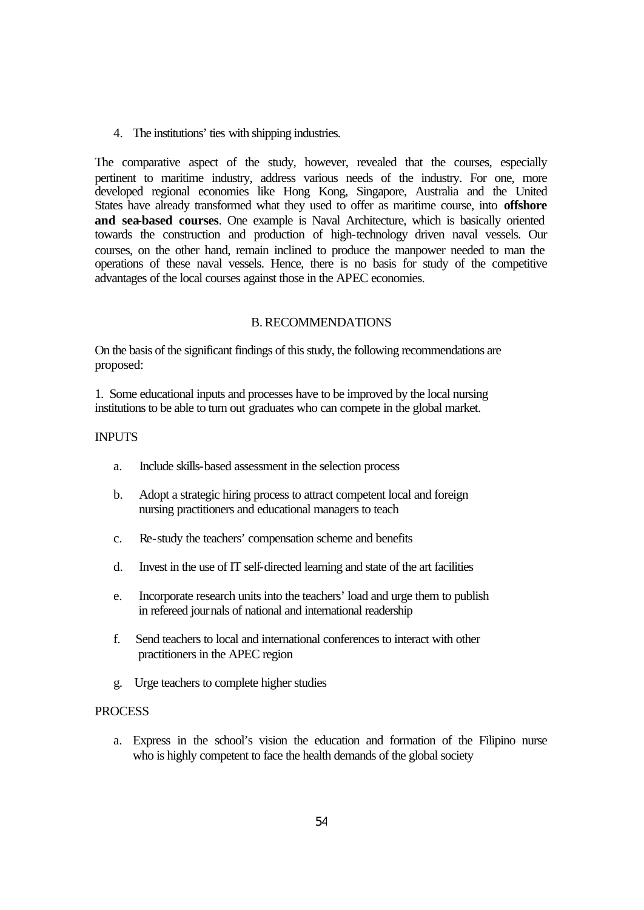4. The institutions' ties with shipping industries.

The comparative aspect of the study, however, revealed that the courses, especially pertinent to maritime industry, address various needs of the industry. For one, more developed regional economies like Hong Kong, Singapore, Australia and the United States have already transformed what they used to offer as maritime course, into **offshore and sea-based courses**. One example is Naval Architecture, which is basically oriented towards the construction and production of high-technology driven naval vessels. Our courses, on the other hand, remain inclined to produce the manpower needed to man the operations of these naval vessels. Hence, there is no basis for study of the competitive advantages of the local courses against those in the APEC economies.

#### B. RECOMMENDATIONS

On the basis of the significant findings of this study, the following recommendations are proposed:

1. Some educational inputs and processes have to be improved by the local nursing institutions to be able to turn out graduates who can compete in the global market.

#### INPUTS

- a. Include skills-based assessment in the selection process
- b. Adopt a strategic hiring process to attract competent local and foreign nursing practitioners and educational managers to teach
- c. Re-study the teachers' compensation scheme and benefits
- d. Invest in the use of IT self-directed learning and state of the art facilities
- e. Incorporate research units into the teachers' load and urge them to publish in refereed journals of national and international readership
- f. Send teachers to local and international conferences to interact with other practitioners in the APEC region
- g. Urge teachers to complete higher studies

#### **PROCESS**

a. Express in the school's vision the education and formation of the Filipino nurse who is highly competent to face the health demands of the global society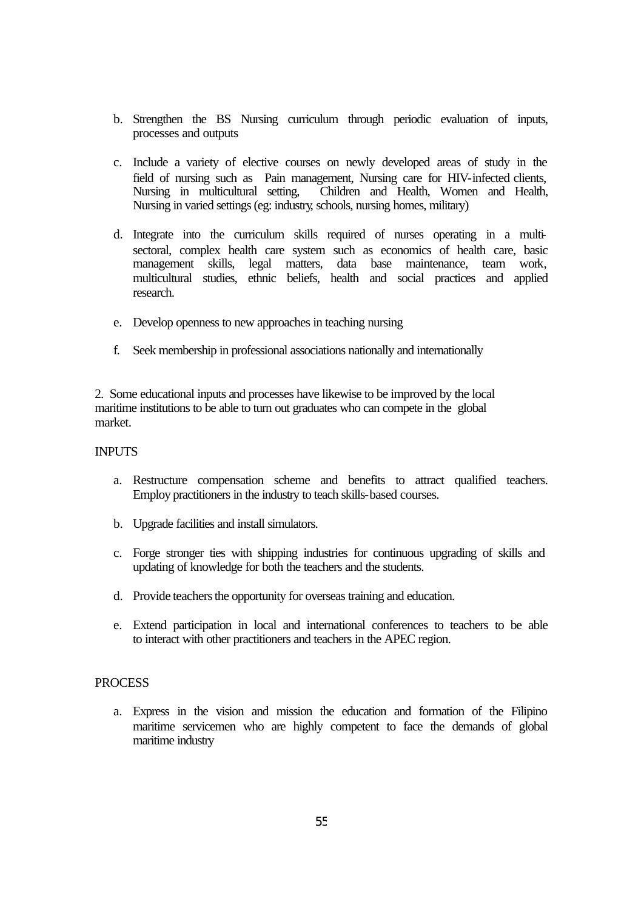- b. Strengthen the BS Nursing curriculum through periodic evaluation of inputs, processes and outputs
- c. Include a variety of elective courses on newly developed areas of study in the field of nursing such as Pain management, Nursing care for HIV-infected clients, Nursing in multicultural setting, Children and Health, Women and Health, Nursing in varied settings (eg: industry, schools, nursing homes, military)
- d. Integrate into the curriculum skills required of nurses operating in a multisectoral, complex health care system such as economics of health care, basic management skills, legal matters, data base maintenance, team work, multicultural studies, ethnic beliefs, health and social practices and applied research.
- e. Develop openness to new approaches in teaching nursing
- f. Seek membership in professional associations nationally and internationally

2. Some educational inputs and processes have likewise to be improved by the local maritime institutions to be able to turn out graduates who can compete in the global market.

#### INPUTS

- a. Restructure compensation scheme and benefits to attract qualified teachers. Employ practitioners in the industry to teach skills-based courses.
- b. Upgrade facilities and install simulators.
- c. Forge stronger ties with shipping industries for continuous upgrading of skills and updating of knowledge for both the teachers and the students.
- d. Provide teachers the opportunity for overseas training and education.
- e. Extend participation in local and international conferences to teachers to be able to interact with other practitioners and teachers in the APEC region.

#### **PROCESS**

a. Express in the vision and mission the education and formation of the Filipino maritime servicemen who are highly competent to face the demands of global maritime industry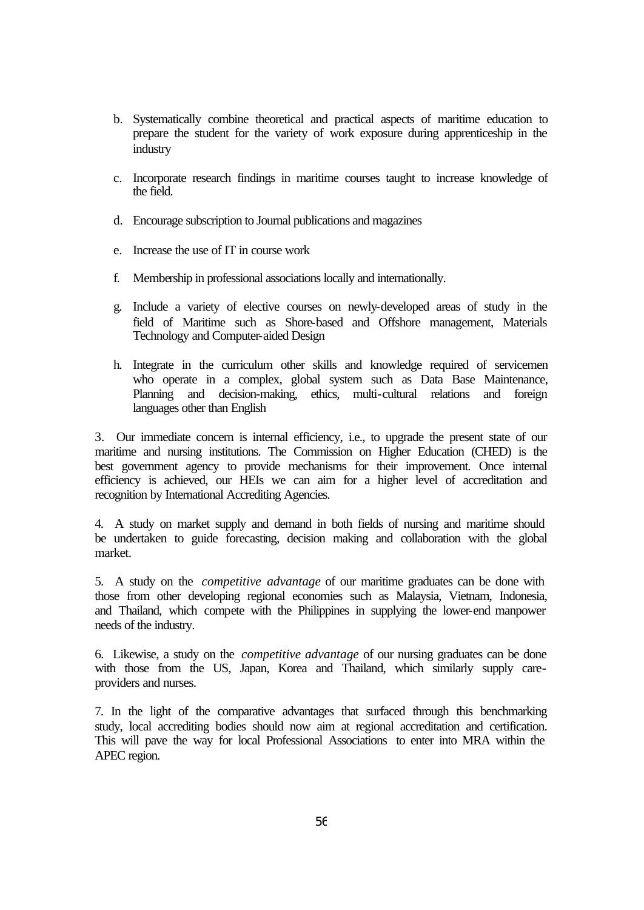- b. Systematically combine theoretical and practical aspects of maritime education to prepare the student for the variety of work exposure during apprenticeship in the industry
- c. Incorporate research findings in maritime courses taught to increase knowledge of the field.
- d. Encourage subscription to Journal publications and magazines
- e. Increase the use of IT in course work
- f. Membership in professional associations locally and internationally.
- g. Include a variety of elective courses on newly-developed areas of study in the field of Maritime such as Shore-based and Offshore management, Materials Technology and Computer-aided Design
- h. Integrate in the curriculum other skills and knowledge required of servicemen who operate in a complex, global system such as Data Base Maintenance, Planning and decision-making, ethics, multi-cultural relations and foreign languages other than English

3. Our immediate concern is internal efficiency, i.e., to upgrade the present state of our maritime and nursing institutions. The Commission on Higher Education (CHED) is the best government agency to provide mechanisms for their improvement. Once internal efficiency is achieved, our HEIs we can aim for a higher level of accreditation and recognition by International Accrediting Agencies.

4. A study on market supply and demand in both fields of nursing and maritime should be undertaken to guide forecasting, decision making and collaboration with the global market.

5. A study on the *competitive advantage* of our maritime graduates can be done with those from other developing regional economies such as Malaysia, Vietnam, Indonesia, and Thailand, which compete with the Philippines in supplying the lower-end manpower needs of the industry.

6. Likewise, a study on the *competitive advantage* of our nursing graduates can be done with those from the US, Japan, Korea and Thailand, which similarly supply careproviders and nurses.

7. In the light of the comparative advantages that surfaced through this benchmarking study, local accrediting bodies should now aim at regional accreditation and certification. This will pave the way for local Professional Associations to enter into MRA within the APEC region.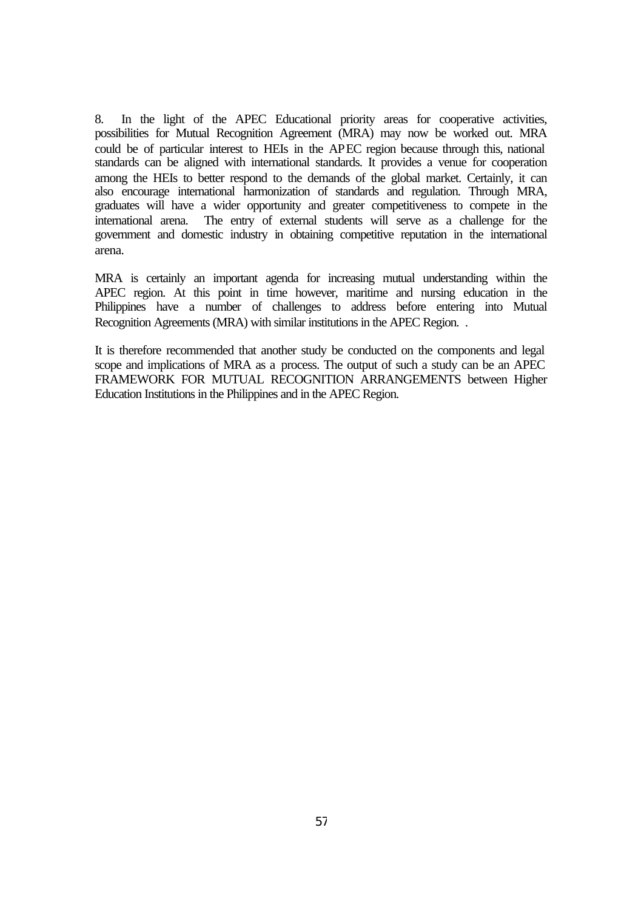8. In the light of the APEC Educational priority areas for cooperative activities, possibilities for Mutual Recognition Agreement (MRA) may now be worked out. MRA could be of particular interest to HEIs in the APEC region because through this, national standards can be aligned with international standards. It provides a venue for cooperation among the HEIs to better respond to the demands of the global market. Certainly, it can also encourage international harmonization of standards and regulation. Through MRA, graduates will have a wider opportunity and greater competitiveness to compete in the international arena. The entry of external students will serve as a challenge for the government and domestic industry in obtaining competitive reputation in the international arena.

MRA is certainly an important agenda for increasing mutual understanding within the APEC region. At this point in time however, maritime and nursing education in the Philippines have a number of challenges to address before entering into Mutual Recognition Agreements (MRA) with similar institutions in the APEC Region. .

It is therefore recommended that another study be conducted on the components and legal scope and implications of MRA as a process. The output of such a study can be an APEC FRAMEWORK FOR MUTUAL RECOGNITION ARRANGEMENTS between Higher Education Institutions in the Philippines and in the APEC Region.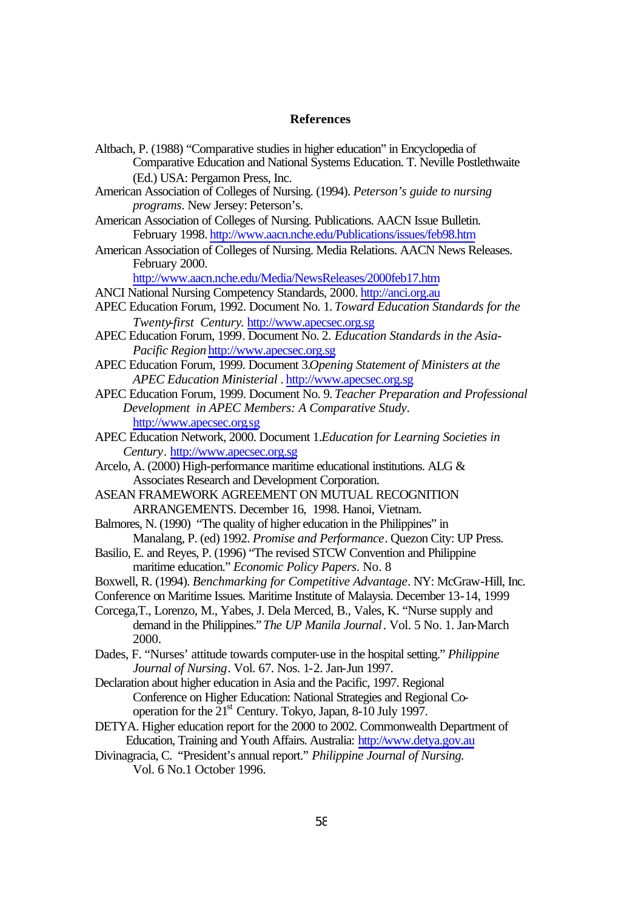#### **References**

| Altbach, P. (1988) "Comparative studies in higher education" in Encyclopedia of |
|---------------------------------------------------------------------------------|
| Comparative Education and National Systems Education. T. Neville Postlethwaite  |
| (Ed.) USA: Pergamon Press, Inc.                                                 |

- American Association of Colleges of Nursing. (1994). *Peterson's guide to nursing programs*. New Jersey: Peterson's.
- American Association of Colleges of Nursing. Publications. AACN Issue Bulletin. February 1998. http://www.aacn.nche.edu/Publications/issues/feb98.htm
- American Association of Colleges of Nursing. Media Relations. AACN News Releases. February 2000.

http://www.aacn.nche.edu/Media/NewsReleases/2000feb17.htm

ANCI National Nursing Competency Standards, 2000. http://anci.org.au

- APEC Education Forum, 1992. Document No. 1. *Toward Education Standards for the Twenty-first Century*. http://www.apecsec.org.sg
- APEC Education Forum, 1999. Document No. 2. *Education Standards in the Asia-Pacific Region* http://www.apecsec.org.sg
- APEC Education Forum, 1999. Document 3.*Opening Statement of Ministers at the APEC Education Ministerial* . http://www.apecsec.org.sg
- APEC Education Forum, 1999. Document No. 9. *Teacher Preparation and Professional Development in APEC Members: A Comparative Study*. http://www.apecsec.org.sg
- APEC Education Network, 2000. Document 1.*Education for Learning Societies in Century*. http://www.apecsec.org.sg
- Arcelo, A. (2000) High-performance maritime educational institutions. ALG & Associates Research and Development Corporation.
- ASEAN FRAMEWORK AGREEMENT ON MUTUAL RECOGNITION ARRANGEMENTS. December 16, 1998. Hanoi, Vietnam.
- Balmores, N. (1990) "The quality of higher education in the Philippines" in Manalang, P. (ed) 1992. *Promise and Performance*. Quezon City: UP Press.
- Basilio, E. and Reyes, P. (1996) "The revised STCW Convention and Philippine maritime education." *Economic Policy Papers*. No. 8
- Boxwell, R. (1994). *Benchmarking for Competitive Advantage*. NY: McGraw-Hill, Inc.
- Conference on Maritime Issues. Maritime Institute of Malaysia. December 13-14, 1999
- Corcega,T., Lorenzo, M., Yabes, J. Dela Merced, B., Vales, K. "Nurse supply and demand in the Philippines." *The UP Manila Journal*. Vol. 5 No. 1. Jan-March 2000.
- Dades, F. "Nurses' attitude towards computer-use in the hospital setting." *Philippine Journal of Nursing*. Vol. 67. Nos. 1-2. Jan-Jun 1997.
- Declaration about higher education in Asia and the Pacific, 1997. Regional Conference on Higher Education: National Strategies and Regional Cooperation for the  $21<sup>st</sup>$  Century. Tokyo, Japan, 8-10 July 1997.
- DETYA. Higher education report for the 2000 to 2002. Commonwealth Department of Education, Training and Youth Affairs. Australia: http://www.detya.gov.au
- Divinagracia, C. "President's annual report." *Philippine Journal of Nursing.*  Vol. 6 No.1 October 1996.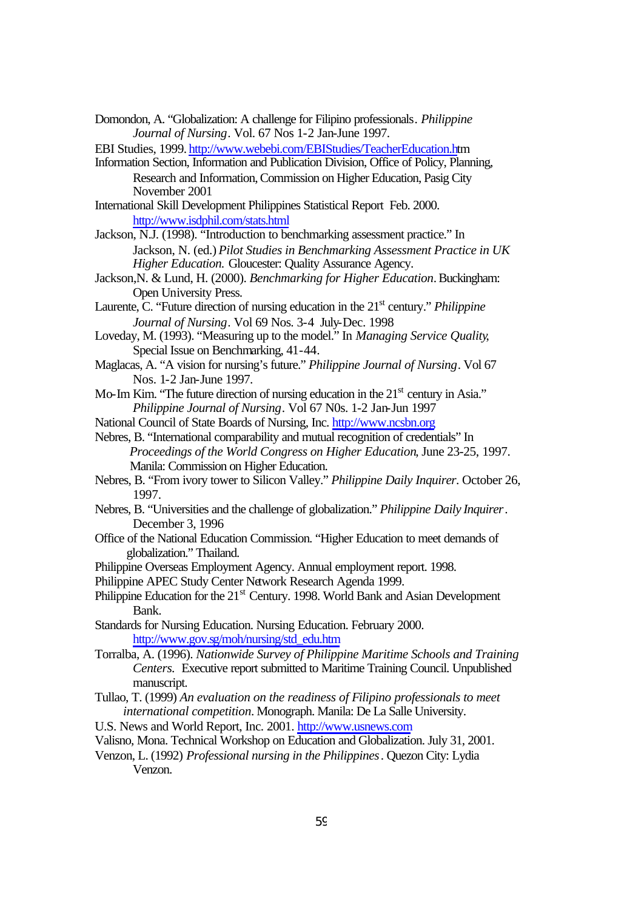- Domondon, A. "Globalization: A challenge for Filipino professionals*. Philippine Journal of Nursing*. Vol. 67 Nos 1-2 Jan-June 1997.
- EBI Studies, 1999. http://www.webebi.com/EBIStudies/TeacherEducation.htm
- Information Section, Information and Publication Division, Office of Policy, Planning, Research and Information, Commission on Higher Education, Pasig City November 2001
- International Skill Development Philippines Statistical Report Feb. 2000. http://www.isdphil.com/stats.html
- Jackson, N.J. (1998). "Introduction to benchmarking assessment practice." In Jackson, N. (ed.) *Pilot Studies in Benchmarking Assessment Practice in UK Higher Education.* Gloucester: Quality Assurance Agency.
- Jackson,N. & Lund, H. (2000). *Benchmarking for Higher Education*. Buckingham: Open University Press.
- Laurente, C. "Future direction of nursing education in the 21<sup>st</sup> century." *Philippine Journal of Nursing*. Vol 69 Nos. 3-4 July-Dec. 1998
- Loveday, M. (1993). "Measuring up to the model." In *Managing Service Quality*, Special Issue on Benchmarking, 41-44.
- Maglacas, A. "A vision for nursing's future." *Philippine Journal of Nursing*. Vol 67 Nos. 1-2 Jan-June 1997.
- Mo-Im Kim. "The future direction of nursing education in the  $21<sup>st</sup>$  century in Asia." *Philippine Journal of Nursing*. Vol 67 N0s. 1-2 Jan-Jun 1997
- National Council of State Boards of Nursing, Inc. http://www.ncsbn.org
- Nebres, B. "International comparability and mutual recognition of credentials" In *Proceedings of the World Congress on Higher Education*, June 23-25, 1997. Manila: Commission on Higher Education.
- Nebres, B. "From ivory tower to Silicon Valley." *Philippine Daily Inquirer*. October 26, 1997.
- Nebres, B. "Universities and the challenge of globalization." *Philippine Daily Inquirer*. December 3, 1996
- Office of the National Education Commission. "Higher Education to meet demands of globalization." Thailand.
- Philippine Overseas Employment Agency. Annual employment report. 1998.
- Philippine APEC Study Center Network Research Agenda 1999.
- Philippine Education for the 21<sup>st</sup> Century. 1998. World Bank and Asian Development Bank.
- Standards for Nursing Education. Nursing Education. February 2000. http://www.gov.sg/moh/nursing/std\_edu.htm
- Torralba, A. (1996). *Nationwide Survey of Philippine Maritime Schools and Training Centers.* Executive report submitted to Maritime Training Council. Unpublished manuscript.
- Tullao, T. (1999) *An evaluation on the readiness of Filipino professionals to meet international competition*. Monograph. Manila: De La Salle University.
- U.S. News and World Report, Inc. 2001. http://www.usnews.com
- Valisno, Mona. Technical Workshop on Education and Globalization. July 31, 2001.
- Venzon, L. (1992) *Professional nursing in the Philippines*. Quezon City: Lydia Venzon.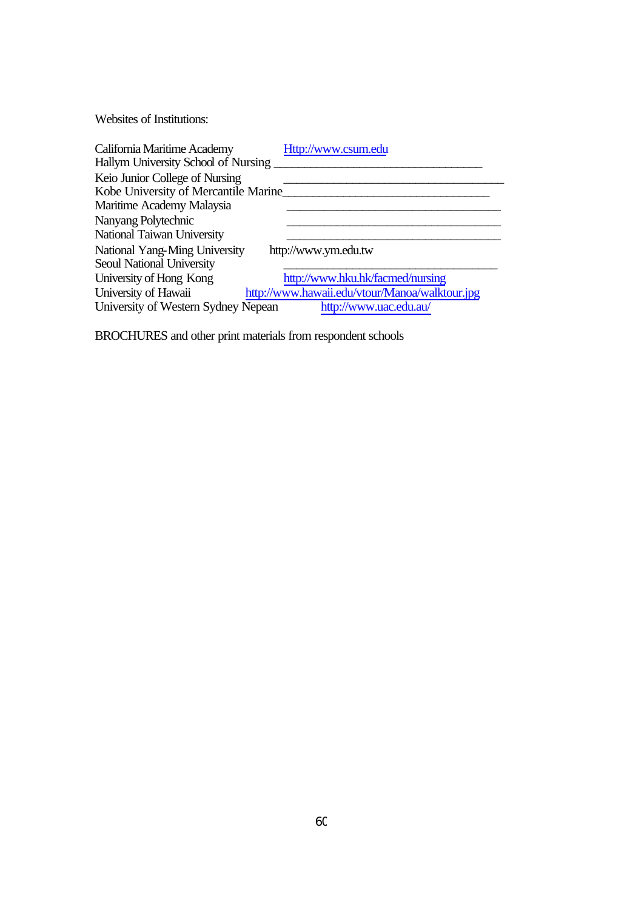Websites of Institutions:

| California Maritime Academy          | Http://www.csum.edu                            |
|--------------------------------------|------------------------------------------------|
| Hallym University School of Nursing  |                                                |
| Keio Junior College of Nursing       |                                                |
| Kobe University of Mercantile Marine |                                                |
| Maritime Academy Malaysia            |                                                |
| Nanyang Polytechnic                  |                                                |
| National Taiwan University           |                                                |
| National Yang-Ming University        | http://www.ym.edu.tw                           |
| Seoul National University            |                                                |
| University of Hong Kong              | http://www.hku.hk/facmed/nursing               |
| University of Hawaii                 | http://www.hawaii.edu/vtour/Manoa/walktour.jpg |
| University of Western Sydney Nepean  | http://www.uac.edu.au/                         |

BROCHURES and other print materials from respondent schools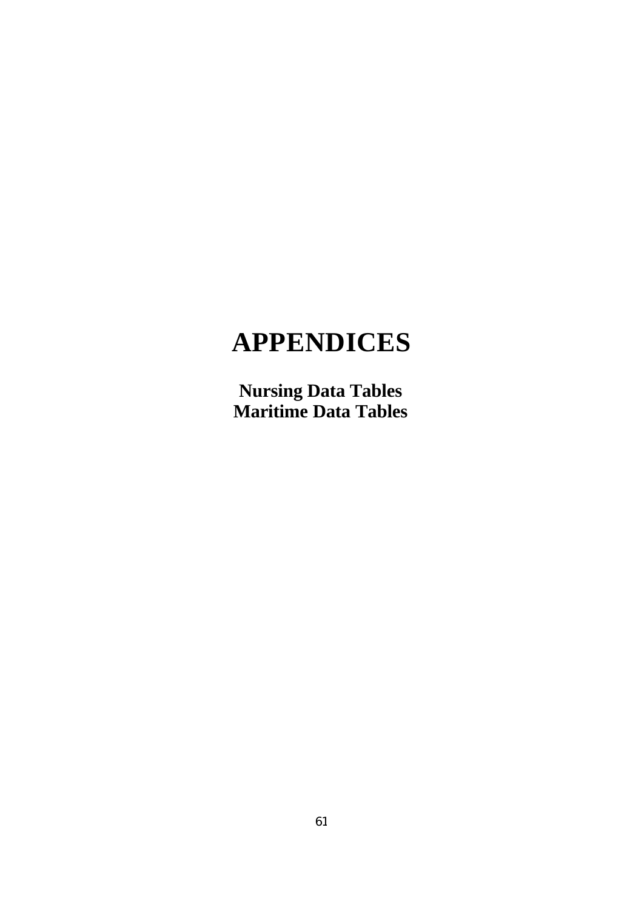# **APPENDICES**

**Nursing Data Tables Maritime Data Tables**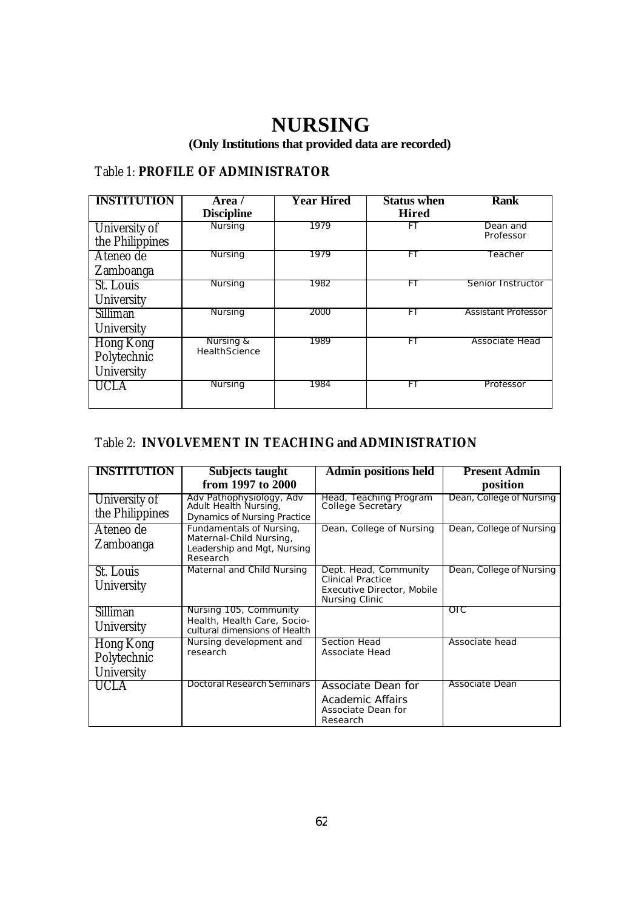## **NURSING**

**(Only Institutions that provided data are recorded)**

### Table 1: **PROFILE OF ADMINISTRATOR**

| <b>INSTITUTION</b> | Area /                     | <b>Year Hired</b> | <b>Status when</b> | <b>Rank</b>                |
|--------------------|----------------------------|-------------------|--------------------|----------------------------|
|                    | <b>Discipline</b>          |                   | <b>Hired</b>       |                            |
| University of      | <b>Nursing</b>             | 1979              | FТ                 | Dean and                   |
| the Philippines    |                            |                   |                    | Professor                  |
| Ateneo de          | Nursing                    | 1979              | FT                 | Teacher                    |
| Zamboanga          |                            |                   |                    |                            |
| St. Louis          | Nursing                    | 1982              | FT                 | Senior Instructor          |
| University         |                            |                   |                    |                            |
| Silliman           | Nursing                    | 2000              | FT                 | <b>Assistant Professor</b> |
| University         |                            |                   |                    |                            |
| Hong Kong          | Nursing &<br>HealthScience | 1989              | FT                 | Associate Head             |
| Polytechnic        |                            |                   |                    |                            |
| University         |                            |                   |                    |                            |
| UCLA               | Nursing                    | 1984              | FT                 | Professor                  |
|                    |                            |                   |                    |                            |

## Table 2: **INVOLVEMENT IN TEACHING and ADMINISTRATION**

| <b>INSTITUTION</b>                     | Subjects taught                                                                                | <b>Admin positions held</b>                                                                       | <b>Present Admin</b>     |
|----------------------------------------|------------------------------------------------------------------------------------------------|---------------------------------------------------------------------------------------------------|--------------------------|
|                                        | from 1997 to 2000                                                                              |                                                                                                   | position                 |
| University of<br>the Philippines       | Adv Pathophysiology, Adv<br>Adult Health Nursing,<br><b>Dynamics of Nursing Practice</b>       | Head, Teaching Program<br>College Secretary                                                       | Dean, College of Nursing |
| Ateneo de<br><b>Zamboanga</b>          | Fundamentals of Nursing,<br>Maternal-Child Nursing,<br>Leadership and Mgt, Nursing<br>Research | Dean, College of Nursing                                                                          | Dean, College of Nursing |
| St. Louis<br>University                | Maternal and Child Nursing                                                                     | Dept. Head, Community<br><b>Clinical Practice</b><br>Executive Director, Mobile<br>Nursing Clinic | Dean, College of Nursing |
| Silliman<br>University                 | Nursing 105, Community<br>Health, Health Care, Socio-<br>cultural dimensions of Health         |                                                                                                   | OIC                      |
| Hong Kong<br>Polytechnic<br>University | Nursing development and<br>research                                                            | Section Head<br>Associate Head                                                                    | Associate head           |
| <b>UCLA</b>                            | Doctoral Research Seminars                                                                     | Associate Dean for<br>Academic Affairs<br>Associate Dean for<br>Research                          | Associate Dean           |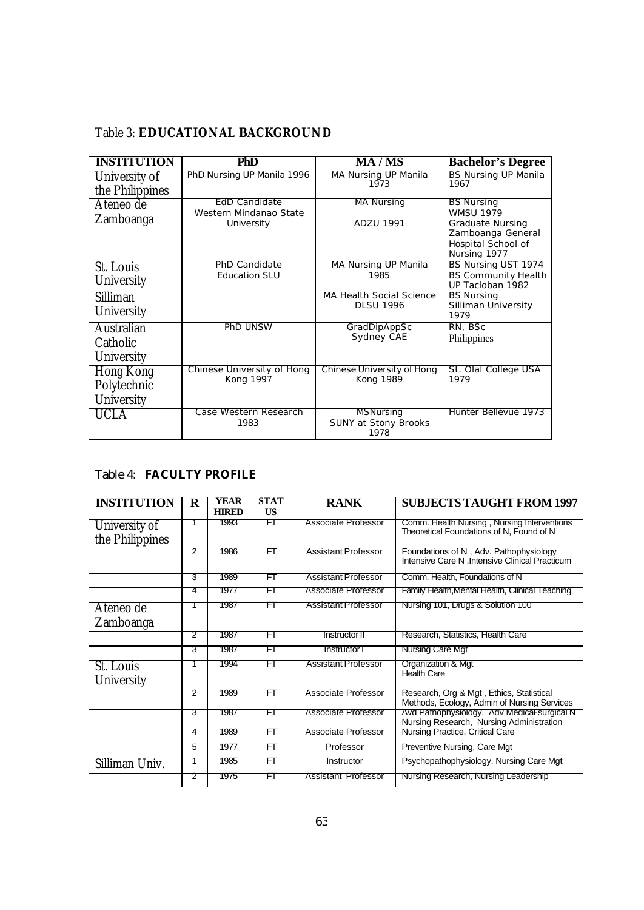## Table 3: **EDUCATIONAL BACKGROUND**

| <b>INSTITUTION</b>                     | PhD                                                   | <b>MA/MS</b>                                            | <b>Bachelor's Degree</b>                                                                                                    |
|----------------------------------------|-------------------------------------------------------|---------------------------------------------------------|-----------------------------------------------------------------------------------------------------------------------------|
| University of<br>the Philippines       | PhD Nursing UP Manila 1996                            | MA Nursing UP Manila<br>1973                            | <b>BS Nursing UP Manila</b><br>1967                                                                                         |
| Ateneo de<br>Zamboanga                 | EdD Candidate<br>Western Mindanao State<br>University | <b>MA Nursing</b><br><b>ADZU 1991</b>                   | <b>BS Nursing</b><br><b>WMSU 1979</b><br><b>Graduate Nursing</b><br>Zamboanga General<br>Hospital School of<br>Nursing 1977 |
| St. Louis<br>University                | PhD Candidate<br><b>Education SLU</b>                 | MA Nursing UP Manila<br>1985                            | BS Nursing UST 1974<br><b>BS Community Health</b><br>UP Tacloban 1982                                                       |
| Silliman<br>University                 |                                                       | MA Health Social Science<br><b>DLSU 1996</b>            | <b>BS Nursing</b><br>Silliman University<br>1979                                                                            |
| Australian<br>Catholic<br>University   | <b>PhD UNSW</b>                                       | GradDipAppSc<br>Sydney CAE                              | RN, BSc<br>Philippines                                                                                                      |
| Hong Kong<br>Polytechnic<br>University | Chinese University of Hong<br>Kong 1997               | Chinese University of Hong<br>Kong 1989                 | St. Olaf College USA<br>1979                                                                                                |
| UCLA                                   | Case Western Research<br>1983                         | <b>MSNursing</b><br><b>SUNY at Stony Brooks</b><br>1978 | Hunter Bellevue 1973                                                                                                        |

## Table 4: **FACULTY PROFILE**

| <b>INSTITUTION</b>               | R | <b>YEAR</b><br><b>HIRED</b> | <b>STAT</b><br>US | <b>RANK</b>                | <b>SUBJECTS TAUGHT FROM 1997</b>                                                          |
|----------------------------------|---|-----------------------------|-------------------|----------------------------|-------------------------------------------------------------------------------------------|
| University of<br>the Philippines |   | 1993                        | ŦΤ                | Associate Professor        | Comm. Health Nursing, Nursing Interventions<br>Theoretical Foundations of N, Found of N   |
|                                  | 2 | 1986                        | FT                | Assistant Professor        | Foundations of N, Adv. Pathophysiology<br>Intensive Care N , Intensive Clinical Practicum |
|                                  | 3 | 1989                        | FT                | <b>Assistant Professor</b> | Comm. Health, Foundations of N                                                            |
|                                  | 4 | 1977                        | FI                | Associate Professor        | Family Health, Mental Health, Clinical Teaching                                           |
| Ateneo de<br>Zamboanga           |   | 1987                        | FI                | <b>Assistant Professor</b> | Nursing 101, Drugs & Solution 100                                                         |
|                                  | 2 | 1987                        | FI                | Instructor II              | Research, Statistics, Health Care                                                         |
|                                  | З | 1987                        | ŦΤ                | Instructor I               | <b>Nursing Care Mgt</b>                                                                   |
| St. Louis<br>University          |   | 1994                        | FT                | <b>Assistant Professor</b> | Organization & Mgt<br><b>Health Care</b>                                                  |
|                                  | 2 | 1989                        | FI                | Associate Professor        | Research, Org & Mgt, Ethics, Statistical<br>Methods, Ecology, Admin of Nursing Services   |
|                                  | З | 1987                        | FI                | Associate Professor        | Avd Pathophysiology, Adv Medical-surgical N<br>Nursing Research, Nursing Administration   |
|                                  | 4 | 1989                        | FI                | Associate Professor        | Nursing Practice, Critical Care                                                           |
|                                  | 5 | 1977                        | FI                | Professor                  | Preventive Nursing, Care Mgt                                                              |
| Silliman Univ.                   |   | 1985                        | FT                | Instructor                 | Psychopathophysiology, Nursing Care Mgt                                                   |
|                                  | 2 | 1975                        | FT                | Assistant Professor        | Nursing Research, Nursing Leadership                                                      |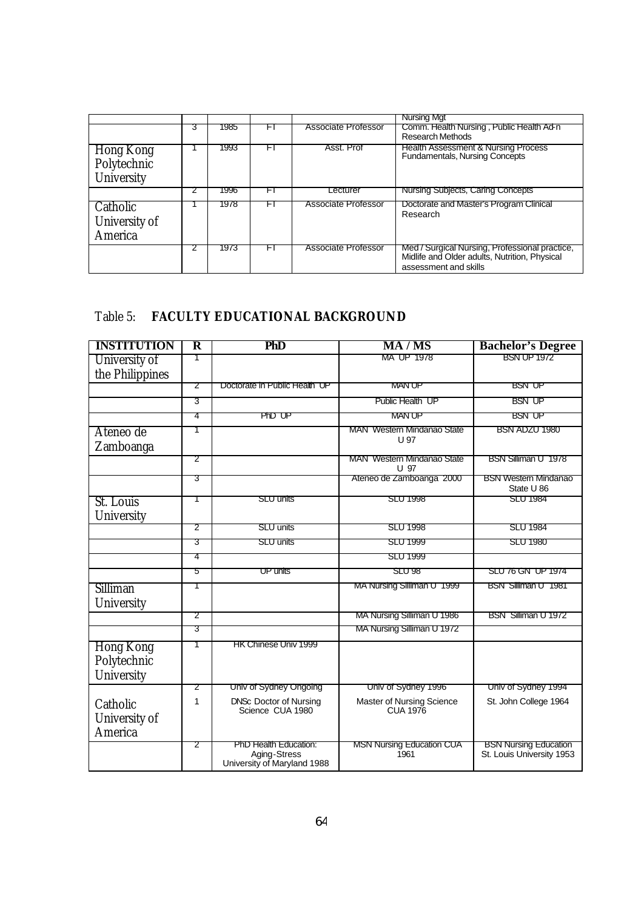|                                        |   |      |    |                            | <b>Nursing Mgt</b>                                                                                                       |
|----------------------------------------|---|------|----|----------------------------|--------------------------------------------------------------------------------------------------------------------------|
|                                        | 3 | 1985 | ۲I | <b>Associate Professor</b> | Comm. Health Nursing, Public Health Ad-n<br><b>Research Methods</b>                                                      |
| Hong Kong<br>Polytechnic<br>University |   | 1993 | FI | Asst. Prof                 | <b>Health Assessment &amp; Nursing Process</b><br>Fundamentals, Nursing Concepts                                         |
|                                        |   | 1996 | FI | Lecturer                   | Nursing Subjects, Caring Concepts                                                                                        |
| Catholic<br>University of<br>America   |   | 1978 | FI | <b>Associate Professor</b> | Doctorate and Master's Program Clinical<br>Research                                                                      |
|                                        |   | 1973 | FI | Associate Professor        | Med / Surgical Nursing, Professional practice,<br>Midlife and Older adults, Nutrition, Physical<br>assessment and skills |

## Table 5: **FACULTY EDUCATIONAL BACKGROUND**

| <b>INSTITUTION</b>              | R | PhD                                                                  | <b>MA/MS</b>                                 | <b>Bachelor's Degree</b>                                  |
|---------------------------------|---|----------------------------------------------------------------------|----------------------------------------------|-----------------------------------------------------------|
| University of                   | 1 |                                                                      | MA UP 1978                                   | <b>BSN UP 1972</b>                                        |
| the Philippines                 |   |                                                                      |                                              |                                                           |
|                                 | 2 | Doctorate in Public Health UP                                        | <b>MAN UP</b>                                | <b>BSN UP</b>                                             |
|                                 | 3 |                                                                      | Public Health UP                             | <b>BSN UP</b>                                             |
|                                 | 4 | PhD UP                                                               | <b>MAN UP</b>                                | <b>BSN UP</b>                                             |
| Ateneo de                       | T |                                                                      | <b>MAN Western Mindanao State</b>            | BSN ADZU 1980                                             |
| Zamboanga                       |   |                                                                      | U 97                                         |                                                           |
|                                 | 2 |                                                                      | <b>MAN</b> Western Mindanao State<br>U 97    | BSN Silliman U 1978                                       |
|                                 | З |                                                                      | Ateneo de Zamboanga 2000                     | <b>BSN Western Mindanao</b>                               |
| St. Louis                       | T | <b>SLU units</b>                                                     | <b>SLU 1998</b>                              | State U 86<br><b>SLU 1984</b>                             |
| University                      |   |                                                                      |                                              |                                                           |
|                                 | 2 | <b>SLU units</b>                                                     | <b>SLU 1998</b>                              | <b>SLU 1984</b>                                           |
|                                 | 3 | SLU units                                                            | <b>SLU 1999</b>                              | <b>SLU 1980</b>                                           |
|                                 | 4 |                                                                      | <b>SLU 1999</b>                              |                                                           |
|                                 | 5 | UP units                                                             | <b>SLU 98</b>                                | SLU 76 GN UP 1974                                         |
| Silliman                        | T |                                                                      | MA Nursing Silliman U 1999                   | BSN Silliman U 1981                                       |
| University                      |   |                                                                      |                                              |                                                           |
|                                 | 2 |                                                                      | MA Nursing Silliman U 1986                   | BSN Silliman U 1972                                       |
|                                 | 3 |                                                                      | MA Nursing Silliman U 1972                   |                                                           |
| <b>Hong Kong</b><br>Polytechnic |   | HK Chinese Univ 1999                                                 |                                              |                                                           |
|                                 |   |                                                                      |                                              |                                                           |
| University                      | 2 | Univ of Sydney Ongoing                                               | Univ of Sydney 1996                          | Univ of Sydney 1994                                       |
|                                 | 1 |                                                                      |                                              | St. John College 1964                                     |
| Catholic                        |   | DNSc Doctor of Nursing<br>Science CUA 1980                           | Master of Nursing Science<br><b>CUA 1976</b> |                                                           |
| University of                   |   |                                                                      |                                              |                                                           |
| America                         |   |                                                                      |                                              |                                                           |
|                                 | 2 | PhD Health Education:<br>Aging-Stress<br>University of Maryland 1988 | <b>MSN Nursing Education CUA</b><br>1961     | <b>BSN Nursing Education</b><br>St. Louis University 1953 |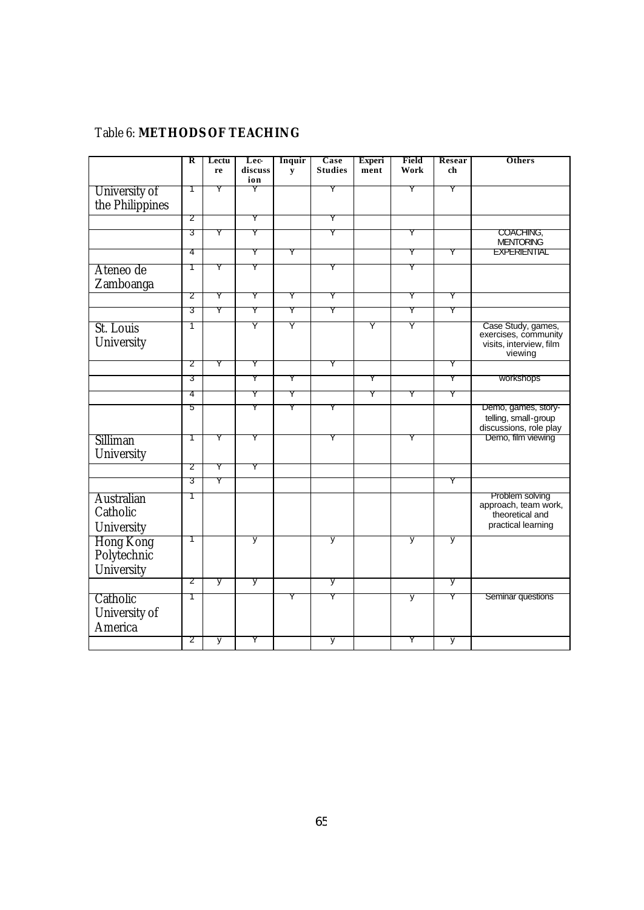## Table 6: **METHODS OF TEACHING**

|                                               | R | Lectu | Lec-     | Inquir    | Case           | <b>Experi</b> | Field | Resear         | Others                                                                           |
|-----------------------------------------------|---|-------|----------|-----------|----------------|---------------|-------|----------------|----------------------------------------------------------------------------------|
|                                               |   | re    | discuss  | ${\bf y}$ | <b>Studies</b> | ment          | Work  | ch             |                                                                                  |
| University of                                 | 1 | Y     | ion<br>Y |           | Y              |               | Y     | Y              |                                                                                  |
| the Philippines                               |   |       |          |           |                |               |       |                |                                                                                  |
|                                               | 2 |       | Y        |           | Y              |               |       |                |                                                                                  |
|                                               | 3 | Y     | Y        |           | Y              |               | Y     |                | COACHING,<br><b>MENTORING</b>                                                    |
|                                               | 4 |       | Y        | Y         |                |               | Y     | Y              | <b>EXPERIENTIAL</b>                                                              |
| Ateneo de<br>Zamboanga                        | 1 | Y     | Y        |           | Y              |               | Y     |                |                                                                                  |
|                                               | 2 | Y     | Y        | Y         | Y              |               | Y     | Y              |                                                                                  |
|                                               | 3 | Y     | Y        | Ÿ         | Y              |               | Y     | Ÿ              |                                                                                  |
| St. Louis<br>University                       | 1 |       | Y        | Υ         |                | Y             | Y     |                | Case Study, games,<br>exercises, community<br>visits, interview, film<br>viewing |
|                                               | 2 | Y     | Y        |           | Y              |               |       | Y              |                                                                                  |
|                                               | 3 |       | Y        | Y         |                | Y             |       | Y              | workshops                                                                        |
|                                               | 4 |       | Y        | Y         |                | Y             | Y     | Y              |                                                                                  |
|                                               | 5 |       | Y        | Y         | Y              |               |       |                | Demo, games, story-<br>telling, small-group<br>discussions, role play            |
| Silliman<br>University                        | 1 | Y     | Y        |           | Y              |               | Y     |                | Demo, film viewing                                                               |
|                                               | 2 | Y     | Y        |           |                |               |       |                |                                                                                  |
|                                               | 3 | Y     |          |           |                |               |       | Y              |                                                                                  |
| Australian<br>Catholic<br>University          | 1 |       |          |           |                |               |       |                | Problem solving<br>approach, team work,<br>theoretical and<br>practical learning |
| <b>Hong Kong</b><br>Polytechnic<br>University | 1 |       | y        |           | y              |               | y     | y              |                                                                                  |
|                                               | 2 | y     | y        |           | y              |               |       | $\overline{y}$ |                                                                                  |
| Catholic<br>University of<br>America          | 1 |       |          | Y         | Y              |               | y     | Y              | Seminar questions                                                                |
|                                               | 2 | у     | Y        |           | у              |               | Y     | y              |                                                                                  |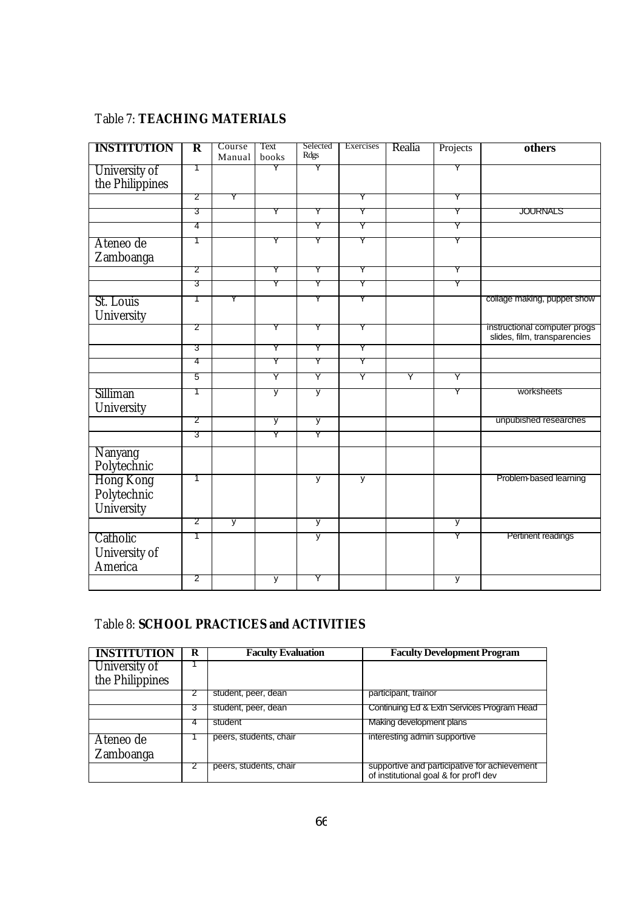## Table 7: **TEACHING MATERIALS**

| <b>INSTITUTION</b>                     | $\overline{\mathbf{R}}$ | Course<br>Manual | Text<br>books | Selected<br>Rdgs | Exercises | Realia | Projects | others                                                       |
|----------------------------------------|-------------------------|------------------|---------------|------------------|-----------|--------|----------|--------------------------------------------------------------|
| University of<br>the Philippines       | 1                       |                  | Y             | Y                |           |        | Y        |                                                              |
|                                        | 2                       | Y                |               |                  | Y         |        | Y        |                                                              |
|                                        | उ                       |                  | Y             | Y                | Y         |        | Y        | <b>JOURNALS</b>                                              |
|                                        | 4                       |                  |               | Y                | Y         |        | Y        |                                                              |
| Ateneo de<br>Zamboanga                 | 1                       |                  | Y             | Y                | Y         |        | Y        |                                                              |
|                                        | 2                       |                  | Y             | Y                | Y         |        | Y        |                                                              |
|                                        | 3                       |                  | Ÿ             | Y                | Y         |        | Y        |                                                              |
| St. Louis<br>University                | Τ                       | Y                |               | Y                | Y         |        |          | collage making, puppet show                                  |
|                                        | 2                       |                  | Y             | Y                | Y         |        |          | instructional computer progs<br>slides, film, transparencies |
|                                        | 3                       |                  | Y             | Y                | Y         |        |          |                                                              |
|                                        | 4                       |                  | Y             | Y                | Y         |        |          |                                                              |
|                                        | $\overline{5}$          |                  | Y             | Y                | Y         | Y      | Y        |                                                              |
| Silliman<br>University                 | 1                       |                  | y             | у                |           |        | Y        | worksheets                                                   |
|                                        | 2                       |                  | у             | y                |           |        |          | unpubished researches                                        |
|                                        | 3                       |                  | Y             | Y                |           |        |          |                                                              |
| Nanyang<br>Polytechnic                 |                         |                  |               |                  |           |        |          |                                                              |
| Hong Kong<br>Polytechnic<br>University | 1                       |                  |               | $\overline{y}$   | y         |        |          | Problem-based learning                                       |
|                                        | 2                       | у                |               | у                |           |        | у        |                                                              |
| Catholic<br>University of<br>America   | 1                       |                  |               | y                |           |        | Y        | Pertinent readings                                           |
|                                        | 2                       |                  | y             | Υ                |           |        | у        |                                                              |

## Table 8: **SCHOOL PRACTICES and ACTIVITIES**

| <b>INSTITUTION</b> | R | <b>Faculty Evaluation</b> | <b>Faculty Development Program</b>                                                     |
|--------------------|---|---------------------------|----------------------------------------------------------------------------------------|
| University of      |   |                           |                                                                                        |
| the Philippines    |   |                           |                                                                                        |
|                    |   | student, peer, dean       | participant, trainor                                                                   |
|                    |   | student, peer, dean       | Continuing Ed & Extn Services Program Head                                             |
|                    |   | student                   | Making development plans                                                               |
| Ateneo de          |   | peers, students, chair    | interesting admin supportive                                                           |
| Zamboanga          |   |                           |                                                                                        |
|                    |   | peers, students, chair    | supportive and participative for achievement<br>of institutional goal & for prof'l dev |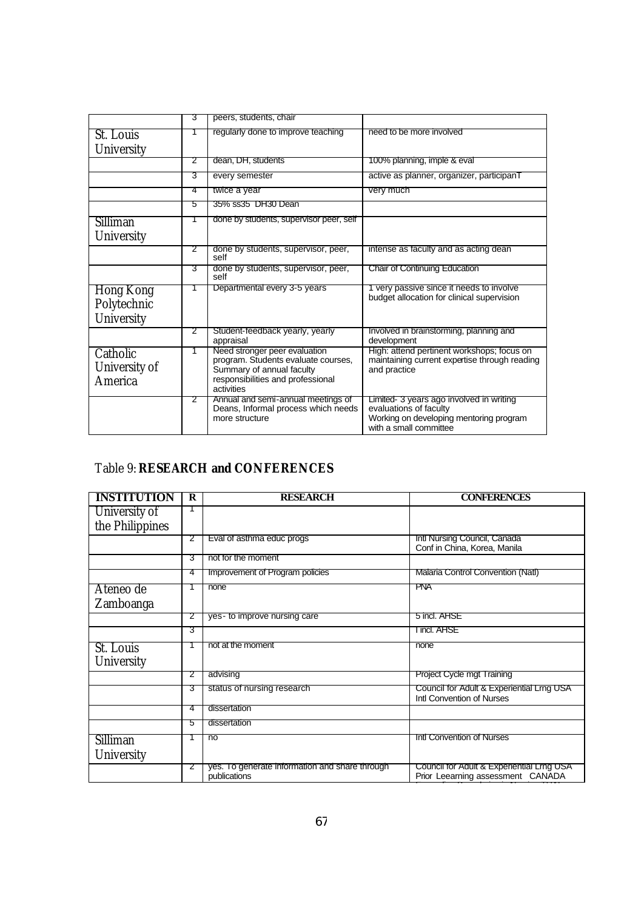|                   | 3              | peers, students, chair                                                    |                                                                                             |
|-------------------|----------------|---------------------------------------------------------------------------|---------------------------------------------------------------------------------------------|
| St. Louis         |                | regularly done to improve teaching                                        | need to be more involved                                                                    |
| University        |                |                                                                           |                                                                                             |
|                   | 2              | dean, DH, students                                                        | 100% planning, imple & eval                                                                 |
|                   | 3              | every semester                                                            | active as planner, organizer, participanT                                                   |
|                   | 4              | twice a year                                                              | very much                                                                                   |
|                   | 5              | 35% ss35 DH30 Dean                                                        |                                                                                             |
| Silliman          | 1              | done by students, supervisor peer, self                                   |                                                                                             |
| University        |                |                                                                           |                                                                                             |
|                   | 2              | done by students, supervisor, peer,<br>self                               | intense as faculty and as acting dean                                                       |
|                   | З              | done by students, supervisor, peer,<br>self                               | Chair of Continuing Education                                                               |
| Hong Kong         | 1              | Departmental every 3-5 years                                              | 1 very passive since it needs to involve<br>budget allocation for clinical supervision      |
| Polytechnic       |                |                                                                           |                                                                                             |
| <b>University</b> |                |                                                                           |                                                                                             |
|                   | 2              | Student-feedback yearly, yearly<br>appraisal                              | Involved in brainstorming, planning and<br>development                                      |
| Catholic          | $\overline{1}$ | Need stronger peer evaluation<br>program. Students evaluate courses,      | High: attend pertinent workshops; focus on<br>maintaining current expertise through reading |
| University of     |                | Summary of annual faculty                                                 | and practice                                                                                |
| America           |                | responsibilities and professional<br>activities                           |                                                                                             |
|                   | 2              | Annual and semi-annual meetings of<br>Deans, Informal process which needs | Limited- 3 years ago involved in writing<br>evaluations of faculty                          |
|                   |                | more structure                                                            | Working on developing mentoring program                                                     |
|                   |                |                                                                           | with a small committee                                                                      |

## Table 9: **RESEARCH and CONFERENCES**

| <b>INSTITUTION</b> | $\bf{R}$ | <b>RESEARCH</b>                                                | <b>CONFERENCES</b>                                                             |
|--------------------|----------|----------------------------------------------------------------|--------------------------------------------------------------------------------|
| University of      |          |                                                                |                                                                                |
| the Philippines    |          |                                                                |                                                                                |
|                    | 2        | Eval of asthma educ progs                                      | Intl Nursing Council, Canada<br>Conf in China, Korea, Manila                   |
|                    | З        | not for the moment                                             |                                                                                |
|                    | 4        | Improvement of Program policies                                | Malaria Control Convention (Natl)                                              |
| Ateneo de          |          | none                                                           | <b>PNA</b>                                                                     |
| Zamboanga          |          |                                                                |                                                                                |
|                    | 2        | yes- to improve nursing care                                   | 5 incl. AHSE                                                                   |
|                    | 3        |                                                                | I incl. AHSE                                                                   |
| St. Louis          |          | not at the moment                                              | none                                                                           |
| University         |          |                                                                |                                                                                |
|                    | 2        | advising                                                       | Project Cycle mgt Training                                                     |
|                    | 3        | status of nursing research                                     | Council for Adult & Experiential Lrng USA<br>Intl Convention of Nurses         |
|                    | 4        | dissertation                                                   |                                                                                |
|                    | 5        | dissertation                                                   |                                                                                |
| Silliman           |          | n <sub>o</sub>                                                 | Intl Convention of Nurses                                                      |
| University         |          |                                                                |                                                                                |
|                    | 2        | yes. To generate information and share through<br>publications | Council for Adult & Experiential Lrng USA<br>Prior Leearning assessment CANADA |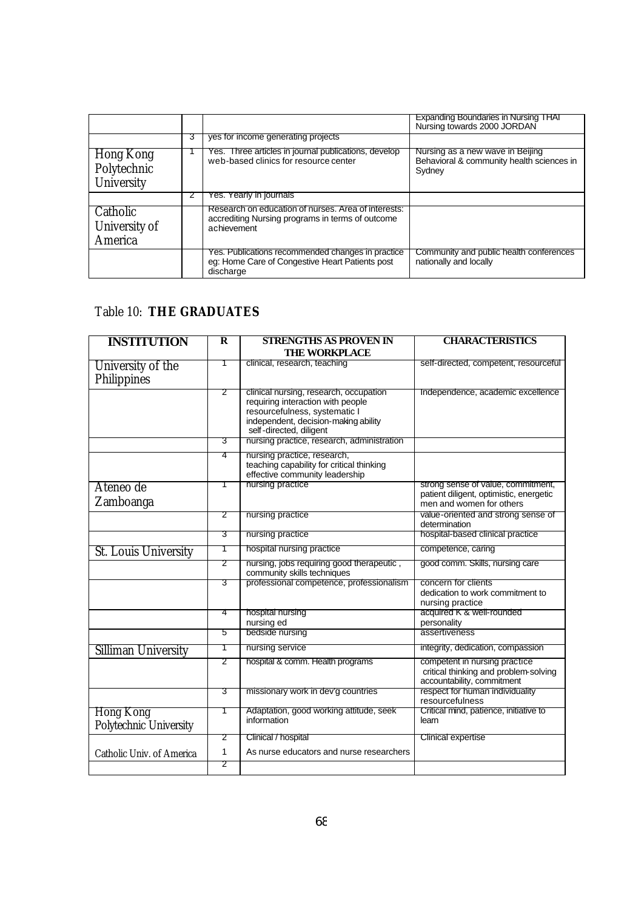|                                        |   |                                                                                                                        | Expanding Boundaries in Nursing THAT<br>Nursing towards 2000 JORDAN                     |
|----------------------------------------|---|------------------------------------------------------------------------------------------------------------------------|-----------------------------------------------------------------------------------------|
|                                        | 3 | yes for income generating projects                                                                                     |                                                                                         |
| Hong Kong<br>Polytechnic<br>University |   | es. Three articles in journal publications, develop<br>web-based clinics for resource center                           | Nursing as a new wave in Beijing<br>Behavioral & community health sciences in<br>Sydney |
|                                        |   | res. Yearly in journals                                                                                                |                                                                                         |
| Catholic<br>University of<br>America   |   | Research on education of nurses. Area of interests:<br>accrediting Nursing programs in terms of outcome<br>achievement |                                                                                         |
|                                        |   | Yes. Publications recommended changes in practice<br>eg: Home Care of Congestive Heart Patients post<br>discharge      | Community and public health conferences<br>nationally and locally                       |

## Table 10: **THE GRADUATES**

| <b>INSTITUTION</b>                  | R | <b>STRENGTHS AS PROVEN IN</b>                                                                                                                                                   | <b>CHARACTERISTICS</b>                                                                               |
|-------------------------------------|---|---------------------------------------------------------------------------------------------------------------------------------------------------------------------------------|------------------------------------------------------------------------------------------------------|
|                                     |   | <b>THE WORKPLACE</b>                                                                                                                                                            |                                                                                                      |
| University of the                   | T | clinical, research, teaching                                                                                                                                                    | self-directed, competent, resourceful                                                                |
| Philippines                         |   |                                                                                                                                                                                 |                                                                                                      |
|                                     | 2 | clinical nursing, research, occupation<br>requiring interaction with people<br>resourcefulness, systematic I<br>independent, decision-making ability<br>self-directed, diligent | Independence, academic excellence                                                                    |
|                                     | З | nursing practice, research, administration                                                                                                                                      |                                                                                                      |
|                                     | 4 | nursing practice, research,<br>teaching capability for critical thinking<br>effective community leadership                                                                      |                                                                                                      |
| Ateneo de                           | 1 | nursing practice                                                                                                                                                                | strong sense of value, commitment,                                                                   |
| Zamboanga                           |   |                                                                                                                                                                                 | patient diligent, optimistic, energetic<br>men and women for others                                  |
|                                     | 2 | nursing practice                                                                                                                                                                | value-oriented and strong sense of<br>determination                                                  |
|                                     | 3 | nursing practice                                                                                                                                                                | hospital-based clinical practice                                                                     |
| <b>St. Louis University</b>         | 1 | hospital nursing practice                                                                                                                                                       | competence, caring                                                                                   |
|                                     | 2 | nursing, jobs requiring good therapeutic,<br>community skills techniques                                                                                                        | good comm. Skills, nursing care                                                                      |
|                                     | 3 | professional competence, professionalism                                                                                                                                        | concern for clients<br>dedication to work commitment to<br>nursing practice                          |
|                                     | 4 | hospital nursing<br>nursing ed                                                                                                                                                  | acquired K & well-rounded<br>personality                                                             |
|                                     | 5 | bedside nursing                                                                                                                                                                 | assertiveness                                                                                        |
| Silliman University                 | 1 | nursing service                                                                                                                                                                 | integrity, dedication, compassion                                                                    |
|                                     | 2 | hospital & comm. Health programs                                                                                                                                                | competent in nursing practice<br>critical thinking and problem-solving<br>accountability, commitment |
|                                     | 3 | missionary work in dev'g countries                                                                                                                                              | respect for human individuality<br>resourcefulness                                                   |
| Hong Kong<br>Polytechnic University | 1 | Adaptation, good working attitude, seek<br>information                                                                                                                          | Critical mind, patience, initiative to<br>learn                                                      |
|                                     | 2 | Clinical / hospital                                                                                                                                                             | <b>Clinical expertise</b>                                                                            |
| Catholic Univ. of America           | 1 | As nurse educators and nurse researchers                                                                                                                                        |                                                                                                      |
|                                     | 2 |                                                                                                                                                                                 |                                                                                                      |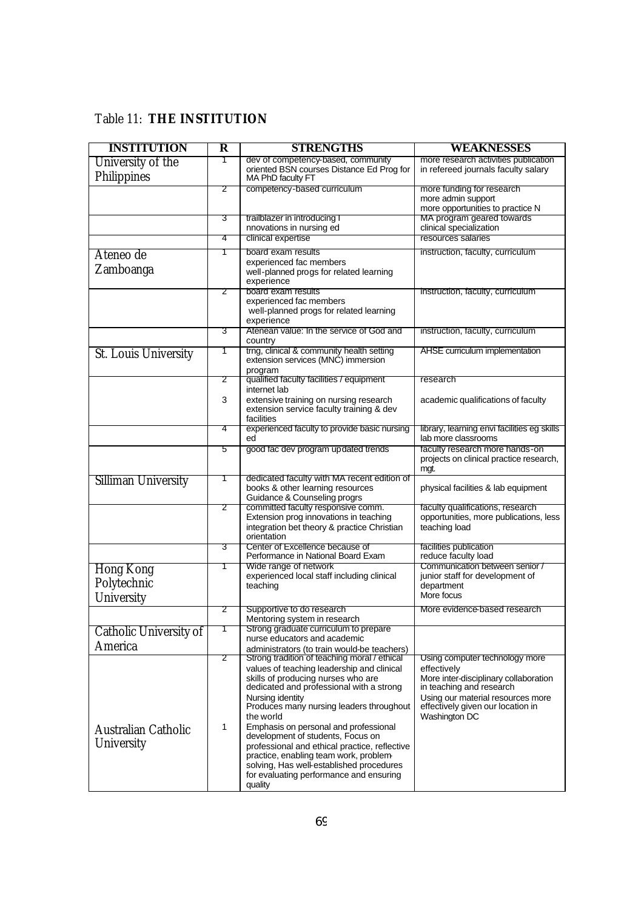## Table 11: **THE INSTITUTION**

| <b>INSTITUTION</b>                       | $\overline{\mathbf{R}}$ | <b>STRENGTHS</b>                                                                                                                                                                                                                                                                                                                                                                                                                                                                                                                     | WEAKNESSES                                                                                                                                                                                                    |  |
|------------------------------------------|-------------------------|--------------------------------------------------------------------------------------------------------------------------------------------------------------------------------------------------------------------------------------------------------------------------------------------------------------------------------------------------------------------------------------------------------------------------------------------------------------------------------------------------------------------------------------|---------------------------------------------------------------------------------------------------------------------------------------------------------------------------------------------------------------|--|
| University of the<br>Philippines         | Τ                       | dev of competency-based, community<br>oriented BSN courses Distance Ed Prog for<br>MA PhD faculty FT                                                                                                                                                                                                                                                                                                                                                                                                                                 | more research activities publication<br>in refereed journals faculty salary                                                                                                                                   |  |
|                                          | 2                       | competency-based curriculum                                                                                                                                                                                                                                                                                                                                                                                                                                                                                                          | more funding for research<br>more admin support<br>more opportunities to practice N                                                                                                                           |  |
|                                          | 3                       | trailblazer in introducing I<br>nnovations in nursing ed                                                                                                                                                                                                                                                                                                                                                                                                                                                                             | MA program geared towards<br>clinical specialization                                                                                                                                                          |  |
|                                          | 4                       | clinical expertise                                                                                                                                                                                                                                                                                                                                                                                                                                                                                                                   | resources salaries                                                                                                                                                                                            |  |
| Ateneo de<br>Zamboanga                   | 1                       | board exam results<br>experienced fac members<br>well-planned progs for related learning<br>experience                                                                                                                                                                                                                                                                                                                                                                                                                               | instruction, faculty, curriculum                                                                                                                                                                              |  |
|                                          | 2                       | board exam results<br>experienced fac members<br>well-planned progs for related learning<br>experience                                                                                                                                                                                                                                                                                                                                                                                                                               | instruction, faculty, curriculum                                                                                                                                                                              |  |
|                                          | 3                       | Atenean value: In the service of God and<br>country                                                                                                                                                                                                                                                                                                                                                                                                                                                                                  | instruction, faculty, curriculum                                                                                                                                                                              |  |
| St. Louis University                     | 1                       | trng, clinical & community health setting<br>extension services (MNC) immersion<br>program                                                                                                                                                                                                                                                                                                                                                                                                                                           | AHSE curriculum implementation                                                                                                                                                                                |  |
|                                          | 2                       | qualified faculty facilities / equipment<br>internet lab                                                                                                                                                                                                                                                                                                                                                                                                                                                                             | research                                                                                                                                                                                                      |  |
|                                          | 3                       | extensive training on nursing research<br>extension service faculty training & dev<br>facilities                                                                                                                                                                                                                                                                                                                                                                                                                                     | academic qualifications of faculty                                                                                                                                                                            |  |
|                                          | 4                       | experienced faculty to provide basic nursing<br>ed                                                                                                                                                                                                                                                                                                                                                                                                                                                                                   | library, learning envi facilities eg skills<br>lab more classrooms                                                                                                                                            |  |
|                                          | 5                       | good fac dev program updated trends                                                                                                                                                                                                                                                                                                                                                                                                                                                                                                  | faculty research more hands-on<br>projects on clinical practice research,<br>mgt.                                                                                                                             |  |
| Silliman University                      | 1                       | dedicated faculty with MA recent edition of<br>books & other learning resources<br>Guidance & Counseling progrs                                                                                                                                                                                                                                                                                                                                                                                                                      | physical facilities & lab equipment                                                                                                                                                                           |  |
|                                          | 2                       | committed faculty responsive comm.<br>Extension prog innovations in teaching<br>integration bet theory & practice Christian<br>orientation                                                                                                                                                                                                                                                                                                                                                                                           | faculty qualifications, research<br>opportunities, more publications, less<br>teaching load                                                                                                                   |  |
|                                          | З                       | Center of Excellence because of<br>Performance in National Board Exam                                                                                                                                                                                                                                                                                                                                                                                                                                                                | facilities publication<br>reduce faculty load                                                                                                                                                                 |  |
| Hong Kong<br>Polytechnic<br>University   | 1                       | Wide range of network<br>experienced local staff including clinical<br>teaching                                                                                                                                                                                                                                                                                                                                                                                                                                                      | Communication between senior /<br>junior staff for development of<br>department<br>More focus                                                                                                                 |  |
|                                          | 2                       | Supportive to do research<br>Mentoring system in research                                                                                                                                                                                                                                                                                                                                                                                                                                                                            | More evidence-based research                                                                                                                                                                                  |  |
| Catholic University of<br>America        | 1                       | Strong graduate curriculum to prepare<br>nurse educators and academic<br>administrators (to train would-be teachers)                                                                                                                                                                                                                                                                                                                                                                                                                 |                                                                                                                                                                                                               |  |
| Australian Catholic<br><b>University</b> | 2<br>1                  | Strong tradition of teaching moral / ethical<br>values of teaching leadership and clinical<br>skills of producing nurses who are<br>dedicated and professional with a strong<br>Nursing identity<br>Produces many nursing leaders throughout<br>the world<br>Emphasis on personal and professional<br>development of students, Focus on<br>professional and ethical practice, reflective<br>practice, enabling team work, problem-<br>solving, Has well-established procedures<br>for evaluating performance and ensuring<br>quality | Using computer technology more<br>effectively<br>More inter-disciplinary collaboration<br>in teaching and research<br>Using our material resources more<br>effectively given our location in<br>Washington DC |  |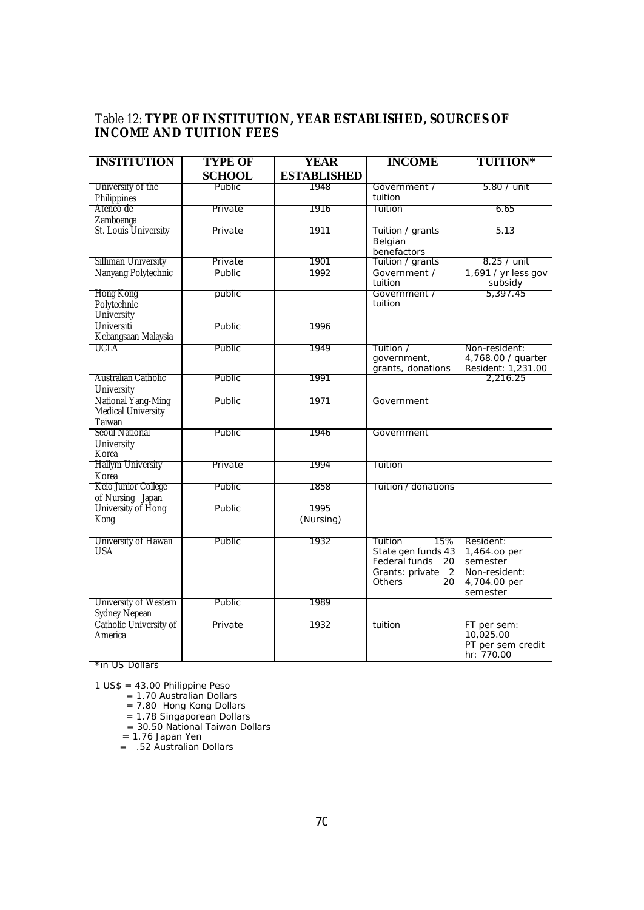#### Table 12: **TYPE OF INSTITUTION, YEAR ESTABLISHED, SOURCES OF INCOME AND TUITION FEES**

| <b>INSTITUTION</b>                      | <b>TYPE OF</b> | YEAR               | <b>INCOME</b>           | <b>TUITION*</b>                |
|-----------------------------------------|----------------|--------------------|-------------------------|--------------------------------|
|                                         | <b>SCHOOL</b>  | <b>ESTABLISHED</b> |                         |                                |
| University of the                       | Public         | 1948               | Government /            | 5.80 / unit                    |
| Philippines                             |                |                    | tuition                 |                                |
| Ateneo de                               | Private        | 1916               | Tuition                 | 6.65                           |
| Zamboanga                               |                |                    |                         |                                |
| St. Louis University                    | Private        | 1911               | Tuition / grants        | 5.13                           |
|                                         |                |                    | Belgian                 |                                |
|                                         |                | 1901               | benefactors             |                                |
| Silliman University                     | Private        |                    | Tuition / grants        | 8.25 / unit                    |
| Nanyang Polytechnic                     | Public         | 1992               | Government /<br>tuition | 1,691 / yr less gov<br>subsidy |
| Hong Kong                               | public         |                    | Government /            | 5,397.45                       |
| Polytechnic                             |                |                    | tuition                 |                                |
| University                              |                |                    |                         |                                |
| Universiti                              | <b>Public</b>  | 1996               |                         |                                |
| Kebangsaan Malaysia                     |                |                    |                         |                                |
| UCLA                                    | Public         | 1949               | Tuition /               | Non-resident:                  |
|                                         |                |                    | government,             | 4,768.00 / quarter             |
|                                         |                |                    | grants, donations       | Resident: 1,231.00             |
| Australian Catholic                     | Public         | 1991               |                         | 2,216.25                       |
| University                              |                |                    |                         |                                |
| National Yang-Ming                      | Public         | 1971               | Government              |                                |
| Medical University<br>Taiwan            |                |                    |                         |                                |
| <b>Seoul National</b>                   | Public         | 1946               | Government              |                                |
| University                              |                |                    |                         |                                |
| Korea                                   |                |                    |                         |                                |
| <b>Hallym University</b>                | Private        | 1994               | Tuition                 |                                |
| Korea                                   |                |                    |                         |                                |
| Keio Junior College                     | <b>Public</b>  | 1858               | Tuition / donations     |                                |
| of Nursing Japan                        |                |                    |                         |                                |
| University of Hong                      | Public         | 1995               |                         |                                |
| Kong                                    |                | (Nursing)          |                         |                                |
| University of Hawaii                    | Public         | 1932               | 15%<br>Tuition          | Resident:                      |
| <b>USA</b>                              |                |                    | State gen funds 43      | 1,464.00 per                   |
|                                         |                |                    | Federal funds<br>20     | semester                       |
|                                         |                |                    | Grants: private 2       | Non-resident:                  |
|                                         |                |                    | Others<br>20            | 4,704.00 per                   |
|                                         |                |                    |                         | semester                       |
| University of Western                   | Public         | 1989               |                         |                                |
| Sydney Nepean<br>Catholic University of |                |                    |                         |                                |
|                                         | Private        | 1932               | tuition                 | FT per sem:<br>10,025.00       |
| America                                 |                |                    |                         | PT per sem credit              |
|                                         |                |                    |                         | hr: 770.00                     |

\*in US Dollars

1 US\$ = 43.00 Philippine Peso

= 1.70 Australian Dollars

= 7.80 Hong Kong Dollars

= 1.78 Singaporean Dollars

= 30.50 National Taiwan Dollars

= 1.76 Japan Yen

= .52 Australian Dollars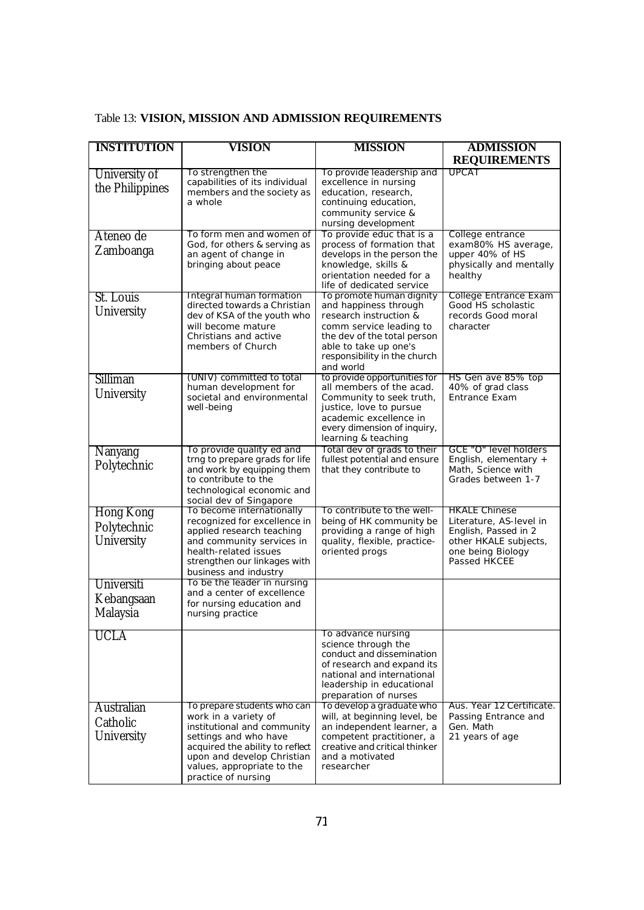| <b>INSTITUTION</b> | VISION                                                       | <b>MISSION</b>                                            | <b>ADMISSION</b>                              |  |  |  |
|--------------------|--------------------------------------------------------------|-----------------------------------------------------------|-----------------------------------------------|--|--|--|
|                    |                                                              |                                                           | <b>REQUIREMENTS</b>                           |  |  |  |
| University of      | To strengthen the<br>capabilities of its individual          | To provide leadership and<br>excellence in nursing        | <b>UPCAT</b>                                  |  |  |  |
| the Philippines    | members and the society as                                   | education, research,                                      |                                               |  |  |  |
|                    | a whole                                                      | continuing education,                                     |                                               |  |  |  |
|                    |                                                              | community service &                                       |                                               |  |  |  |
| Ateneo de          | To form men and women of                                     | nursing development<br>To provide educ that is a          | College entrance                              |  |  |  |
|                    | God, for others & serving as                                 | process of formation that                                 | exam80% HS average,                           |  |  |  |
| Zamboanga          | an agent of change in                                        | develops in the person the                                | upper 40% of HS                               |  |  |  |
|                    | bringing about peace                                         | knowledge, skills &<br>orientation needed for a           | physically and mentally<br>healthy            |  |  |  |
|                    |                                                              | life of dedicated service                                 |                                               |  |  |  |
| St. Louis          | Integral human formation<br>directed towards a Christian     | To promote human dignity                                  | College Entrance Exam<br>Good HS scholastic   |  |  |  |
| University         | dev of KSA of the youth who                                  | and happiness through<br>research instruction &           | records Good moral                            |  |  |  |
|                    | will become mature                                           | comm service leading to                                   | character                                     |  |  |  |
|                    | Christians and active<br>members of Church                   | the dev of the total person<br>able to take up one's      |                                               |  |  |  |
|                    |                                                              | responsibility in the church                              |                                               |  |  |  |
|                    |                                                              | and world                                                 |                                               |  |  |  |
| Silliman           | (UNIV) committed to total<br>human development for           | to provide opportunities for<br>all members of the acad.  | HS Gen ave 85% top<br>40% of grad class       |  |  |  |
| University         | societal and environmental                                   | Community to seek truth,                                  | <b>Entrance Exam</b>                          |  |  |  |
|                    | well-being                                                   | justice, love to pursue                                   |                                               |  |  |  |
|                    |                                                              | academic excellence in<br>every dimension of inquiry,     |                                               |  |  |  |
|                    |                                                              | learning & teaching                                       |                                               |  |  |  |
| Nanyang            | To provide quality ed and                                    | Total dev of grads to their                               | GCE "O" level holders                         |  |  |  |
| Polytechnic        | trng to prepare grads for life<br>and work by equipping them | fullest potential and ensure<br>that they contribute to   | English, elementary +<br>Math, Science with   |  |  |  |
|                    | to contribute to the                                         |                                                           | Grades between 1-7                            |  |  |  |
|                    | technological economic and<br>social dev of Singapore        |                                                           |                                               |  |  |  |
| <b>Hong Kong</b>   | To become internationally                                    | To contribute to the well-                                | <b>HKALE Chinese</b>                          |  |  |  |
| Polytechnic        | recognized for excellence in                                 | being of HK community be                                  | Literature, AS-level in                       |  |  |  |
| University         | applied research teaching<br>and community services in       | providing a range of high<br>quality, flexible, practice- | English, Passed in 2<br>other HKALE subjects, |  |  |  |
|                    | health-related issues                                        | oriented progs                                            | one being Biology                             |  |  |  |
|                    | strengthen our linkages with<br>business and industry        |                                                           | Passed HKCEE                                  |  |  |  |
| <b>Universiti</b>  | To be the leader in nursing                                  |                                                           |                                               |  |  |  |
| Kebangsaan         | and a center of excellence                                   |                                                           |                                               |  |  |  |
| Malaysia           | for nursing education and<br>nursing practice                |                                                           |                                               |  |  |  |
|                    |                                                              |                                                           |                                               |  |  |  |
| <b>UCLA</b>        |                                                              | To advance nursing                                        |                                               |  |  |  |
|                    |                                                              | science through the<br>conduct and dissemination          |                                               |  |  |  |
|                    |                                                              | of research and expand its                                |                                               |  |  |  |
|                    |                                                              | national and international<br>leadership in educational   |                                               |  |  |  |
|                    |                                                              | preparation of nurses                                     |                                               |  |  |  |
| Australian         | To prepare students who can                                  | To develop a graduate who                                 | Aus. Year 12 Certificate.                     |  |  |  |
| Catholic           | work in a variety of<br>institutional and community          | will, at beginning level, be<br>an independent learner, a | Passing Entrance and<br>Gen. Math             |  |  |  |
| University         | settings and who have                                        | competent practitioner, a                                 | 21 years of age                               |  |  |  |
|                    | acquired the ability to reflect                              | creative and critical thinker                             |                                               |  |  |  |
|                    | upon and develop Christian<br>values, appropriate to the     | and a motivated<br>researcher                             |                                               |  |  |  |
|                    | practice of nursing                                          |                                                           |                                               |  |  |  |

# Table 13: **VISION, MISSION AND ADMISSION REQUIREMENTS**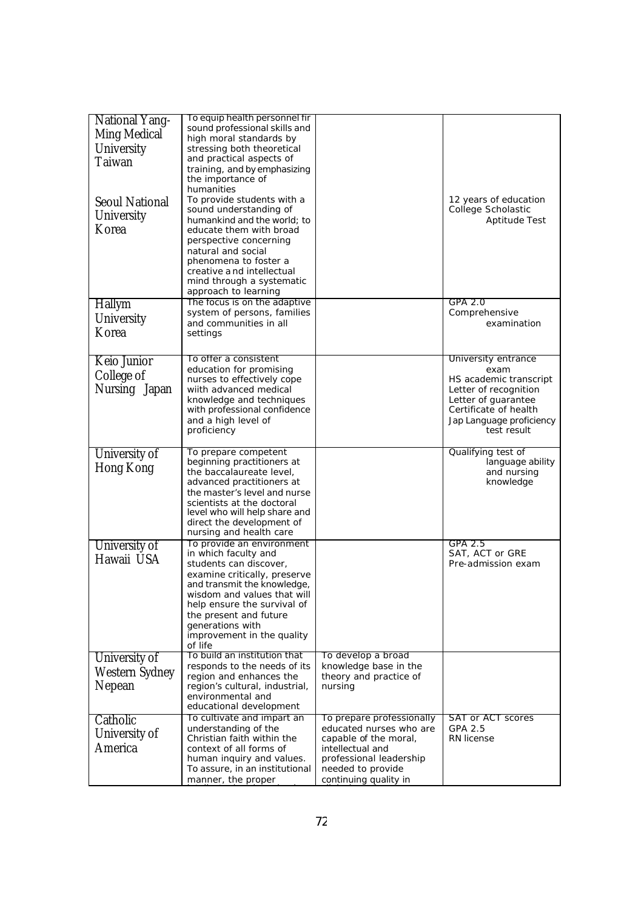| <b>National Yang-</b><br>Ming Medical<br>University<br>Taiwan<br><b>Seoul National</b><br>University<br>Korea | To equip health personnel fir<br>sound professional skills and<br>high moral standards by<br>stressing both theoretical<br>and practical aspects of<br>training, and by emphasizing<br>the importance of<br>humanities<br>To provide students with a<br>sound understanding of<br>humankind and the world; to<br>educate them with broad<br>perspective concerning<br>natural and social<br>phenomena to foster a<br>creative and intellectual<br>mind through a systematic |                                                                                                                                                                            | 12 years of education<br>College Scholastic<br>Aptitude Test                                                                                                              |
|---------------------------------------------------------------------------------------------------------------|-----------------------------------------------------------------------------------------------------------------------------------------------------------------------------------------------------------------------------------------------------------------------------------------------------------------------------------------------------------------------------------------------------------------------------------------------------------------------------|----------------------------------------------------------------------------------------------------------------------------------------------------------------------------|---------------------------------------------------------------------------------------------------------------------------------------------------------------------------|
|                                                                                                               | approach to learning<br>The focus is on the adaptive                                                                                                                                                                                                                                                                                                                                                                                                                        |                                                                                                                                                                            | GPA 2.0                                                                                                                                                                   |
| Hallym<br>University<br>Korea                                                                                 | system of persons, families<br>and communities in all<br>settings                                                                                                                                                                                                                                                                                                                                                                                                           |                                                                                                                                                                            | Comprehensive<br>examination                                                                                                                                              |
| Keio Junior<br>College of<br>Nursing Japan                                                                    | To offer a consistent<br>education for promising<br>nurses to effectively cope<br>wiith advanced medical<br>knowledge and techniques<br>with professional confidence<br>and a high level of<br>proficiency                                                                                                                                                                                                                                                                  |                                                                                                                                                                            | University entrance<br>exam<br>HS academic transcript<br>Letter of recognition<br>Letter of quarantee<br>Certificate of health<br>Jap Language proficiency<br>test result |
| University of<br>Hong Kong                                                                                    | To prepare competent<br>beginning practitioners at<br>the baccalaureate level,<br>advanced practitioners at<br>the master's level and nurse<br>scientists at the doctoral<br>level who will help share and<br>direct the development of<br>nursing and health care                                                                                                                                                                                                          |                                                                                                                                                                            | Qualifying test of<br>language ability<br>and nursing<br>knowledge                                                                                                        |
| University of<br>Hawaii USA                                                                                   | To provide an environment<br>in which faculty and<br>students can discover,<br>examine critically, preserve<br>and transmit the knowledge,<br>wisdom and values that will<br>help ensure the survival of<br>the present and future<br>generations with<br>improvement in the quality<br>of life                                                                                                                                                                             |                                                                                                                                                                            | GPA 2.5<br>SAT, ACT or GRE<br>Pre-admission exam                                                                                                                          |
| University of<br>Western Sydney<br>Nepean                                                                     | To build an institution that<br>responds to the needs of its<br>region and enhances the<br>region's cultural, industrial,<br>environmental and<br>educational development                                                                                                                                                                                                                                                                                                   | To develop a broad<br>knowledge base in the<br>theory and practice of<br>nursing                                                                                           |                                                                                                                                                                           |
| Catholic<br>University of<br>America                                                                          | To cultivate and impart an<br>understanding of the<br>Christian faith within the<br>context of all forms of<br>human inquiry and values.<br>To assure, in an institutional<br>manner, the proper                                                                                                                                                                                                                                                                            | To prepare professionally<br>educated nurses who are<br>capable of the moral,<br>intellectual and<br>professional leadership<br>needed to provide<br>continuing quality in | <b>SAT or ACT scores</b><br>GPA 2.5<br>RN license                                                                                                                         |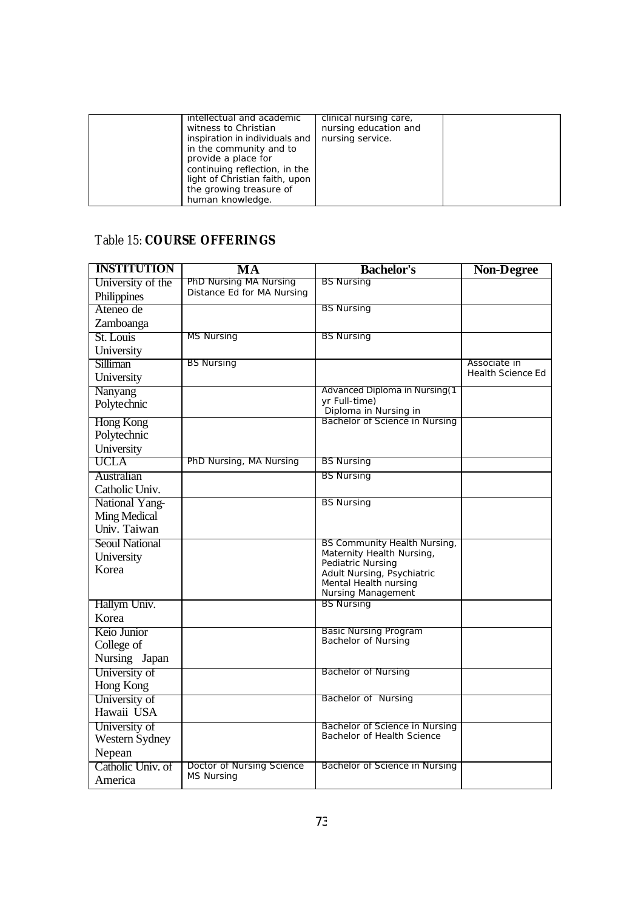| intellectual and academic      | clinical nursing care, |  |
|--------------------------------|------------------------|--|
| witness to Christian           | nursing education and  |  |
| inspiration in individuals and | nursing service.       |  |
| in the community and to        |                        |  |
| provide a place for            |                        |  |
| continuing reflection, in the  |                        |  |
| light of Christian faith, upon |                        |  |
| the growing treasure of        |                        |  |
| human knowledge.               |                        |  |

# Table 15: **COURSE OFFERINGS**

| <b>INSTITUTION</b>    | MA                         | <b>Bachelor's</b>                              | <b>Non-Degree</b>        |
|-----------------------|----------------------------|------------------------------------------------|--------------------------|
| University of the     | PhD Nursing MA Nursing     | <b>BS Nursing</b>                              |                          |
| Philippines           | Distance Ed for MA Nursing |                                                |                          |
| Ateneo de             |                            | <b>BS Nursing</b>                              |                          |
| Zamboanga             |                            |                                                |                          |
| St. Louis             | <b>MS Nursing</b>          | <b>BS Nursing</b>                              |                          |
| University            |                            |                                                |                          |
| Silliman              | <b>BS Nursing</b>          |                                                | Associate in             |
| University            |                            |                                                | <b>Health Science Ed</b> |
| Nanyang               |                            | Advanced Diploma in Nursing(1                  |                          |
| Polytechnic           |                            | yr Full-time)<br>Diploma in Nursing in         |                          |
| Hong Kong             |                            | Bachelor of Science in Nursing                 |                          |
| Polytechnic           |                            |                                                |                          |
| University            |                            |                                                |                          |
| UCLA                  | PhD Nursing, MA Nursing    | <b>BS Nursing</b>                              |                          |
| Australian            |                            | <b>BS Nursing</b>                              |                          |
| Catholic Univ.        |                            |                                                |                          |
| National Yang-        |                            | <b>BS Nursing</b>                              |                          |
| <b>Ming Medical</b>   |                            |                                                |                          |
| Univ. Taiwan          |                            |                                                |                          |
| <b>Seoul National</b> |                            | BS Community Health Nursing,                   |                          |
| University            |                            | Maternity Health Nursing,<br>Pediatric Nursing |                          |
| Korea                 |                            | Adult Nursing, Psychiatric                     |                          |
|                       |                            | Mental Health nursing                          |                          |
| Hallym Univ.          |                            | Nursing Management<br><b>BS Nursing</b>        |                          |
| Korea                 |                            |                                                |                          |
| Keio Junior           |                            | <b>Basic Nursing Program</b>                   |                          |
| College of            |                            | Bachelor of Nursing                            |                          |
| Nursing Japan         |                            |                                                |                          |
| University of         |                            | <b>Bachelor of Nursing</b>                     |                          |
| Hong Kong             |                            |                                                |                          |
| University of         |                            | <b>Bachelor of Nursing</b>                     |                          |
| Hawaii USA            |                            |                                                |                          |
| University of         |                            | Bachelor of Science in Nursing                 |                          |
| Western Sydney        |                            | Bachelor of Health Science                     |                          |
| Nepean                |                            |                                                |                          |
| Catholic Univ. of     | Doctor of Nursing Science  | Bachelor of Science in Nursing                 |                          |
| America               | <b>MS Nursing</b>          |                                                |                          |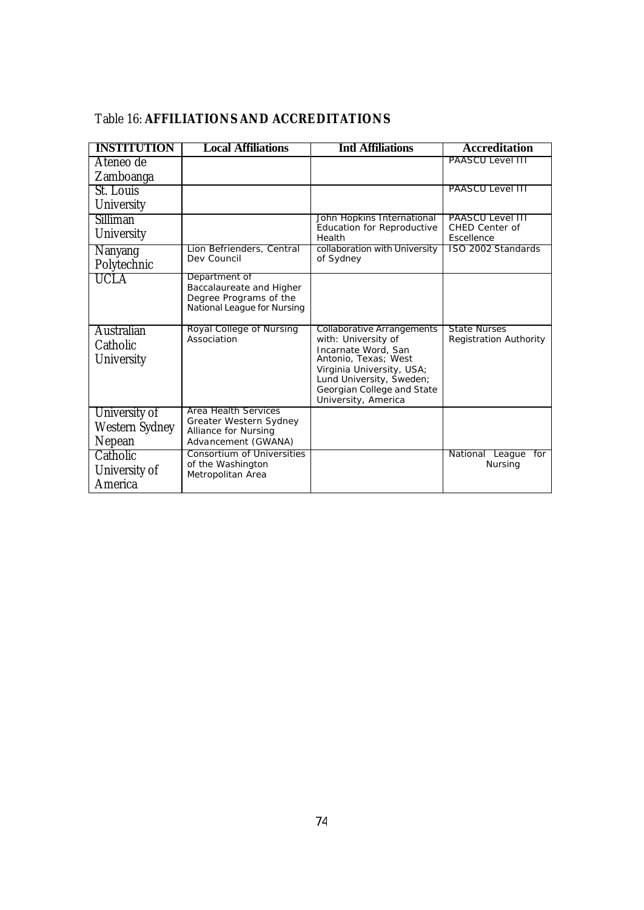| <b>INSTITUTION</b>                               | <b>Local Affiliations</b>                                                                          | <b>Intl Affiliations</b>                                                                                                                                                                                       | <b>Accreditation</b>                                 |
|--------------------------------------------------|----------------------------------------------------------------------------------------------------|----------------------------------------------------------------------------------------------------------------------------------------------------------------------------------------------------------------|------------------------------------------------------|
| Ateneo de<br>Zamboanga                           |                                                                                                    |                                                                                                                                                                                                                | PAASCU Level III                                     |
| St. Louis<br>University                          |                                                                                                    |                                                                                                                                                                                                                | <b>PAASCU Level 111</b>                              |
| Silliman<br>University                           |                                                                                                    | John Hopkins International<br><b>Education for Reproductive</b><br>Health                                                                                                                                      | PAASCU Level III<br>CHED Center of<br>Escellence     |
| Nanyang<br>Polytechnic                           | Lion Befrienders, Central<br>Dev Council                                                           | collaboration with University<br>of Sydney                                                                                                                                                                     | ISO 2002 Standards                                   |
| <b>UCLA</b>                                      | Department of<br>Baccalaureate and Higher<br>Degree Programs of the<br>National League for Nursing |                                                                                                                                                                                                                |                                                      |
| Australian<br>Catholic<br>University             | Royal College of Nursing<br>Association                                                            | Collaborative Arrangements<br>with: University of<br>Incarnate Word, San<br>Antonio, Texas; West<br>Virginia University, USA;<br>Lund University, Sweden;<br>Georgian College and State<br>University, America | <b>State Nurses</b><br><b>Registration Authority</b> |
| University of<br><b>Western Sydney</b><br>Nepean | Area Health Services<br>Greater Western Sydney<br>Alliance for Nursing<br>Advancement (GWANA)      |                                                                                                                                                                                                                |                                                      |
| Catholic<br>University of<br>America             | <b>Consortium of Universities</b><br>of the Washington<br>Metropolitan Area                        |                                                                                                                                                                                                                | National League for<br>Nursing                       |

# Table 16: **AFFILIATIONS AND ACCREDITATIONS**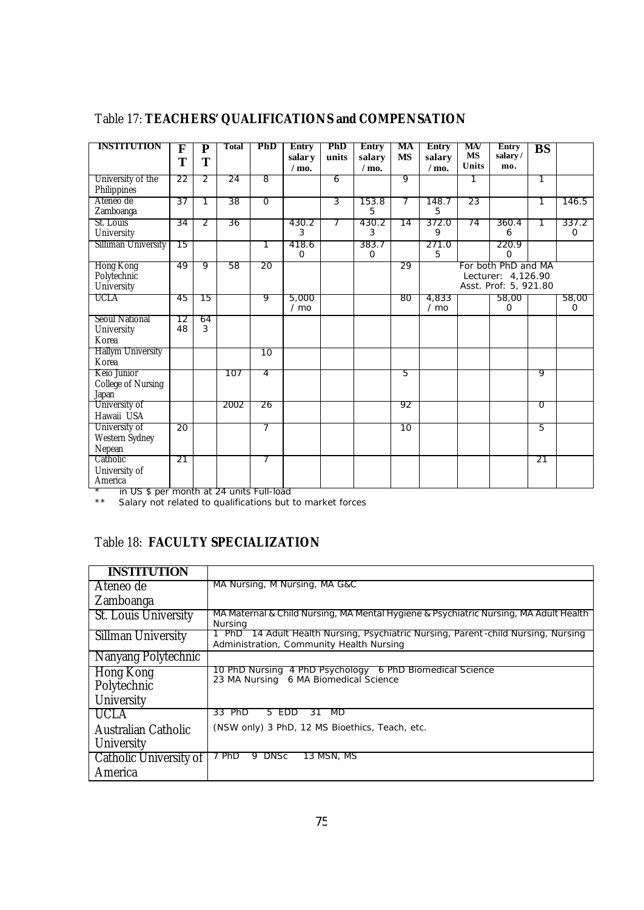| <b>INSTITUTION</b>                                | F<br>T   | $\overline{\text{P}}$<br>T | Total | PhD             | <b>Entry</b><br>salar y<br>$/$ mo. | <b>PhD</b><br>units | <b>Entry</b><br>salary<br>$/$ mo. | MA<br><b>MS</b> | <b>Entry</b><br>salary<br>$/$ mo. | MA<br><b>MS</b><br>Units | Entry<br>salary/<br>mo.                                            | BS             |                      |
|---------------------------------------------------|----------|----------------------------|-------|-----------------|------------------------------------|---------------------|-----------------------------------|-----------------|-----------------------------------|--------------------------|--------------------------------------------------------------------|----------------|----------------------|
| University of the<br>Philippines                  | 22       | 2                          | 24    | 8               |                                    | 6                   |                                   | 9               |                                   |                          |                                                                    |                |                      |
| Ateneo de<br>Zamboanga                            | 37       | 1                          | 38    | $\overline{0}$  |                                    | 3                   | 153.8<br>5                        | 7               | 148.7<br>5                        | 23                       |                                                                    | 1              | 146.5                |
| St. Louis<br>University                           | 34       | 2                          | 36    |                 | 430.2<br>3                         |                     | 430.2<br>3                        | 14              | 372.0<br>9                        | 74                       | 360.4<br>6                                                         |                | 337.2<br>$\mathbf 0$ |
| Silliman University                               | 15       |                            |       | 1               | 418.6<br>O                         |                     | 383.7<br>$\mathbf{O}$             |                 | 271.0<br>5                        |                          | 220.9<br>0                                                         |                |                      |
| Hong Kong<br>Polytechnic<br>University            | 49       | 9                          | 58    | 20              |                                    |                     |                                   | 29              |                                   |                          | For both PhD and MA<br>Lecturer: 4,126.90<br>Asst. Prof: 5, 921.80 |                |                      |
| <b>UCLA</b>                                       | 45       | 15                         |       | 9               | 5,000<br>$/$ mo                    |                     |                                   | 80              | 4,833<br>$/$ mo                   |                          | 58,00<br>0                                                         |                | 58,00<br>$\mathbf 0$ |
| <b>Seoul National</b><br>University<br>Korea      | 12<br>48 | 64<br>3                    |       |                 |                                    |                     |                                   |                 |                                   |                          |                                                                    |                |                      |
| Hallym University<br>Korea                        |          |                            |       | $\overline{10}$ |                                    |                     |                                   |                 |                                   |                          |                                                                    |                |                      |
| Keio Junior<br><b>College of Nursing</b><br>Japan |          |                            | 107   | 4               |                                    |                     |                                   | 5               |                                   |                          |                                                                    | 9              |                      |
| University of<br>Hawaii USA                       |          |                            | 2002  | 26              |                                    |                     |                                   | 92              |                                   |                          |                                                                    | $\overline{0}$ |                      |
| University of<br>Western Sydney<br>Nepean         | 20       |                            |       | 7               |                                    |                     |                                   | 10              |                                   |                          |                                                                    | 5              |                      |
| Catholic<br>University of<br>America              | 21       |                            |       | 7               |                                    |                     |                                   |                 |                                   |                          |                                                                    | 21             |                      |

# Table 17: **TEACHERS' QUALIFICATIONS and COMPENSATION**

\* in US \$ per month at 24 units Full-load

\*\* Salary not related to qualifications but to market forces

# Table 18: **FACULTY SPECIALIZATION**

| <b>INSTITUTION</b>       |                                                                                                                                       |
|--------------------------|---------------------------------------------------------------------------------------------------------------------------------------|
| Ateneo de                | MA Nursing, M Nursing, MA G&C                                                                                                         |
| Zamboanga                |                                                                                                                                       |
| St. Louis University     | MA Maternal & Child Nursing, MA Mental Hygiene & Psychiatric Nursing, MA Adult Health<br>Nursing                                      |
| Sillman University       | 14 Adult Health Nursing, Psychiatric Nursing, Parent-child Nursing, Nursing<br><b>PhD</b><br>Administration, Community Health Nursing |
| Nanyang Polytechnic      |                                                                                                                                       |
| Hong Kong<br>Polytechnic | 10 PhD Nursing 4 PhD Psychology 6 PhD Biomedical Science<br>23 MA Nursing 6 MA Biomedical Science                                     |
| University               |                                                                                                                                       |
| <b>UCLA</b>              | 33 PhD<br>MD<br>5 EDD<br>31                                                                                                           |
| Australian Catholic      | (NSW only) 3 PhD, 12 MS Bioethics, Teach, etc.                                                                                        |
| University               |                                                                                                                                       |
| Catholic University of   | 7 PhD<br>13 MSN, MS<br>9 DNSc                                                                                                         |
| America                  |                                                                                                                                       |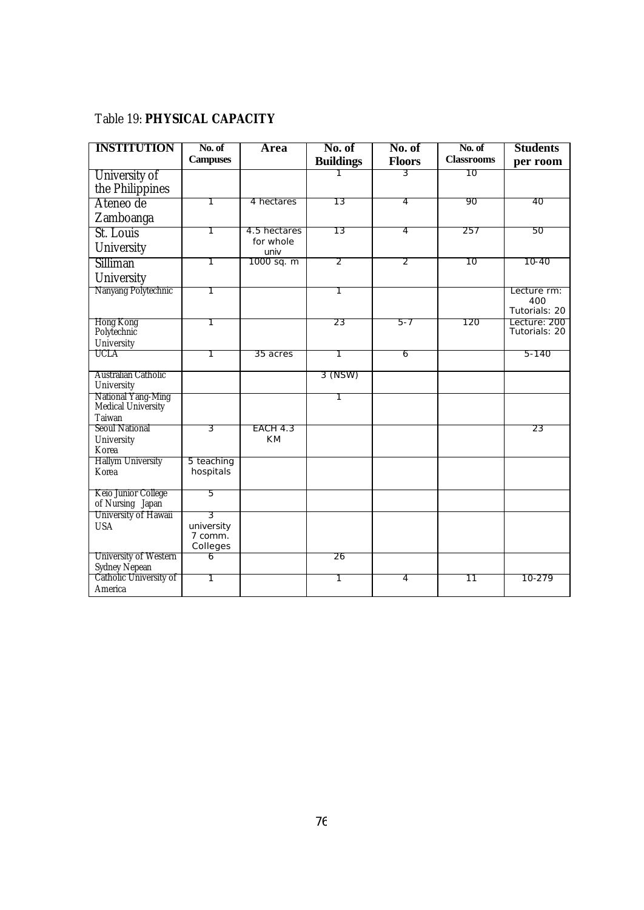## Table 19: **PHYSICAL CAPACITY**

| <b>INSTITUTION</b>                       | No. of          | Area              | No. of           | No. of         | No. of            | <b>Students</b>               |
|------------------------------------------|-----------------|-------------------|------------------|----------------|-------------------|-------------------------------|
|                                          | <b>Campuses</b> |                   | <b>Buildings</b> | <b>Floors</b>  | <b>Classrooms</b> | per room                      |
| University of                            |                 |                   |                  | 3              | 10                |                               |
| the Philippines                          |                 |                   |                  |                |                   |                               |
| Ateneo de                                |                 | 4 hectares        | 13               | 4              | 90                | 40                            |
| Zamboanga                                |                 |                   |                  |                |                   |                               |
| St. Louis                                | 1               | 4.5 hectares      | 13               | 4              | 257               | 50                            |
| University                               |                 | for whole<br>univ |                  |                |                   |                               |
| Silliman                                 | 1               | 1000 sq. m        | 2                | 2              | 10                | 10-40                         |
| University                               |                 |                   |                  |                |                   |                               |
| Nanyang Polytechnic                      |                 |                   |                  |                |                   | Lecture rm:                   |
|                                          |                 |                   |                  |                |                   | 400<br>Tutorials: 20          |
| Hong Kong<br>Polytechnic                 | 1               |                   | 23               | $5 - 7$        | 120               | Lecture: 200<br>Tutorials: 20 |
| University                               |                 |                   |                  |                |                   |                               |
| UCLA                                     |                 | 35 acres          | 1                | 6              |                   | 5-140                         |
|                                          |                 |                   |                  |                |                   |                               |
| Australian Catholic<br>University        |                 |                   | 3 (NSW)          |                |                   |                               |
| National Yang-Ming<br>Medical University |                 |                   |                  |                |                   |                               |
| Taiwan                                   |                 |                   |                  |                |                   |                               |
| <b>Seoul National</b>                    | 3               | EACH 4.3          |                  |                |                   | 23                            |
| University                               |                 | <b>KM</b>         |                  |                |                   |                               |
| Korea<br><b>Hallym University</b>        | 5 teaching      |                   |                  |                |                   |                               |
| Korea                                    | hospitals       |                   |                  |                |                   |                               |
|                                          |                 |                   |                  |                |                   |                               |
| Keio Junior College                      | 5               |                   |                  |                |                   |                               |
| of Nursing Japan<br>University of Hawaii | 3               |                   |                  |                |                   |                               |
| <b>USA</b>                               | university      |                   |                  |                |                   |                               |
|                                          | 7 comm.         |                   |                  |                |                   |                               |
|                                          | Colleges        |                   |                  |                |                   |                               |
| University of Western                    | 6               |                   | 26               |                |                   |                               |
| Sydney Nepean<br>Catholic University of  | 1               |                   | 1                | $\overline{4}$ | $\overline{11}$   | 10-279                        |
| America                                  |                 |                   |                  |                |                   |                               |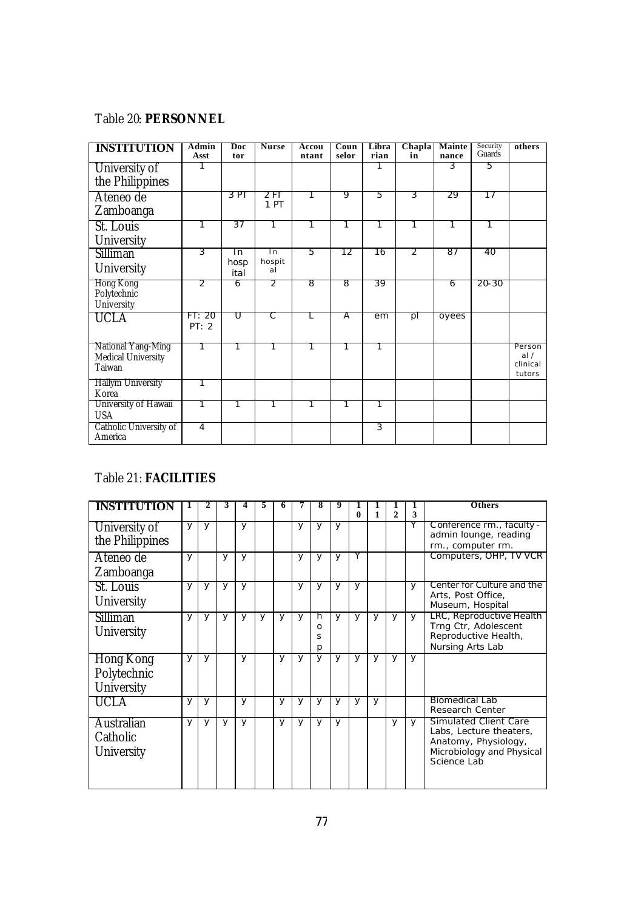#### Table 20: **PERSONNEL**

| <b>INSTITUTION</b>                                        | Admin<br>Asst   | Doc<br>tor         | <b>Nurse</b>                     | Accou<br>ntant | Coun<br>selor | Libra<br>rian | Chapla<br>in | <b>Mainte</b><br>nance | Security<br>Guards | others                              |
|-----------------------------------------------------------|-----------------|--------------------|----------------------------------|----------------|---------------|---------------|--------------|------------------------|--------------------|-------------------------------------|
| University of<br>the Philippines                          |                 |                    |                                  |                |               |               |              | 3                      | 5                  |                                     |
| Ateneo de<br>Zamboanga                                    |                 | 3 PT               | 2FT<br>1 PT                      |                | 9             | 5             | 3            | 29                     | 17                 |                                     |
| St. Louis<br>University                                   |                 | 37                 |                                  |                |               |               |              |                        |                    |                                     |
| Silliman<br>University                                    | 3               | In<br>hosp<br>ital | $\overline{\ln}$<br>hospit<br>al | 5              | 12            | 16            | 2            | 87                     | 40                 |                                     |
| Hong Kong<br>Polytechnic<br>University                    | 2               | 6                  | $\overline{2}$                   | 8              | 8             | 39            |              | 6                      | 20-30              |                                     |
| <b>UCLA</b>                                               | FT: 20<br>PT: 2 | π                  | С                                | L              | Α             | em            | pl           | oyees                  |                    |                                     |
| National Yang-Ming<br><b>Medical University</b><br>Taiwan | 1               | 1                  | 1                                | 1              | 1             | 1             |              |                        |                    | Person<br>al/<br>clinical<br>tutors |
| <b>Hallym University</b><br>Korea                         | 1               |                    |                                  |                |               |               |              |                        |                    |                                     |
| University of Hawaii<br><b>USA</b>                        | 1               | 1                  | 1                                | 1              | 1             | 1             |              |                        |                    |                                     |
| Catholic University of<br>America                         | $\overline{4}$  |                    |                                  |                |               | 3             |              |                        |                    |                                     |

## Table 21: **FACILITIES**

| <b>INSTITUTION</b> | 1            | 2            | 3 |              | 5            | h |              | x            |              |   |        |                |        | <b>Others</b>                                           |
|--------------------|--------------|--------------|---|--------------|--------------|---|--------------|--------------|--------------|---|--------|----------------|--------|---------------------------------------------------------|
|                    |              |              |   |              |              |   |              |              |              | 0 | 1      | $\overline{2}$ | 3      |                                                         |
| University of      | $\mathsf{V}$ | $\mathsf{v}$ |   | $\mathsf{v}$ |              |   | y            | y            | <b>V</b>     |   |        |                | Y      | Conference rm., faculty -<br>admin lounge, reading      |
| the Philippines    |              |              |   |              |              |   |              |              |              |   |        |                |        | rm., computer rm.                                       |
| Ateneo de          | y            |              | y | y            |              |   | $\vee$       | $\mathsf{v}$ | y            | Y |        |                |        | Computers, OHP, TV VCR                                  |
| Zamboanga          |              |              |   |              |              |   |              |              |              |   |        |                |        |                                                         |
| St. Louis          | y            | y            | y | y            |              |   | $\mathsf{v}$ | $\mathsf{v}$ | y            | y |        |                | $\vee$ | Center for Culture and the                              |
| University         |              |              |   |              |              |   |              |              |              |   |        |                |        | Arts, Post Office,<br>Museum, Hospital                  |
| Silliman           | y            | $\mathsf{v}$ | y | y            | $\mathsf{v}$ | y | $\vee$       | h            | <b>V</b>     | y | $\vee$ | y              | $\vee$ | LRC, Reproductive Health                                |
| University         |              |              |   |              |              |   |              | O<br>S       |              |   |        |                |        | Trng Ctr, Adolescent<br>Reproductive Health,            |
|                    |              |              |   |              |              |   |              | р            |              |   |        |                |        | Nursing Arts Lab                                        |
| Hong Kong          | $\mathsf{V}$ | $\mathsf{v}$ |   | y            |              | y | $\mathsf{V}$ | $\mathsf{V}$ | $\mathsf{v}$ | y | $\vee$ | y              | y      |                                                         |
| Polytechnic        |              |              |   |              |              |   |              |              |              |   |        |                |        |                                                         |
| University         |              |              |   |              |              |   |              |              |              |   |        |                |        |                                                         |
| UCLA               | y            | y            |   | У            |              | y | $\mathsf{v}$ | y            | y            | У | y      |                |        | <b>Biomedical Lab</b>                                   |
|                    |              |              |   |              |              |   |              |              |              |   |        |                |        | Research Center                                         |
| <b>Australian</b>  | $\mathsf{v}$ | y            | y | y            |              | y | y            | y            | y            |   |        | y              | $\vee$ | <b>Simulated Client Care</b><br>Labs, Lecture theaters, |
| Catholic           |              |              |   |              |              |   |              |              |              |   |        |                |        | Anatomy, Physiology,                                    |
| <b>University</b>  |              |              |   |              |              |   |              |              |              |   |        |                |        | Microbiology and Physical                               |
|                    |              |              |   |              |              |   |              |              |              |   |        |                |        | Science Lab                                             |
|                    |              |              |   |              |              |   |              |              |              |   |        |                |        |                                                         |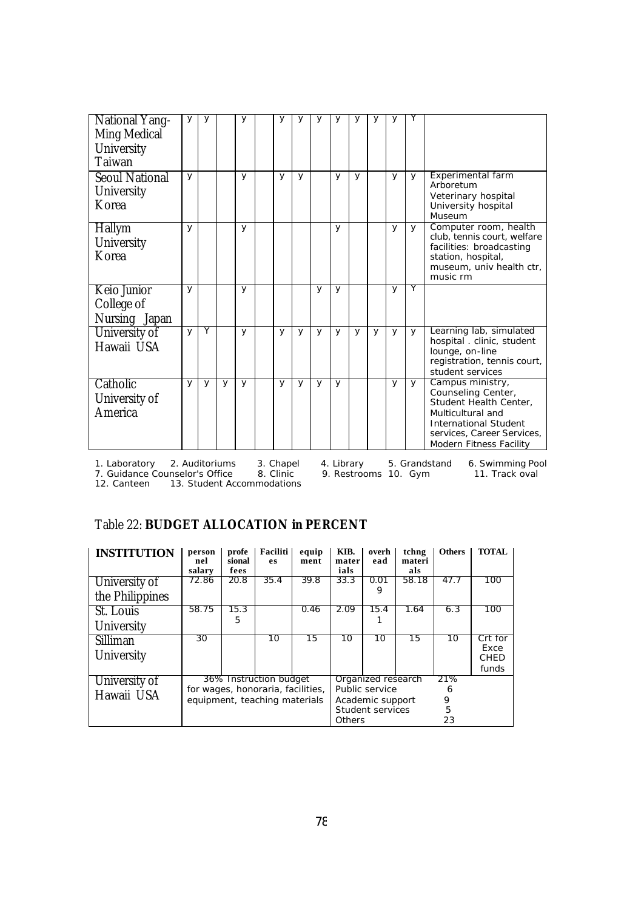| <b>National Yang-</b><br>Ming Medical<br>University<br>Taiwan | y            | У |   | у | У | У | У | У |   | У | У |          |                                                                                                                                                                                |
|---------------------------------------------------------------|--------------|---|---|---|---|---|---|---|---|---|---|----------|--------------------------------------------------------------------------------------------------------------------------------------------------------------------------------|
| <b>Seoul National</b><br>University<br>Korea                  | y            |   |   | У | y | y |   | y | y |   | У | <b>V</b> | Experimental farm<br>Arboretum<br>Veterinary hospital<br>University hospital<br>Museum                                                                                         |
| Hallym<br>University<br>Korea                                 | y            |   |   | y |   |   |   | y |   |   | y | y        | Computer room, health<br>club, tennis court, welfare<br>facilities: broadcasting<br>station, hospital,<br>museum, univ health ctr,<br>music rm                                 |
| Keio Junior<br>College of<br>Nursing Japan                    | $\mathsf{v}$ |   |   | y |   |   | y | y |   |   | y | Y        |                                                                                                                                                                                |
| University of<br>Hawaii USA                                   | $\mathsf{v}$ | Υ |   | y | y | y | y | y | y | y | У | <b>V</b> | Learning lab, simulated<br>hospital. clinic, student<br>lounge, on-line<br>registration, tennis court,<br>student services                                                     |
| Catholic<br>University of<br>America                          | y            | У | y | y | y | y | y | y |   |   | y | <b>V</b> | Campus ministry,<br>Counseling Center,<br>Student Health Center.<br>Multicultural and<br><b>International Student</b><br>services, Career Services,<br>Modern Fitness Facility |

1. Laboratory 2. Auditoriums 3. Chapel 4. Library 5. Grandstand 6. Swimming Pool 1. Laboratory 2. Auditoriums 3. Chapel<br>12. Guidance Counselor's Office 8. Clinic<br>12. Canteen 13. Student Accommodations

7. Guidance Counselor's Office 8. Clinic 9. Restrooms 10. Gym 11. Track oval

## Table 22: **BUDGET ALLOCATION in PERCENT**

| <b>INSTITUTION</b> | person<br>nel<br>salary | profe<br>sional<br>fees | Faciliti<br>es                    | equip<br>ment | KIB.<br>mater<br>ials | overh<br>ead       | tchng<br>materi<br>als | <b>Others</b> | <b>TOTAL</b>    |
|--------------------|-------------------------|-------------------------|-----------------------------------|---------------|-----------------------|--------------------|------------------------|---------------|-----------------|
| University of      | 72.86                   | 20.8                    | 35.4                              | 39.8          | 33.3                  | 0.01<br>9          | 58.18                  | 47.7          | 100             |
| the Philippines    |                         |                         |                                   |               |                       |                    |                        |               |                 |
| St. Louis          | 58.75                   | 15.3                    |                                   | 0.46          | 2.09                  | 15.4               | 1.64                   | 6.3           | 100             |
| University         |                         | 5                       |                                   |               |                       |                    |                        |               |                 |
| Silliman           | 30                      |                         | 10                                | 15            | 10                    | 10                 | 15                     | 10            | Crt for<br>Exce |
| University         |                         |                         |                                   |               |                       |                    |                        |               | CHED            |
|                    |                         |                         |                                   |               |                       |                    |                        |               | funds           |
| University of      |                         |                         | 36% Instruction budget            |               |                       | Organized research |                        | 21%           |                 |
| Hawaii USA         |                         |                         | for wages, honoraria, facilities, |               |                       | Public service     |                        | 6             |                 |
|                    |                         |                         | equipment, teaching materials     |               | Academic support      |                    |                        | 9             |                 |
|                    |                         |                         |                                   |               | Student services      |                    |                        | 5             |                 |
|                    |                         |                         |                                   |               | Others                |                    |                        | 23            |                 |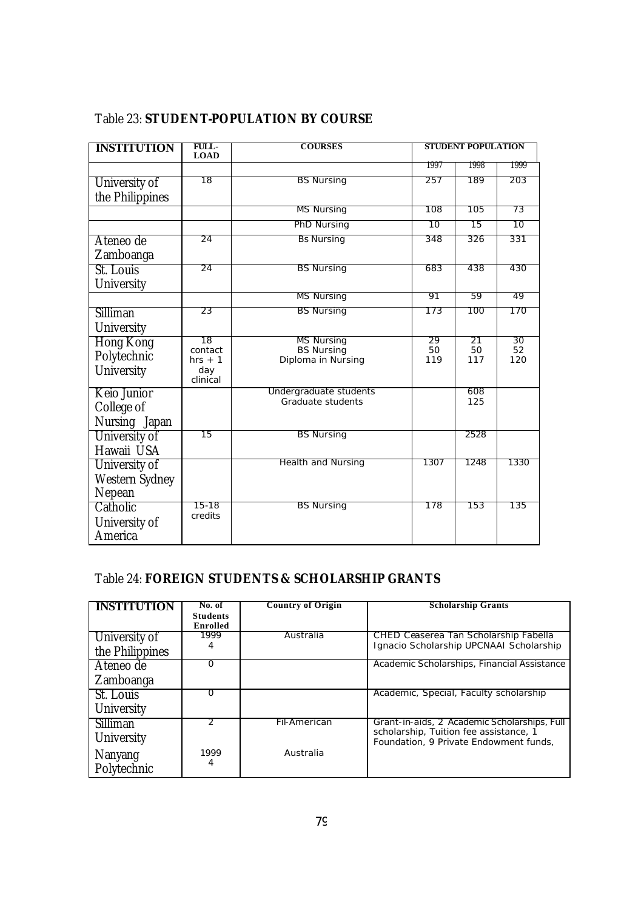| <b>INSTITUTION</b>                            | FULL-<br><b>LOAD</b>                          | <b>COURSES</b>                                               | <b>STUDENT POPULATION</b> |                 |                 |
|-----------------------------------------------|-----------------------------------------------|--------------------------------------------------------------|---------------------------|-----------------|-----------------|
|                                               |                                               |                                                              | 1997                      | 1998            | 1999            |
| University of<br>the Philippines              | 18                                            | <b>BS Nursing</b>                                            | 257                       | 189             | 203             |
|                                               |                                               | <b>MS Nursing</b>                                            | 108                       | 105             | 73              |
|                                               |                                               | PhD Nursing                                                  | 10                        | 15              | 10              |
| Ateneo de<br>Zamboanga                        | 24                                            | <b>Bs Nursing</b>                                            | 348                       | 326             | 331             |
| St. Louis<br>University                       | 24                                            | <b>BS Nursing</b>                                            | 683                       | 438             | 430             |
|                                               |                                               | <b>MS Nursing</b>                                            | 91                        | 59              | 49              |
| Silliman<br>University                        | 23                                            | <b>BS Nursing</b>                                            | 173                       | 100             | 170             |
| <b>Hong Kong</b><br>Polytechnic<br>University | 18<br>contact<br>$hrs + 1$<br>day<br>clinical | <b>MS Nursing</b><br><b>BS Nursing</b><br>Diploma in Nursing | 29<br>50<br>119           | 21<br>50<br>117 | 30<br>52<br>120 |
| Keio Junior<br>College of<br>Nursing Japan    |                                               | Undergraduate students<br>Graduate students                  |                           | 608<br>125      |                 |
| University of<br>Hawaii USA                   | 15                                            | <b>BS Nursing</b>                                            |                           | 2528            |                 |
| University of<br>Western Sydney<br>Nepean     |                                               | Health and Nursing                                           | 1307                      | 1248            | 1330            |
| Catholic<br>University of<br>America          | 15-18<br>credits                              | <b>BS Nursing</b>                                            | 178                       | 153             | 135             |

## Table 23: **STUDENT-POPULATION BY COURSE**

#### Table 24: **FOREIGN STUDENTS & SCHOLARSHIP GRANTS**

| <b>INSTITUTION</b> | No. of<br><b>Students</b> | <b>Country of Origin</b> | <b>Scholarship Grants</b>                                                              |
|--------------------|---------------------------|--------------------------|----------------------------------------------------------------------------------------|
|                    | Enrolled                  |                          |                                                                                        |
| University of      | 1999                      | Australia                | CHED Ceaserea Tan Scholarship Fabella                                                  |
| the Philippines    | 4                         |                          | Ignacio Scholarship UPCNAAI Scholarship                                                |
| Ateneo de          | $\Omega$                  |                          | Academic Scholarships, Financial Assistance                                            |
| Zamboanga          |                           |                          |                                                                                        |
| St. Louis          | Ο                         |                          | Academic, Special, Faculty scholarship                                                 |
| University         |                           |                          |                                                                                        |
| Silliman           |                           | Fil-American             | Grant-in-aids, 2 Academic Scholarships, Full<br>scholarship, Tuition fee assistance, 1 |
| University         |                           |                          | Foundation, 9 Private Endowment funds,                                                 |
| Nanyang            | 1999                      | Australia                |                                                                                        |
| Polytechnic        | 4                         |                          |                                                                                        |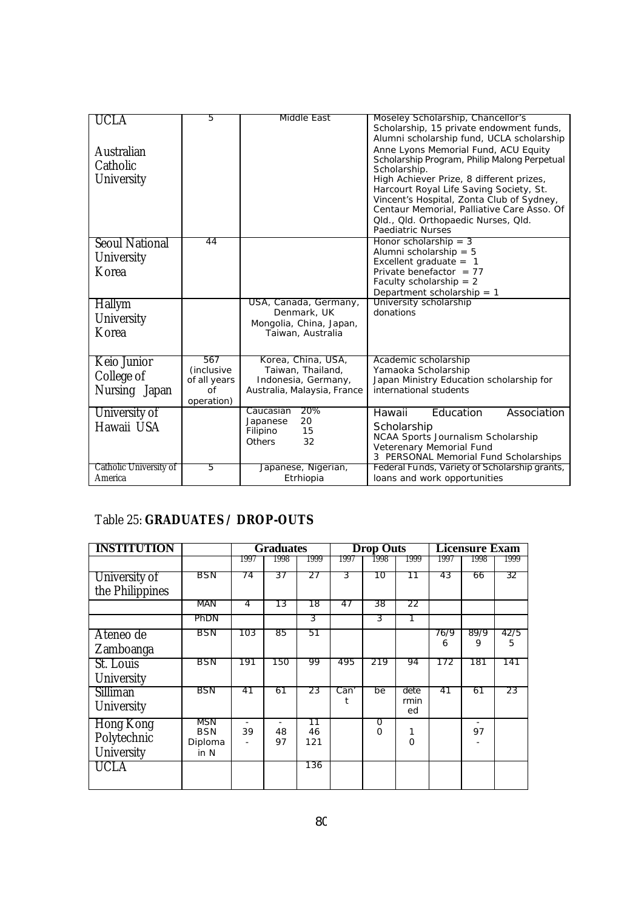| UCLA                   | 5                 | Middle East                             | Moseley Scholarship, Chancellor's                                                     |
|------------------------|-------------------|-----------------------------------------|---------------------------------------------------------------------------------------|
|                        |                   |                                         | Scholarship, 15 private endowment funds,<br>Alumni scholarship fund, UCLA scholarship |
| Australian             |                   |                                         | Anne Lyons Memorial Fund, ACU Equity                                                  |
| Catholic               |                   |                                         | Scholarship Program, Philip Malong Perpetual                                          |
| University             |                   |                                         | Scholarship.<br>High Achiever Prize, 8 different prizes,                              |
|                        |                   |                                         | Harcourt Royal Life Saving Society, St.                                               |
|                        |                   |                                         | Vincent's Hospital, Zonta Club of Sydney,                                             |
|                        |                   |                                         | Centaur Memorial, Palliative Care Asso. Of<br>Qld., Qld. Orthopaedic Nurses, Qld.     |
|                        |                   |                                         | Paediatric Nurses                                                                     |
| <b>Seoul National</b>  | 44                |                                         | Honor scholarship = $3$                                                               |
| University             |                   |                                         | Alumni scholarship $= 5$<br>Excellent graduate $= 1$                                  |
| Korea                  |                   |                                         | Private benefactor = $77$                                                             |
|                        |                   |                                         | Faculty scholarship = $2$                                                             |
|                        |                   |                                         | Department scholarship = $1$                                                          |
| <b>Hallym</b>          |                   | USA, Canada, Germany,<br>Denmark, UK    | University scholarship<br>donations                                                   |
| University             |                   | Mongolia, China, Japan,                 |                                                                                       |
| Korea                  |                   | Taiwan, Australia                       |                                                                                       |
|                        |                   |                                         |                                                                                       |
| Keio Junior            | 567<br>(inclusive | Korea, China, USA,<br>Taiwan, Thailand, | Academic scholarship<br>Yamaoka Scholarship                                           |
| College of             | of all years      | Indonesia, Germany,                     | Japan Ministry Education scholarship for                                              |
| Nursing Japan          | $\Omega$          | Australia, Malaysia, France             | international students                                                                |
|                        | operation)        |                                         |                                                                                       |
| University of          |                   | 20%<br>Caucasian<br>20<br>Japanese      | Education<br>Association<br>Hawaii                                                    |
| Hawaii USA             |                   | 15<br>Filipino                          | Scholarship                                                                           |
|                        |                   | 32<br><b>Others</b>                     | NCAA Sports Journalism Scholarship<br>Veterenary Memorial Fund                        |
|                        |                   |                                         | 3 PERSONAL Memorial Fund Scholarships                                                 |
| Catholic University of | 5                 | Japanese, Nigerian,                     | Federal Funds, Variety of Scholarship grants,                                         |
| America                |                   | Etrhiopia                               | loans and work opportunities                                                          |

## Table 25: **GRADUATES / DROP-OUTS**

| <b>INSTITUTION</b>                     |                                      |      | <b>Graduates</b>                     |                 | <b>Drop Outs</b> |                            |                    | <b>Licensure Exam</b> |                                |           |
|----------------------------------------|--------------------------------------|------|--------------------------------------|-----------------|------------------|----------------------------|--------------------|-----------------------|--------------------------------|-----------|
|                                        |                                      | 1997 | 1998                                 | 1999            | 1997             | 1998                       | 1999               | 1997                  | 1998                           | 1999      |
| University of<br>the Philippines       | BSN                                  | 74   | 37                                   | 27              | 3                | 10                         | 11                 | 43                    | 66                             | 32        |
|                                        | MAN                                  | 4    | 13                                   | 18              | 47               | 38                         | 22                 |                       |                                |           |
|                                        | PhDN                                 |      |                                      | 3               |                  | 3                          |                    |                       |                                |           |
| Ateneo de<br>Zamboanga                 | BSN                                  | 103  | 85                                   | 51              |                  |                            |                    | 76/9<br>6             | 89/9<br>9                      | 42/5<br>5 |
| St. Louis<br>University                | <b>BSN</b>                           | 191  | 150                                  | 99              | 495              | 219                        | 94                 | 172                   | 181                            | 141       |
| Silliman<br>University                 | <b>BSN</b>                           | 41   | 61                                   | 23              | Can'             | be                         | dete<br>rmin<br>ed | 41                    | 61                             | 23        |
| Hong Kong<br>Polytechnic<br>University | MSN<br><b>BSN</b><br>Diploma<br>in N | 39   | $\overline{\phantom{a}}$<br>48<br>97 | 11<br>46<br>121 |                  | $\overline{0}$<br>$\Omega$ | $\Omega$           |                       | $\overline{\phantom{a}}$<br>97 |           |
| UCLA                                   |                                      |      |                                      | 136             |                  |                            |                    |                       |                                |           |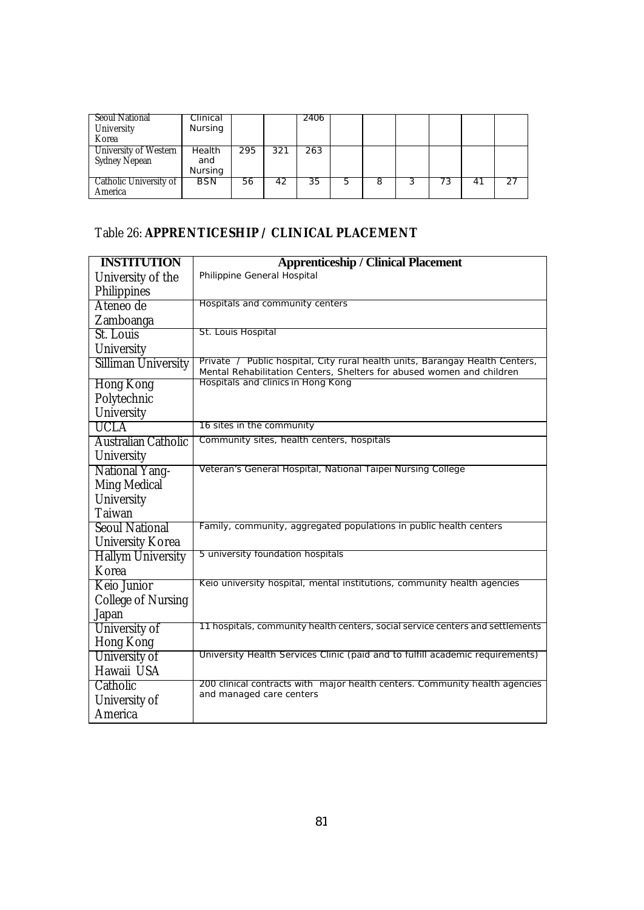| <b>Seoul National</b><br>University<br>Korea  | Clinical<br>Nursing      |     |     | 2406 |    |   |      |     |  |
|-----------------------------------------------|--------------------------|-----|-----|------|----|---|------|-----|--|
| University of Western<br><b>Sydney Nepean</b> | Health<br>and<br>Nursing | 295 | 321 | 263  |    |   |      |     |  |
| Catholic University of<br>America             | BSN                      | 56  | 42  | 35   | 5. | ŏ | כ. י | 4 I |  |

# Table 26: **APPRENTICESHIP / CLINICAL PLACEMENT**

| <b>INSTITUTION</b>         | <b>Apprenticeship / Clinical Placement</b>                                                                                                            |
|----------------------------|-------------------------------------------------------------------------------------------------------------------------------------------------------|
| University of the          | Philippine General Hospital                                                                                                                           |
| Philippines                |                                                                                                                                                       |
| Ateneo de                  | Hospitals and community centers                                                                                                                       |
| Zamboanga                  |                                                                                                                                                       |
| St. Louis                  | St. Louis Hospital                                                                                                                                    |
| University                 |                                                                                                                                                       |
| <b>Silliman University</b> | Private / Public hospital, City rural health units, Barangay Health Centers,<br>Mental Rehabilitation Centers, Shelters for abused women and children |
| <b>Hong Kong</b>           | Hospitals and clinics in Hong Kong                                                                                                                    |
| Polytechnic                |                                                                                                                                                       |
| University                 |                                                                                                                                                       |
| <b>UCLA</b>                | 16 sites in the community                                                                                                                             |
| Australian Catholic        | Community sites, health centers, hospitals                                                                                                            |
| University                 |                                                                                                                                                       |
| <b>National Yang-</b>      | Veteran's General Hospital, National Taipei Nursing College                                                                                           |
| <b>Ming Medical</b>        |                                                                                                                                                       |
| University                 |                                                                                                                                                       |
| Taiwan                     |                                                                                                                                                       |
| <b>Seoul National</b>      | Family, community, aggregated populations in public health centers                                                                                    |
| <b>University Korea</b>    |                                                                                                                                                       |
| <b>Hallym University</b>   | 5 university foundation hospitals                                                                                                                     |
| Korea                      |                                                                                                                                                       |
| Keio Junior                | Keio university hospital, mental institutions, community health agencies                                                                              |
| <b>College of Nursing</b>  |                                                                                                                                                       |
| Japan                      |                                                                                                                                                       |
| University of              | 11 hospitals, community health centers, social service centers and settlements                                                                        |
| Hong Kong                  |                                                                                                                                                       |
| University of              | University Health Services Clinic (paid and to fulfill academic requirements)                                                                         |
| Hawaii USA                 |                                                                                                                                                       |
| Catholic                   | 200 clinical contracts with major health centers. Community health agencies                                                                           |
| University of              | and managed care centers                                                                                                                              |
| America                    |                                                                                                                                                       |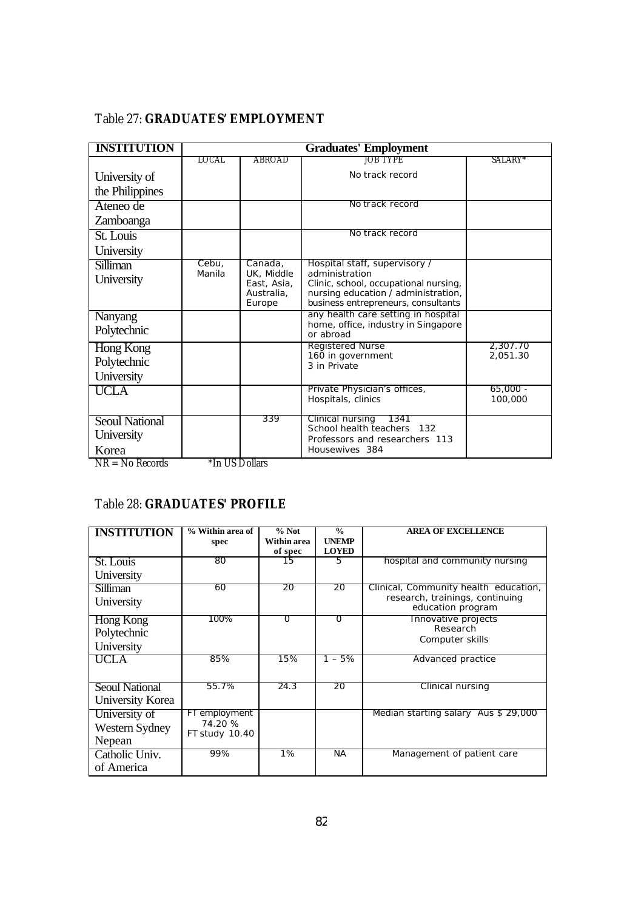## Table 27: **GRADUATES' EMPLOYMENT**

| <b>INSTITUTION</b>                                             |                  |                                                              | <b>Graduates' Employment</b>                                                                                                                                           |                      |
|----------------------------------------------------------------|------------------|--------------------------------------------------------------|------------------------------------------------------------------------------------------------------------------------------------------------------------------------|----------------------|
|                                                                | LOCAL            | ABROAD                                                       | JOB TYPE                                                                                                                                                               | SALARY*              |
| University of                                                  |                  |                                                              | No track record                                                                                                                                                        |                      |
| the Philippines                                                |                  |                                                              |                                                                                                                                                                        |                      |
| Ateneo de                                                      |                  |                                                              | No track record                                                                                                                                                        |                      |
| Zamboanga                                                      |                  |                                                              |                                                                                                                                                                        |                      |
| St. Louis                                                      |                  |                                                              | No track record                                                                                                                                                        |                      |
| University                                                     |                  |                                                              |                                                                                                                                                                        |                      |
| <b>Silliman</b><br>University                                  | Cebu,<br>Manila  | Canada,<br>UK, Middle<br>East, Asia,<br>Australia.<br>Europe | Hospital staff, supervisory /<br>administration<br>Clinic, school, occupational nursing,<br>nursing education / administration,<br>business entrepreneurs, consultants |                      |
| <b>Nanyang</b><br>Polytechnic                                  |                  |                                                              | any health care setting in hospital<br>home, office, industry in Singapore<br>or abroad                                                                                |                      |
| Hong Kong<br>Polytechnic<br>University                         |                  |                                                              | Registered Nurse<br>160 in government<br>3 in Private                                                                                                                  | 2,307.70<br>2,051.30 |
| <b>UCLA</b>                                                    |                  |                                                              | Private Physician's offices,<br>Hospitals, clinics                                                                                                                     | 65,000 -<br>100,000  |
| <b>Seoul National</b><br>University<br>Korea<br>ND No December | $*L$ IIC Dellerg | 339                                                          | Clinical nursing<br>1341<br>School health teachers 132<br>Professors and researchers 113<br>Housewives 384                                                             |                      |

 $NR = No$  Records  $*In US$  Dollars

#### Table 28: **GRADUATES' PROFILE**

| <b>INSTITUTION</b> | % Within area of          | $%$ Not<br>Within area | $\frac{0}{0}$<br><b>UNEMP</b> | <b>AREA OF EXCELLENCE</b>                            |
|--------------------|---------------------------|------------------------|-------------------------------|------------------------------------------------------|
|                    | spec                      | of spec                | <b>LOYED</b>                  |                                                      |
| St. Louis          | 80                        | 15                     | 5                             | hospital and community nursing                       |
| University         |                           |                        |                               |                                                      |
| <b>Silliman</b>    | 60                        | 20                     | 20                            | Clinical, Community health education,                |
| University         |                           |                        |                               | research, trainings, continuing<br>education program |
| Hong Kong          | 100%                      | O                      | $\overline{0}$                | Innovative projects<br>Research                      |
| Polytechnic        |                           |                        |                               | Computer skills                                      |
| University         |                           |                        |                               |                                                      |
| UCLA               | 85%                       | 15%                    | 1 – 5%                        | Advanced practice                                    |
|                    |                           |                        |                               |                                                      |
| Seoul National     | 55.7%                     | 24.3                   | 20                            | Clinical nursing                                     |
| University Korea   |                           |                        |                               |                                                      |
| University of      | FT employment             |                        |                               | Median starting salary Aus \$ 29,000                 |
| Western Sydney     | 74.20 %<br>FT study 10.40 |                        |                               |                                                      |
| Nepean             |                           |                        |                               |                                                      |
| Catholic Univ.     | 99%                       | 1%                     | <b>NA</b>                     | Management of patient care                           |
| of America         |                           |                        |                               |                                                      |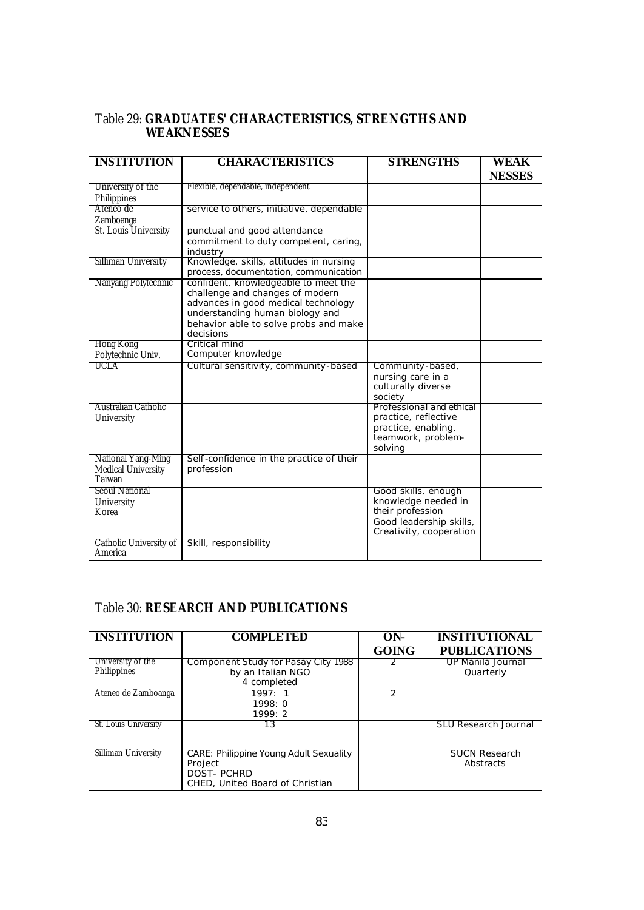| Table 29: GRADUATES' CHARACTERISTICS, STRENGTHS AND |  |  |
|-----------------------------------------------------|--|--|
| <b>WEAKNESSES</b>                                   |  |  |

| <b>INSTITUTION</b>                                        | <b>CHARACTERISTICS</b>                                                                                                                                                                                  | <b>STRENGTHS</b>                                                                                                     | <b>WEAK</b><br><b>NESSES</b> |
|-----------------------------------------------------------|---------------------------------------------------------------------------------------------------------------------------------------------------------------------------------------------------------|----------------------------------------------------------------------------------------------------------------------|------------------------------|
| University of the<br>Philippines                          | Flexible, dependable, independent                                                                                                                                                                       |                                                                                                                      |                              |
| Ateneo de<br>Zamboanga                                    | service to others, initiative, dependable                                                                                                                                                               |                                                                                                                      |                              |
| St. Louis University                                      | punctual and good attendance<br>commitment to duty competent, caring,<br>industry                                                                                                                       |                                                                                                                      |                              |
| Silliman University                                       | Knowledge, skills, attitudes in nursing<br>process, documentation, communication                                                                                                                        |                                                                                                                      |                              |
| Nanyang Polytechnic                                       | confident, knowledgeable to meet the<br>challenge and changes of modern<br>advances in good medical technology<br>understanding human biology and<br>behavior able to solve probs and make<br>decisions |                                                                                                                      |                              |
| Hong Kong<br>Polytechnic Univ.                            | Critical mind<br>Computer knowledge                                                                                                                                                                     |                                                                                                                      |                              |
| UCLA                                                      | Cultural sensitivity, community-based                                                                                                                                                                   | Community-based,<br>nursing care in a<br>culturally diverse<br>society                                               |                              |
| Australian Catholic<br>University                         |                                                                                                                                                                                                         | Professional and ethical<br>practice, reflective<br>practice, enabling,<br>teamwork, problem-<br>solving             |                              |
| National Yang-Ming<br><b>Medical University</b><br>Taiwan | Self-confidence in the practice of their<br>profession                                                                                                                                                  |                                                                                                                      |                              |
| <b>Seoul National</b><br>University<br>Korea              |                                                                                                                                                                                                         | Good skills, enough<br>knowledge needed in<br>their profession<br>Good leadership skills,<br>Creativity, cooperation |                              |
| Catholic University of<br>America                         | Skill, responsibility                                                                                                                                                                                   |                                                                                                                      |                              |

#### Table 30: **RESEARCH AND PUBLICATIONS**

Higher Ed

| <b>INSTITUTION</b>               | <b>COMPLETED</b>                                                                                                 | ON-<br><b>GOING</b> | <b>INSTITUTIONAL</b><br><b>PUBLICATIONS</b> |
|----------------------------------|------------------------------------------------------------------------------------------------------------------|---------------------|---------------------------------------------|
| University of the<br>Philippines | Component Study for Pasay City 1988<br>by an Italian NGO<br>4 completed                                          |                     | UP Manila Journal<br>Quarterly              |
| Ateneo de Zamboanga              | 1997:1<br>1998:0<br>1999:2                                                                                       | っ                   |                                             |
| St. Louis University             | 13                                                                                                               |                     | <b>SLU Research Journal</b>                 |
| Silliman University              | <b>CARE: Philippine Young Adult Sexuality</b><br>Project<br><b>DOST-PCHRD</b><br>CHED, United Board of Christian |                     | <b>SUCN Research</b><br>Abstracts           |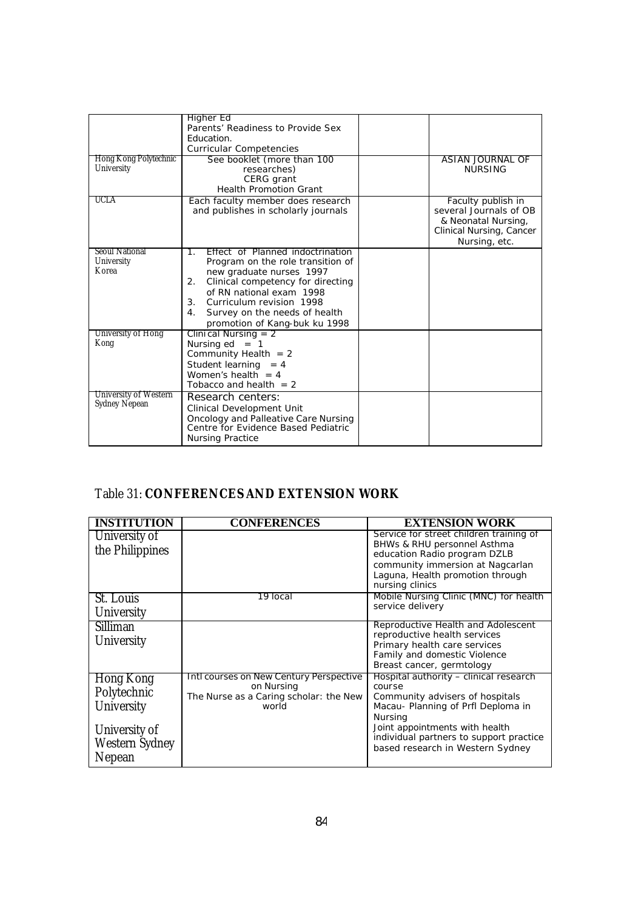|                                               | Higher Ed                                                                |                                              |
|-----------------------------------------------|--------------------------------------------------------------------------|----------------------------------------------|
|                                               | Parents' Readiness to Provide Sex                                        |                                              |
|                                               | Education.                                                               |                                              |
|                                               | <b>Curricular Competencies</b>                                           |                                              |
| Hong Kong Polytechnic                         | See booklet (more than 100                                               | ASIAN JOURNAL OF                             |
| University                                    | researches)                                                              | <b>NURSING</b>                               |
|                                               | CERG grant                                                               |                                              |
|                                               | <b>Health Promotion Grant</b>                                            |                                              |
| UCLA                                          |                                                                          |                                              |
|                                               | Each faculty member does research<br>and publishes in scholarly journals | Faculty publish in<br>several Journals of OB |
|                                               |                                                                          | & Neonatal Nursing,                          |
|                                               |                                                                          | Clinical Nursing, Cancer                     |
|                                               |                                                                          | Nursing, etc.                                |
| Seoul National                                | Effect of Planned indoctrination<br>٦.                                   |                                              |
| University                                    | Program on the role transition of                                        |                                              |
| Korea                                         | new graduate nurses 1997                                                 |                                              |
|                                               | Clinical competency for directing<br>2.                                  |                                              |
|                                               | of RN national exam 1998                                                 |                                              |
|                                               | 3 <sub>1</sub><br>Curriculum revision 1998                               |                                              |
|                                               | 4.<br>Survey on the needs of health                                      |                                              |
|                                               |                                                                          |                                              |
| University of Hong                            | promotion of Kang-buk ku 1998                                            |                                              |
| Kong                                          | Clinical Nursing $= 2$                                                   |                                              |
|                                               | Nursing $ed = 1$                                                         |                                              |
|                                               | Community Health $= 2$                                                   |                                              |
|                                               | Student learning $= 4$                                                   |                                              |
|                                               | Women's health $= 4$                                                     |                                              |
|                                               | Tobacco and health $= 2$                                                 |                                              |
| University of Western<br><b>Sydney Nepean</b> | Research centers:                                                        |                                              |
|                                               | <b>Clinical Development Unit</b>                                         |                                              |
|                                               | Oncology and Palleative Care Nursing                                     |                                              |
|                                               | Centre for Evidence Based Pediatric                                      |                                              |
|                                               | <b>Nursing Practice</b>                                                  |                                              |

## Table 31: **CONFERENCES AND EXTENSION WORK**

| <b>INSTITUTION</b> | <b>CONFERENCES</b>                              | <b>EXTENSION WORK</b>                                                |
|--------------------|-------------------------------------------------|----------------------------------------------------------------------|
| University of      |                                                 | Service for street children training of                              |
| the Philippines    |                                                 | BHWs & RHU personnel Asthma                                          |
|                    |                                                 | education Radio program DZLB                                         |
|                    |                                                 | community immersion at Nagcarlan<br>Laguna, Health promotion through |
|                    |                                                 | nursing clinics                                                      |
| St. Louis          | 19 local                                        | Mobile Nursing Clinic (MNC) for health                               |
| University         |                                                 | service delivery                                                     |
| Silliman           |                                                 | Reproductive Health and Adolescent                                   |
|                    |                                                 | reproductive health services                                         |
| University         |                                                 | Primary health care services                                         |
|                    |                                                 | Family and domestic Violence                                         |
|                    |                                                 | Breast cancer, germtology                                            |
| Hong Kong          | Intl courses on New Century Perspective         | Hospital authority - clinical research                               |
| Polytechnic        | on Nursing                                      | course                                                               |
| University         | The Nurse as a Caring scholar: the New<br>world | Community advisers of hospitals                                      |
|                    |                                                 | Macau- Planning of Prfl Deploma in<br>Nursing                        |
|                    |                                                 | Joint appointments with health                                       |
| University of      |                                                 | individual partners to support practice                              |
| Western Sydney     |                                                 | based research in Western Sydney                                     |
| Nepean             |                                                 |                                                                      |
|                    |                                                 |                                                                      |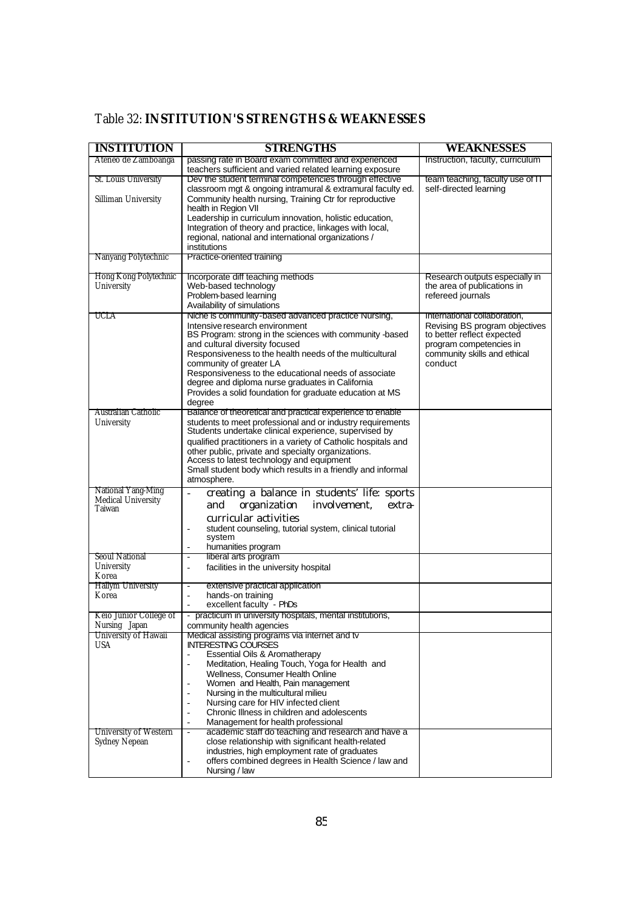| <b>INSTITUTION</b>                                 | <b>STRENGTHS</b>                                                                                                                                                                                                                                                                                                                                                                                                                    | WEAKNESSES                                                                                                                         |
|----------------------------------------------------|-------------------------------------------------------------------------------------------------------------------------------------------------------------------------------------------------------------------------------------------------------------------------------------------------------------------------------------------------------------------------------------------------------------------------------------|------------------------------------------------------------------------------------------------------------------------------------|
| Ateneo de Zamboanga                                | passing rate in Board exam committed and experienced<br>teachers sufficient and varied related learning exposure                                                                                                                                                                                                                                                                                                                    | Instruction, faculty, curriculum                                                                                                   |
| St. Louis University                               | Dev the student terminal competencies through effective<br>classroom mgt & ongoing intramural & extramural faculty ed.                                                                                                                                                                                                                                                                                                              | team teaching, faculty use of IT<br>self-directed learning                                                                         |
| Silliman University                                | Community health nursing, Training Ctr for reproductive<br>health in Region VII<br>Leadership in curriculum innovation, holistic education,                                                                                                                                                                                                                                                                                         |                                                                                                                                    |
|                                                    | Integration of theory and practice, linkages with local,<br>regional, national and international organizations /                                                                                                                                                                                                                                                                                                                    |                                                                                                                                    |
|                                                    | institutions<br>Practice-oriented training                                                                                                                                                                                                                                                                                                                                                                                          |                                                                                                                                    |
| Nanyang Polytechnic                                |                                                                                                                                                                                                                                                                                                                                                                                                                                     |                                                                                                                                    |
| Hong Kong Polytechnic<br>University                | Incorporate diff teaching methods<br>Web-based technology<br>Problem-based learning<br>Availability of simulations                                                                                                                                                                                                                                                                                                                  | Research outputs especially in<br>the area of publications in<br>refereed journals                                                 |
| UCLA                                               | Niche is community-based advanced practice Nursing,                                                                                                                                                                                                                                                                                                                                                                                 | International collaboration,                                                                                                       |
|                                                    | Intensive research environment<br>BS Program: strong in the sciences with community -based<br>and cultural diversity focused<br>Responsiveness to the health needs of the multicultural<br>community of greater LA<br>Responsiveness to the educational needs of associate<br>degree and diploma nurse graduates in California<br>Provides a solid foundation for graduate education at MS<br>degree                                | Revising BS program objectives<br>to better reflect expected<br>program competencies in<br>community skills and ethical<br>conduct |
| Australian Catholic<br>University                  | Balance of theoretical and practical experience to enable<br>students to meet professional and or industry requirements<br>Students undertake clinical experience, supervised by<br>qualified practitioners in a variety of Catholic hospitals and<br>other public, private and specialty organizations.<br>Access to latest technology and equipment<br>Small student body which results in a friendly and informal<br>atmosphere. |                                                                                                                                    |
| National Yang-Ming<br>Medical University<br>Taiwan | creating a balance in students' life: sports<br>organization<br>involvement,<br>and<br>extra-<br>curricular activities<br>student counseling, tutorial system, clinical tutorial<br>L,<br>system<br>humanities program                                                                                                                                                                                                              |                                                                                                                                    |
| <b>Seoul National</b>                              | liberal arts program<br>$\bar{a}$                                                                                                                                                                                                                                                                                                                                                                                                   |                                                                                                                                    |
| University<br>Korea                                | facilities in the university hospital<br>$\frac{1}{2}$                                                                                                                                                                                                                                                                                                                                                                              |                                                                                                                                    |
| <b>Hallym University</b><br>Korea                  | extensive practical application<br>$\overline{\phantom{a}}$<br>hands-on training<br>$\bar{a}$<br>excellent faculty - PhDs<br>÷,                                                                                                                                                                                                                                                                                                     |                                                                                                                                    |
| Keio Junior College of<br>Nursing Japan            | practicum in university hospitals, mental institutions,<br>community health agencies                                                                                                                                                                                                                                                                                                                                                |                                                                                                                                    |
| University of Hawaii                               | Medical assisting programs via internet and tv                                                                                                                                                                                                                                                                                                                                                                                      |                                                                                                                                    |
| USA                                                | <b>INTERESTING COURSES</b><br>Essential Oils & Aromatherapy<br>ä,                                                                                                                                                                                                                                                                                                                                                                   |                                                                                                                                    |
|                                                    | Meditation, Healing Touch, Yoga for Health and<br>$\overline{a}$<br>Wellness, Consumer Health Online                                                                                                                                                                                                                                                                                                                                |                                                                                                                                    |
|                                                    | Women and Health, Pain management                                                                                                                                                                                                                                                                                                                                                                                                   |                                                                                                                                    |
|                                                    | Nursing in the multicultural milieu<br>$\bar{a}$<br>Nursing care for HIV infected client<br>$\bar{a}$                                                                                                                                                                                                                                                                                                                               |                                                                                                                                    |
|                                                    | Chronic Illness in children and adolescents<br>$\bar{a}$                                                                                                                                                                                                                                                                                                                                                                            |                                                                                                                                    |
| University of Western                              | Management for health professional<br>$\bar{a}$<br>academic staff do teaching and research and have a<br>$\overline{\phantom{a}}$                                                                                                                                                                                                                                                                                                   |                                                                                                                                    |
| <b>Sydney Nepean</b>                               | close relationship with significant health-related                                                                                                                                                                                                                                                                                                                                                                                  |                                                                                                                                    |
|                                                    | industries, high employment rate of graduates<br>offers combined degrees in Health Science / law and<br>$\overline{a}$<br>Nursing / law                                                                                                                                                                                                                                                                                             |                                                                                                                                    |

## Table 32: **INSTITUTION'S STRENGTHS & WEAKNESSES**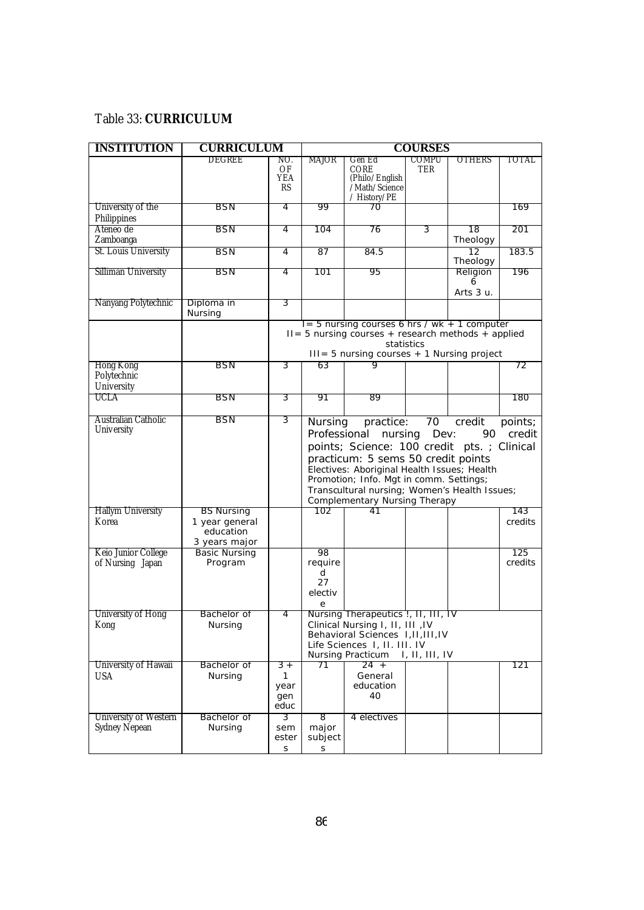### Table 33: **CURRICULUM**

| <b>INSTITUTION</b>                      | <b>CURRICULUM</b>                                                 | <b>COURSES</b>                   |                                          |                                                                                                                                                                                                                                                                                      |                     |                            |                   |
|-----------------------------------------|-------------------------------------------------------------------|----------------------------------|------------------------------------------|--------------------------------------------------------------------------------------------------------------------------------------------------------------------------------------------------------------------------------------------------------------------------------------|---------------------|----------------------------|-------------------|
|                                         | DEGREE                                                            | NO.<br>OF<br><b>YEA</b><br>RS    | MAJOR                                    | Gen Ed<br><b>CORE</b><br>(Philo/English<br>/Math/Science<br>/ History/PE                                                                                                                                                                                                             | COMPU<br><b>TER</b> | OTHERS                     | TUTAL             |
| University of the<br>Philippines        | BSN                                                               | 4                                | 99                                       | 70                                                                                                                                                                                                                                                                                   |                     |                            | 169               |
| Ateneo de<br>Zamboanga                  | <b>BSN</b>                                                        | 4                                | 104                                      | 76                                                                                                                                                                                                                                                                                   | 3                   | 18<br>Theology             | 201               |
| St. Louis University                    | <b>BSN</b>                                                        | $\overline{4}$                   | 87                                       | 84.5                                                                                                                                                                                                                                                                                 |                     | 12<br>Theology             | 183.5             |
| Silliman University                     | BSN                                                               | 4                                | 101                                      | 95                                                                                                                                                                                                                                                                                   |                     | Religion<br>6<br>Arts 3 u. | 196               |
| Nanyang Polytechnic                     | Diploma in<br>Nursing                                             | 3                                |                                          |                                                                                                                                                                                                                                                                                      |                     |                            |                   |
|                                         |                                                                   |                                  |                                          | $I = 5$ nursing courses 6 hrs / wk + 1 computer<br>$II = 5$ nursing courses + research methods + applied<br>$III = 5$ nursing courses $+ 1$ Nursing project                                                                                                                          | statistics          |                            |                   |
| Hong Kong<br>Polytechnic<br>University  | BSN                                                               | 3                                | 63                                       | Q                                                                                                                                                                                                                                                                                    |                     |                            | 72                |
| UCLA                                    | BSN                                                               | 3                                | 91                                       | 89                                                                                                                                                                                                                                                                                   |                     |                            | 180               |
| Australian Catholic<br>University       | BSN                                                               | 3                                | Nursing<br>Professional                  | practice:<br>nursing<br>points; Science: 100 credit pts.; Clinical<br>practicum: 5 sems 50 credit points<br>Electives: Aboriginal Health Issues; Health<br>Promotion; Info. Mgt in comm. Settings;<br>Transcultural nursing; Women's Health Issues;<br>Complementary Nursing Therapy | 70<br>Dev:          | credit<br>90               | points;<br>credit |
| <b>Hallym University</b><br>Korea       | <b>BS Nursing</b><br>1 year general<br>education<br>3 years major |                                  | 102                                      | 41                                                                                                                                                                                                                                                                                   |                     |                            | 143<br>credits    |
| Keio Junior College<br>of Nursing Japan | <b>Basic Nursing</b><br>Program                                   |                                  | 98<br>require<br>d<br>27<br>electiv<br>е |                                                                                                                                                                                                                                                                                      |                     |                            | 125<br>credits    |
| University of Hong<br>Kong              | Bachelor of<br>Nursing                                            | $\overline{4}$                   |                                          | Nursing Therapeutics !, II, III, IV<br>Clinical Nursing I, II, III, IV<br>Behavioral Sciences 1, II, III, IV<br>Life Sciences 1, II. III. IV<br>Nursing Practicum                                                                                                                    | I, II, III, IV      |                            |                   |
| University of Hawaii<br><b>USA</b>      | Bachelor of<br><b>Nursing</b>                                     | $3+$<br>1<br>year<br>gen<br>educ | 71                                       | $24 +$<br>General<br>education<br>40                                                                                                                                                                                                                                                 |                     |                            | 121               |
| University of Western<br>Sydney Nepean  | Bachelor of<br>Nursing                                            | 3<br>sem<br>ester<br>S           | 8<br>major<br>subject<br>S               | 4 electives                                                                                                                                                                                                                                                                          |                     |                            |                   |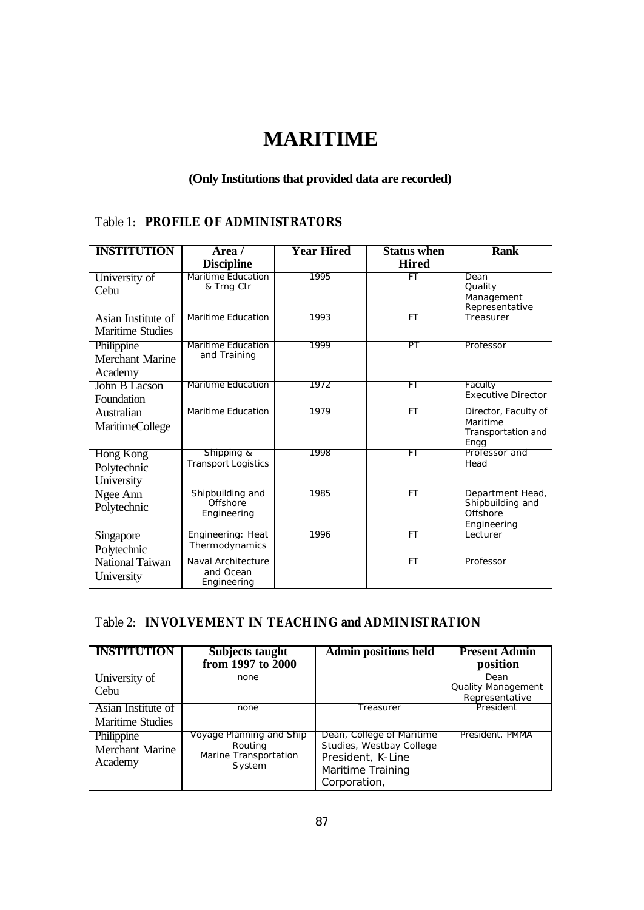# **MARITIME**

#### **(Only Institutions that provided data are recorded)**

## Table 1: **PROFILE OF ADMINISTRATORS**

| <b>INSTITUTION</b>                              | Area /<br><b>Discipline</b>                    | <b>Year Hired</b> | <b>Status when</b><br><b>Hired</b> | <b>Rank</b>                                                     |
|-------------------------------------------------|------------------------------------------------|-------------------|------------------------------------|-----------------------------------------------------------------|
| University of<br>Cebu                           | <b>Maritime Education</b><br>& Trng Ctr        | 1995              | FT                                 | Dean<br>Quality<br>Management<br>Representative                 |
| Asian Institute of<br><b>Maritime Studies</b>   | Maritime Education                             | 1993              | FT                                 | Treasurer                                                       |
| Philippine<br><b>Merchant Marine</b><br>Academy | Maritime Education<br>and Training             | 1999              | PT                                 | Professor                                                       |
| John B Lacson<br>Foundation                     | <b>Maritime Education</b>                      | 1972              | FT                                 | Faculty<br><b>Executive Director</b>                            |
| Australian<br><b>MaritimeCollege</b>            | <b>Maritime Education</b>                      | 1979              | FT                                 | Director, Faculty of<br>Maritime<br>Transportation and<br>Engg  |
| Hong Kong<br>Polytechnic<br>University          | Shipping &<br><b>Transport Logistics</b>       | 1998              | FT                                 | Professor and<br>Head                                           |
| Ngee Ann<br>Polytechnic                         | Shipbuilding and<br>Offshore<br>Engineering    | 1985              | FT                                 | Department Head,<br>Shipbuilding and<br>Offshore<br>Engineering |
| <b>Singapore</b><br>Polytechnic                 | Engineering: Heat<br>Thermodynamics            | 1996              | FТ                                 | Lecturer                                                        |
| National Taiwan<br>University                   | Naval Architecture<br>and Ocean<br>Engineering |                   | FT                                 | Professor                                                       |

### Table 2: **INVOLVEMENT IN TEACHING and ADMINISTRATION**

| <b>INSTITUTION</b>                              | <b>Subjects taught</b><br>from 1997 to 2000                            | <b>Admin positions held</b>                                                                                     | <b>Present Admin</b><br>position                    |
|-------------------------------------------------|------------------------------------------------------------------------|-----------------------------------------------------------------------------------------------------------------|-----------------------------------------------------|
| University of<br>Cebu                           | none                                                                   |                                                                                                                 | Dean<br><b>Quality Management</b><br>Representative |
| Asian Institute of<br><b>Maritime Studies</b>   | none                                                                   | Treasurer                                                                                                       | President                                           |
| Philippine<br><b>Merchant Marine</b><br>Academy | Voyage Planning and Ship<br>Routing<br>Marine Transportation<br>System | Dean, College of Maritime<br>Studies, Westbay College<br>President, K-Line<br>Maritime Training<br>Corporation, | President, PMMA                                     |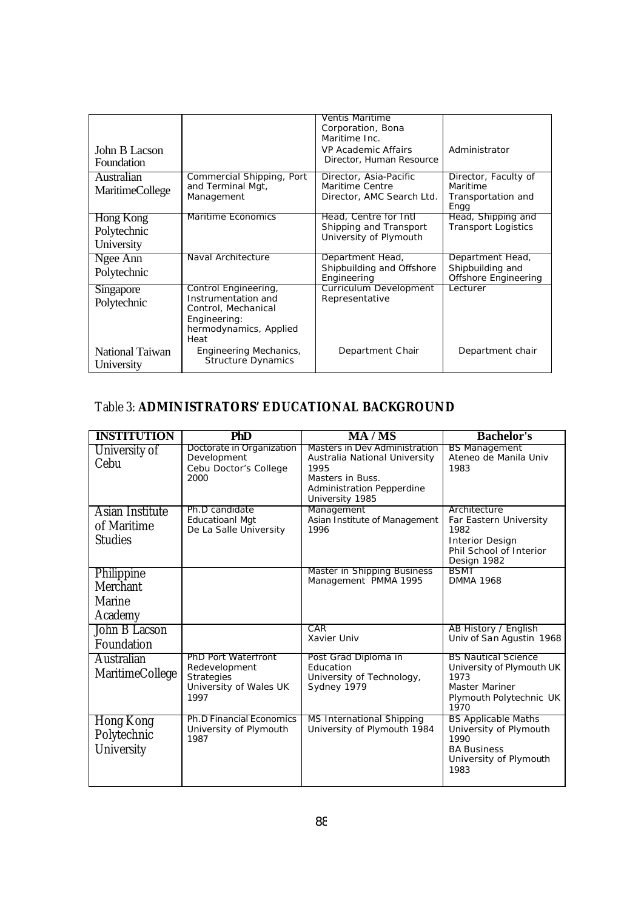|                        |                                            | <b>Ventis Maritime</b><br>Corporation, Bona |                                          |
|------------------------|--------------------------------------------|---------------------------------------------|------------------------------------------|
|                        |                                            | Maritime Inc.                               |                                          |
| John B Lacson          |                                            | VP Academic Affairs                         | Administrator                            |
| Foundation             |                                            | Director, Human Resource                    |                                          |
| Australian             | Commercial Shipping, Port                  | Director, Asia-Pacific                      | Director, Faculty of                     |
| <b>MaritimeCollege</b> | and Terminal Mgt,                          | Maritime Centre                             | Maritime                                 |
|                        | Management                                 | Director, AMC Search Ltd.                   | Transportation and<br>Engg               |
| Hong Kong              | Maritime Economics                         | Head, Centre for Intl                       | Head, Shipping and                       |
| Polytechnic            |                                            | Shipping and Transport                      | <b>Transport Logistics</b>               |
| University             |                                            | University of Plymouth                      |                                          |
| Ngee Ann               | Naval Architecture                         | Department Head,                            | Department Head,                         |
| Polytechnic            |                                            | Shipbuilding and Offshore<br>Engineering    | Shipbuilding and<br>Offshore Engineering |
| Singapore              | Control Engineering,                       | Curriculum Development                      | l ecturer                                |
| Polytechnic            | Instrumentation and<br>Control, Mechanical | Representative                              |                                          |
|                        | Engineering:                               |                                             |                                          |
|                        | hermodynamics, Applied                     |                                             |                                          |
|                        | Heat                                       |                                             |                                          |
| National Taiwan        | Engineering Mechanics,                     | Department Chair                            | Department chair                         |
| University             | <b>Structure Dynamics</b>                  |                                             |                                          |

# Table 3: **ADMINISTRATORS' EDUCATIONAL BACKGROUND**

| <b>INSTITUTION</b>                               | <b>PhD</b>                                                                                         | <b>MA/MS</b>                                                                                                                                      | <b>Bachelor's</b>                                                                                                           |
|--------------------------------------------------|----------------------------------------------------------------------------------------------------|---------------------------------------------------------------------------------------------------------------------------------------------------|-----------------------------------------------------------------------------------------------------------------------------|
| University of<br>Cebu                            | Doctorate in Organization<br>Development<br>Cebu Doctor's College<br>2000                          | Masters in Dev Administration<br>Australia National University<br>1995<br>Masters in Buss.<br><b>Administration Pepperdine</b><br>University 1985 | <b>BS Management</b><br>Ateneo de Manila Univ<br>1983                                                                       |
| Asian Institute<br>of Maritime<br><b>Studies</b> | Ph.D candidate<br><b>Educatioanl Mgt</b><br>De La Salle University                                 | Management<br>Asian Institute of Management<br>1996                                                                                               | Architecture<br>Far Eastern University<br>1982<br><b>Interior Design</b><br>Phil School of Interior<br>Design 1982          |
| Philippine<br>Merchant<br>Marine<br>Academy      |                                                                                                    | Master in Shipping Business<br>Management PMMA 1995                                                                                               | <b>BSMT</b><br><b>DMMA 1968</b>                                                                                             |
| John B Lacson<br>Foundation                      |                                                                                                    | CAR<br>Xavier Univ                                                                                                                                | AB History / English<br>Univ of San Agustin 1968                                                                            |
| Australian<br><b>MaritimeCollege</b>             | <b>PhD Port Waterfront</b><br>Redevelopment<br><b>Strategies</b><br>University of Wales UK<br>1997 | Post Grad Diploma in<br>Education<br>University of Technology,<br>Sydney 1979                                                                     | <b>BS Nautical Science</b><br>University of Plymouth UK<br>1973<br><b>Master Mariner</b><br>Plymouth Polytechnic UK<br>1970 |
| Hong Kong<br>Polytechnic<br>University           | <b>Ph.D Financial Economics</b><br>University of Plymouth<br>1987                                  | MS International Shipping<br>University of Plymouth 1984                                                                                          | <b>BS Applicable Maths</b><br>University of Plymouth<br>1990<br><b>BA Business</b><br>University of Plymouth<br>1983        |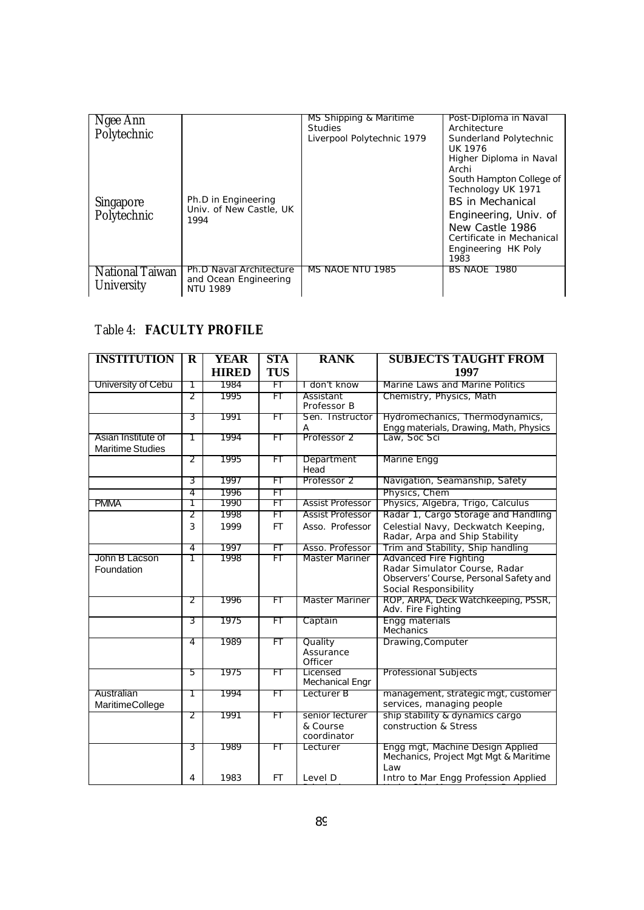| Ngee Ann<br>Polytechnic              |                                                                     | MS Shipping & Maritime<br><b>Studies</b> | Post-Diploma in Naval<br>Architecture                                                                                                              |
|--------------------------------------|---------------------------------------------------------------------|------------------------------------------|----------------------------------------------------------------------------------------------------------------------------------------------------|
| <b>Singapore</b>                     | Ph.D in Engineering<br>Univ. of New Castle, UK                      | Liverpool Polytechnic 1979               | Sunderland Polytechnic<br>UK 1976<br>Higher Diploma in Naval<br>Archi<br>South Hampton College of<br>Technology UK 1971<br><b>BS</b> in Mechanical |
| Polytechnic                          | 1994                                                                |                                          | Engineering, Univ. of<br>New Castle 1986<br>Certificate in Mechanical<br>Engineering HK Poly<br>1983                                               |
| <b>National Taiwan</b><br>University | Ph.D Naval Architecture<br>and Ocean Engineering<br><b>NTU 1989</b> | MS NAOE NTU 1985                         | BS NAOE 1980                                                                                                                                       |

## Table 4: **FACULTY PROFILE**

| <b>INSTITUTION</b>                            | $\mathbf R$    | <b>YEAR</b>  | <b>STA</b> | <b>RANK</b>                                | <b>SUBJECTS TAUGHT FROM</b>                                                                                                       |
|-----------------------------------------------|----------------|--------------|------------|--------------------------------------------|-----------------------------------------------------------------------------------------------------------------------------------|
|                                               |                | <b>HIRED</b> | <b>TUS</b> |                                            | 1997                                                                                                                              |
| University of Cebu                            | 1              | 1984         | FT         | I don't know                               | Marine Laws and Marine Politics                                                                                                   |
|                                               | 2              | 1995         | FT         | Assistant<br>Professor B                   | Chemistry, Physics, Math                                                                                                          |
|                                               | 3              | 1991         | FT         | Sen. Instructor<br>А                       | Hydromechanics, Thermodynamics,<br>Engg materials, Drawing, Math, Physics                                                         |
| Asian Institute of<br><b>Maritime Studies</b> | 1              | 1994         | FT         | Professor 2                                | Law, Soc Sci                                                                                                                      |
|                                               | 2              | 1995         | FT         | Department<br>Head                         | Marine Engg                                                                                                                       |
|                                               | 3              | 1997         | FT         | Professor 2                                | Navigation, Seamanship, Safety                                                                                                    |
|                                               | 4              | 1996         | FT         |                                            | Physics, Chem                                                                                                                     |
| <b>PMMA</b>                                   | 1              | 1990         | FT         | <b>Assist Professor</b>                    | Physics, Algebra, Trigo, Calculus                                                                                                 |
|                                               | 2              | 1998         | FT         | <b>Assist Professor</b>                    | Radar 1, Cargo Storage and Handling                                                                                               |
|                                               | 3              | 1999         | <b>FT</b>  | Asso. Professor                            | Celestial Navy, Deckwatch Keeping,<br>Radar, Arpa and Ship Stability                                                              |
|                                               | $\overline{4}$ | 1997         | FT         | Asso. Professor                            | Trim and Stability, Ship handling                                                                                                 |
| John B Lacson<br>Foundation                   | 1              | 1998         | FT         | Master Mariner                             | <b>Advanced Fire Fighting</b><br>Radar Simulator Course, Radar<br>Observers' Course, Personal Safety and<br>Social Responsibility |
|                                               | 2              | 1996         | FT         | Master Mariner                             | ROP, ARPA, Deck Watchkeeping, PSSR,<br>Adv. Fire Fighting                                                                         |
|                                               | 3              | 1975         | FT         | Captain                                    | Engg materials<br>Mechanics                                                                                                       |
|                                               | 4              | 1989         | FT         | Quality<br>Assurance<br>Officer            | Drawing, Computer                                                                                                                 |
|                                               | 5              | 1975         | FT         | Licensed<br>Mechanical Engr                | <b>Professional Subjects</b>                                                                                                      |
| Australian<br>MaritimeCollege                 | 1              | 1994         | FT         | Lecturer B                                 | management, strategic mgt, customer<br>services, managing people                                                                  |
|                                               | 2              | 1991         | FT         | senior lecturer<br>& Course<br>coordinator | ship stability & dynamics cargo<br>construction & Stress                                                                          |
|                                               | 3              | 1989         | FT         | Lecturer                                   | Engg mgt, Machine Design Applied<br>Mechanics, Project Mgt Mgt & Maritime<br>Law                                                  |
|                                               | 4              | 1983         | FT         | Level D                                    | Intro to Mar Engg Profession Applied                                                                                              |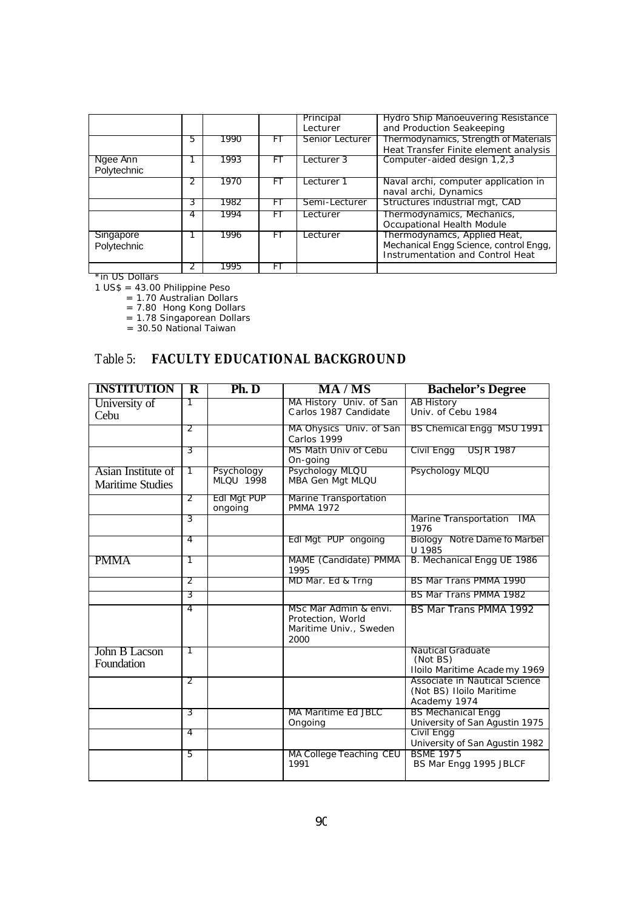|                          |   |      |     | Principal<br>Lecturer | Hydro Ship Manoeuvering Resistance<br>and Production Seakeeping                                            |
|--------------------------|---|------|-----|-----------------------|------------------------------------------------------------------------------------------------------------|
|                          | 5 | 1990 | F١  | Senior Lecturer       | Thermodynamics, Strength of Materials<br>Heat Transfer Finite element analysis                             |
| Ngee Ann<br>Polytechnic  |   | 1993 | F I | Lecturer 3            | Computer-aided design 1,2,3                                                                                |
|                          |   | 1970 | F I | Lecturer 1            | Naval archi, computer application in<br>naval archi, Dynamics                                              |
|                          | 3 | 1982 | H.  | Semi-Lecturer         | Structures industrial mgt, CAD                                                                             |
|                          | 4 | 1994 | F١  | Lecturer              | Thermodynamics, Mechanics,<br>Occupational Health Module                                                   |
| Singapore<br>Polytechnic |   | 1996 | FT  | Lecturer              | Thermodynamcs, Applied Heat,<br>Mechanical Engg Science, control Engg,<br>Instrumentation and Control Heat |
|                          | 2 | 1995 | F١  |                       |                                                                                                            |

\*in US Dollars

1 US\$ = 43.00 Philippine Peso

= 1.70 Australian Dollars

= 7.80 Hong Kong Dollars

= 1.78 Singaporean Dollars

= 30.50 National Taiwan

#### Table 5: **FACULTY EDUCATIONAL BACKGROUND**

| <b>INSTITUTION</b>                            | $\overline{\mathbf{R}}$ | $\overline{\text{Ph}}$ . $\overline{\text{D}}$ | <b>MA/MS</b>                                                                 | <b>Bachelor's Degree</b>                                                  |
|-----------------------------------------------|-------------------------|------------------------------------------------|------------------------------------------------------------------------------|---------------------------------------------------------------------------|
| University of<br>Cebu                         | 1                       |                                                | MA History Univ. of San<br>Carlos 1987 Candidate                             | <b>AB History</b><br>Univ. of Cebu 1984                                   |
|                                               | 2                       |                                                | MA Ohysics Univ. of San<br>Carlos 1999                                       | BS Chemical Engg MSU 1991                                                 |
|                                               | 3                       |                                                | MS Math Univ of Cebu<br>On-going                                             | <b>USJR 1987</b><br>Civil Engg                                            |
| Asian Institute of<br><b>Maritime Studies</b> | 7                       | Psychology<br><b>MLOU 1998</b>                 | Psychology MLQU<br>MBA Gen Mgt MLQU                                          | Psychology MLQU                                                           |
|                                               | 2                       | Edl Mgt PUP<br>ongoing                         | Marine Transportation<br><b>PMMA 1972</b>                                    |                                                                           |
|                                               | 3                       |                                                |                                                                              | Marine Transportation<br>IMA<br>1976                                      |
|                                               | 4                       |                                                | Edl Mgt PUP ongoing                                                          | Biology Notre Dame fo Marbel<br>U 1985                                    |
| <b>PMMA</b>                                   | 1                       |                                                | MAME (Candidate) PMMA<br>1995                                                | B. Mechanical Engg UE 1986                                                |
|                                               | 2                       |                                                | MD Mar. Ed & Trng                                                            | BS Mar Trans PMMA 1990                                                    |
|                                               | 3                       |                                                |                                                                              | BS Mar Trans PMMA 1982                                                    |
|                                               | 4                       |                                                | MSc Mar Admin & envi.<br>Protection, World<br>Maritime Univ., Sweden<br>2000 | <b>BS Mar Trans PMMA 1992</b>                                             |
| John B Lacson<br>Foundation                   | 1                       |                                                |                                                                              | <b>Nautical Graduate</b><br>(Not BS)<br>Iloilo Maritime Academy 1969      |
|                                               | 2                       |                                                |                                                                              | Associate in Nautical Science<br>(Not BS) Iloilo Maritime<br>Academy 1974 |
|                                               | 3                       |                                                | MA Maritime Ed JBLC<br>Ongoing                                               | <b>BS Mechanical Engg</b><br>University of San Agustin 1975               |
|                                               | 4                       |                                                |                                                                              | Civil Engg<br>University of San Agustin 1982                              |
|                                               | 5                       |                                                | MA College Teaching CEU<br>1991                                              | <b>BSME 1975</b><br>BS Mar Engg 1995 JBLCF                                |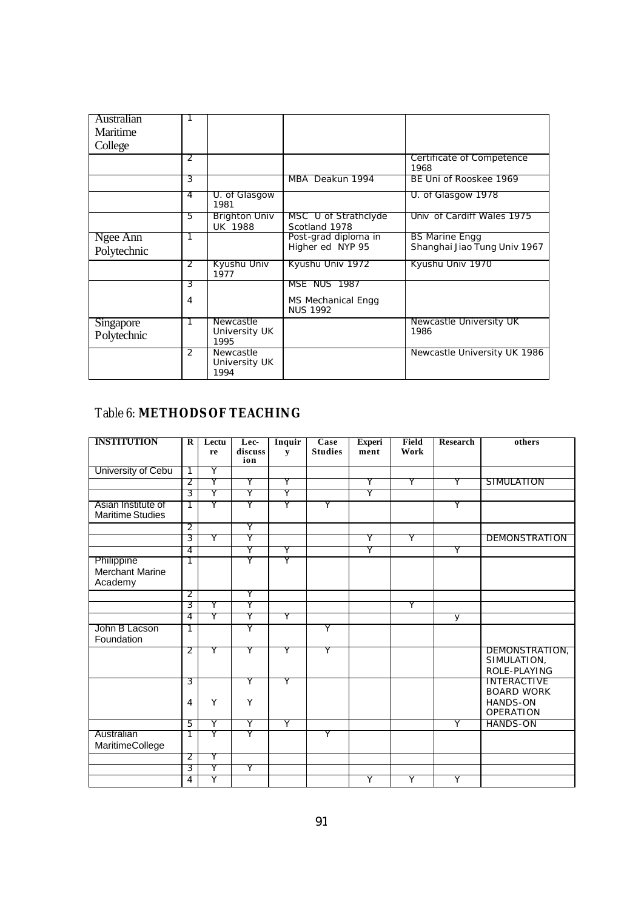| Australian<br>Maritime   |                |                                           |                                              |                                                       |
|--------------------------|----------------|-------------------------------------------|----------------------------------------------|-------------------------------------------------------|
| College                  |                |                                           |                                              |                                                       |
|                          | 2              |                                           |                                              | Certificate of Competence<br>1968                     |
|                          | 3              |                                           | MBA Deakun 1994                              | BE Uni of Rooskee 1969                                |
|                          | 4              | U. of Glasgow<br>1981                     |                                              | U. of Glasgow 1978                                    |
|                          | 5              | Brighton Univ<br><b>UK 1988</b>           | MSC U of Strathclyde<br>Scotland 1978        | Univ of Cardiff Wales 1975                            |
| Ngee Ann<br>Polytechnic  | 1              |                                           | Post-grad diploma in<br>Higher ed NYP 95     | <b>BS Marine Engg</b><br>Shanghai Jiao Tung Univ 1967 |
|                          | 2              | Kyushu Univ<br>1977                       | Kyushu Univ 1972                             | Kyushu Univ 1970                                      |
|                          | 3              |                                           | <b>MSE NUS 1987</b>                          |                                                       |
|                          | $\overline{4}$ |                                           | <b>MS Mechanical Engg</b><br><b>NUS 1992</b> |                                                       |
| Singapore<br>Polytechnic |                | Newcastle<br>University UK<br>1995        |                                              | <b>Newcastle University UK</b><br>1986                |
|                          | $\mathcal{P}$  | <b>Newcastle</b><br>University UK<br>1994 |                                              | Newcastle University UK 1986                          |

# Table 6: **METHODS OF TEACHING**

| <b>INSTITUTION</b>                              | R              | Lectu<br>re | Lec-<br>discuss | Inquir<br>${\bf v}$ | Case<br><b>Studies</b> | <b>Experi</b><br>ment | Field<br>Work | <b>Research</b> | others                                                                         |
|-------------------------------------------------|----------------|-------------|-----------------|---------------------|------------------------|-----------------------|---------------|-----------------|--------------------------------------------------------------------------------|
|                                                 |                |             | ion             |                     |                        |                       |               |                 |                                                                                |
| University of Cebu                              | T              | Y           |                 |                     |                        |                       |               |                 |                                                                                |
|                                                 | 2              | Y           | Υ               | Υ                   |                        | Y                     | Υ             | γ               | SIMULATION                                                                     |
|                                                 | 3              | Υ           | Υ               | Υ                   |                        | Υ                     |               |                 |                                                                                |
| Asian Institute of<br><b>Maritime Studies</b>   | T              | Υ           | Υ               | Υ                   | Υ                      |                       |               | Υ               |                                                                                |
|                                                 | $\overline{2}$ |             | Y               |                     |                        |                       |               |                 |                                                                                |
|                                                 | 3              | Υ           | Υ               |                     |                        | Υ                     | Υ             |                 | <b>DEMONSTRATION</b>                                                           |
|                                                 | $\overline{4}$ |             | Υ               | Υ                   |                        | Υ                     |               | Υ               |                                                                                |
| Philippine<br><b>Merchant Marine</b><br>Academy | 1              |             | Υ               | Y                   |                        |                       |               |                 |                                                                                |
|                                                 | 2              |             | Υ               |                     |                        |                       |               |                 |                                                                                |
|                                                 | 3              | Y           | Y               |                     |                        |                       | Y             |                 |                                                                                |
|                                                 | $\overline{4}$ | Υ           | Y               | Υ                   |                        |                       |               | $\overline{y}$  |                                                                                |
| John B Lacson<br>Foundation                     | 1              |             | Y               |                     | Y                      |                       |               |                 |                                                                                |
|                                                 | 2              | Y           | Υ               | Y                   | Υ                      |                       |               |                 | DEMONSTRATION,<br>SIMULATION,<br>ROLE-PLAYING                                  |
|                                                 | 3<br>4         | Υ           | Υ<br>Y          | Υ                   |                        |                       |               |                 | <b>INTERACTIVE</b><br><b>BOARD WORK</b><br><b>HANDS-ON</b><br><b>OPERATION</b> |
|                                                 | 5              | Y           | Υ               | Y                   |                        |                       |               | Y               | HANDS-ON                                                                       |
| Australian<br>MaritimeCollege                   | 1              | Y           | Υ               |                     | Υ                      |                       |               |                 |                                                                                |
|                                                 | 2              | Y           |                 |                     |                        |                       |               |                 |                                                                                |
|                                                 | 3              | Y           | Υ               |                     |                        |                       |               |                 |                                                                                |
|                                                 | 4              | Y           |                 |                     |                        | Y                     | Y             | Y               |                                                                                |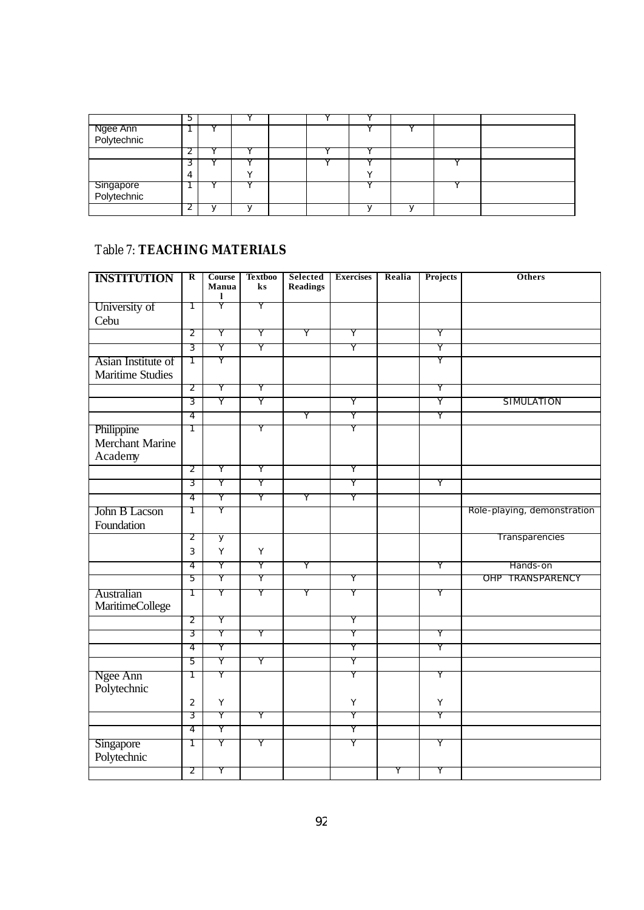|                          | b |  |  |  |  |
|--------------------------|---|--|--|--|--|
| Ngee Ann<br>Polytechnic  |   |  |  |  |  |
|                          |   |  |  |  |  |
|                          |   |  |  |  |  |
|                          |   |  |  |  |  |
|                          | ┚ |  |  |  |  |
| Singapore<br>Polytechnic |   |  |  |  |  |
|                          |   |  |  |  |  |
|                          |   |  |  |  |  |

## Table 7: **TEACHING MATERIALS**

| <b>INSTITUTION</b>            | $\overline{\mathbf{R}}$ | <b>Course</b><br>Manua<br>1 | <b>Textboo</b><br>ks | Selected<br><b>Readings</b> | <b>Exercises</b> | Realia | Projects | Others                      |
|-------------------------------|-------------------------|-----------------------------|----------------------|-----------------------------|------------------|--------|----------|-----------------------------|
| University of                 | T                       | Ÿ                           | Y                    |                             |                  |        |          |                             |
| Cebu                          |                         |                             |                      |                             |                  |        |          |                             |
|                               | $\overline{2}$          | Υ                           | Υ                    | Υ                           | Υ                |        | Υ        |                             |
|                               | 3                       | Υ                           | Y                    |                             | Υ                |        | Υ        |                             |
| Asian Institute of            | T                       | Υ                           |                      |                             |                  |        | Υ        |                             |
| <b>Maritime Studies</b>       |                         |                             |                      |                             |                  |        |          |                             |
|                               | 2                       | Υ                           | Y                    |                             |                  |        | Υ        |                             |
|                               | 3                       | Ÿ                           | Ϋ                    |                             | Υ                |        | Ÿ        | SIMULATION                  |
|                               | 4                       |                             |                      | Υ                           | Ϋ                |        | Y        |                             |
| Philippine                    | T                       |                             | Υ                    |                             | Υ                |        |          |                             |
| <b>Merchant Marine</b>        |                         |                             |                      |                             |                  |        |          |                             |
| Academy                       |                         |                             |                      |                             |                  |        |          |                             |
|                               | $\overline{2}$          | Υ                           | Υ                    |                             | Υ                |        |          |                             |
|                               | 3                       | Y                           | Υ                    |                             | Υ                |        | Υ        |                             |
|                               | 4                       | Υ                           | Υ                    | Υ                           | Υ                |        |          |                             |
| John B Lacson                 | 1                       | Υ                           |                      |                             |                  |        |          | Role-playing, demonstration |
| Foundation                    |                         |                             |                      |                             |                  |        |          |                             |
|                               | 2                       | y                           |                      |                             |                  |        |          | Transparencies              |
|                               | 3                       | Y                           | Υ                    |                             |                  |        |          |                             |
|                               | 4                       | Υ                           | Y                    | Υ                           |                  |        | Υ        | Hands-on                    |
|                               | 5                       | Υ                           | Υ                    |                             | Υ                |        |          | OHP TRANSPARENCY            |
| Australian<br>MaritimeCollege | T                       | Υ                           | Υ                    | Υ                           | Υ                |        | Υ        |                             |
|                               | 2                       | Υ                           |                      |                             | Υ                |        |          |                             |
|                               | 3                       | Υ                           | Υ                    |                             | Υ                |        | Υ        |                             |
|                               | 4                       | Υ                           |                      |                             | Υ                |        | Υ        |                             |
|                               | 5                       | Υ                           | Υ                    |                             | Υ                |        |          |                             |
| Ngee Ann<br>Polytechnic       | 1                       | Υ                           |                      |                             | Υ                |        | Υ        |                             |
|                               | $\overline{2}$          | Υ                           |                      |                             | Υ                |        | Υ        |                             |
|                               | 3                       | Υ                           | Y                    |                             | Υ                |        | Υ        |                             |
|                               | 4                       | Υ                           |                      |                             | Υ                |        |          |                             |
| Singapore<br>Polytechnic      | 1                       | Υ                           | Υ                    |                             | Υ                |        | Υ        |                             |
|                               | 2                       | Υ                           |                      |                             |                  | Υ      | Υ        |                             |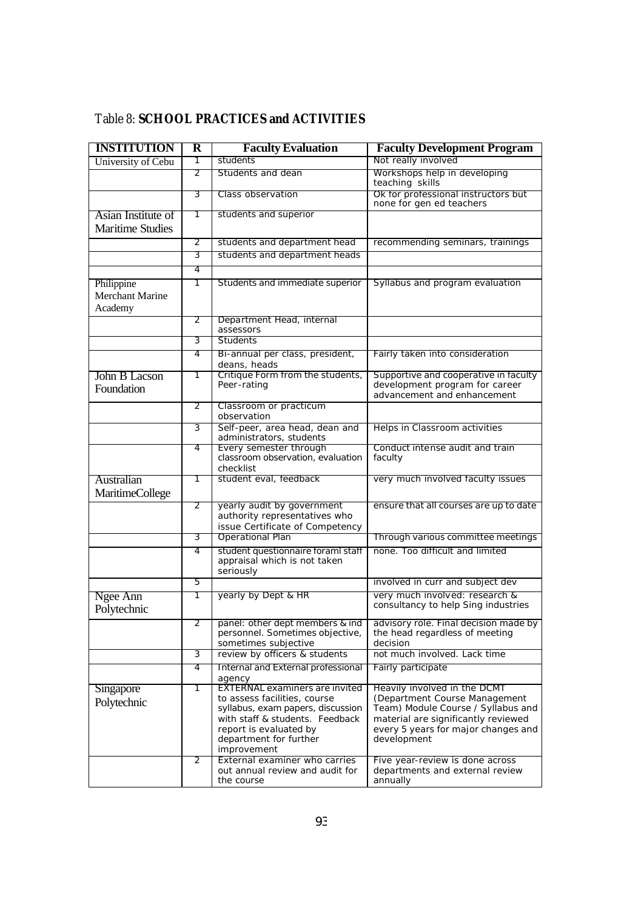| Table 8: SCHOOL PRACTICES and ACTIVITIES |  |
|------------------------------------------|--|
|------------------------------------------|--|

| <b>INSTITUTION</b>                       | $\overline{\textbf{R}}$ | <b>Faculty Evaluation</b>                                                                                                                                                                                        | <b>Faculty Development Program</b>                                                                                                                                                               |
|------------------------------------------|-------------------------|------------------------------------------------------------------------------------------------------------------------------------------------------------------------------------------------------------------|--------------------------------------------------------------------------------------------------------------------------------------------------------------------------------------------------|
| University of Cebu                       | 1                       | students                                                                                                                                                                                                         | Not really involved                                                                                                                                                                              |
|                                          | 2                       | Students and dean                                                                                                                                                                                                | Workshops help in developing<br>teaching skills                                                                                                                                                  |
|                                          | 3                       | Class observation                                                                                                                                                                                                | Ok for professional instructors but<br>none for gen ed teachers                                                                                                                                  |
| Asian Institute of                       | Τ                       | students and superior                                                                                                                                                                                            |                                                                                                                                                                                                  |
| <b>Maritime Studies</b>                  |                         |                                                                                                                                                                                                                  |                                                                                                                                                                                                  |
|                                          | 2                       | students and department head                                                                                                                                                                                     | recommending seminars, trainings                                                                                                                                                                 |
|                                          | 3                       | students and department heads                                                                                                                                                                                    |                                                                                                                                                                                                  |
|                                          | 4                       |                                                                                                                                                                                                                  |                                                                                                                                                                                                  |
| Philippine<br>Merchant Marine<br>Academy | 1                       | Students and immediate superior                                                                                                                                                                                  | Syllabus and program evaluation                                                                                                                                                                  |
|                                          | 2                       | Department Head, internal<br>assessors                                                                                                                                                                           |                                                                                                                                                                                                  |
|                                          | 3                       | <b>Students</b>                                                                                                                                                                                                  |                                                                                                                                                                                                  |
|                                          | 4                       | Bi-annual per class, president,<br>deans, heads                                                                                                                                                                  | Fairly taken into consideration                                                                                                                                                                  |
| John B Lacson<br>Foundation              | 1                       | Critique Form from the students,<br>Peer-rating                                                                                                                                                                  | Supportive and cooperative in faculty<br>development program for career<br>advancement and enhancement                                                                                           |
|                                          | 2                       | Classroom or practicum<br>observation                                                                                                                                                                            |                                                                                                                                                                                                  |
|                                          | 3                       | Self-peer, area head, dean and<br>administrators, students                                                                                                                                                       | Helps in Classroom activities                                                                                                                                                                    |
|                                          | 4                       | Every semester through<br>classroom observation, evaluation<br>checklist                                                                                                                                         | Conduct intense audit and train<br>faculty                                                                                                                                                       |
| Australian<br><b>MaritimeCollege</b>     | 1                       | student eval, feedback                                                                                                                                                                                           | very much involved faculty issues                                                                                                                                                                |
|                                          | 2                       | yearly audit by government<br>authority representatives who<br>issue Certificate of Competency                                                                                                                   | ensure that all courses are up to date                                                                                                                                                           |
|                                          | 3                       | Operational Plan                                                                                                                                                                                                 | Through various committee meetings                                                                                                                                                               |
|                                          | 4                       | student questionnaire foraml staff<br>appraisal which is not taken<br>seriously                                                                                                                                  | none. Too difficult and limited                                                                                                                                                                  |
|                                          | 5                       |                                                                                                                                                                                                                  | involved in curr and subject dev                                                                                                                                                                 |
| Ngee Ann<br>Polytechnic                  | 1                       | yearly by Dept & HR                                                                                                                                                                                              | very much involved: research &<br>consultancy to help Sing industries                                                                                                                            |
|                                          | 2                       | personnel. Sometimes objective,<br>sometimes subjective                                                                                                                                                          | panel: other dept members & ind   advisory role. Final decision made by<br>the head regardless of meeting<br>decision                                                                            |
|                                          | 3                       | review by officers & students                                                                                                                                                                                    | not much involved. Lack time                                                                                                                                                                     |
|                                          | 4                       | Internal and External professional<br>agency                                                                                                                                                                     | Fairly participate                                                                                                                                                                               |
| Singapore<br>Polytechnic                 | 1                       | <b>EXTERNAL examiners are invited</b><br>to assess facilities, course<br>syllabus, exam papers, discussion<br>with staff & students. Feedback<br>report is evaluated by<br>department for further<br>improvement | Heavily involved in the DCMT<br>(Department Course Management<br>Team) Module Course / Syllabus and<br>material are significantly reviewed<br>every 5 years for major changes and<br>development |
|                                          | 2                       | External examiner who carries<br>out annual review and audit for<br>the course                                                                                                                                   | Five year-review is done across<br>departments and external review<br>annually                                                                                                                   |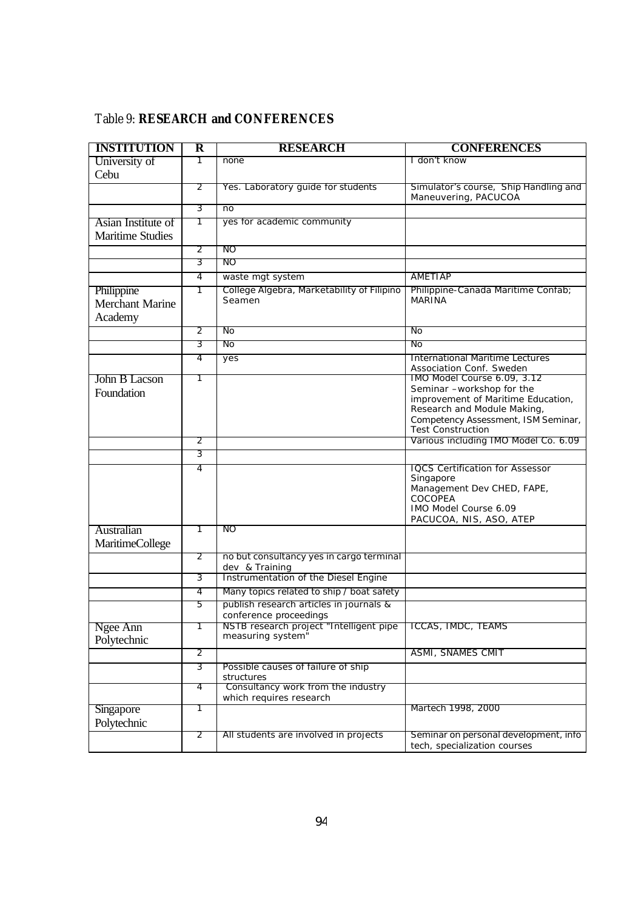| <b>INSTITUTION</b>      | $\overline{\textbf{R}}$ | <b>RESEARCH</b>                                                   | <b>CONFERENCES</b>                                                |
|-------------------------|-------------------------|-------------------------------------------------------------------|-------------------------------------------------------------------|
| University of           | 1                       | none                                                              | I don't know                                                      |
| Cebu                    |                         |                                                                   |                                                                   |
|                         | 2                       | Yes. Laboratory guide for students                                | Simulator's course, Ship Handling and                             |
|                         | 3                       |                                                                   | Maneuvering, PACUCOA                                              |
|                         |                         | n <sub>o</sub>                                                    |                                                                   |
| Asian Institute of      | 1                       | yes for academic community                                        |                                                                   |
| <b>Maritime Studies</b> |                         |                                                                   |                                                                   |
|                         | 2<br>3                  | NO.<br>NO.                                                        |                                                                   |
|                         |                         |                                                                   |                                                                   |
|                         | 4                       | waste mgt system<br>College Algebra, Marketability of Filipino    | AMETIAP                                                           |
| Philippine              | 1                       | Seamen                                                            | Philippine-Canada Maritime Confab;<br><b>MARINA</b>               |
| <b>Merchant Marine</b>  |                         |                                                                   |                                                                   |
| Academy                 |                         |                                                                   |                                                                   |
|                         | 2                       | No                                                                | No                                                                |
|                         | 3                       | No                                                                | No                                                                |
|                         | 4                       | yes                                                               | International Maritime Lectures<br>Association Conf. Sweden       |
| John B Lacson           | 1                       |                                                                   | IMO Model Course 6.09, 3.12                                       |
| Foundation              |                         |                                                                   | Seminar -workshop for the                                         |
|                         |                         |                                                                   | improvement of Maritime Education,<br>Research and Module Making, |
|                         |                         |                                                                   | Competency Assessment, ISM Seminar,                               |
|                         |                         |                                                                   | Test Construction                                                 |
|                         | 2                       |                                                                   | Various including IMO Model Co. 6.09                              |
|                         | 3                       |                                                                   |                                                                   |
|                         | 4                       |                                                                   | <b>IQCS Certification for Assessor</b><br>Singapore               |
|                         |                         |                                                                   | Management Dev CHED, FAPE,                                        |
|                         |                         |                                                                   | <b>COCOPEA</b>                                                    |
|                         |                         |                                                                   | IMO Model Course 6.09<br>PACUCOA, NIS, ASO, ATEP                  |
| Australian              | 1                       | NO.                                                               |                                                                   |
| <b>MaritimeCollege</b>  |                         |                                                                   |                                                                   |
|                         | 2                       | no but consultancy yes in cargo terminal                          |                                                                   |
|                         |                         | dev & Training                                                    |                                                                   |
|                         | 3                       | Instrumentation of the Diesel Engine                              |                                                                   |
|                         | 4                       | Many topics related to ship / boat safety                         |                                                                   |
|                         | 5                       | publish research articles in journals &<br>conference proceedings |                                                                   |
| Ngee Ann                |                         | NSTB research project "Intelligent pipe                           | ICCAS, IMDC, TEAMS                                                |
| Polytechnic             |                         | measuring system"                                                 |                                                                   |
|                         | $\overline{2}$          |                                                                   | <b>ASMI, SNAMES CMIT</b>                                          |
|                         | 3                       | Possible causes of failure of ship                                |                                                                   |
|                         |                         | structures                                                        |                                                                   |
|                         | 4                       | Consultancy work from the industry<br>which requires research     |                                                                   |
| Singapore               | 1                       |                                                                   | Martech 1998, 2000                                                |
| Polytechnic             |                         |                                                                   |                                                                   |
|                         | 2                       | All students are involved in projects                             | Seminar on personal development, info                             |
|                         |                         |                                                                   | tech, specialization courses                                      |

# Table 9: **RESEARCH and CONFERENCES**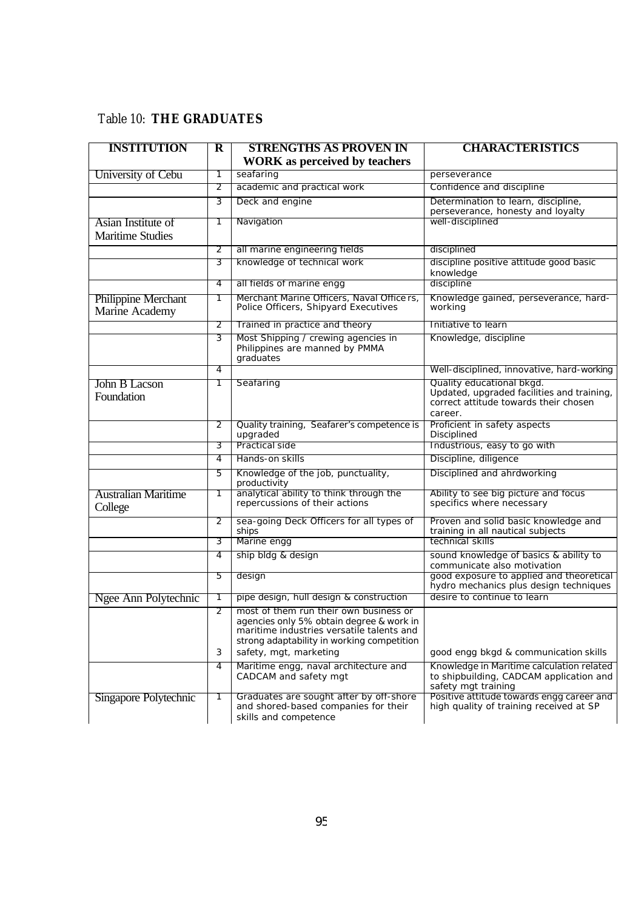# Table 10: **THE GRADUATES**

| <b>INSTITUTION</b>                            | $\bf{R}$ | <b>STRENGTHS AS PROVEN IN</b><br><b>WORK</b> as perceived by teachers                                                                                                                                   | <b>CHARACTERISTICS</b>                                                                                                      |
|-----------------------------------------------|----------|---------------------------------------------------------------------------------------------------------------------------------------------------------------------------------------------------------|-----------------------------------------------------------------------------------------------------------------------------|
| University of Cebu                            | 1        | seafaring                                                                                                                                                                                               | perseverance                                                                                                                |
|                                               | 2        | academic and practical work                                                                                                                                                                             | Confidence and discipline                                                                                                   |
|                                               | 3        | Deck and engine                                                                                                                                                                                         | Determination to learn, discipline,<br>perseverance, honesty and loyalty                                                    |
| Asian Institute of<br><b>Maritime Studies</b> |          | Navigation                                                                                                                                                                                              | well-disciplined                                                                                                            |
|                                               | 2        | all marine engineering fields                                                                                                                                                                           | disciplined                                                                                                                 |
|                                               | 3        | knowledge of technical work                                                                                                                                                                             | discipline positive attitude good basic<br>knowledge                                                                        |
|                                               | 4        | all fields of marine engg                                                                                                                                                                               | discipline                                                                                                                  |
| <b>Philippine Merchant</b><br>Marine Academy  | 1        | Merchant Marine Officers, Naval Officers,<br>Police Officers, Shipyard Executives                                                                                                                       | Knowledge gained, perseverance, hard-<br>working                                                                            |
|                                               | 2        | Trained in practice and theory                                                                                                                                                                          | Initiative to learn                                                                                                         |
|                                               | 3        | Most Shipping / crewing agencies in<br>Philippines are manned by PMMA<br>graduates                                                                                                                      | Knowledge, discipline                                                                                                       |
|                                               | 4        |                                                                                                                                                                                                         | Well-disciplined, innovative, hard-working                                                                                  |
| John B Lacson<br>Foundation                   | 1        | Seafaring                                                                                                                                                                                               | Quality educational bkgd.<br>Updated, upgraded facilities and training,<br>correct attitude towards their chosen<br>career. |
|                                               | 2        | Quality training, Seafarer's competence is<br>upgraded                                                                                                                                                  | Proficient in safety aspects<br>Disciplined                                                                                 |
|                                               | 3        | Practical side                                                                                                                                                                                          | Industrious, easy to go with                                                                                                |
|                                               | 4        | Hands-on skills                                                                                                                                                                                         | Discipline, diligence                                                                                                       |
|                                               | 5        | Knowledge of the job, punctuality,<br>productivity                                                                                                                                                      | Disciplined and ahrdworking                                                                                                 |
| <b>Australian Maritime</b><br>College         | 1        | analytical ability to think through the<br>repercussions of their actions                                                                                                                               | Ability to see big picture and focus<br>specifics where necessary                                                           |
|                                               | 2        | sea-going Deck Officers for all types of<br>ships                                                                                                                                                       | Proven and solid basic knowledge and<br>training in all nautical subjects                                                   |
|                                               | 3        | Marine engg                                                                                                                                                                                             | technical skills                                                                                                            |
|                                               | 4        | ship bldg & design                                                                                                                                                                                      | sound knowledge of basics & ability to<br>communicate also motivation                                                       |
|                                               | 5        | design                                                                                                                                                                                                  | good exposure to applied and theoretical<br>hydro mechanics plus design techniques                                          |
| Ngee Ann Polytechnic                          |          | pipe design, hull design & construction                                                                                                                                                                 | desire to continue to learn                                                                                                 |
|                                               | 2<br>3   | most of them run their own business or<br>agencies only 5% obtain degree & work in<br>maritime industries versatile talents and<br>strong adaptability in working competition<br>safety, mgt, marketing | good engg bkgd & communication skills                                                                                       |
|                                               | 4        | Maritime engg, naval architecture and<br>CADCAM and safety mgt                                                                                                                                          | Knowledge in Maritime calculation related<br>to shipbuilding, CADCAM application and<br>safety mgt training                 |
| Singapore Polytechnic                         | 1        | Graduates are sought after by off-shore<br>and shored-based companies for their<br>skills and competence                                                                                                | Positive attitude towards engg career and<br>high quality of training received at SP                                        |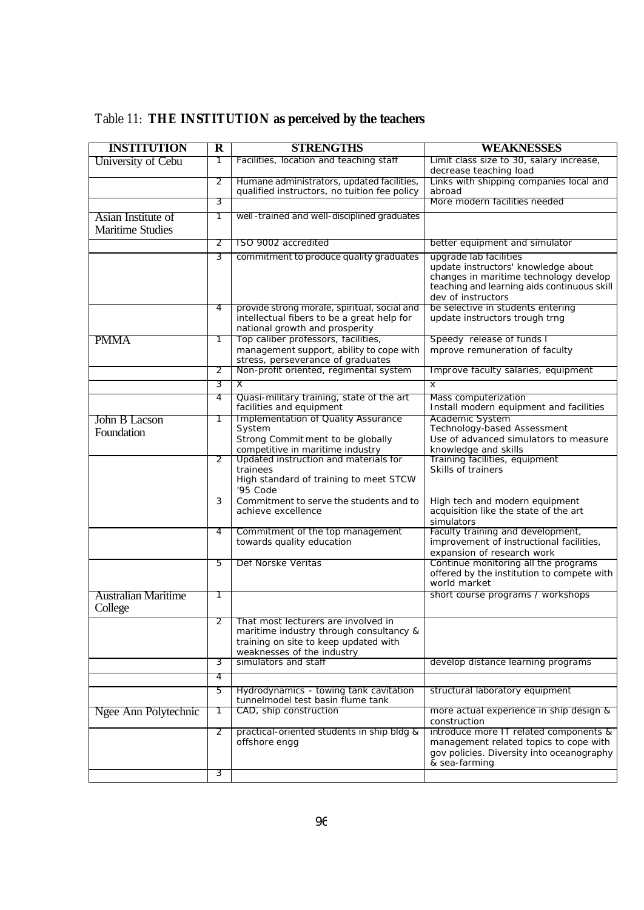| Table 11: THE INSTITUTION as perceived by the teachers |  |  |
|--------------------------------------------------------|--|--|
|--------------------------------------------------------|--|--|

| <b>INSTITUTION</b>                            | $\overline{\mathbf{R}}$ | <b>STRENGTHS</b>                                                                                                                                          | WEAKNESSES                                                                                                                                                                   |
|-----------------------------------------------|-------------------------|-----------------------------------------------------------------------------------------------------------------------------------------------------------|------------------------------------------------------------------------------------------------------------------------------------------------------------------------------|
| University of Cebu                            | Τ                       | Facilities, location and teaching staff                                                                                                                   | Limit class size to 30, salary increase,<br>decrease teaching load                                                                                                           |
|                                               | 2                       | Humane administrators, updated facilities,<br>qualified instructors, no tuition fee policy                                                                | Links with shipping companies local and<br>abroad                                                                                                                            |
|                                               | 3                       |                                                                                                                                                           | More modern facilities needed                                                                                                                                                |
| Asian Institute of<br><b>Maritime Studies</b> | 1                       | well-trained and well-disciplined graduates                                                                                                               |                                                                                                                                                                              |
|                                               | 2                       | ISO 9002 accredited                                                                                                                                       | better equipment and simulator                                                                                                                                               |
|                                               | 3                       | commitment to produce quality graduates                                                                                                                   | upgrade lab facilities<br>update instructors' knowledge about<br>changes in maritime technology develop<br>teaching and learning aids continuous skill<br>dev of instructors |
|                                               | 4                       | provide strong morale, spiritual, social and<br>intellectual fibers to be a great help for<br>national growth and prosperity                              | be selective in students entering<br>update instructors trough trng                                                                                                          |
| <b>PMMA</b>                                   | 1                       | Top caliber professors, facilities,<br>management support, ability to cope with<br>stress, perseverance of graduates                                      | Speedy release of funds I<br>mprove remuneration of faculty                                                                                                                  |
|                                               | 2                       | Non-profit oriented, regimental system                                                                                                                    | Improve faculty salaries, equipment                                                                                                                                          |
|                                               | 3                       | Χ                                                                                                                                                         | X                                                                                                                                                                            |
|                                               | 4                       | Quasi-military training, state of the art<br>facilities and equipment                                                                                     | Mass computerization<br>Install modern equipment and facilities                                                                                                              |
| John B Lacson<br>Foundation                   | 1                       | Implementation of Quality Assurance<br>System<br>Strong Commit ment to be globally<br>competitive in maritime industry                                    | Academic System<br>Technology-based Assessment<br>Use of advanced simulators to measure<br>knowledge and skills                                                              |
|                                               | 2                       | Updated instruction and materials for<br>trainees<br>High standard of training to meet STCW<br>'95 Code                                                   | Training facilities, equipment<br>Skills of trainers                                                                                                                         |
|                                               | 3                       | Commitment to serve the students and to<br>achieve excellence                                                                                             | High tech and modern equipment<br>acquisition like the state of the art<br>simulators                                                                                        |
|                                               | 4                       | Commitment of the top management<br>towards quality education                                                                                             | Faculty training and development,<br>improvement of instructional facilities,<br>expansion of research work                                                                  |
|                                               | 5                       | Def Norske Veritas                                                                                                                                        | Continue monitoring all the programs<br>offered by the institution to compete with<br>world market                                                                           |
| <b>Australian Maritime</b><br>College         | 1                       |                                                                                                                                                           | short course programs / workshops                                                                                                                                            |
|                                               |                         | 2   That most lecturers are involved in<br>maritime industry through consultancy &<br>training on site to keep updated with<br>weaknesses of the industry |                                                                                                                                                                              |
|                                               | 3                       | simulators and staff                                                                                                                                      | develop distance learning programs                                                                                                                                           |
|                                               | 4                       |                                                                                                                                                           |                                                                                                                                                                              |
|                                               | 5                       | Hydrodynamics - towing tank cavitation<br>tunnelmodel test basin flume tank                                                                               | structural laboratory equipment                                                                                                                                              |
| Ngee Ann Polytechnic                          | 1                       | CAD, ship construction                                                                                                                                    | more actual experience in ship design &<br>construction                                                                                                                      |
|                                               | 2                       | practical-oriented students in ship bldg &<br>offshore engg                                                                                               | introduce more IT related components &<br>management related topics to cope with<br>gov policies. Diversity into oceanography<br>& sea-farming                               |
|                                               | 3                       |                                                                                                                                                           |                                                                                                                                                                              |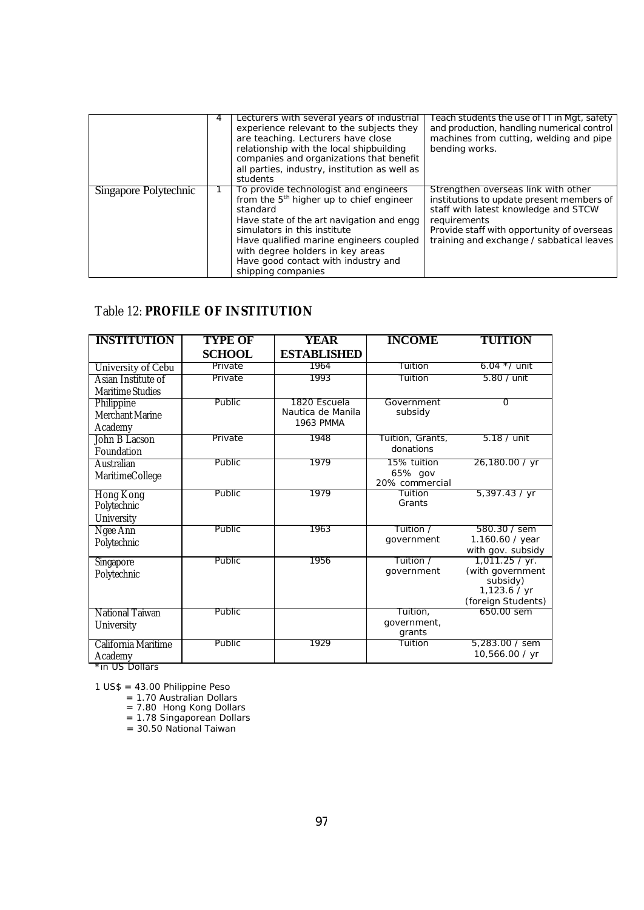|                       | 4 | Lecturers with several years of industrial<br>experience relevant to the subjects they<br>are teaching. Lecturers have close<br>relationship with the local shipbuilding<br>companies and organizations that benefit<br>all parties, industry, institution as well as<br>students                                                  | Teach students the use of IT in Mgt, safety<br>and production, handling numerical control<br>machines from cutting, welding and pipe<br>bending works.                                                                              |
|-----------------------|---|------------------------------------------------------------------------------------------------------------------------------------------------------------------------------------------------------------------------------------------------------------------------------------------------------------------------------------|-------------------------------------------------------------------------------------------------------------------------------------------------------------------------------------------------------------------------------------|
| Singapore Polytechnic |   | To provide technologist and engineers<br>from the 5 <sup>th</sup> higher up to chief engineer<br>standard<br>Have state of the art navigation and engg<br>simulators in this institute<br>Have qualified marine engineers coupled<br>with degree holders in key areas<br>Have good contact with industry and<br>shipping companies | Strengthen overseas link with other<br>institutions to update present members of<br>staff with latest knowledge and STCW<br>requirements<br>Provide staff with opportunity of overseas<br>training and exchange / sabbatical leaves |

#### Table 12: **PROFILE OF INSTITUTION**

| <b>INSTITUTION</b>      | <b>TYPE OF</b> | YEAR                                  | <b>INCOME</b>             | <b>TUITION</b>                   |
|-------------------------|----------------|---------------------------------------|---------------------------|----------------------------------|
|                         | <b>SCHOOL</b>  | <b>ESTABLISHED</b>                    |                           |                                  |
| University of Cebu      | Private        | 1964                                  | Tuition                   | 6.04 $*$ / unit                  |
| Asian Institute of      | Private        | 1993                                  | Tuition                   | 5.80 / unit                      |
| <b>Maritime Studies</b> |                |                                       |                           |                                  |
| Philippine              | Public         | 1820 Escuela                          | Government                | $\Omega$                         |
| <b>Merchant Marine</b>  |                | Nautica de Manila<br><b>1963 PMMA</b> | subsidy                   |                                  |
| Academy                 |                |                                       |                           |                                  |
| John B Lacson           | Private        | 1948                                  | Tuition, Grants,          | $5.18 /$ unit                    |
| Foundation              |                |                                       | donations                 |                                  |
| Australian              | Public         | 1979                                  | 15% tuition               | 26,180.00 / yr                   |
| MaritimeCollege         |                |                                       | 65% gov<br>20% commercial |                                  |
| <b>Hong Kong</b>        | Public         | 1979                                  | Tuition                   | 5,397.43 / yr                    |
| Polytechnic             |                |                                       | Grants                    |                                  |
| University              |                |                                       |                           |                                  |
| Ngee Ann                | <b>Public</b>  | 1963                                  | Tuition /                 | 580.30 / sem                     |
| Polytechnic             |                |                                       | government                | 1.160.60 / year                  |
|                         |                |                                       |                           | with gov. subsidy                |
| Singapore               | Public         | 1956                                  | Tuition /                 | 1,011.25 / yr.                   |
| Polytechnic             |                |                                       | government                | (with government<br>subsidy)     |
|                         |                |                                       |                           | 1,123.6 / yr                     |
|                         |                |                                       |                           | (foreign Students)               |
| National Taiwan         | Public         |                                       | Tuition,                  | 650.00 sem                       |
| University              |                |                                       | government,               |                                  |
|                         |                |                                       | grants                    |                                  |
| California Maritime     | Public         | 1929                                  | Tuition                   | 5.283.00 / sem<br>10,566.00 / yr |
| Academy                 |                |                                       |                           |                                  |

\*in US Dollars

1 US\$ = 43.00 Philippine Peso

= 1.70 Australian Dollars

= 7.80 Hong Kong Dollars

= 1.78 Singaporean Dollars

= 30.50 National Taiwan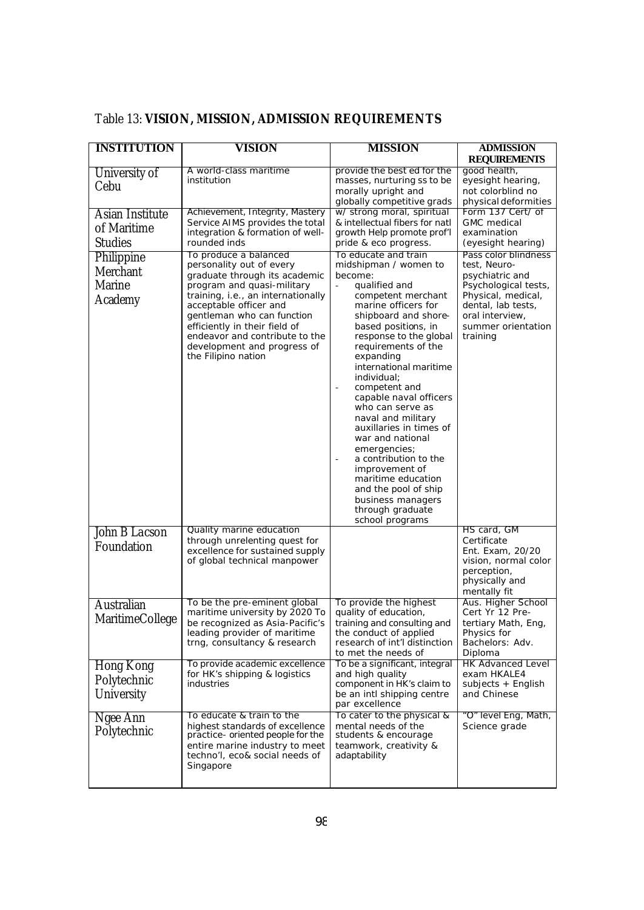| <b>INSTITUTION</b>     | VISION                                                          | <b>MISSION</b>                                    | <b>ADMISSION</b>                         |
|------------------------|-----------------------------------------------------------------|---------------------------------------------------|------------------------------------------|
|                        |                                                                 |                                                   | <b>REQUIREMENTS</b>                      |
| University of          | A world-class maritime                                          | provide the best ed for the                       | good health,                             |
| Cebu                   | institution                                                     | masses, nurturing ss to be<br>morally upright and | eyesight hearing,<br>not colorblind no   |
|                        |                                                                 | globally competitive grads                        | physical deformities                     |
| <b>Asian Institute</b> | Achievement, Integrity, Mastery                                 | w/ strong moral, spiritual                        | Form 137 Cert/ of                        |
| of Maritime            | Service AIMS provides the total                                 | & intellectual fibers for natl                    | <b>GMC</b> medical                       |
|                        | integration & formation of well-                                | growth Help promote prof'l                        | examination                              |
| <b>Studies</b>         | rounded inds                                                    | pride & eco progress.                             | (eyesight hearing)                       |
| Philippine             | To produce a balanced<br>personality out of every               | To educate and train<br>midshipman / women to     | Pass color blindness<br>test, Neuro-     |
| Merchant               | graduate through its academic                                   | become:                                           | psychiatric and                          |
| Marine                 | program and quasi-military                                      | qualified and<br>$\overline{\phantom{a}}$         | Psychological tests,                     |
| Academy                | training, i.e., an internationally                              | competent merchant                                | Physical, medical,                       |
|                        | acceptable officer and<br>gentleman who can function            | marine officers for<br>shipboard and shore-       | dental, lab tests,<br>oral interview,    |
|                        | efficiently in their field of                                   | based positions, in                               | summer orientation                       |
|                        | endeavor and contribute to the                                  | response to the global                            | training                                 |
|                        | development and progress of                                     | requirements of the                               |                                          |
|                        | the Filipino nation                                             | expanding<br>international maritime               |                                          |
|                        |                                                                 | individual;                                       |                                          |
|                        |                                                                 | competent and                                     |                                          |
|                        |                                                                 | capable naval officers                            |                                          |
|                        |                                                                 | who can serve as<br>naval and military            |                                          |
|                        |                                                                 | auxillaries in times of                           |                                          |
|                        |                                                                 | war and national                                  |                                          |
|                        |                                                                 | emergencies;                                      |                                          |
|                        |                                                                 | a contribution to the                             |                                          |
|                        |                                                                 | improvement of<br>maritime education              |                                          |
|                        |                                                                 | and the pool of ship                              |                                          |
|                        |                                                                 | business managers                                 |                                          |
|                        |                                                                 | through graduate<br>school programs               |                                          |
| John B Lacson          | Quality marine education                                        |                                                   | HS card, GM                              |
| Foundation             | through unrelenting quest for                                   |                                                   | Certificate                              |
|                        | excellence for sustained supply<br>of global technical manpower |                                                   | Ent. Exam, 20/20<br>vision, normal color |
|                        |                                                                 |                                                   | perception,                              |
|                        |                                                                 |                                                   | physically and                           |
|                        |                                                                 |                                                   | mentally fit                             |
| <b>Australian</b>      | To be the pre-eminent global<br>maritime university by 2020 To  | To provide the highest<br>quality of education,   | Aus. Higher School<br>Cert Yr 12 Pre-    |
| <b>MaritimeCollege</b> | be recognized as Asia-Pacific's                                 | training and consulting and                       | tertiary Math, Eng,                      |
|                        | leading provider of maritime                                    | the conduct of applied                            | Physics for                              |
|                        | trng, consultancy & research                                    | research of int'l distinction                     | Bachelors: Adv.                          |
|                        |                                                                 | to met the needs of                               | Diploma<br><b>HK Advanced Level</b>      |
| Hong Kong              | To provide academic excellence<br>for HK's shipping & logistics | To be a significant, integral<br>and high quality | exam HKALE4                              |
| Polytechnic            | industries                                                      | component in HK's claim to                        | subjects + English                       |
| University             |                                                                 | be an intl shipping centre                        | and Chinese                              |
|                        |                                                                 | par excellence                                    |                                          |
| Ngee Ann               | To educate & train to the<br>highest standards of excellence    | To cater to the physical &<br>mental needs of the | "O" level Eng, Math,<br>Science grade    |
| Polytechnic            | practice- oriented people for the                               | students & encourage                              |                                          |
|                        | entire marine industry to meet                                  | teamwork, creativity &                            |                                          |
|                        | techno'l, eco& social needs of                                  | adaptability                                      |                                          |
|                        | Singapore                                                       |                                                   |                                          |
|                        |                                                                 |                                                   |                                          |

# Table 13: **VISION, MISSION, ADMISSION REQUIREMENTS**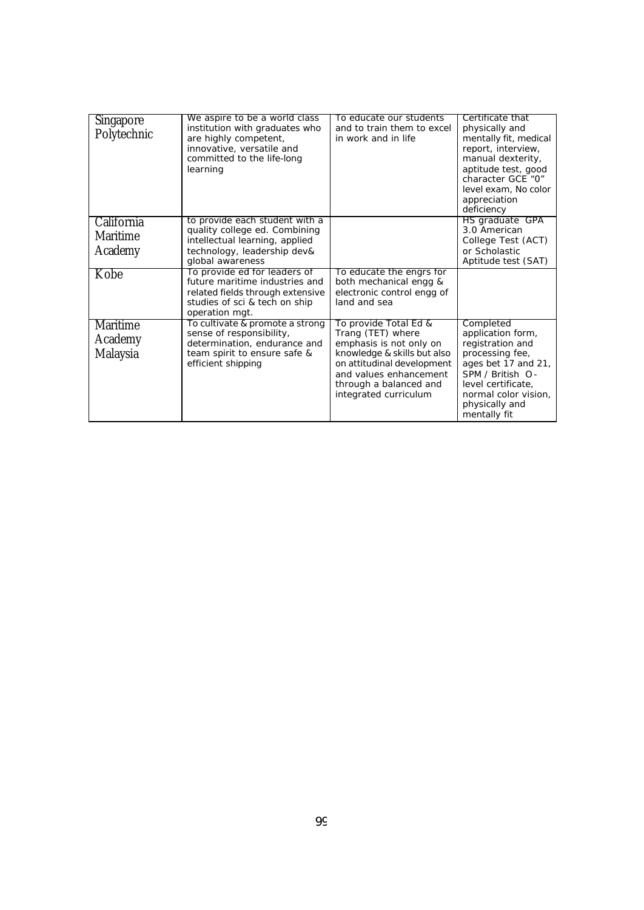| <b>Singapore</b><br>Polytechnic          | We aspire to be a world class<br>institution with graduates who<br>are highly competent,<br>innovative, versatile and<br>committed to the life-long<br>learning | To educate our students<br>and to train them to excel<br>in work and in life                                                                                                                                    | Certificate that<br>physically and<br>mentally fit, medical<br>report, interview,<br>manual dexterity,<br>aptitude test, good<br>character GCE "0"<br>level exam, No color<br>appreciation<br>deficiency |
|------------------------------------------|-----------------------------------------------------------------------------------------------------------------------------------------------------------------|-----------------------------------------------------------------------------------------------------------------------------------------------------------------------------------------------------------------|----------------------------------------------------------------------------------------------------------------------------------------------------------------------------------------------------------|
| California<br><b>Maritime</b><br>Academy | to provide each student with a<br>quality college ed. Combining<br>intellectual learning, applied<br>technology, leadership dev&<br>global awareness            |                                                                                                                                                                                                                 | HS graduate GPA<br>3.0 American<br>College Test (ACT)<br>or Scholastic<br>Aptitude test (SAT)                                                                                                            |
| Kobe                                     | To provide ed for leaders of<br>future maritime industries and<br>related fields through extensive<br>studies of sci & tech on ship<br>operation mgt.           | To educate the engrs for<br>both mechanical engg &<br>electronic control engg of<br>land and sea                                                                                                                |                                                                                                                                                                                                          |
| <b>Maritime</b><br>Academy<br>Malaysia   | To cultivate & promote a strong<br>sense of responsibility,<br>determination, endurance and<br>team spirit to ensure safe &<br>efficient shipping               | To provide Total Ed &<br>Trang (TET) where<br>emphasis is not only on<br>knowledge & skills but also<br>on attitudinal development<br>and values enhancement<br>through a balanced and<br>integrated curriculum | Completed<br>application form,<br>registration and<br>processing fee,<br>ages bet 17 and 21,<br>SPM / British O-<br>level certificate,<br>normal color vision,<br>physically and<br>mentally fit         |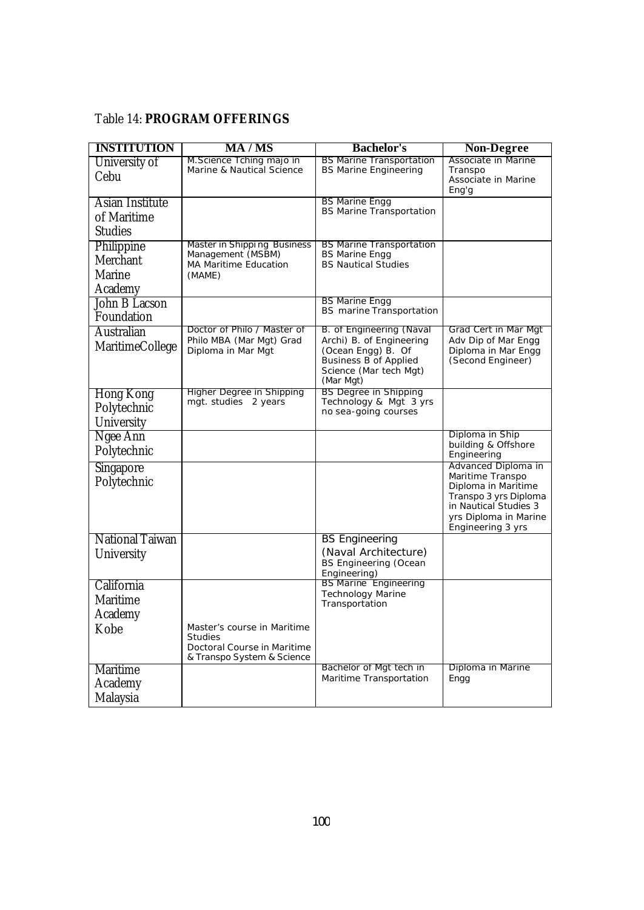#### Table 14: **PROGRAM OFFERINGS**

| <b>INSTITUTION</b>                               | MA / MS                                                                                                    | <b>Bachelor's</b>                                                                                                                                 | <b>Non-Degree</b>                                                                                                                                              |
|--------------------------------------------------|------------------------------------------------------------------------------------------------------------|---------------------------------------------------------------------------------------------------------------------------------------------------|----------------------------------------------------------------------------------------------------------------------------------------------------------------|
| University of<br>Cebu                            | M. Science Tching majo in<br>Marine & Nautical Science                                                     | <b>BS Marine Transportation</b><br><b>BS Marine Engineering</b>                                                                                   | Associate in Marine<br>Transpo<br>Associate in Marine<br>Eng'g                                                                                                 |
| Asian Institute<br>of Maritime<br><b>Studies</b> |                                                                                                            | <b>BS Marine Engg</b><br><b>BS Marine Transportation</b>                                                                                          |                                                                                                                                                                |
| Philippine<br>Merchant<br>Marine<br>Academy      | Master in Shipping Business<br>Management (MSBM)<br>MA Maritime Education<br>(MAME)                        | <b>BS Marine Transportation</b><br><b>BS Marine Engg</b><br><b>BS Nautical Studies</b>                                                            |                                                                                                                                                                |
| John B Lacson<br>Foundation                      |                                                                                                            | <b>BS Marine Engg</b><br>BS marine Transportation                                                                                                 |                                                                                                                                                                |
| Australian<br><b>MaritimeCollege</b>             | Doctor of Philo / Master of<br>Philo MBA (Mar Mgt) Grad<br>Diploma in Mar Mgt                              | B. of Engineering (Naval<br>Archi) B. of Engineering<br>(Ocean Engg) B. Of<br><b>Business B of Applied</b><br>Science (Mar tech Mgt)<br>(Mar Mgt) | Grad Cert in Mar Mgt<br>Adv Dip of Mar Engg<br>Diploma in Mar Engg<br>(Second Engineer)                                                                        |
| Hong Kong<br>Polytechnic<br>University           | <b>Higher Degree in Shipping</b><br>mgt. studies 2 years                                                   | <b>BS Degree in Shipping</b><br>Technology & Mgt 3 yrs<br>no sea-going courses                                                                    |                                                                                                                                                                |
| Ngee Ann<br>Polytechnic                          |                                                                                                            |                                                                                                                                                   | Diploma in Ship<br>building & Offshore<br>Engineering                                                                                                          |
| <b>Singapore</b><br>Polytechnic                  |                                                                                                            |                                                                                                                                                   | Advanced Diploma in<br>Maritime Transpo<br>Diploma in Maritime<br>Transpo 3 yrs Diploma<br>in Nautical Studies 3<br>yrs Diploma in Marine<br>Engineering 3 yrs |
| <b>National Taiwan</b><br>University             |                                                                                                            | <b>BS Engineering</b><br>(Naval Architecture)<br><b>BS Engineering (Ocean</b><br>Engineering)                                                     |                                                                                                                                                                |
| California<br><b>Maritime</b><br>Academy         |                                                                                                            | <b>BS Marine Engineering</b><br><b>Technology Marine</b><br>Transportation                                                                        |                                                                                                                                                                |
| Kobe                                             | Master's course in Maritime<br><b>Studies</b><br>Doctoral Course in Maritime<br>& Transpo System & Science |                                                                                                                                                   |                                                                                                                                                                |
| <b>Maritime</b><br>Academy<br>Malaysia           |                                                                                                            | Bachelor of Mgt tech in<br>Maritime Transportation                                                                                                | Diploma in Marine<br>Engg                                                                                                                                      |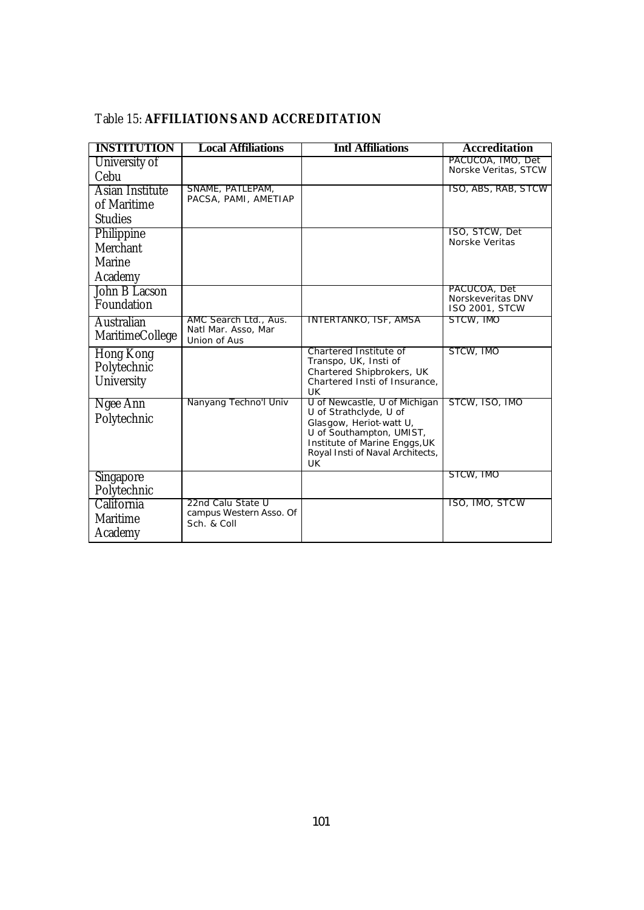| <b>INSTITUTION</b> | <b>Local Affiliations</b>                | <b>Intl Affiliations</b>                            | <b>Accreditation</b>                      |
|--------------------|------------------------------------------|-----------------------------------------------------|-------------------------------------------|
| University of      |                                          |                                                     | PACUCOA, IMO, Det<br>Norske Veritas, STCW |
| Cebu               |                                          |                                                     |                                           |
| Asian Institute    | SNAME, PATLEPAM,<br>PACSA, PAMI, AMETIAP |                                                     | ISO, ABS, RAB, STCW                       |
| of Maritime        |                                          |                                                     |                                           |
| <b>Studies</b>     |                                          |                                                     |                                           |
| Philippine         |                                          |                                                     | ISO, STCW, Det<br>Norske Veritas          |
| Merchant           |                                          |                                                     |                                           |
| Marine             |                                          |                                                     |                                           |
| Academy            |                                          |                                                     |                                           |
| John B Lacson      |                                          |                                                     | PACUCOA, Det<br>Norskeveritas DNV         |
| Foundation         |                                          |                                                     | <b>ISO 2001, STCW</b>                     |
| Australian         | AMC Search Ltd., Aus.                    | INTERTANKO, ISF, AMSA                               | STCW, IMO                                 |
| MaritimeCollege    | Natl Mar. Asso, Mar<br>Union of Aus      |                                                     |                                           |
| Hong Kong          |                                          | Chartered Institute of                              | STCW, IMO                                 |
| Polytechnic        |                                          | Transpo, UK, Insti of<br>Chartered Shipbrokers, UK  |                                           |
| University         |                                          | Chartered Insti of Insurance.                       |                                           |
| Ngee Ann           | Nanyang Techno'l Univ                    | <b>UK</b><br>U of Newcastle, U of Michigan          | STCW, ISO, IMO                            |
| Polytechnic        |                                          | U of Strathclyde, U of                              |                                           |
|                    |                                          | Glasgow, Heriot-watt U,<br>U of Southampton, UMIST, |                                           |
|                    |                                          | Institute of Marine Enggs, UK                       |                                           |
|                    |                                          | Royal Insti of Naval Architects,                    |                                           |
|                    |                                          | UK                                                  | STCW, IMO                                 |
| <b>Singapore</b>   |                                          |                                                     |                                           |
| Polytechnic        | 22nd Calu State U                        |                                                     | ISO, IMO, STCW                            |
| California         | campus Western Asso. Of                  |                                                     |                                           |
| Maritime           | Sch. & Coll                              |                                                     |                                           |
| Academy            |                                          |                                                     |                                           |

#### Table 15: **AFFILIATIONS AND ACCREDITATION**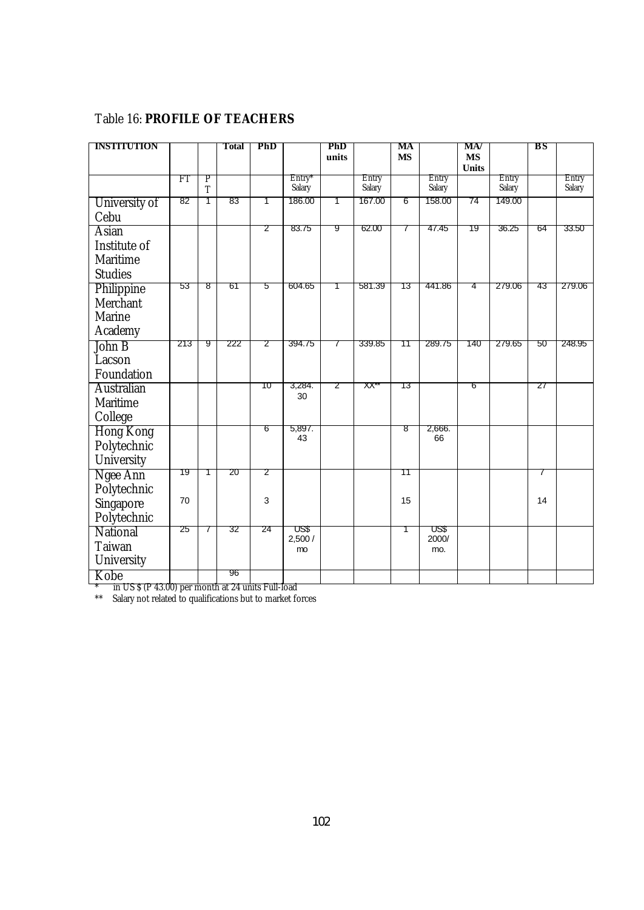### Table 16: **PROFILE OF TEACHERS**

| <b>INSTITUTION</b> |     |             | Total | PhD |                | PhD   |        | MA        |               | MA/                       |        | ВS |        |
|--------------------|-----|-------------|-------|-----|----------------|-------|--------|-----------|---------------|---------------------------|--------|----|--------|
|                    |     |             |       |     |                | units |        | <b>MS</b> |               | <b>MS</b><br><b>Units</b> |        |    |        |
|                    | ŦТ  | Р           |       |     | $Entry*$       |       | Entry  |           | Entry         |                           | Entry  |    | Entry  |
|                    |     | $\mathbf T$ |       |     | Salary         |       | Salary |           | Salary        |                           | Salary |    | Salary |
| University of      | 82  | 1           | 83    | 1   | 186.00         | 1     | 167.00 | 6         | 158.00        | 74                        | 149.00 |    |        |
| Cebu               |     |             |       |     |                |       |        |           |               |                           |        |    |        |
| <b>Asian</b>       |     |             |       | 2   | 83.75          | 9     | 62.00  | 7         | 47.45         | 19                        | 36.25  | 64 | 33.50  |
| Institute of       |     |             |       |     |                |       |        |           |               |                           |        |    |        |
| <b>Maritime</b>    |     |             |       |     |                |       |        |           |               |                           |        |    |        |
| <b>Studies</b>     |     |             |       |     |                |       |        |           |               |                           |        |    |        |
| Philippine         | 53  | 8           | 61    | 5   | 604.65         | 1     | 581.39 | 13        | 441.86        | 4                         | 279.06 | 43 | 279.06 |
| Merchant           |     |             |       |     |                |       |        |           |               |                           |        |    |        |
| Marine             |     |             |       |     |                |       |        |           |               |                           |        |    |        |
| Academy            |     |             |       |     |                |       |        |           |               |                           |        |    |        |
| John B             | 213 | 9           | 222   | 2   | 394.75         | 7     | 339.85 | 11        | 289.75        | 140                       | 279.65 | 50 | 248.95 |
| Lacson             |     |             |       |     |                |       |        |           |               |                           |        |    |        |
| Foundation         |     |             |       |     |                |       |        |           |               |                           |        |    |        |
| <b>Australian</b>  |     |             |       | 10  | 3,284.<br>30   | 2     | XX*    | 13        |               | 6                         |        | 27 |        |
| Maritime           |     |             |       |     |                |       |        |           |               |                           |        |    |        |
| College            |     |             |       |     |                |       |        |           |               |                           |        |    |        |
| <b>Hong Kong</b>   |     |             |       | 6   | 5,897.<br>43   |       |        | 8         | 2,666.<br>66  |                           |        |    |        |
| Polytechnic        |     |             |       |     |                |       |        |           |               |                           |        |    |        |
| University         |     |             |       |     |                |       |        |           |               |                           |        |    |        |
| Ngee Ann           | 19  | 1           | 20    | 2   |                |       |        | 11        |               |                           |        | 7  |        |
| Polytechnic        |     |             |       |     |                |       |        |           |               |                           |        |    |        |
| Singapore          | 70  |             |       | 3   |                |       |        | 15        |               |                           |        | 14 |        |
| Polytechnic        |     |             |       |     |                |       |        |           |               |                           |        |    |        |
| National           | 25  | $\prime$    | 32    | 24  | US\$<br>2,500/ |       |        | 1         | US\$<br>2000/ |                           |        |    |        |
| Taiwan             |     |             |       |     | mo             |       |        |           | mo.           |                           |        |    |        |
| University         |     |             |       |     |                |       |        |           |               |                           |        |    |        |
| Kobe               |     |             | 96    |     |                |       |        |           |               |                           |        |    |        |

\* in US \$ (P 43.00) per month at 24 units Full-load

\*\* Salary not related to qualifications but to market forces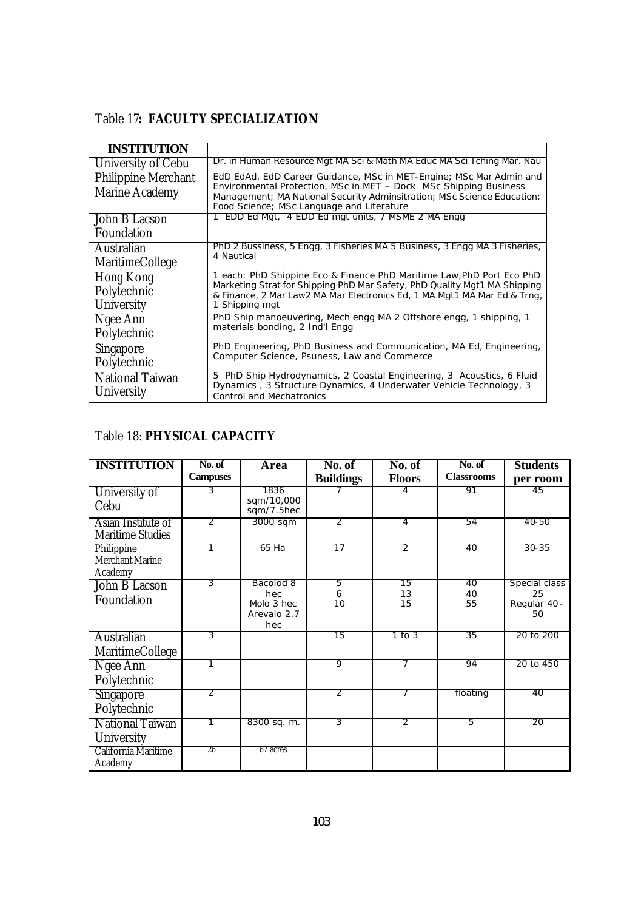### Table 17**: FACULTY SPECIALIZATION**

| <b>INSTITUTION</b>                           |                                                                                                                                                                                                                                                                  |
|----------------------------------------------|------------------------------------------------------------------------------------------------------------------------------------------------------------------------------------------------------------------------------------------------------------------|
| University of Cebu                           | Dr. in Human Resource Mgt MA Sci & Math MA Educ MA Sci Tching Mar. Nau                                                                                                                                                                                           |
| <b>Philippine Merchant</b><br>Marine Academy | EdD EdAd, EdD Career Guidance, MSc in MET-Engine; MSc Mar Admin and<br>Environmental Protection, MSc in MET - Dock MSc Shipping Business<br>Management; MA National Security Adminsitration; MSc Science Education:<br>Food Science; MSc Language and Literature |
| John B Lacson                                | 1 EDD Ed Mgt, 4 EDD Ed mgt units, 7 MSME 2 MA Engg                                                                                                                                                                                                               |
| Foundation                                   |                                                                                                                                                                                                                                                                  |
| Australian<br><b>MaritimeCollege</b>         | PhD 2 Bussiness, 5 Engg, 3 Fisheries MA 5 Business, 3 Engg MA 3 Fisheries,<br>4 Nautical                                                                                                                                                                         |
| Hong Kong<br>Polytechnic<br>University       | 1 each: PhD Shippine Eco & Finance PhD Maritime Law, PhD Port Eco PhD<br>Marketing Strat for Shipping PhD Mar Safety, PhD Quality Mgt1 MA Shipping<br>& Finance, 2 Mar Law2 MA Mar Electronics Ed, 1 MA Mgt1 MA Mar Ed & Trng,<br>1 Shipping mgt                 |
| Ngee Ann<br>Polytechnic                      | PhD Ship manoeuvering, Mech engg MA 2 Offshore engg, 1 shipping, 1<br>materials bonding, 2 Ind'l Engg                                                                                                                                                            |
| <b>Singapore</b><br>Polytechnic              | PhD Engineering, PhD Business and Communication, MA Ed, Engineering,<br>Computer Science, Psuness, Law and Commerce                                                                                                                                              |
| <b>National Taiwan</b><br>University         | 5 PhD Ship Hydrodynamics, 2 Coastal Engineering, 3 Acoustics, 6 Fluid<br>Dynamics, 3 Structure Dynamics, 4 Underwater Vehicle Technology, 3<br><b>Control and Mechatronics</b>                                                                                   |

# Table 18: **PHYSICAL CAPACITY**

| <b>INSTITUTION</b>                            | No. of                   | Area                                                 | No. of           | No. of                   | No. of            | <b>Students</b>                           |
|-----------------------------------------------|--------------------------|------------------------------------------------------|------------------|--------------------------|-------------------|-------------------------------------------|
|                                               | <b>Campuses</b>          |                                                      | <b>Buildings</b> | <b>Floors</b>            | <b>Classrooms</b> | per room                                  |
| University of<br>Cebu                         | 3                        | 1836<br>sqm/10,000<br>sqm/7.5hec                     |                  |                          | 91                | 45                                        |
| Asian Institute of<br><b>Maritime Studies</b> | $\overline{\mathcal{L}}$ | 3000 sqm                                             | 2                | 4                        | 54                | 40-50                                     |
| Philippine<br>Merchant Marine<br>Academy      |                          | 65 Ha                                                | 17               | $\overline{\mathcal{L}}$ | 40                | 30-35                                     |
| John B Lacson<br>Foundation                   | 3                        | Bacolod 8<br>hec<br>Molo 3 hec<br>Arevalo 2.7<br>hec | 5<br>6<br>10     | 15<br>13<br>15           | 40<br>40<br>55    | Special class<br>25<br>Regular 40 -<br>50 |
| <b>Australian</b><br>MaritimeCollege          | 3                        |                                                      | 15               | 1 to 3                   | 35                | 20 to 200                                 |
| Ngee Ann<br>Polytechnic                       |                          |                                                      | 9                |                          | 94                | 20 to 450                                 |
| Singapore<br>Polytechnic                      | 2                        |                                                      | 2                |                          | floating          | 40                                        |
| National Taiwan<br>University                 |                          | 8300 sq. m.                                          | 3                | 2                        | 5                 | 20                                        |
| California Maritime<br>Academy                | 26                       | 67 acres                                             |                  |                          |                   |                                           |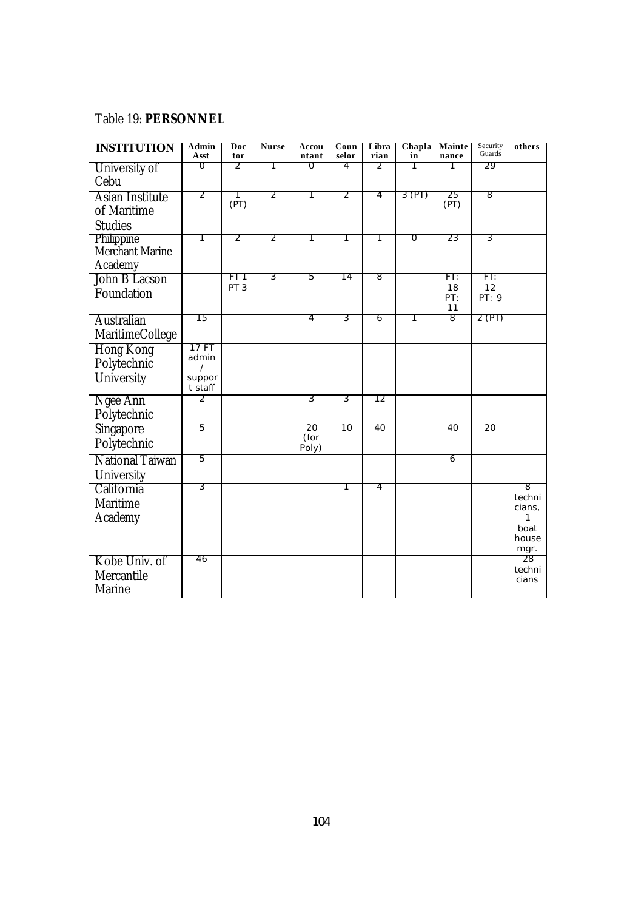#### Table 19: **PERSONNEL**

| <b>INSTITUTION</b>                               | Admin<br>Asst                                   | Doc<br>tor                         | <b>Nurse</b>   | Accou<br>ntant      | Coun<br>selor | Libra<br>rian  | Chapla<br>in   | Mainte<br>nance        | Security<br>Guards | others                                              |
|--------------------------------------------------|-------------------------------------------------|------------------------------------|----------------|---------------------|---------------|----------------|----------------|------------------------|--------------------|-----------------------------------------------------|
| University of<br>Cebu                            | 0                                               | 2                                  | 1              | O                   | 4             | 2              | 1              | Τ                      | 29                 |                                                     |
| Asian Institute<br>of Maritime<br><b>Studies</b> | $\overline{2}$                                  | 1<br>(PT)                          | 2              | Τ                   | 2             | 4              | 3 (PT)         | 25<br>(PT)             | 8                  |                                                     |
| Philippine<br>Merchant Marine<br>Academy         | 1                                               | $\overline{2}$                     | $\overline{2}$ | 1                   | 1             | 1              | $\overline{0}$ | 23                     | $\overline{3}$     |                                                     |
| John B Lacson<br>Foundation                      |                                                 | FT <sub>1</sub><br>PT <sub>3</sub> | 3              | 5                   | 14            | $\overline{8}$ |                | FT:<br>18<br>PT:<br>11 | FT:<br>12<br>PT: 9 |                                                     |
| Australian<br>MaritimeCollege                    | 15                                              |                                    |                | 4                   | 3             | 6              | 1              | $\overline{8}$         | 2 (PT)             |                                                     |
| Hong Kong<br>Polytechnic<br>University           | 17 FT<br>admin<br>$\prime$<br>suppor<br>t staff |                                    |                |                     |               |                |                |                        |                    |                                                     |
| Ngee Ann<br>Polytechnic                          | 2                                               |                                    |                | 3                   | 3             | 12             |                |                        |                    |                                                     |
| Singapore<br>Polytechnic                         | $\overline{5}$                                  |                                    |                | 20<br>(for<br>Poly) | 10            | 40             |                | 40                     | 20                 |                                                     |
| National Taiwan<br>University                    | 5                                               |                                    |                |                     |               |                |                | 6                      |                    |                                                     |
| California<br>Maritime<br>Academy                | $\overline{3}$                                  |                                    |                |                     | 1             | 4              |                |                        |                    | 8<br>techni<br>cians,<br>1<br>boat<br>house<br>mgr. |
| Kobe Univ. of<br>Mercantile<br>Marine            | 46                                              |                                    |                |                     |               |                |                |                        |                    | 28<br>techni<br>cians                               |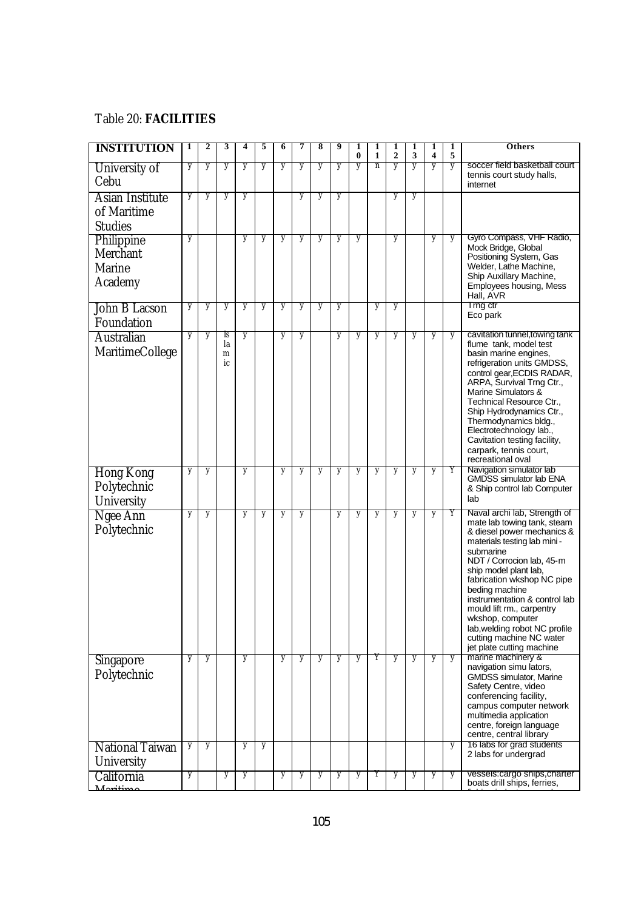#### Table 20: **FACILITIES**

| <b>INSTITUTION</b>                                 | 1 | 2 | 3                   | 4 | 5 | 6 | 7 | 8 | 9 | 1<br>$\bf{0}$ | 1<br>1 | 1<br>$\overline{2}$ | 1<br>3 | 1<br>$\overline{\mathbf{4}}$ | 1<br>5 | <b>Others</b>                                                                                                                                                                                                                                                                                                                                                                                                           |
|----------------------------------------------------|---|---|---------------------|---|---|---|---|---|---|---------------|--------|---------------------|--------|------------------------------|--------|-------------------------------------------------------------------------------------------------------------------------------------------------------------------------------------------------------------------------------------------------------------------------------------------------------------------------------------------------------------------------------------------------------------------------|
| University of<br>Cebu                              | y | y | y                   | y | y | y | y | y | y | y             | n      | y                   | y      | y                            | y      | soccer field basketball court<br>tennis court study halls,<br>internet                                                                                                                                                                                                                                                                                                                                                  |
| Asian Institute<br>of Maritime<br><b>Studies</b>   | y | y | y                   | y |   |   | y | y | y |               |        | y                   | y      |                              |        |                                                                                                                                                                                                                                                                                                                                                                                                                         |
| Philippine<br>Merchant<br><b>Marine</b><br>Academy | y |   |                     | y | y | y | y | y | y | y             |        | y                   |        | y                            | y      | Gyro Compass, VHF Radio,<br>Mock Bridge, Global<br>Positioning System, Gas<br>Welder, Lathe Machine,<br>Ship Auxillary Machine,<br>Employees housing, Mess<br>Hall, AVR                                                                                                                                                                                                                                                 |
| John B Lacson<br>Foundation                        | y | y | y                   | y | y | y | y | y | y |               | y      | y                   |        |                              |        | I rng ctr<br>Eco park                                                                                                                                                                                                                                                                                                                                                                                                   |
| <b>Australian</b><br>MaritimeCollege               | y | y | Is<br>la<br>m<br>ic | y |   | y | y |   | y | y             | y      | y                   | y      | y                            | y      | cavitation tunnel, towing tank<br>flume tank, model test<br>basin marine engines,<br>refrigeration units GMDSS,<br>control gear, ECDIS RADAR,<br>ARPA, Survival Trng Ctr.,<br>Marine Simulators &<br>Technical Resource Ctr.,<br>Ship Hydrodynamics Ctr.,<br>Thermodynamics bldg.,<br>Electrotechnology lab.,<br>Cavitation testing facility,<br>carpark, tennis court,<br>recreational oval                            |
| <b>Hong Kong</b><br>Polytechnic<br>University      | y | y |                     | y |   | y | y | y | y | y             | y      | y                   | y      | y                            | Υ      | Navigation simulator lab<br><b>GMDSS simulator lab ENA</b><br>& Ship control lab Computer<br>lab                                                                                                                                                                                                                                                                                                                        |
| Ngee Ann<br>Polytechnic                            | y | y |                     | y | y | y | y |   | y | y             | y      | y                   | y      | y                            | Y      | Naval archi lab, Strength of<br>mate lab towing tank, steam<br>& diesel power mechanics &<br>materials testing lab mini-<br>submarine<br>NDT / Corrocion lab, 45-m<br>ship model plant lab,<br>fabrication wkshop NC pipe<br>beding machine<br>instrumentation & control lab<br>mould lift rm., carpentry<br>wkshop, computer<br>lab, welding robot NC profile<br>cutting machine NC water<br>jet plate cutting machine |
| Singapore<br>Polytechnic                           | y | y |                     | y |   | y | y | y | y | y             | Y      | y                   | y      | y                            | y      | marine machinery &<br>navigation simu lators,<br><b>GMDSS simulator, Marine</b><br>Safety Centre, video<br>conferencing facility,<br>campus computer network<br>multimedia application<br>centre, foreign language<br>centre, central library                                                                                                                                                                           |
| <b>National Taiwan</b><br>University               | y | y |                     | y | y |   |   |   |   |               |        |                     |        |                              | y      | 16 labs for grad students<br>2 labs for undergrad                                                                                                                                                                                                                                                                                                                                                                       |
| California                                         | y |   | y                   | y |   | y | y | y | y | y             | Y      | y                   | y      | y                            | y      | vessels:cargo ships,charter<br>boats drill ships, ferries,                                                                                                                                                                                                                                                                                                                                                              |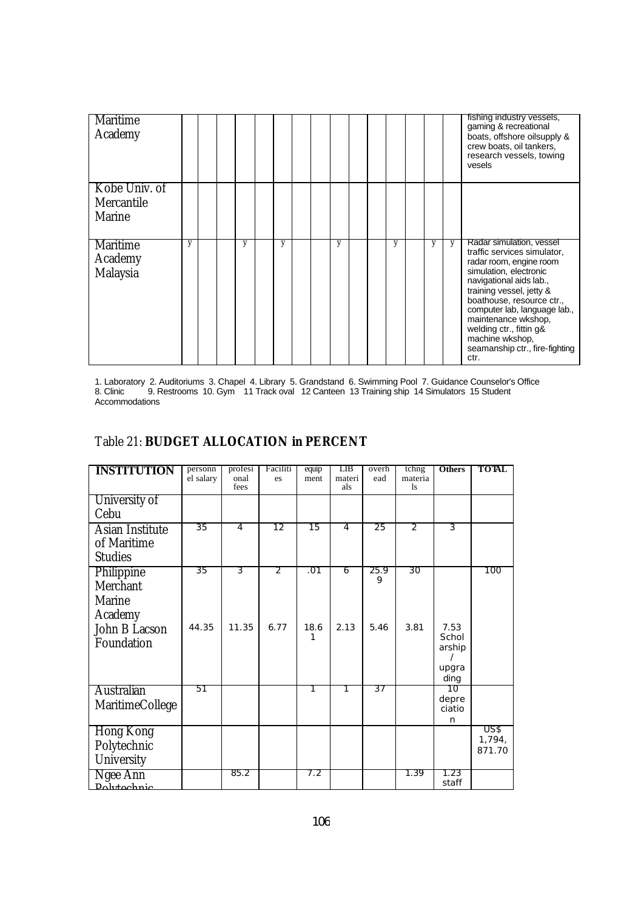| <b>Maritime</b><br>Academy             |   |  |   |   |  |   |  |   |   |   | fishing industry vessels,<br>gaming & recreational<br>boats, offshore oilsupply &<br>crew boats, oil tankers,<br>research vessels, towing<br>vesels                                                                                                                                                                                             |
|----------------------------------------|---|--|---|---|--|---|--|---|---|---|-------------------------------------------------------------------------------------------------------------------------------------------------------------------------------------------------------------------------------------------------------------------------------------------------------------------------------------------------|
| Kobe Univ. of<br>Mercantile<br>Marine  |   |  |   |   |  |   |  |   |   |   |                                                                                                                                                                                                                                                                                                                                                 |
| <b>Maritime</b><br>Academy<br>Malaysia | y |  | y | y |  | y |  | y | y | y | Radar simulation, vessel<br>traffic services simulator,<br>radar room, engine room<br>simulation, electronic<br>navigational aids lab.,<br>training vessel, jetty &<br>boathouse, resource ctr.,<br>computer lab, language lab.,<br>maintenance wkshop,<br>welding ctr., fittin g&<br>machine wkshop,<br>seamanship ctr., fire-fighting<br>ctr. |

1. Laboratory 2. Auditoriums 3. Chapel 4. Library 5. Grandstand 6. Swimming Pool 7. Guidance Counselor's Office 8. Clinic 9. Restrooms 10. Gym 11 Track oval 12 Canteen 13 Training ship 14 Simulators 15 Student Accommodations

#### Table 21: **BUDGET ALLOCATION in PERCENT**

| <b>INSTITUTION</b>                                                         | personn<br>el salary | profesi<br>onal<br>fees | Faciliti<br>es  | equip<br>ment    | LІB<br>materi<br>als | overh<br>ead      | tchng<br>materia<br><sup>1s</sup> | <b>Others</b>                            | <b>TOTAL</b>             |
|----------------------------------------------------------------------------|----------------------|-------------------------|-----------------|------------------|----------------------|-------------------|-----------------------------------|------------------------------------------|--------------------------|
| University of<br>Cebu                                                      |                      |                         |                 |                  |                      |                   |                                   |                                          |                          |
| <b>Asian Institute</b><br>of Maritime<br><b>Studies</b>                    | $\overline{35}$      | $\overline{4}$          | $\overline{12}$ | $\overline{15}$  | 4                    | $\overline{25}$   | $\overline{2}$                    | 3                                        |                          |
| Philippine<br>Merchant<br>Marine<br>Academy<br>John B Lacson<br>Foundation | 35<br>44.35          | 3<br>11.35              | 2<br>6.77       | .01<br>18.6<br>1 | 6<br>2.13            | 25.9<br>9<br>5.46 | 30<br>3.81                        | 7.53<br>Schol<br>arship<br>upgra<br>ding | 100                      |
| Australian<br><b>MaritimeCollege</b>                                       | 51                   |                         |                 | 1                | 1                    | 37                |                                   | 10<br>depre<br>ciatio<br>n               |                          |
| <b>Hong Kong</b><br>Polytechnic<br>University                              |                      |                         |                 |                  |                      |                   |                                   |                                          | US\$<br>1,794,<br>871.70 |
| Ngee Ann<br>Dolytechnic                                                    |                      | 85.2                    |                 | 7.2              |                      |                   | 1.39                              | 1.23<br>staff                            |                          |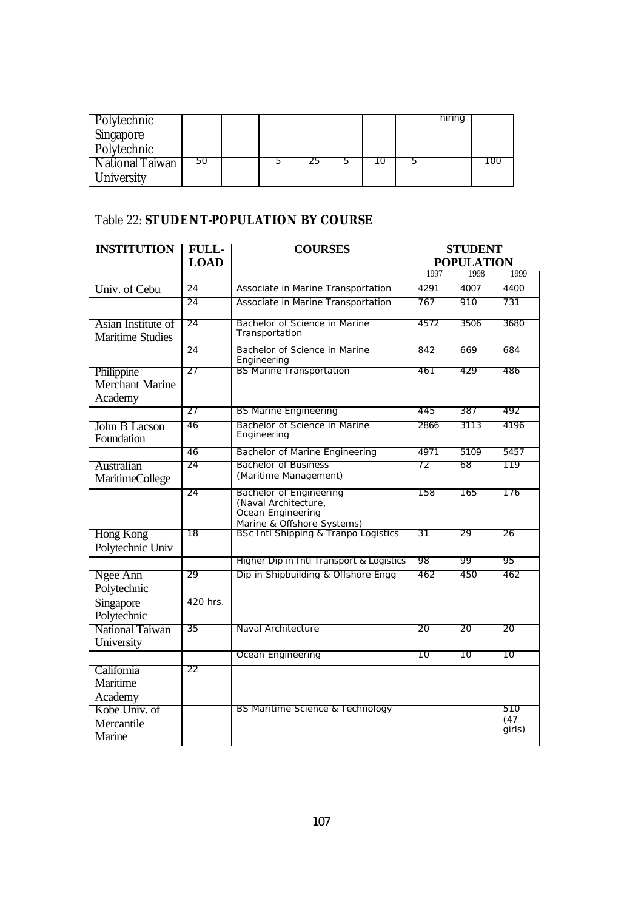| Polytechnic                     |    |  |     |   | hiring |     |
|---------------------------------|----|--|-----|---|--------|-----|
| <b>Singapore</b><br>Polytechnic |    |  |     |   |        |     |
| National Taiwan<br>University   | 50 |  | د ے | υ |        | LOC |

### Table 22: **STUDENT-POPULATION BY COURSE**

| <b>INSTITUTION</b>         | <b>FULL-</b>    | <b>COURSES</b>                                                     | <b>STUDENT</b><br><b>POPULATION</b> |      |             |  |
|----------------------------|-----------------|--------------------------------------------------------------------|-------------------------------------|------|-------------|--|
|                            | <b>LOAD</b>     |                                                                    |                                     |      |             |  |
|                            |                 |                                                                    | 1997                                | 1998 | 1999        |  |
| Univ. of Cebu              | 24              | Associate in Marine Transportation                                 | 4291                                | 4007 | 4400        |  |
|                            | $\overline{24}$ | Associate in Marine Transportation                                 | 767                                 | 910  | 731         |  |
| Asian Institute of         | 24              | Bachelor of Science in Marine                                      | 4572                                | 3506 | 3680        |  |
| <b>Maritime Studies</b>    |                 | Transportation                                                     |                                     |      |             |  |
|                            | 24              | Bachelor of Science in Marine<br>Engineering                       | 842                                 | 669  | 684         |  |
| Philippine                 | 27              | <b>BS Marine Transportation</b>                                    | 461                                 | 429  | 486         |  |
| Merchant Marine<br>Academy |                 |                                                                    |                                     |      |             |  |
|                            | 27              | <b>BS Marine Engineering</b>                                       | 445                                 | 387  | 492         |  |
| John B Lacson              | 46              | Bachelor of Science in Marine                                      | 2866                                | 3113 | 4196        |  |
| Foundation                 |                 | Engineering                                                        |                                     |      |             |  |
|                            | 46              | Bachelor of Marine Engineering                                     | 4971                                | 5109 | 5457        |  |
| Australian                 | 24              | <b>Bachelor of Business</b>                                        | 72                                  | 68   | 119         |  |
| <b>MaritimeCollege</b>     |                 | (Maritime Management)                                              |                                     |      |             |  |
|                            | 24              | Bachelor of Engineering<br>(Naval Architecture,                    | 158                                 | 165  | 176         |  |
|                            |                 | Ocean Engineering                                                  |                                     |      |             |  |
|                            |                 | Marine & Offshore Systems)<br>BSc Intl Shipping & Tranpo Logistics |                                     |      |             |  |
| Hong Kong                  | 18              |                                                                    | 31                                  | 29   | 26          |  |
| Polytechnic Univ           |                 |                                                                    |                                     |      |             |  |
|                            |                 | Higher Dip in Intl Transport & Logistics                           | 98                                  | 99   | 95          |  |
| Ngee Ann                   | 29              | Dip in Shipbuilding & Offshore Engg                                | 462                                 | 450  | 462         |  |
| Polytechnic                |                 |                                                                    |                                     |      |             |  |
| Singapore                  | 420 hrs.        |                                                                    |                                     |      |             |  |
| Polytechnic                |                 |                                                                    |                                     |      |             |  |
| National Taiwan            | 35              | Naval Architecture                                                 | 20                                  | 20   | 20          |  |
| University                 |                 |                                                                    |                                     |      |             |  |
|                            |                 | Ocean Engineering                                                  | 10                                  | 10   | 10          |  |
| California                 | 22              |                                                                    |                                     |      |             |  |
| Maritime                   |                 |                                                                    |                                     |      |             |  |
| Academy                    |                 |                                                                    |                                     |      |             |  |
| Kobe Univ. of              |                 | BS Maritime Science & Technology                                   |                                     |      | 510<br>(47) |  |
| Mercantile                 |                 |                                                                    |                                     |      | girls)      |  |
| Marine                     |                 |                                                                    |                                     |      |             |  |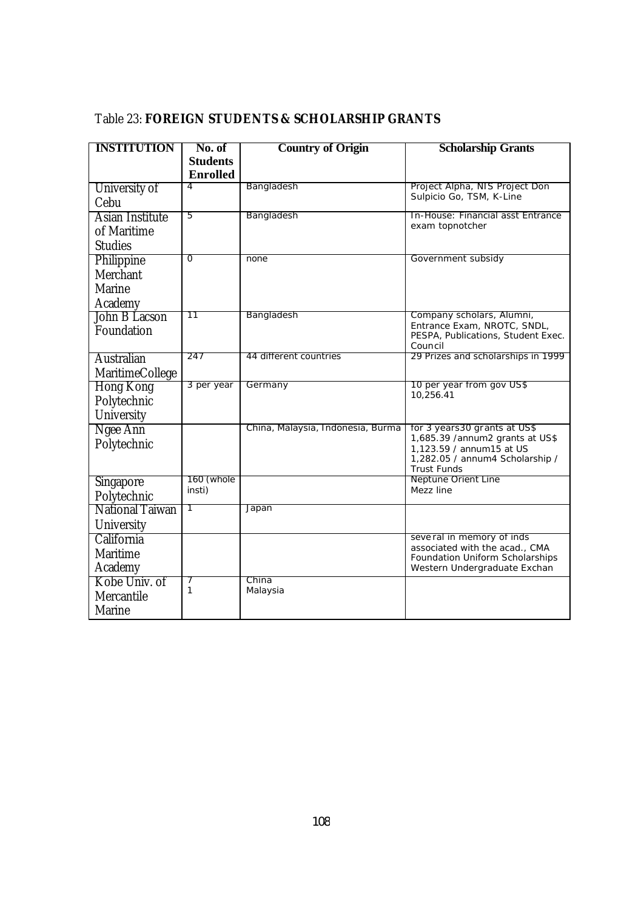# Table 23: **FOREIGN STUDENTS & SCHOLARSHIP GRANTS**

| <b>INSTITUTION</b> | No. of               | <b>Country of Origin</b>          | <b>Scholarship Grants</b>                                         |
|--------------------|----------------------|-----------------------------------|-------------------------------------------------------------------|
|                    | <b>Students</b>      |                                   |                                                                   |
|                    | <b>Enrolled</b>      |                                   |                                                                   |
| University of      | 4                    | Bangladesh                        | Project Alpha, NIS Project Don                                    |
| Cebu               |                      |                                   | Sulpicio Go, TSM, K-Line                                          |
| Asian Institute    | 5                    | Bangladesh                        | In-House: Financial asst Entrance                                 |
| of Maritime        |                      |                                   | exam topnotcher                                                   |
| <b>Studies</b>     |                      |                                   |                                                                   |
| Philippine         | $\overline{0}$       | none                              | Government subsidy                                                |
| Merchant           |                      |                                   |                                                                   |
| Marine             |                      |                                   |                                                                   |
| Academy            |                      |                                   |                                                                   |
| John B Lacson      | 11                   | Bangladesh                        | Company scholars, Alumni,                                         |
| Foundation         |                      |                                   | Entrance Exam, NROTC, SNDL,<br>PESPA, Publications, Student Exec. |
|                    |                      |                                   | Council                                                           |
| Australian         | 247                  | 44 different countries            | 29 Prizes and scholarships in 1999                                |
| MaritimeCollege    |                      |                                   |                                                                   |
| <b>Hong Kong</b>   | 3 per year           | Germany                           | 10 per year from gov US\$                                         |
| Polytechnic        |                      |                                   | 10,256.41                                                         |
| University         |                      |                                   |                                                                   |
| Ngee Ann           |                      | China, Malaysia, Indonesia, Burma | for 3 years 30 grants at US\$                                     |
| Polytechnic        |                      |                                   | 1,685.39 /annum2 grants at US\$<br>1,123.59 / annum15 at US       |
|                    |                      |                                   | 1,282.05 / annum4 Scholarship /                                   |
|                    |                      |                                   | <b>Trust Funds</b>                                                |
| Singapore          | 160 (whole<br>insti) |                                   | Neptune Orient Line<br>Mezz line                                  |
| Polytechnic        |                      |                                   |                                                                   |
| National Taiwan    | 1                    | Japan                             |                                                                   |
| University         |                      |                                   |                                                                   |
| California         |                      |                                   | several in memory of inds<br>associated with the acad., CMA       |
| Maritime           |                      |                                   | Foundation Uniform Scholarships                                   |
| Academy            |                      |                                   | Western Undergraduate Exchan                                      |
| Kobe Univ. of      | 1                    | China                             |                                                                   |
| Mercantile         |                      | Malaysia                          |                                                                   |
| Marine             |                      |                                   |                                                                   |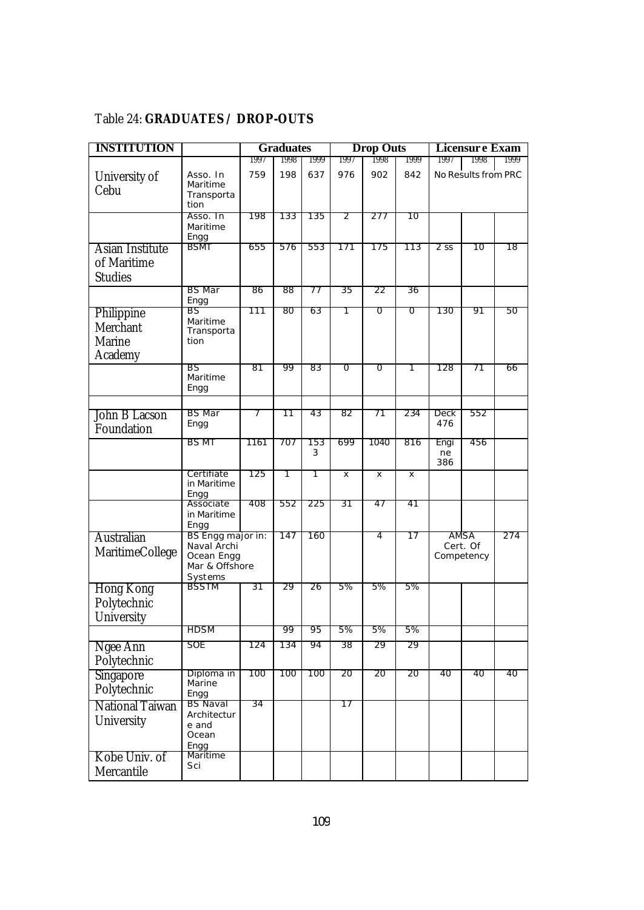# Table 24: **GRADUATES / DROP-OUTS**

| <b>INSTITUTION</b>     |                           |      | <b>Graduates</b> |      |      | <b>Drop Outs</b> |      |        | <b>Licensure Exam</b>  |      |
|------------------------|---------------------------|------|------------------|------|------|------------------|------|--------|------------------------|------|
|                        |                           | 1997 | 1998             | 1999 | 1997 | 1998             | 1999 | 1997   | 1998                   | 1999 |
| University of          | Asso. In                  | 759  | 198              | 637  | 976  | 902              | 842  |        | No Results from PRC    |      |
| Cebu                   | Maritime<br>Transporta    |      |                  |      |      |                  |      |        |                        |      |
|                        | tion                      |      |                  |      |      |                  |      |        |                        |      |
|                        | Asso. In                  | 198  | 133              | 135  | 2    | 277              | 10   |        |                        |      |
|                        | Maritime<br>Engg          |      |                  |      |      |                  |      |        |                        |      |
| Asian Institute        | <b>BSMT</b>               | 655  | 576              | 553  | 171  | 175              | 113  | $2$ SS | 10                     | 18   |
| of Maritime            |                           |      |                  |      |      |                  |      |        |                        |      |
| <b>Studies</b>         |                           |      |                  |      |      |                  |      |        |                        |      |
|                        | <b>BS</b> Mar             | 86   | 88               | 77   | 35   | 22               | 36   |        |                        |      |
|                        | Engg                      |      |                  |      |      |                  |      |        |                        |      |
| Philippine             | BS                        | 111  | 80               | 63   | 1    | 0                | 0    | 130    | 91                     | 50   |
| Merchant               | Maritime<br>Transporta    |      |                  |      |      |                  |      |        |                        |      |
| Marine                 | tion                      |      |                  |      |      |                  |      |        |                        |      |
| Academy                |                           |      |                  |      |      |                  |      |        |                        |      |
|                        | BS                        | 81   | 99               | 83   | Ō    | Ō                | 1    | 128    | 71                     | 66   |
|                        | Maritime<br>Engg          |      |                  |      |      |                  |      |        |                        |      |
|                        |                           |      |                  |      |      |                  |      |        |                        |      |
| John B Lacson          | <b>BS</b> Mar             | 7    | 11               | 43   | 82   | 71               | 234  | Deck   | 552                    |      |
| Foundation             | Engg                      |      |                  |      |      |                  |      | 476    |                        |      |
|                        | <b>BS MT</b>              | 1161 | 707              | 153  | 699  | 1040             | 816  | Engi   | 456                    |      |
|                        |                           |      |                  | 3    |      |                  |      | ne     |                        |      |
|                        |                           |      |                  |      |      |                  |      | 386    |                        |      |
|                        | Certifiate<br>in Maritime | 125  | 1                | 1    | X    | X                | x    |        |                        |      |
|                        | Engg                      |      |                  |      |      |                  |      |        |                        |      |
|                        | Associate<br>in Maritime  | 408  | 552              | 225  | 31   | 47               | 41   |        |                        |      |
|                        | Engg                      |      |                  |      |      |                  |      |        |                        |      |
| <b>Australian</b>      | BS Engg major in:         |      | 147              | 160  |      | 4                | 17   |        | AMSA                   | 274  |
| MaritimeCollege        | Naval Archi<br>Ocean Engg |      |                  |      |      |                  |      |        | Cert. Of<br>Competency |      |
|                        | Mar & Offshore            |      |                  |      |      |                  |      |        |                        |      |
|                        | Systems                   |      |                  |      |      |                  |      |        |                        |      |
| <b>Hong Kong</b>       | <b>BSSTM</b>              | 31   | 29               | 26   | 5%   | 5%               | 5%   |        |                        |      |
| Polytechnic            |                           |      |                  |      |      |                  |      |        |                        |      |
| University             |                           |      |                  |      |      |                  |      |        |                        |      |
|                        | <b>HDSM</b>               |      | 99               | 95   | 5%   | 5%               | 5%   |        |                        |      |
| Ngee Ann               | <b>SOE</b>                | 124  | 134              | 94   | 38   | 29               | 29   |        |                        |      |
| Polytechnic            |                           |      |                  |      |      |                  |      |        |                        |      |
| Singapore              | Diploma in                | 100  | 100              | 100  | 20   | 20               | 20   | 40     | 40                     | 40   |
| Polytechnic            | Marine<br>Engg            |      |                  |      |      |                  |      |        |                        |      |
| <b>National Taiwan</b> | <b>BS Naval</b>           | 34   |                  |      | 17   |                  |      |        |                        |      |
| University             | Architectur               |      |                  |      |      |                  |      |        |                        |      |
|                        | e and<br>Ocean            |      |                  |      |      |                  |      |        |                        |      |
|                        | Engg                      |      |                  |      |      |                  |      |        |                        |      |
| Kobe Univ. of          | Maritime                  |      |                  |      |      |                  |      |        |                        |      |
| Mercantile             | Sci                       |      |                  |      |      |                  |      |        |                        |      |
|                        |                           |      |                  |      |      |                  |      |        |                        |      |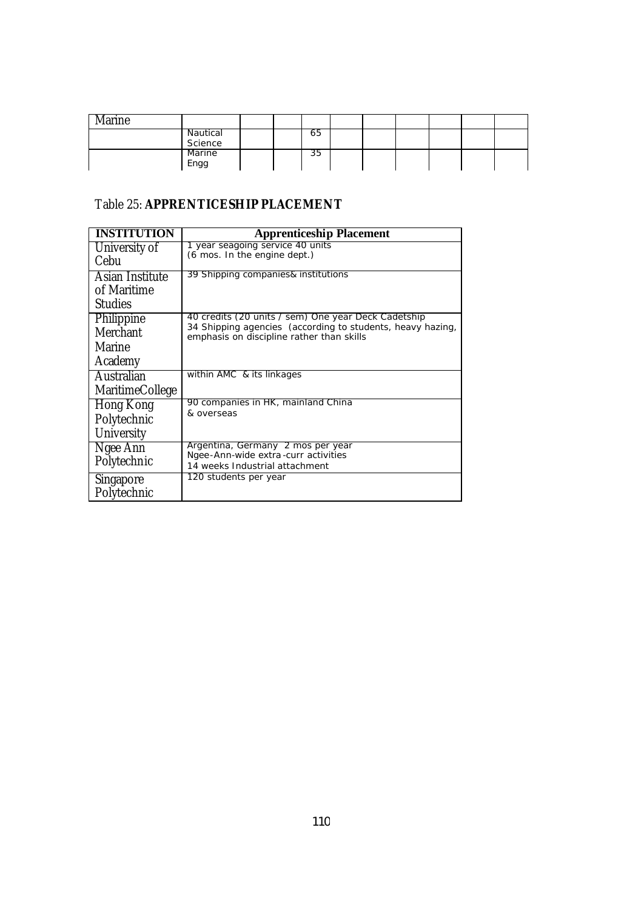| Marine |                       |  |    |  |  |  |
|--------|-----------------------|--|----|--|--|--|
|        | Nautical<br>Science   |  | co |  |  |  |
|        | <b>Marine</b><br>Engg |  | 35 |  |  |  |

# Table 25: **APPRENTICESHIP PLACEMENT**

| <b>INSTITUTION</b>                               | <b>Apprenticeship Placement</b>                                                                                                                                |
|--------------------------------------------------|----------------------------------------------------------------------------------------------------------------------------------------------------------------|
| University of<br>Cebu                            | 1 year seagoing service 40 units<br>(6 mos. In the engine dept.)                                                                                               |
| Asian Institute<br>of Maritime<br><b>Studies</b> | 39 Shipping companies& institutions                                                                                                                            |
| Philippine<br>Merchant<br>Marine<br>Academy      | 40 credits (20 units / sem) One year Deck Cadetship<br>34 Shipping agencies (according to students, heavy hazing,<br>emphasis on discipline rather than skills |
| Australian<br><b>MaritimeCollege</b>             | within AMC & its linkages                                                                                                                                      |
| Hong Kong<br>Polytechnic<br>University           | 90 companies in HK, mainland China<br>& overseas                                                                                                               |
| Ngee Ann<br>Polytechnic                          | Argentina, Germany 2 mos per year<br>Ngee-Ann-wide extra-curr activities<br>14 weeks Industrial attachment                                                     |
| <b>Singapore</b><br>Polytechnic                  | 120 students per year                                                                                                                                          |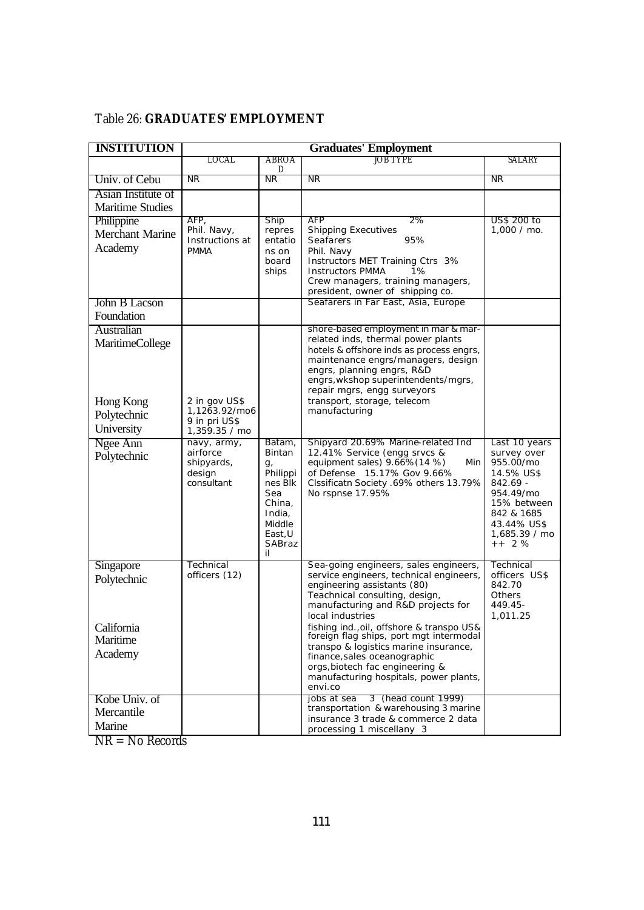# Table 26: **GRADUATES' EMPLOYMENT**

| <b>INSTITUTION</b>                                                             |                                                                  |                                                                                                                | <b>Graduates' Employment</b>                                                                                                                                                                                                                                                                                                                                                                                                                                         |                                                                                                                                                         |
|--------------------------------------------------------------------------------|------------------------------------------------------------------|----------------------------------------------------------------------------------------------------------------|----------------------------------------------------------------------------------------------------------------------------------------------------------------------------------------------------------------------------------------------------------------------------------------------------------------------------------------------------------------------------------------------------------------------------------------------------------------------|---------------------------------------------------------------------------------------------------------------------------------------------------------|
|                                                                                | LOCAL                                                            | ABROA<br>D                                                                                                     | JOB TYPE                                                                                                                                                                                                                                                                                                                                                                                                                                                             | SALARY                                                                                                                                                  |
| Univ. of Cebu                                                                  | NR.                                                              | NR.                                                                                                            | NR.                                                                                                                                                                                                                                                                                                                                                                                                                                                                  | NR                                                                                                                                                      |
| Asian Institute of<br><b>Maritime Studies</b>                                  |                                                                  |                                                                                                                |                                                                                                                                                                                                                                                                                                                                                                                                                                                                      |                                                                                                                                                         |
| Philippine<br><b>Merchant Marine</b><br>Academy                                | AFP,<br>Phil. Navy,<br>Instructions at<br><b>PMMA</b>            | <b>Ship</b><br>repres<br>entatio<br>ns on<br>board<br>ships                                                    | AFP<br>2%<br><b>Shipping Executives</b><br>95%<br><b>Seafarers</b><br>Phil. Navy<br>Instructors MET Training Ctrs 3%<br><b>Instructors PMMA</b><br>1%<br>Crew managers, training managers,<br>president, owner of shipping co.                                                                                                                                                                                                                                       | US\$ 200 to<br>$1,000 /$ mo.                                                                                                                            |
| John B Lacson<br>Foundation                                                    |                                                                  |                                                                                                                | Seafarers in Far East, Asia, Europe                                                                                                                                                                                                                                                                                                                                                                                                                                  |                                                                                                                                                         |
| Australian<br><b>MaritimeCollege</b><br>Hong Kong<br>Polytechnic<br>University | 2 in gov US\$<br>1,1263.92/mo6<br>9 in pri US\$<br>1,359.35 / mo |                                                                                                                | shore-based employment in mar & mar-<br>related inds, thermal power plants<br>hotels & offshore inds as process engrs,<br>maintenance engrs/managers, design<br>engrs, planning engrs, R&D<br>engrs, wkshop superintendents/mgrs,<br>repair mgrs, engg surveyors<br>transport, storage, telecom<br>manufacturing                                                                                                                                                     |                                                                                                                                                         |
| Ngee Ann<br>Polytechnic                                                        | navy, army,<br>airforce<br>shipyards,<br>design<br>consultant    | Batam,<br>Bintan<br>g,<br>Philippi<br>nes Blk<br>Sea<br>China,<br>India,<br>Middle<br>East, U<br>SABraz<br>il. | Shipyard 20.69% Marine-related Ind<br>12.41% Service (engg srvcs &<br>equipment sales) 9.66%(14 %)<br>Min<br>of Defense 15.17% Gov 9.66%<br>Clssificatn Society .69% others 13.79%<br>No rspnse 17.95%                                                                                                                                                                                                                                                               | Last 10 years<br>survey over<br>955.00/mo<br>14.5% US\$<br>842.69 -<br>954.49/mo<br>15% between<br>842 & 1685<br>43.44% US\$<br>1,685.39 / mo<br>$++2%$ |
| <b>Singapore</b><br>Polytechnic<br>California<br>Maritime<br>Academy           | Technical<br>officers (12)                                       |                                                                                                                | Sea-going engineers, sales engineers,<br>service engineers, technical engineers,<br>engineering assistants (80)<br>Teachnical consulting, design,<br>manufacturing and R&D projects for<br>local industries<br>fishing ind., oil, offshore & transpo US&<br>foreign flag ships, port mgt intermodal<br>transpo & logistics marine insurance,<br>finance, sales oceanographic<br>orgs, biotech fac engineering &<br>manufacturing hospitals, power plants,<br>envi.co | Technical<br>officers US\$<br>842.70<br>Others<br>449.45-<br>1,011.25                                                                                   |
| Kobe Univ. of<br>Mercantile<br>Marine                                          |                                                                  |                                                                                                                | 3 (head count 1999)<br>iobs at sea<br>transportation & warehousing 3 marine<br>insurance 3 trade & commerce 2 data<br>processing 1 miscellany 3                                                                                                                                                                                                                                                                                                                      |                                                                                                                                                         |

NR = No Records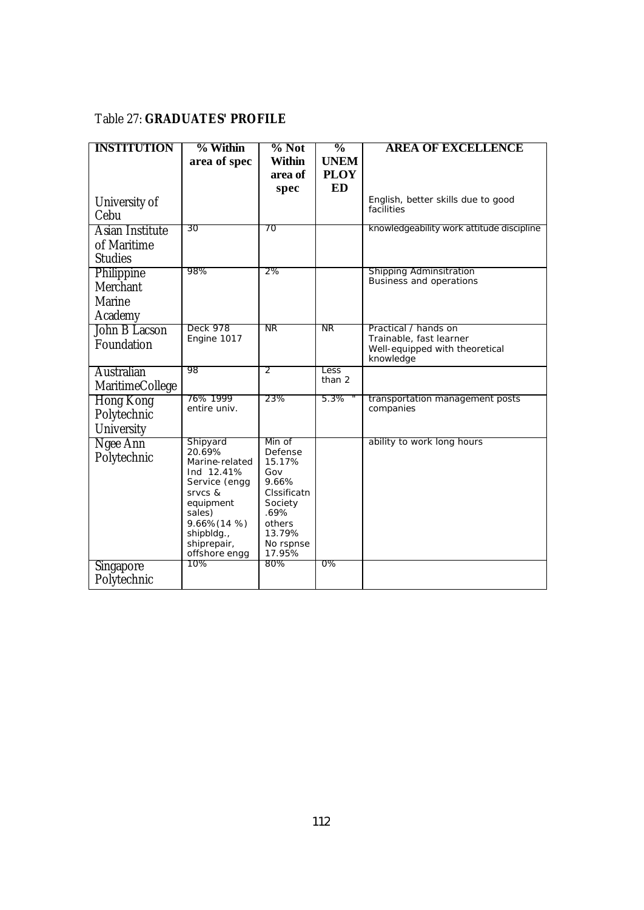# Table 27: **GRADUATES' PROFILE**

| <b>INSTITUTION</b>                                 | % Within                                                                                                                                                            | $%$ Not                                                                                                                  | $\frac{0}{0}$            | <b>AREA OF EXCELLENCE</b>                                                                      |
|----------------------------------------------------|---------------------------------------------------------------------------------------------------------------------------------------------------------------------|--------------------------------------------------------------------------------------------------------------------------|--------------------------|------------------------------------------------------------------------------------------------|
|                                                    | area of spec                                                                                                                                                        | <b>Within</b>                                                                                                            | <b>UNEM</b>              |                                                                                                |
|                                                    |                                                                                                                                                                     | area of<br>spec                                                                                                          | <b>PLOY</b><br><b>ED</b> |                                                                                                |
| University of<br>Cebu                              |                                                                                                                                                                     |                                                                                                                          |                          | English, better skills due to good<br>facilities                                               |
| Asian Institute                                    | 30                                                                                                                                                                  | 70                                                                                                                       |                          | knowledgeability work attitude discipline                                                      |
| of Maritime<br><b>Studies</b>                      |                                                                                                                                                                     |                                                                                                                          |                          |                                                                                                |
| Philippine<br>Merchant<br><b>Marine</b><br>Academy | 98%                                                                                                                                                                 | 2%                                                                                                                       |                          | <b>Shipping Adminsitration</b><br>Business and operations                                      |
| John B Lacson<br>Foundation                        | Deck 978<br>Engine 1017                                                                                                                                             | NR.                                                                                                                      | NR.                      | Practical / hands on<br>Trainable, fast learner<br>Well-equipped with theoretical<br>knowledge |
| <b>Australian</b><br>MaritimeCollege               | 98                                                                                                                                                                  | 2                                                                                                                        | Less<br>than 2           |                                                                                                |
| <b>Hong Kong</b><br>Polytechnic<br>University      | 76% 1999<br>entire univ.                                                                                                                                            | 23%                                                                                                                      | $5.3\%$                  | transportation management posts<br>companies                                                   |
| Ngee Ann<br>Polytechnic                            | Shipyard<br>20.69%<br>Marine-related<br>Ind 12.41%<br>Service (engg<br>Srvcs &<br>equipment<br>sales)<br>9.66% (14 %)<br>shipbldg.,<br>shiprepair,<br>offshore engg | Min of<br>Defense<br>15.17%<br>Gov<br>9.66%<br>Clssificatn<br>Society<br>.69%<br>others<br>13.79%<br>No rspnse<br>17.95% |                          | ability to work long hours                                                                     |
| Singapore<br>Polytechnic                           | 10%                                                                                                                                                                 | 80%                                                                                                                      | 0%                       |                                                                                                |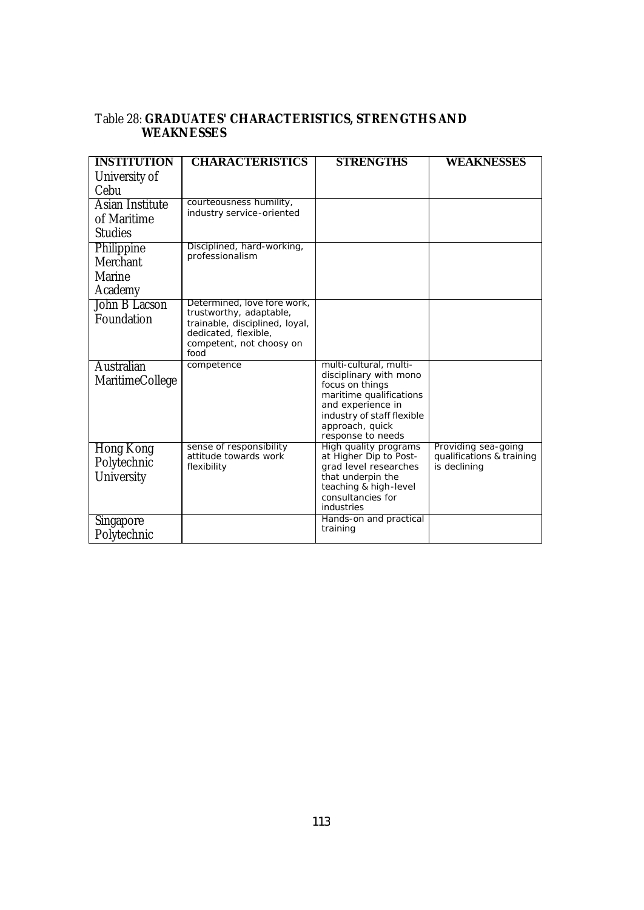#### Table 28: **GRADUATES' CHARACTERISTICS, STRENGTHS AND WEAKNESSES**

| <b>INSTITUTION</b>     | <b>CHARACTERISTICS</b>                                 | <b>STRENGTHS</b>                                | WEAKNESSES                                       |
|------------------------|--------------------------------------------------------|-------------------------------------------------|--------------------------------------------------|
| University of          |                                                        |                                                 |                                                  |
| Cebu                   |                                                        |                                                 |                                                  |
| Asian Institute        | courteousness humility,                                |                                                 |                                                  |
| of Maritime            | industry service-oriented                              |                                                 |                                                  |
| <b>Studies</b>         |                                                        |                                                 |                                                  |
| Philippine             | Disciplined, hard-working,                             |                                                 |                                                  |
| Merchant               | professionalism                                        |                                                 |                                                  |
| Marine                 |                                                        |                                                 |                                                  |
| Academy                |                                                        |                                                 |                                                  |
| John B Lacson          | Determined, love fore work,<br>trustworthy, adaptable, |                                                 |                                                  |
| Foundation             | trainable, disciplined, loyal,                         |                                                 |                                                  |
|                        | dedicated, flexible,                                   |                                                 |                                                  |
|                        | competent, not choosy on<br>food                       |                                                 |                                                  |
| Australian             | competence                                             | multi-cultural, multi-                          |                                                  |
| <b>MaritimeCollege</b> |                                                        | disciplinary with mono<br>focus on things       |                                                  |
|                        |                                                        | maritime qualifications                         |                                                  |
|                        |                                                        | and experience in                               |                                                  |
|                        |                                                        | industry of staff flexible<br>approach, quick   |                                                  |
|                        |                                                        | response to needs                               |                                                  |
| <b>Hong Kong</b>       | sense of responsibility<br>attitude towards work       | High quality programs<br>at Higher Dip to Post- | Providing sea-going<br>qualifications & training |
| Polytechnic            | flexibility                                            | grad level researches                           | is declining                                     |
| University             |                                                        | that underpin the                               |                                                  |
|                        |                                                        | teaching & high-level<br>consultancies for      |                                                  |
|                        |                                                        | industries                                      |                                                  |
| <b>Singapore</b>       |                                                        | Hands-on and practical<br>training              |                                                  |
| Polytechnic            |                                                        |                                                 |                                                  |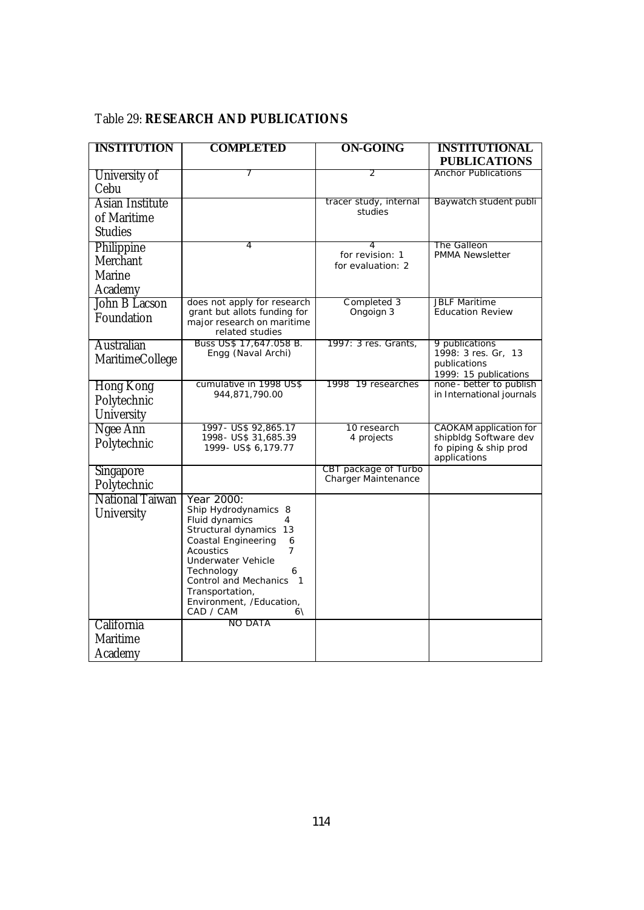| <b>INSTITUTION</b>     | <b>COMPLETED</b>                                            | <b>ON-GOING</b>                             | <b>INSTITUTIONAL</b>                                   |
|------------------------|-------------------------------------------------------------|---------------------------------------------|--------------------------------------------------------|
|                        |                                                             |                                             | <b>PUBLICATIONS</b>                                    |
| University of          | 7                                                           | 2                                           | <b>Anchor Publications</b>                             |
| Cebu                   |                                                             |                                             |                                                        |
| <b>Asian Institute</b> |                                                             | tracer study, internal<br>studies           | Baywatch student publi                                 |
| of Maritime            |                                                             |                                             |                                                        |
| <b>Studies</b>         |                                                             |                                             |                                                        |
| Philippine             | 4                                                           | 4<br>for revision: 1                        | The Galleon<br><b>PMMA Newsletter</b>                  |
| Merchant               |                                                             | for evaluation: 2                           |                                                        |
| Marine                 |                                                             |                                             |                                                        |
| Academy                |                                                             |                                             |                                                        |
| John B Lacson          | does not apply for research<br>grant but allots funding for | Completed 3<br>Ongoign 3                    | <b>JBLF Maritime</b><br><b>Education Review</b>        |
| Foundation             | major research on maritime                                  |                                             |                                                        |
|                        | related studies                                             |                                             |                                                        |
| Australian             | Buss US\$ 17,647.058 B.<br>Engg (Naval Archi)               | 1997: 3 res. Grants.                        | 9 publications<br>1998: 3 res. Gr, 13                  |
| MaritimeCollege        |                                                             |                                             | publications                                           |
|                        |                                                             |                                             | 1999: 15 publications<br>none - better to publish      |
| <b>Hong Kong</b>       | cumulative in 1998 US\$<br>944,871,790.00                   | 1998 19 researches                          | in International journals                              |
| Polytechnic            |                                                             |                                             |                                                        |
| University             |                                                             |                                             |                                                        |
| Ngee Ann               | 1997 - US\$ 92,865.17<br>1998- US\$ 31,685.39               | 10 research<br>4 projects                   | <b>CAOKAM</b> application for<br>shipbldg Software dev |
| Polytechnic            | 1999- US\$ 6,179.77                                         |                                             | fo piping & ship prod                                  |
|                        |                                                             |                                             | applications                                           |
| Singapore              |                                                             | CBT package of Turbo<br>Charger Maintenance |                                                        |
| Polytechnic            |                                                             |                                             |                                                        |
| National Taiwan        | Year 2000:<br>Ship Hydrodynamics 8                          |                                             |                                                        |
| University             | Fluid dynamics<br>4                                         |                                             |                                                        |
|                        | Structural dynamics 13                                      |                                             |                                                        |
|                        | Coastal Engineering<br>6<br>Acoustics<br>7                  |                                             |                                                        |
|                        | Underwater Vehicle                                          |                                             |                                                        |
|                        | Technology<br>6<br>Control and Mechanics<br>$\mathbf{1}$    |                                             |                                                        |
|                        | Transportation,                                             |                                             |                                                        |
|                        | Environment, /Education,                                    |                                             |                                                        |
| California             | CAD / CAM<br>$6\lambda$<br>NO DATA                          |                                             |                                                        |
| Maritime               |                                                             |                                             |                                                        |
|                        |                                                             |                                             |                                                        |
| Academy                |                                                             |                                             |                                                        |

# Table 29: **RESEARCH AND PUBLICATIONS**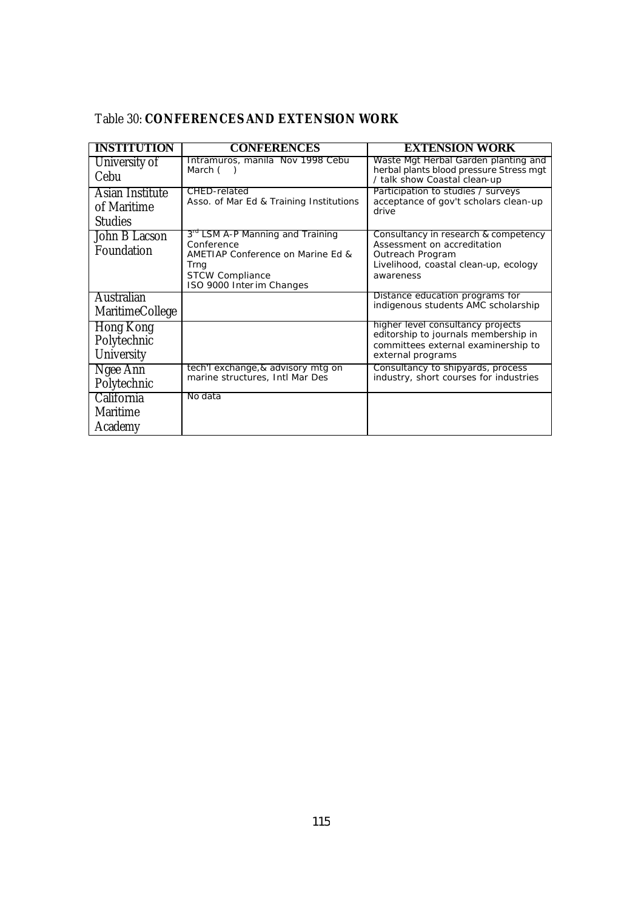| <b>INSTITUTION</b>                               | <b>CONFERENCES</b>                                                                                                                                             | <b>EXTENSION WORK</b>                                                                                                                         |
|--------------------------------------------------|----------------------------------------------------------------------------------------------------------------------------------------------------------------|-----------------------------------------------------------------------------------------------------------------------------------------------|
| University of<br>Cebu                            | Intramuros, manila Nov 1998 Cebu<br>March ()                                                                                                                   | Waste Mgt Herbal Garden planting and<br>herbal plants blood pressure Stress mgt<br>/ talk show Coastal clean-up                               |
| Asian Institute<br>of Maritime<br><b>Studies</b> | CHED-related<br>Asso. of Mar Ed & Training Institutions                                                                                                        | Participation to studies / surveys<br>acceptance of gov't scholars clean-up<br>drive                                                          |
| John B Lacson<br>Foundation                      | 3 <sup>rd</sup> LSM A-P Manning and Training<br>Conference<br>AMETIAP Conference on Marine Ed &<br>Trng<br><b>STCW Compliance</b><br>ISO 9000 Inter im Changes | Consultancy in research & competency<br>Assessment on accreditation<br>Outreach Program<br>Livelihood, coastal clean-up, ecology<br>awareness |
| Australian<br><b>MaritimeCollege</b>             |                                                                                                                                                                | Distance education programs for<br>indigenous students AMC scholarship                                                                        |
| <b>Hong Kong</b><br>Polytechnic<br>University    |                                                                                                                                                                | higher level consultancy projects<br>editorship to journals membership in<br>committees external examinership to<br>external programs         |
| Ngee Ann<br>Polytechnic                          | tech'l exchange, & advisory mtg on<br>marine structures, Intl Mar Des                                                                                          | Consultancy to shipyards, process<br>industry, short courses for industries                                                                   |
| California<br><b>Maritime</b><br>Academy         | No data                                                                                                                                                        |                                                                                                                                               |

# Table 30: **CONFERENCES AND EXTENSION WORK**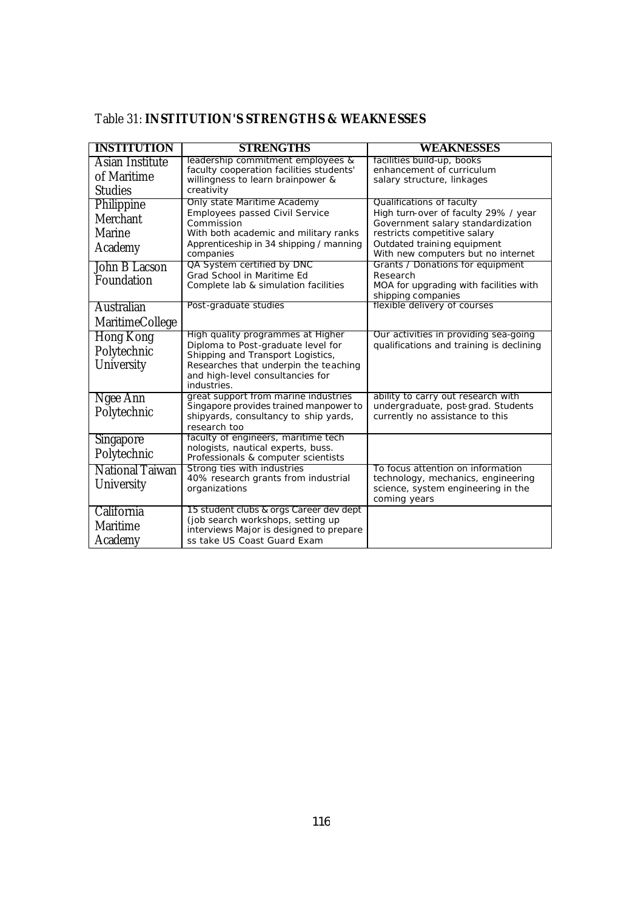| leadership commitment employees &<br>facilities build-up, books<br>Asian Institute<br>faculty cooperation facilities students'<br>enhancement of curriculum<br>of Maritime<br>willingness to learn brainpower &<br>salary structure, linkages<br><b>Studies</b><br>creativity<br>Only state Maritime Academy<br>Qualifications of faculty<br>Philippine<br>Employees passed Civil Service<br>High turn-over of faculty 29% / year<br>Merchant<br>Commission<br>Government salary standardization<br><b>Marine</b><br>restricts competitive salary<br>With both academic and military ranks<br>Apprenticeship in 34 shipping / manning<br>Outdated training equipment<br>Academy<br>With new computers but no internet<br>companies<br>QA System certified by DNC<br>Grants / Donations for equipment<br>John B Lacson<br>Grad School in Maritime Ed<br>Research<br>Foundation<br>Complete lab & simulation facilities<br>MOA for upgrading with facilities with<br>shipping companies<br>flexible delivery of courses<br>Post-graduate studies<br>Australian<br><b>MaritimeCollege</b><br>High quality programmes at Higher<br>Our activities in providing sea-going<br><b>Hong Kong</b><br>Diploma to Post-graduate level for<br>qualifications and training is declining<br>Polytechnic<br>Shipping and Transport Logistics,<br>University<br>Researches that underpin the teaching<br>and high-level consultancies for | <b>INSTITUTION</b> | <b>STRENGTHS</b> | WEAKNESSES |
|---------------------------------------------------------------------------------------------------------------------------------------------------------------------------------------------------------------------------------------------------------------------------------------------------------------------------------------------------------------------------------------------------------------------------------------------------------------------------------------------------------------------------------------------------------------------------------------------------------------------------------------------------------------------------------------------------------------------------------------------------------------------------------------------------------------------------------------------------------------------------------------------------------------------------------------------------------------------------------------------------------------------------------------------------------------------------------------------------------------------------------------------------------------------------------------------------------------------------------------------------------------------------------------------------------------------------------------------------------------------------------------------------------------------------|--------------------|------------------|------------|
|                                                                                                                                                                                                                                                                                                                                                                                                                                                                                                                                                                                                                                                                                                                                                                                                                                                                                                                                                                                                                                                                                                                                                                                                                                                                                                                                                                                                                           |                    |                  |            |
|                                                                                                                                                                                                                                                                                                                                                                                                                                                                                                                                                                                                                                                                                                                                                                                                                                                                                                                                                                                                                                                                                                                                                                                                                                                                                                                                                                                                                           |                    |                  |            |
|                                                                                                                                                                                                                                                                                                                                                                                                                                                                                                                                                                                                                                                                                                                                                                                                                                                                                                                                                                                                                                                                                                                                                                                                                                                                                                                                                                                                                           |                    |                  |            |
|                                                                                                                                                                                                                                                                                                                                                                                                                                                                                                                                                                                                                                                                                                                                                                                                                                                                                                                                                                                                                                                                                                                                                                                                                                                                                                                                                                                                                           |                    |                  |            |
|                                                                                                                                                                                                                                                                                                                                                                                                                                                                                                                                                                                                                                                                                                                                                                                                                                                                                                                                                                                                                                                                                                                                                                                                                                                                                                                                                                                                                           |                    |                  |            |
|                                                                                                                                                                                                                                                                                                                                                                                                                                                                                                                                                                                                                                                                                                                                                                                                                                                                                                                                                                                                                                                                                                                                                                                                                                                                                                                                                                                                                           |                    |                  |            |
|                                                                                                                                                                                                                                                                                                                                                                                                                                                                                                                                                                                                                                                                                                                                                                                                                                                                                                                                                                                                                                                                                                                                                                                                                                                                                                                                                                                                                           |                    |                  |            |
|                                                                                                                                                                                                                                                                                                                                                                                                                                                                                                                                                                                                                                                                                                                                                                                                                                                                                                                                                                                                                                                                                                                                                                                                                                                                                                                                                                                                                           |                    |                  |            |
|                                                                                                                                                                                                                                                                                                                                                                                                                                                                                                                                                                                                                                                                                                                                                                                                                                                                                                                                                                                                                                                                                                                                                                                                                                                                                                                                                                                                                           |                    |                  |            |
|                                                                                                                                                                                                                                                                                                                                                                                                                                                                                                                                                                                                                                                                                                                                                                                                                                                                                                                                                                                                                                                                                                                                                                                                                                                                                                                                                                                                                           |                    |                  |            |
|                                                                                                                                                                                                                                                                                                                                                                                                                                                                                                                                                                                                                                                                                                                                                                                                                                                                                                                                                                                                                                                                                                                                                                                                                                                                                                                                                                                                                           |                    |                  |            |
|                                                                                                                                                                                                                                                                                                                                                                                                                                                                                                                                                                                                                                                                                                                                                                                                                                                                                                                                                                                                                                                                                                                                                                                                                                                                                                                                                                                                                           |                    |                  |            |
|                                                                                                                                                                                                                                                                                                                                                                                                                                                                                                                                                                                                                                                                                                                                                                                                                                                                                                                                                                                                                                                                                                                                                                                                                                                                                                                                                                                                                           |                    |                  |            |
|                                                                                                                                                                                                                                                                                                                                                                                                                                                                                                                                                                                                                                                                                                                                                                                                                                                                                                                                                                                                                                                                                                                                                                                                                                                                                                                                                                                                                           |                    |                  |            |
|                                                                                                                                                                                                                                                                                                                                                                                                                                                                                                                                                                                                                                                                                                                                                                                                                                                                                                                                                                                                                                                                                                                                                                                                                                                                                                                                                                                                                           |                    |                  |            |
|                                                                                                                                                                                                                                                                                                                                                                                                                                                                                                                                                                                                                                                                                                                                                                                                                                                                                                                                                                                                                                                                                                                                                                                                                                                                                                                                                                                                                           |                    |                  |            |
|                                                                                                                                                                                                                                                                                                                                                                                                                                                                                                                                                                                                                                                                                                                                                                                                                                                                                                                                                                                                                                                                                                                                                                                                                                                                                                                                                                                                                           |                    |                  |            |
|                                                                                                                                                                                                                                                                                                                                                                                                                                                                                                                                                                                                                                                                                                                                                                                                                                                                                                                                                                                                                                                                                                                                                                                                                                                                                                                                                                                                                           |                    | industries.      |            |
| great support from marine industries<br>ability to carry out research with<br>Ngee Ann<br>Singapore provides trained manpower to<br>undergraduate, post-grad. Students                                                                                                                                                                                                                                                                                                                                                                                                                                                                                                                                                                                                                                                                                                                                                                                                                                                                                                                                                                                                                                                                                                                                                                                                                                                    |                    |                  |            |
| Polytechnic<br>currently no assistance to this<br>shipyards, consultancy to ship yards,                                                                                                                                                                                                                                                                                                                                                                                                                                                                                                                                                                                                                                                                                                                                                                                                                                                                                                                                                                                                                                                                                                                                                                                                                                                                                                                                   |                    |                  |            |
| research too                                                                                                                                                                                                                                                                                                                                                                                                                                                                                                                                                                                                                                                                                                                                                                                                                                                                                                                                                                                                                                                                                                                                                                                                                                                                                                                                                                                                              |                    |                  |            |
| faculty of engineers, maritime tech<br>Singapore<br>nologists, nautical experts, buss.                                                                                                                                                                                                                                                                                                                                                                                                                                                                                                                                                                                                                                                                                                                                                                                                                                                                                                                                                                                                                                                                                                                                                                                                                                                                                                                                    |                    |                  |            |
| Polytechnic<br>Professionals & computer scientists                                                                                                                                                                                                                                                                                                                                                                                                                                                                                                                                                                                                                                                                                                                                                                                                                                                                                                                                                                                                                                                                                                                                                                                                                                                                                                                                                                        |                    |                  |            |
| Strong ties with industries<br><b>National Taiwan</b><br>To focus attention on information                                                                                                                                                                                                                                                                                                                                                                                                                                                                                                                                                                                                                                                                                                                                                                                                                                                                                                                                                                                                                                                                                                                                                                                                                                                                                                                                |                    |                  |            |
| 40% research grants from industrial<br>technology, mechanics, engineering<br>University<br>organizations                                                                                                                                                                                                                                                                                                                                                                                                                                                                                                                                                                                                                                                                                                                                                                                                                                                                                                                                                                                                                                                                                                                                                                                                                                                                                                                  |                    |                  |            |
| science, system engineering in the<br>coming years                                                                                                                                                                                                                                                                                                                                                                                                                                                                                                                                                                                                                                                                                                                                                                                                                                                                                                                                                                                                                                                                                                                                                                                                                                                                                                                                                                        |                    |                  |            |
| 15 student clubs & orgs Career dev dept<br>California                                                                                                                                                                                                                                                                                                                                                                                                                                                                                                                                                                                                                                                                                                                                                                                                                                                                                                                                                                                                                                                                                                                                                                                                                                                                                                                                                                     |                    |                  |            |
| (job search workshops, setting up<br><b>Maritime</b>                                                                                                                                                                                                                                                                                                                                                                                                                                                                                                                                                                                                                                                                                                                                                                                                                                                                                                                                                                                                                                                                                                                                                                                                                                                                                                                                                                      |                    |                  |            |
| interviews Major is designed to prepare<br>Academy<br>ss take US Coast Guard Exam                                                                                                                                                                                                                                                                                                                                                                                                                                                                                                                                                                                                                                                                                                                                                                                                                                                                                                                                                                                                                                                                                                                                                                                                                                                                                                                                         |                    |                  |            |

# Table 31: **INSTITUTION'S STRENGTHS & WEAKNESSES**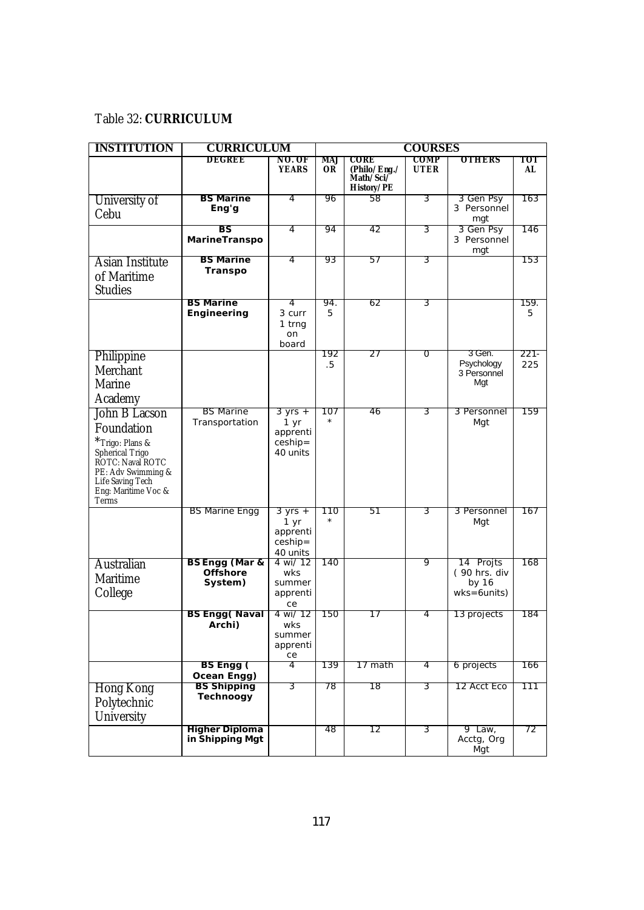### Table 32: **CURRICULUM**

| <b>INSTITUTION</b>                                                                                                                                              | <b>CURRICULUM</b>                                       | <b>COURSES</b>                                                  |                  |                                                        |                     |                                                       |                |
|-----------------------------------------------------------------------------------------------------------------------------------------------------------------|---------------------------------------------------------|-----------------------------------------------------------------|------------------|--------------------------------------------------------|---------------------|-------------------------------------------------------|----------------|
|                                                                                                                                                                 | DEGREE                                                  | NO. OF<br><b>YEARS</b>                                          | MAJ<br><b>OR</b> | CORE<br>(Philo/Eng./<br>Math/Sci/<br><b>History/PE</b> | COMP<br><b>UTER</b> | <b>OTHERS</b>                                         | тот<br>AL      |
| University of<br>Cebu                                                                                                                                           | <b>BS Marine</b><br>Eng'g                               | 4                                                               | 96               | 58                                                     | 3                   | 3 Gen Psy<br>3 Personnel<br>mgt                       | 163            |
|                                                                                                                                                                 | BS<br>MarineTranspo                                     | 4                                                               | 94               | 42                                                     | 3                   | 3 Gen Psy<br>3 Personnel<br>mgt                       | 146            |
| Asian Institute<br>of Maritime<br><b>Studies</b>                                                                                                                | <b>BS Marine</b><br>Transpo                             | 4                                                               | 93               | 57                                                     | 3                   |                                                       | 153            |
|                                                                                                                                                                 | <b>BS Marine</b><br>Engineering                         | 4<br>3 curr<br>1 trng<br>on<br>board                            | 94.<br>5         | 62                                                     | 3                   |                                                       | 159.<br>5      |
| Philippine<br>Merchant<br><b>Marine</b><br>Academy                                                                                                              |                                                         |                                                                 | 192<br>.5        | 27                                                     | 0                   | 3 Gen.<br>Psychology<br>3 Personnel<br>Mgt            | $221 -$<br>225 |
| John B Lacson<br>Foundation<br>*Trigo: Plans &<br>Spherical Trigo<br>ROTC: Naval ROTC<br>PE: Adv Swimming &<br>Life Saving Tech<br>Eng: Maritime Voc &<br>Terms | <b>BS Marine</b><br>Transportation                      | $3 yrs +$<br>1 yr<br>apprenti<br>$ceship =$<br>40 units         | 107<br>$\star$   | 46                                                     | 3                   | 3 Personnel<br>Mgt                                    | 159            |
|                                                                                                                                                                 | <b>BS Marine Engg</b>                                   | $3 \text{ yrs} +$<br>1 yr<br>apprenti<br>$ceship =$<br>40 units | 110              | 51                                                     | 3                   | 3 Personnel<br>Mgt                                    | 167            |
| Australian<br><b>Maritime</b><br>College                                                                                                                        | <b>BS Engg (Mar &amp;</b><br><b>Offshore</b><br>System) | 4 wi/ 12<br>wks<br>summer<br>apprenti<br>ce                     | 140              |                                                        | 9                   | 14 Projts<br>(90 hrs. div<br>by 16<br>$wks = 6 units$ | 168            |
|                                                                                                                                                                 | <b>BS Engg (Naval</b><br>Archi)                         | 4 wi/ 12<br>wks<br>summer<br>apprenti<br>ce                     | 150              | 17                                                     | 4                   | 13 projects                                           | 184            |
|                                                                                                                                                                 | BS Engg (<br>Ocean Engg)                                | 4                                                               | 139              | 17 math                                                | 4                   | 6 projects                                            | 166            |
| <b>Hong Kong</b><br>Polytechnic<br>University                                                                                                                   | <b>BS Shipping</b><br>Technoogy                         | 3                                                               | 78               | 18                                                     | 3                   | 12 Acct Eco                                           | 111            |
|                                                                                                                                                                 | <b>Higher Diploma</b><br>in Shipping Mgt                |                                                                 | 48               | 12                                                     | 3                   | 9 Law,<br>Acctg, Org<br>Mgt                           | 72             |